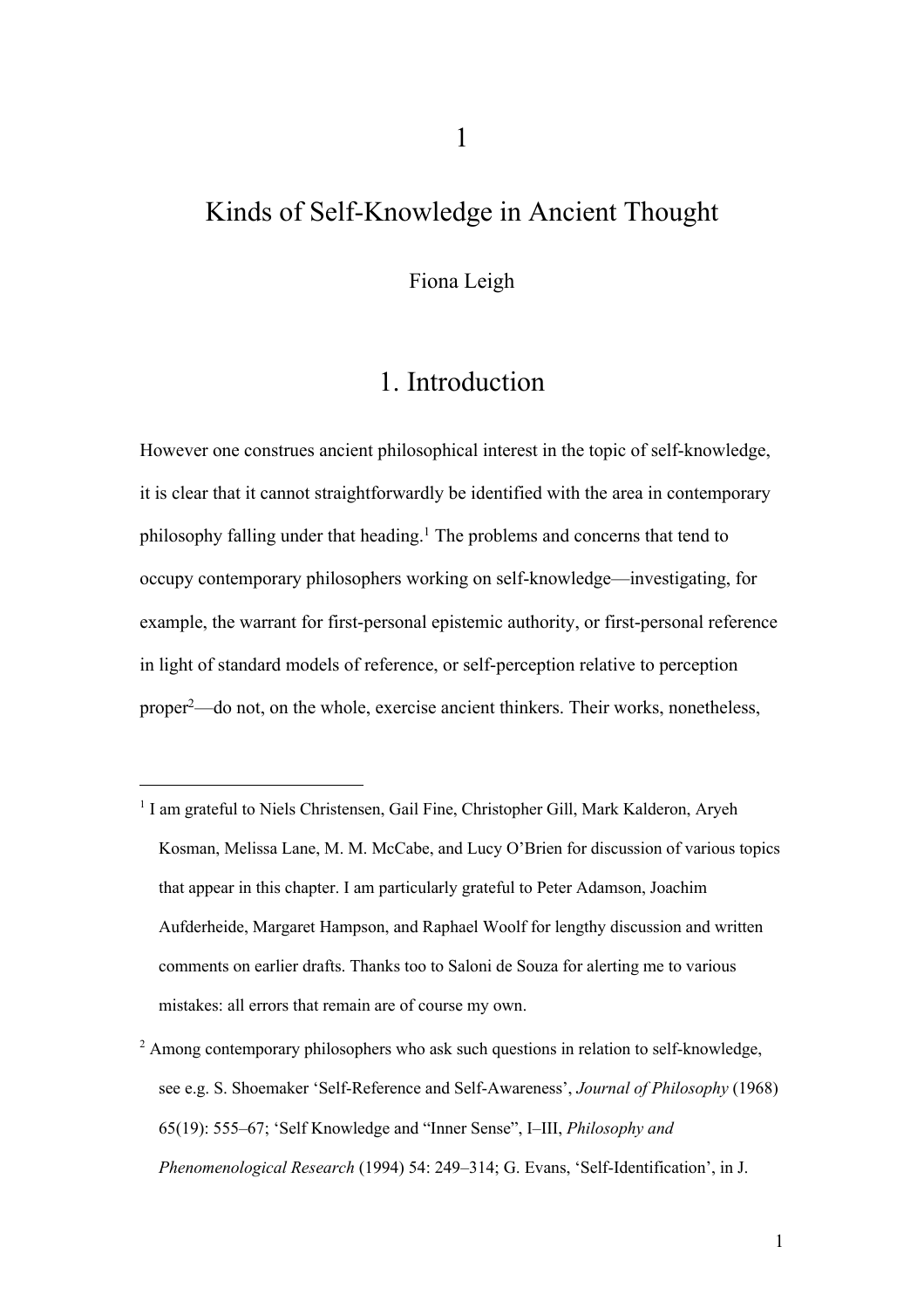## Kinds of Self-Knowledge in Ancient Thought

Fiona Leigh

### 1. Introduction

However one construes ancient philosophical interest in the topic of self-knowledge, it is clear that it cannot straightforwardly be identified with the area in contemporary philosophy falling under that heading.<sup>1</sup> The problems and concerns that tend to occupy contemporary philosophers working on self-knowledge—investigating, for example, the warrant for first-personal epistemic authority, or first-personal reference in light of standard models of reference, or self-perception relative to perception proper2—do not, on the whole, exercise ancient thinkers. Their works, nonetheless,

<sup>&</sup>lt;sup>1</sup> I am grateful to Niels Christensen, Gail Fine, Christopher Gill, Mark Kalderon, Aryeh Kosman, Melissa Lane, M. M. McCabe, and Lucy O'Brien for discussion of various topics that appear in this chapter. I am particularly grateful to Peter Adamson, Joachim Aufderheide, Margaret Hampson, and Raphael Woolf for lengthy discussion and written comments on earlier drafts. Thanks too to Saloni de Souza for alerting me to various mistakes: all errors that remain are of course my own.

 $2 \text{ Among contemporary philosophers who ask such questions in relation to self-knowledge,}$ see e.g. S. Shoemaker 'Self-Reference and Self-Awareness', *Journal of Philosophy* (1968) 65(19): 555–67; 'Self Knowledge and "Inner Sense", I–III, *Philosophy and Phenomenological Research* (1994) 54: 249–314; G. Evans, 'Self-Identification', in J.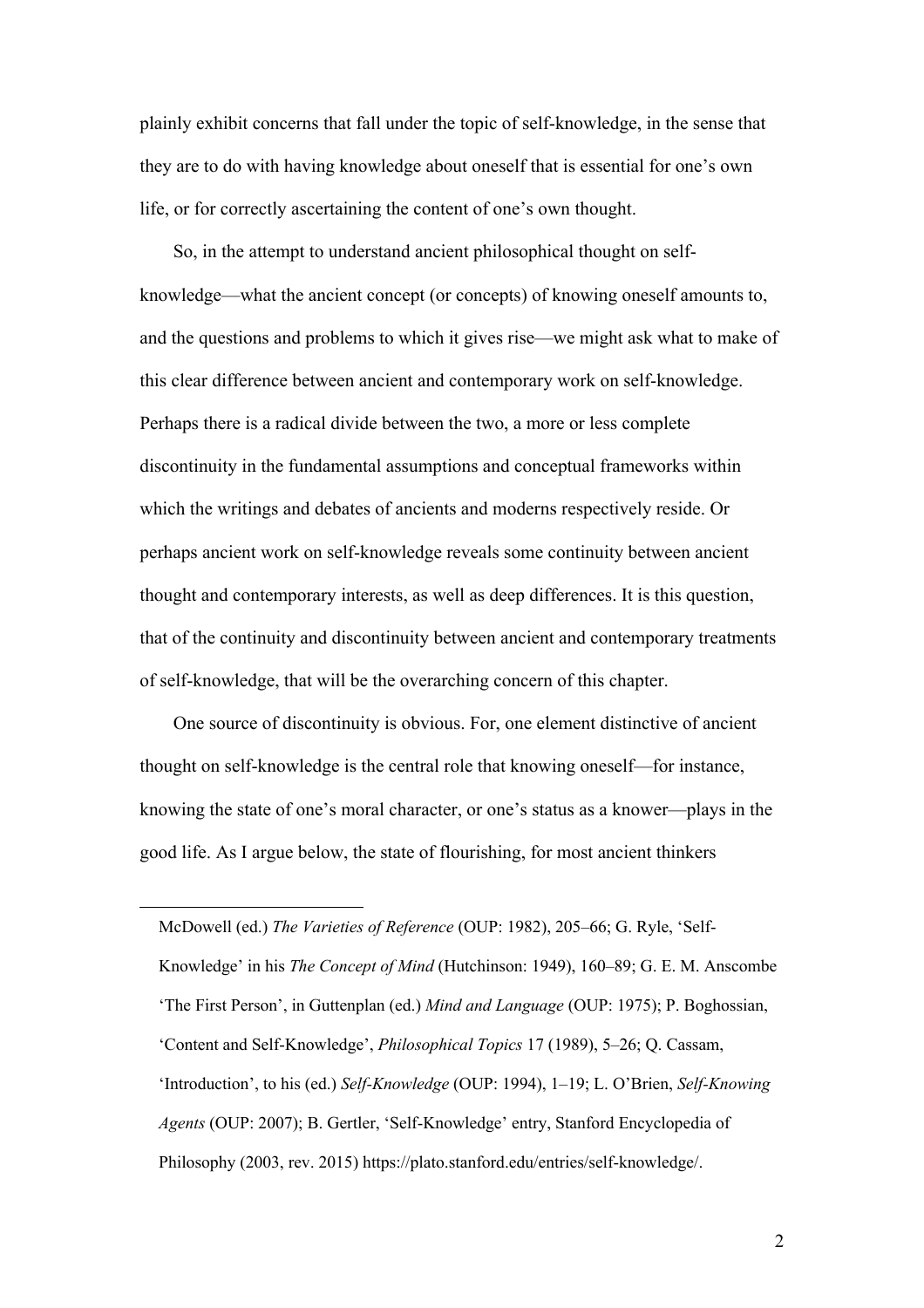plainly exhibit concerns that fall under the topic of self-knowledge, in the sense that they are to do with having knowledge about oneself that is essential for one's own life, or for correctly ascertaining the content of one's own thought.

So, in the attempt to understand ancient philosophical thought on selfknowledge—what the ancient concept (or concepts) of knowing oneself amounts to, and the questions and problems to which it gives rise—we might ask what to make of this clear difference between ancient and contemporary work on self-knowledge. Perhaps there is a radical divide between the two, a more or less complete discontinuity in the fundamental assumptions and conceptual frameworks within which the writings and debates of ancients and moderns respectively reside. Or perhaps ancient work on self-knowledge reveals some continuity between ancient thought and contemporary interests, as well as deep differences. It is this question, that of the continuity and discontinuity between ancient and contemporary treatments of self-knowledge, that will be the overarching concern of this chapter.

One source of discontinuity is obvious. For, one element distinctive of ancient thought on self-knowledge is the central role that knowing oneself—for instance, knowing the state of one's moral character, or one's status as a knower—plays in the good life. As I argue below, the state of flourishing, for most ancient thinkers

McDowell (ed.) *The Varieties of Reference* (OUP: 1982), 205–66; G. Ryle, 'Self-Knowledge' in his *The Concept of Mind* (Hutchinson: 1949), 160–89; G. E. M. Anscombe 'The First Person', in Guttenplan (ed.) *Mind and Language* (OUP: 1975); P. Boghossian, 'Content and Self-Knowledge', *Philosophical Topics* 17 (1989), 5–26; Q. Cassam, 'Introduction', to his (ed.) *Self-Knowledge* (OUP: 1994), 1–19; L. O'Brien, *Self-Knowing Agents* (OUP: 2007); B. Gertler, 'Self-Knowledge' entry, Stanford Encyclopedia of Philosophy (2003, rev. 2015) https://plato.stanford.edu/entries/self-knowledge/.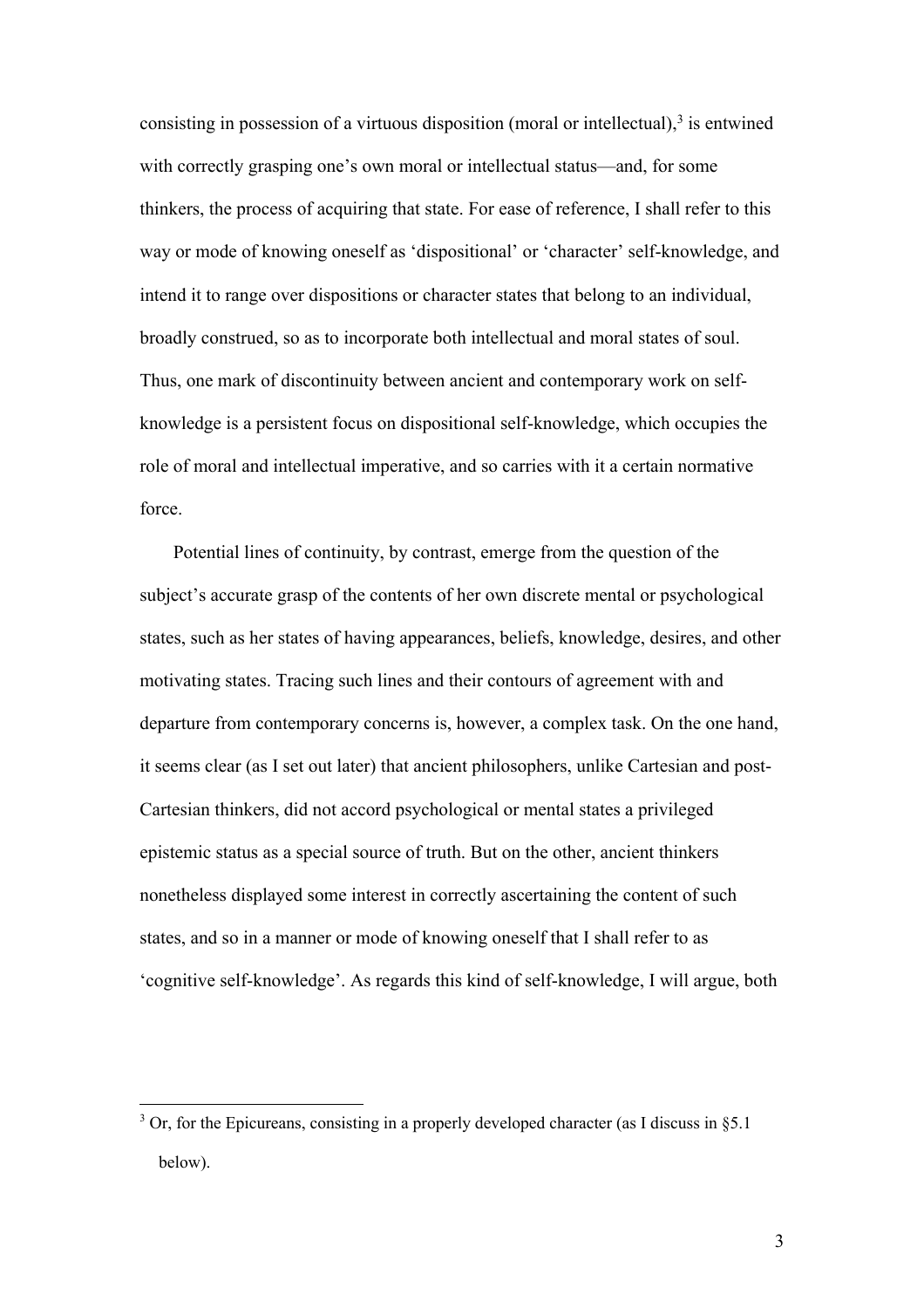consisting in possession of a virtuous disposition (moral or intellectual), $3$  is entwined with correctly grasping one's own moral or intellectual status—and, for some thinkers, the process of acquiring that state. For ease of reference, I shall refer to this way or mode of knowing oneself as 'dispositional' or 'character' self-knowledge, and intend it to range over dispositions or character states that belong to an individual, broadly construed, so as to incorporate both intellectual and moral states of soul. Thus, one mark of discontinuity between ancient and contemporary work on selfknowledge is a persistent focus on dispositional self-knowledge, which occupies the role of moral and intellectual imperative, and so carries with it a certain normative force.

Potential lines of continuity, by contrast, emerge from the question of the subject's accurate grasp of the contents of her own discrete mental or psychological states, such as her states of having appearances, beliefs, knowledge, desires, and other motivating states. Tracing such lines and their contours of agreement with and departure from contemporary concerns is, however, a complex task. On the one hand, it seems clear (as I set out later) that ancient philosophers, unlike Cartesian and post-Cartesian thinkers, did not accord psychological or mental states a privileged epistemic status as a special source of truth. But on the other, ancient thinkers nonetheless displayed some interest in correctly ascertaining the content of such states, and so in a manner or mode of knowing oneself that I shall refer to as 'cognitive self-knowledge'. As regards this kind of self-knowledge, I will argue, both

 $3$  Or, for the Epicureans, consisting in a properly developed character (as I discuss in §5.1) below).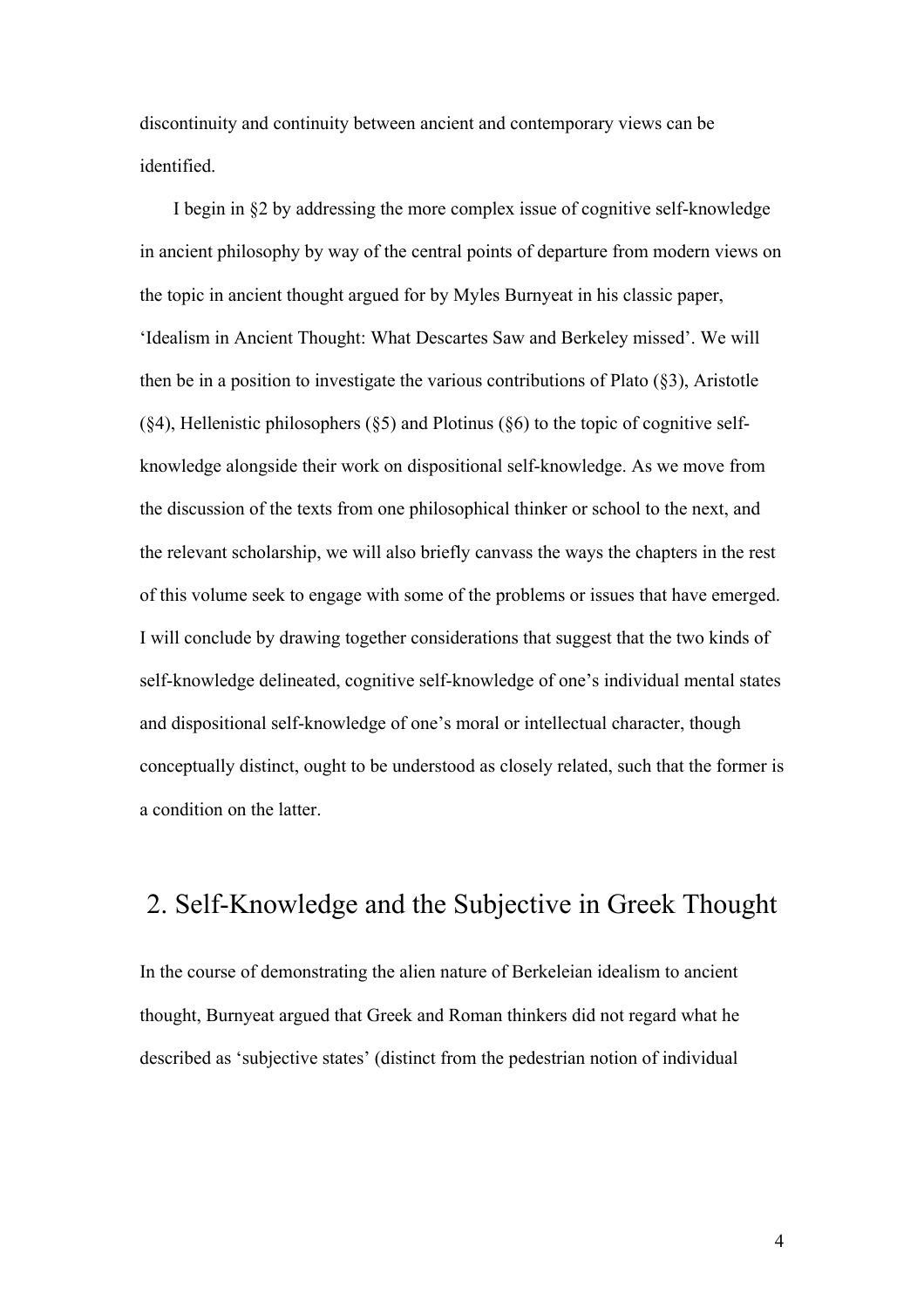discontinuity and continuity between ancient and contemporary views can be identified.

I begin in §2 by addressing the more complex issue of cognitive self-knowledge in ancient philosophy by way of the central points of departure from modern views on the topic in ancient thought argued for by Myles Burnyeat in his classic paper, 'Idealism in Ancient Thought: What Descartes Saw and Berkeley missed'. We will then be in a position to investigate the various contributions of Plato (§3), Aristotle  $(\text{\&}4)$ , Hellenistic philosophers  $(\text{\&}5)$  and Plotinus  $(\text{\&}6)$  to the topic of cognitive selfknowledge alongside their work on dispositional self-knowledge. As we move from the discussion of the texts from one philosophical thinker or school to the next, and the relevant scholarship, we will also briefly canvass the ways the chapters in the rest of this volume seek to engage with some of the problems or issues that have emerged. I will conclude by drawing together considerations that suggest that the two kinds of self-knowledge delineated, cognitive self-knowledge of one's individual mental states and dispositional self-knowledge of one's moral or intellectual character, though conceptually distinct, ought to be understood as closely related, such that the former is a condition on the latter.

# 2. Self-Knowledge and the Subjective in Greek Thought

In the course of demonstrating the alien nature of Berkeleian idealism to ancient thought, Burnyeat argued that Greek and Roman thinkers did not regard what he described as 'subjective states' (distinct from the pedestrian notion of individual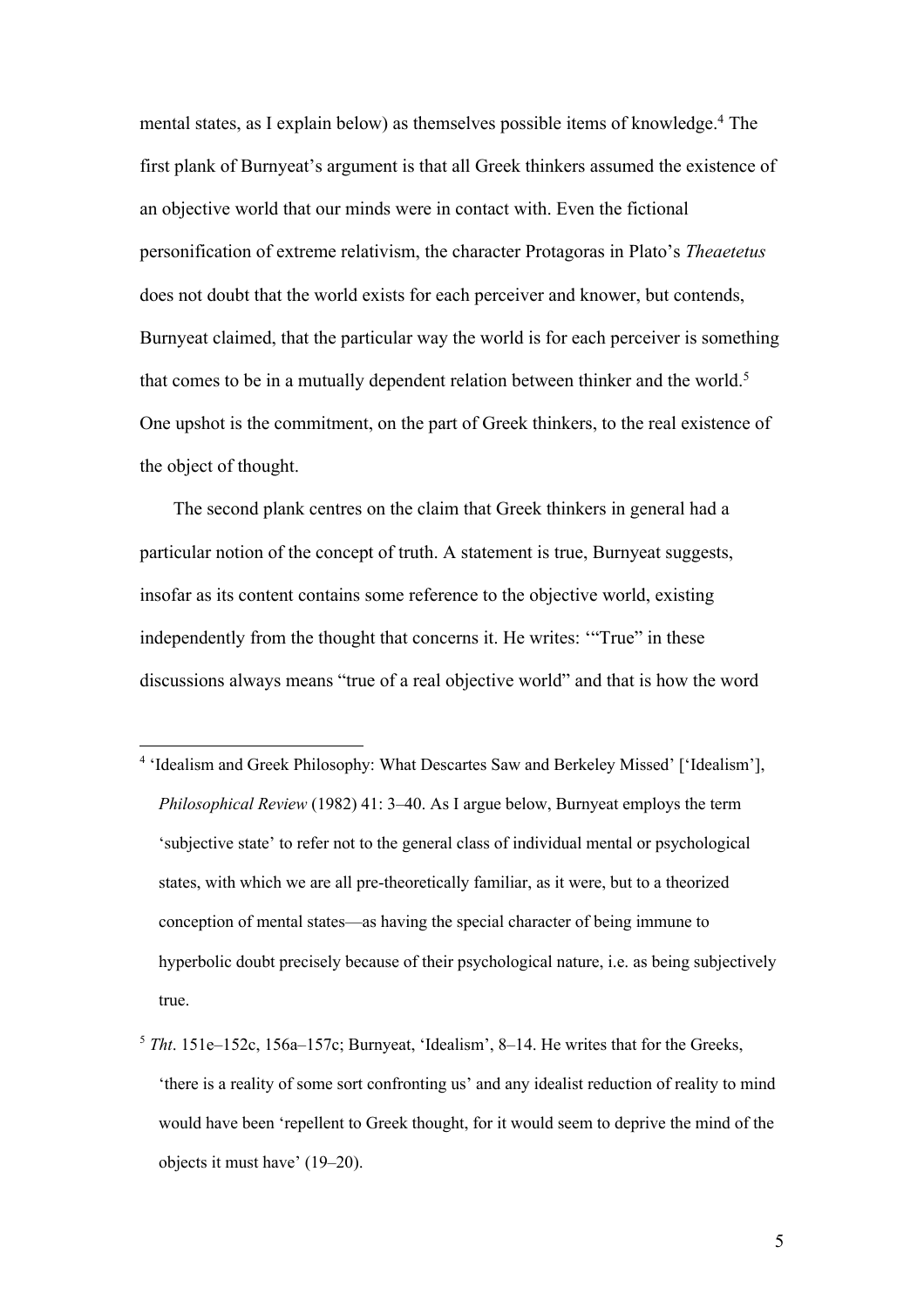mental states, as I explain below) as themselves possible items of knowledge.<sup>4</sup> The first plank of Burnyeat's argument is that all Greek thinkers assumed the existence of an objective world that our minds were in contact with. Even the fictional personification of extreme relativism, the character Protagoras in Plato's *Theaetetus* does not doubt that the world exists for each perceiver and knower, but contends, Burnyeat claimed, that the particular way the world is for each perceiver is something that comes to be in a mutually dependent relation between thinker and the world.<sup>5</sup> One upshot is the commitment, on the part of Greek thinkers, to the real existence of the object of thought.

The second plank centres on the claim that Greek thinkers in general had a particular notion of the concept of truth. A statement is true, Burnyeat suggests, insofar as its content contains some reference to the objective world, existing independently from the thought that concerns it. He writes: '"True" in these discussions always means "true of a real objective world" and that is how the word

- <sup>4</sup> 'Idealism and Greek Philosophy: What Descartes Saw and Berkeley Missed' ['Idealism'], *Philosophical Review* (1982) 41: 3–40. As I argue below, Burnyeat employs the term 'subjective state' to refer not to the general class of individual mental or psychological states, with which we are all pre-theoretically familiar, as it were, but to a theorized conception of mental states—as having the special character of being immune to hyperbolic doubt precisely because of their psychological nature, i.e. as being subjectively true.
- <sup>5</sup> *Tht*. 151e–152c, 156a–157c; Burnyeat, 'Idealism', 8–14. He writes that for the Greeks, 'there is a reality of some sort confronting us' and any idealist reduction of reality to mind would have been 'repellent to Greek thought, for it would seem to deprive the mind of the objects it must have' (19–20).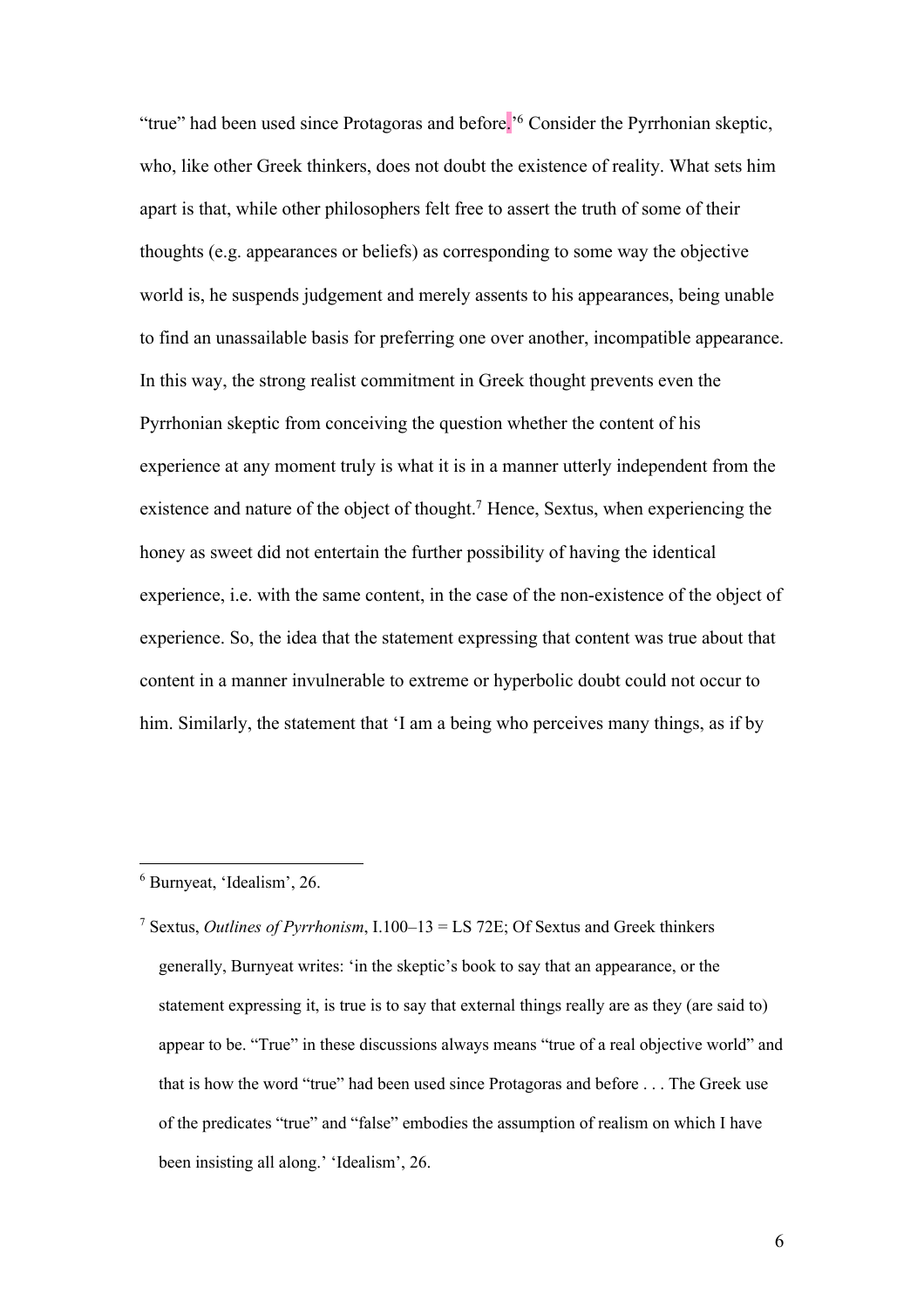"true" had been used since Protagoras and before.<sup>'6</sup> Consider the Pyrrhonian skeptic, who, like other Greek thinkers, does not doubt the existence of reality. What sets him apart is that, while other philosophers felt free to assert the truth of some of their thoughts (e.g. appearances or beliefs) as corresponding to some way the objective world is, he suspends judgement and merely assents to his appearances, being unable to find an unassailable basis for preferring one over another, incompatible appearance. In this way, the strong realist commitment in Greek thought prevents even the Pyrrhonian skeptic from conceiving the question whether the content of his experience at any moment truly is what it is in a manner utterly independent from the existence and nature of the object of thought.<sup>7</sup> Hence, Sextus, when experiencing the honey as sweet did not entertain the further possibility of having the identical experience, i.e. with the same content, in the case of the non-existence of the object of experience. So, the idea that the statement expressing that content was true about that content in a manner invulnerable to extreme or hyperbolic doubt could not occur to him. Similarly, the statement that 'I am a being who perceives many things, as if by

<sup>6</sup> Burnyeat, 'Idealism', 26.

<sup>7</sup> Sextus, *Outlines of Pyrrhonism*, I.100–13 = LS 72E; Of Sextus and Greek thinkers generally, Burnyeat writes: 'in the skeptic's book to say that an appearance, or the statement expressing it, is true is to say that external things really are as they (are said to) appear to be. "True" in these discussions always means "true of a real objective world" and that is how the word "true" had been used since Protagoras and before . . . The Greek use of the predicates "true" and "false" embodies the assumption of realism on which I have been insisting all along.' 'Idealism', 26.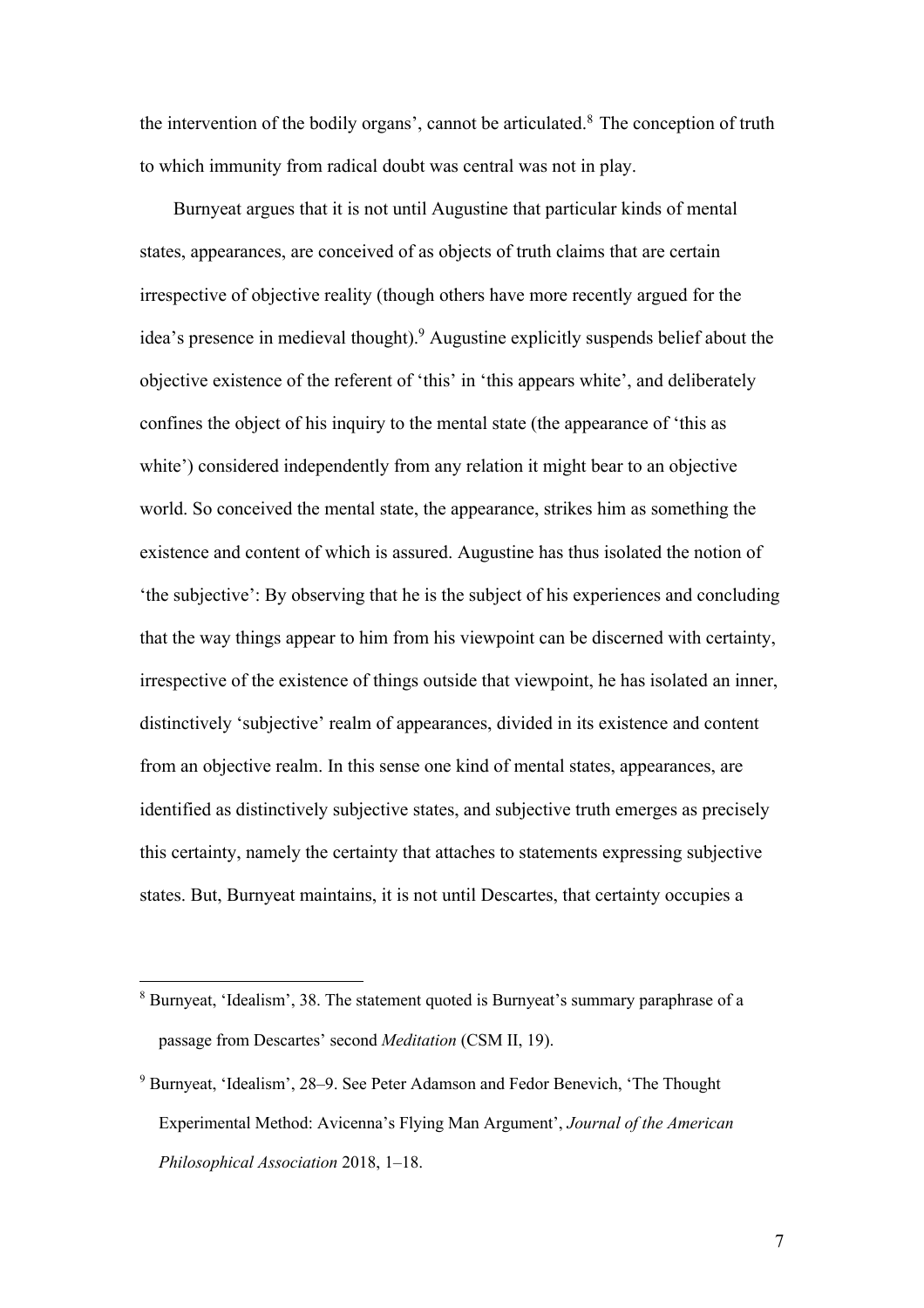the intervention of the bodily organs', cannot be articulated. $8$  The conception of truth to which immunity from radical doubt was central was not in play.

Burnyeat argues that it is not until Augustine that particular kinds of mental states, appearances, are conceived of as objects of truth claims that are certain irrespective of objective reality (though others have more recently argued for the idea's presence in medieval thought).9 Augustine explicitly suspends belief about the objective existence of the referent of 'this' in 'this appears white', and deliberately confines the object of his inquiry to the mental state (the appearance of 'this as white') considered independently from any relation it might bear to an objective world. So conceived the mental state, the appearance, strikes him as something the existence and content of which is assured. Augustine has thus isolated the notion of 'the subjective': By observing that he is the subject of his experiences and concluding that the way things appear to him from his viewpoint can be discerned with certainty, irrespective of the existence of things outside that viewpoint, he has isolated an inner, distinctively 'subjective' realm of appearances, divided in its existence and content from an objective realm. In this sense one kind of mental states, appearances, are identified as distinctively subjective states, and subjective truth emerges as precisely this certainty, namely the certainty that attaches to statements expressing subjective states. But, Burnyeat maintains, it is not until Descartes, that certainty occupies a

<sup>8</sup> Burnyeat, 'Idealism', 38. The statement quoted is Burnyeat's summary paraphrase of a passage from Descartes' second *Meditation* (CSM II, 19).

<sup>9</sup> Burnyeat, 'Idealism', 28–9. See Peter Adamson and Fedor Benevich, 'The Thought Experimental Method: Avicenna's Flying Man Argument', *Journal of the American Philosophical Association* 2018, 1–18.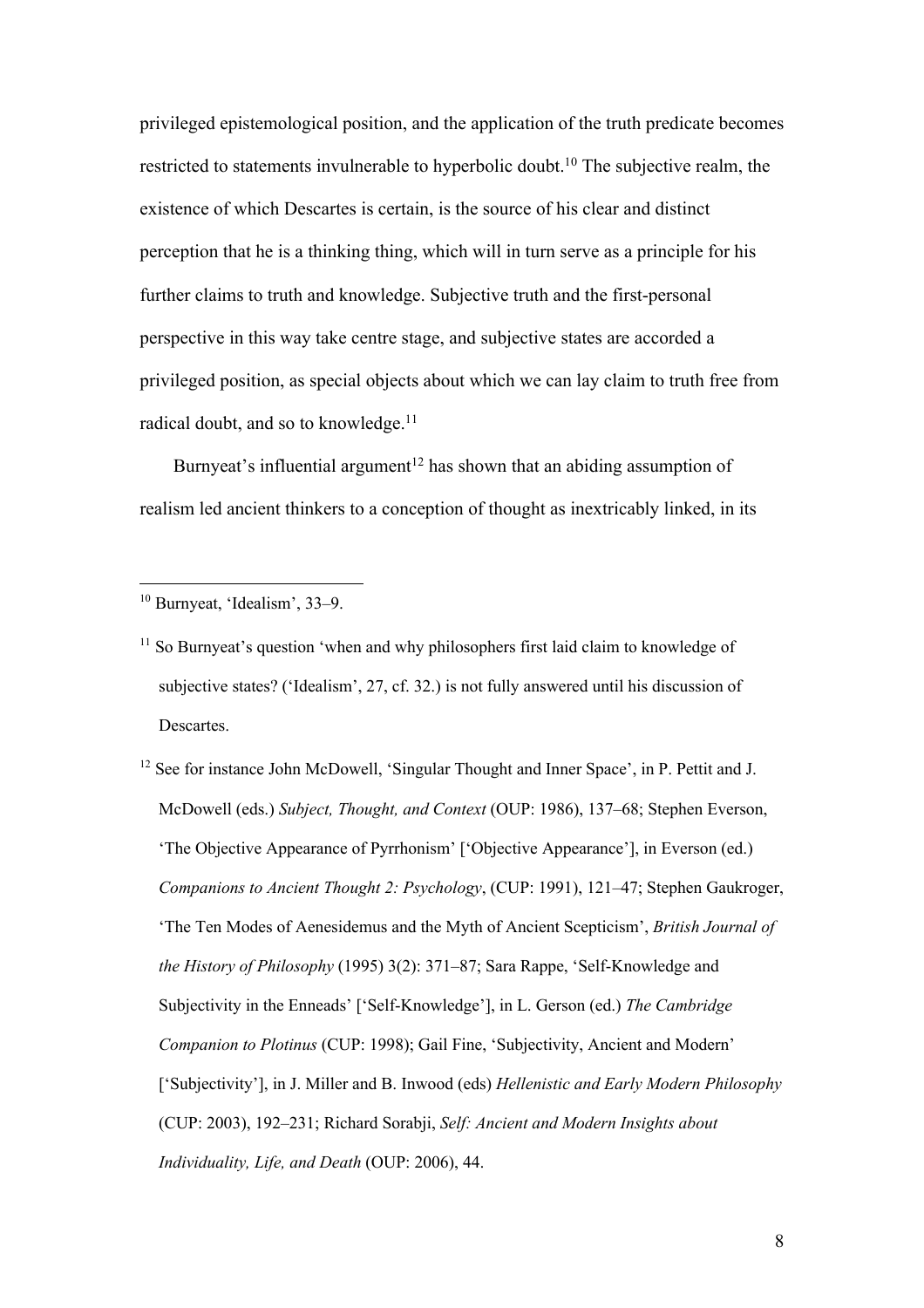privileged epistemological position, and the application of the truth predicate becomes restricted to statements invulnerable to hyperbolic doubt.10 The subjective realm, the existence of which Descartes is certain, is the source of his clear and distinct perception that he is a thinking thing, which will in turn serve as a principle for his further claims to truth and knowledge. Subjective truth and the first-personal perspective in this way take centre stage, and subjective states are accorded a privileged position, as special objects about which we can lay claim to truth free from radical doubt, and so to knowledge.<sup>11</sup>

Burnyeat's influential argument<sup>12</sup> has shown that an abiding assumption of realism led ancient thinkers to a conception of thought as inextricably linked, in its

- $11$  So Burnyeat's question 'when and why philosophers first laid claim to knowledge of subjective states? ('Idealism', 27, cf. 32.) is not fully answered until his discussion of Descartes.
- <sup>12</sup> See for instance John McDowell, 'Singular Thought and Inner Space', in P. Pettit and J. McDowell (eds.) *Subject, Thought, and Context* (OUP: 1986), 137–68; Stephen Everson, 'The Objective Appearance of Pyrrhonism' ['Objective Appearance'], in Everson (ed.) *Companions to Ancient Thought 2: Psychology*, (CUP: 1991), 121–47; Stephen Gaukroger, 'The Ten Modes of Aenesidemus and the Myth of Ancient Scepticism', *British Journal of the History of Philosophy* (1995) 3(2): 371–87; Sara Rappe, 'Self-Knowledge and Subjectivity in the Enneads' ['Self-Knowledge'], in L. Gerson (ed.) *The Cambridge Companion to Plotinus* (CUP: 1998); Gail Fine, 'Subjectivity, Ancient and Modern' ['Subjectivity'], in J. Miller and B. Inwood (eds) *Hellenistic and Early Modern Philosophy* (CUP: 2003), 192–231; Richard Sorabji, *Self: Ancient and Modern Insights about Individuality, Life, and Death* (OUP: 2006), 44.

<sup>10</sup> Burnyeat, 'Idealism', 33–9.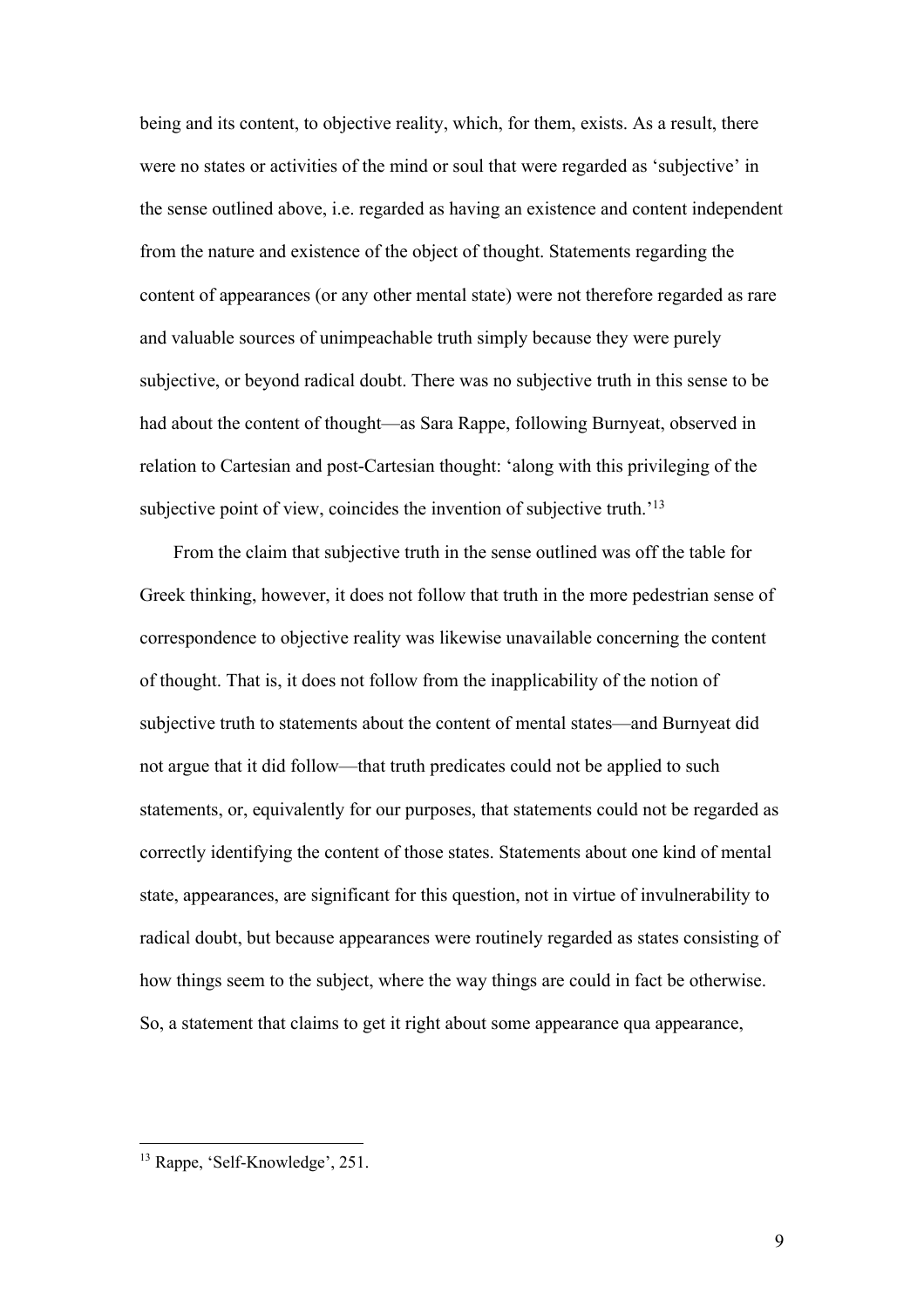being and its content, to objective reality, which, for them, exists. As a result, there were no states or activities of the mind or soul that were regarded as 'subjective' in the sense outlined above, i.e. regarded as having an existence and content independent from the nature and existence of the object of thought. Statements regarding the content of appearances (or any other mental state) were not therefore regarded as rare and valuable sources of unimpeachable truth simply because they were purely subjective, or beyond radical doubt. There was no subjective truth in this sense to be had about the content of thought—as Sara Rappe, following Burnyeat, observed in relation to Cartesian and post-Cartesian thought: 'along with this privileging of the subjective point of view, coincides the invention of subjective truth.<sup>'13</sup>

From the claim that subjective truth in the sense outlined was off the table for Greek thinking, however, it does not follow that truth in the more pedestrian sense of correspondence to objective reality was likewise unavailable concerning the content of thought. That is, it does not follow from the inapplicability of the notion of subjective truth to statements about the content of mental states—and Burnyeat did not argue that it did follow—that truth predicates could not be applied to such statements, or, equivalently for our purposes, that statements could not be regarded as correctly identifying the content of those states. Statements about one kind of mental state, appearances, are significant for this question, not in virtue of invulnerability to radical doubt, but because appearances were routinely regarded as states consisting of how things seem to the subject, where the way things are could in fact be otherwise. So, a statement that claims to get it right about some appearance qua appearance,

<sup>&</sup>lt;sup>13</sup> Rappe, 'Self-Knowledge', 251.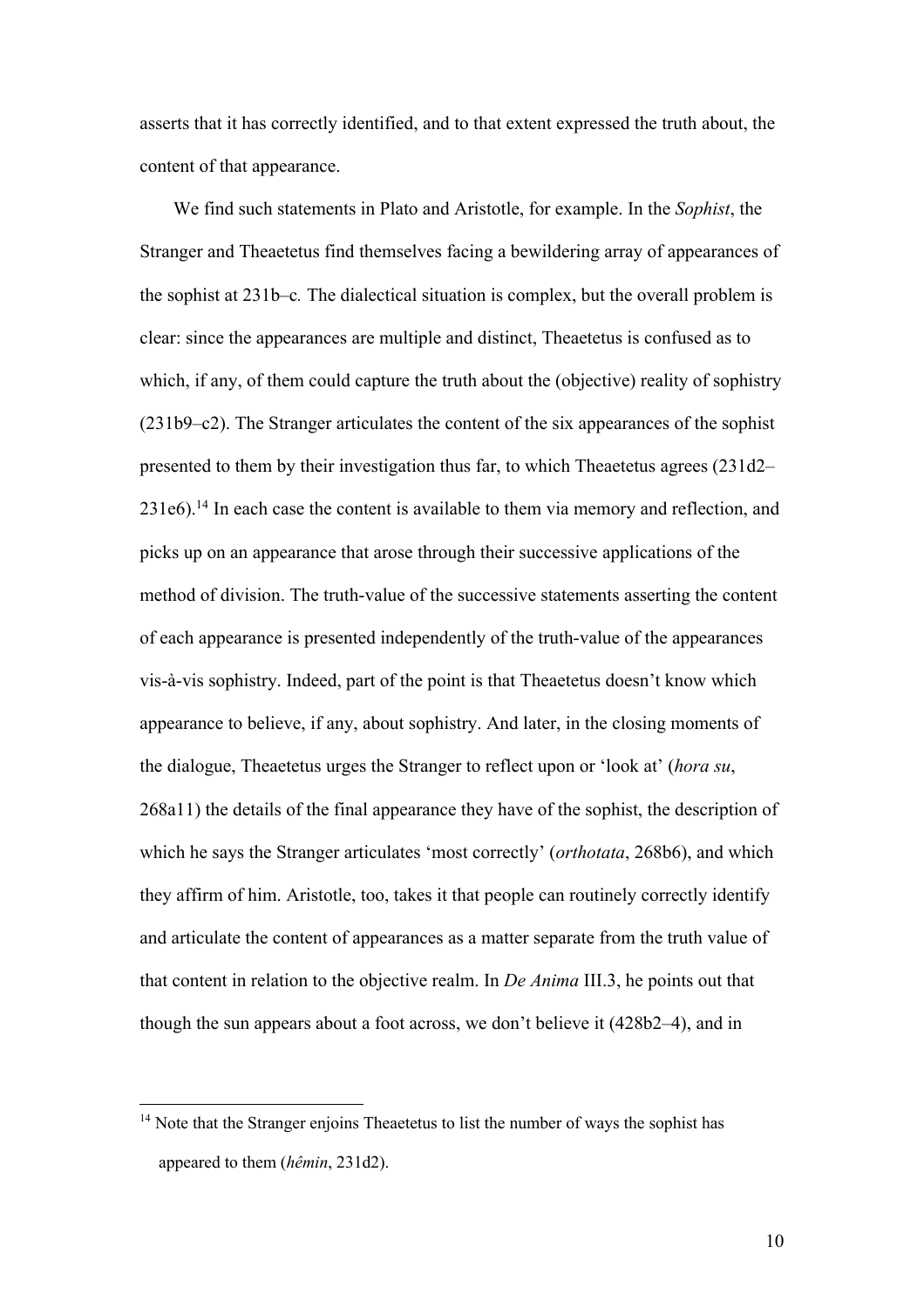asserts that it has correctly identified, and to that extent expressed the truth about, the content of that appearance.

We find such statements in Plato and Aristotle, for example. In the *Sophist*, the Stranger and Theaetetus find themselves facing a bewildering array of appearances of the sophist at 231b–c*.* The dialectical situation is complex, but the overall problem is clear: since the appearances are multiple and distinct, Theaetetus is confused as to which, if any, of them could capture the truth about the (objective) reality of sophistry (231b9–c2). The Stranger articulates the content of the six appearances of the sophist presented to them by their investigation thus far, to which Theaetetus agrees (231d2– 231e6).14 In each case the content is available to them via memory and reflection, and picks up on an appearance that arose through their successive applications of the method of division. The truth-value of the successive statements asserting the content of each appearance is presented independently of the truth-value of the appearances vis-à-vis sophistry. Indeed, part of the point is that Theaetetus doesn't know which appearance to believe, if any, about sophistry. And later, in the closing moments of the dialogue, Theaetetus urges the Stranger to reflect upon or 'look at' (*hora su*, 268a11) the details of the final appearance they have of the sophist, the description of which he says the Stranger articulates 'most correctly' (*orthotata*, 268b6), and which they affirm of him. Aristotle, too, takes it that people can routinely correctly identify and articulate the content of appearances as a matter separate from the truth value of that content in relation to the objective realm. In *De Anima* III.3, he points out that though the sun appears about a foot across, we don't believe it (428b2–4), and in

<sup>&</sup>lt;sup>14</sup> Note that the Stranger enjoins Theaetetus to list the number of ways the sophist has appeared to them (*hêmin*, 231d2).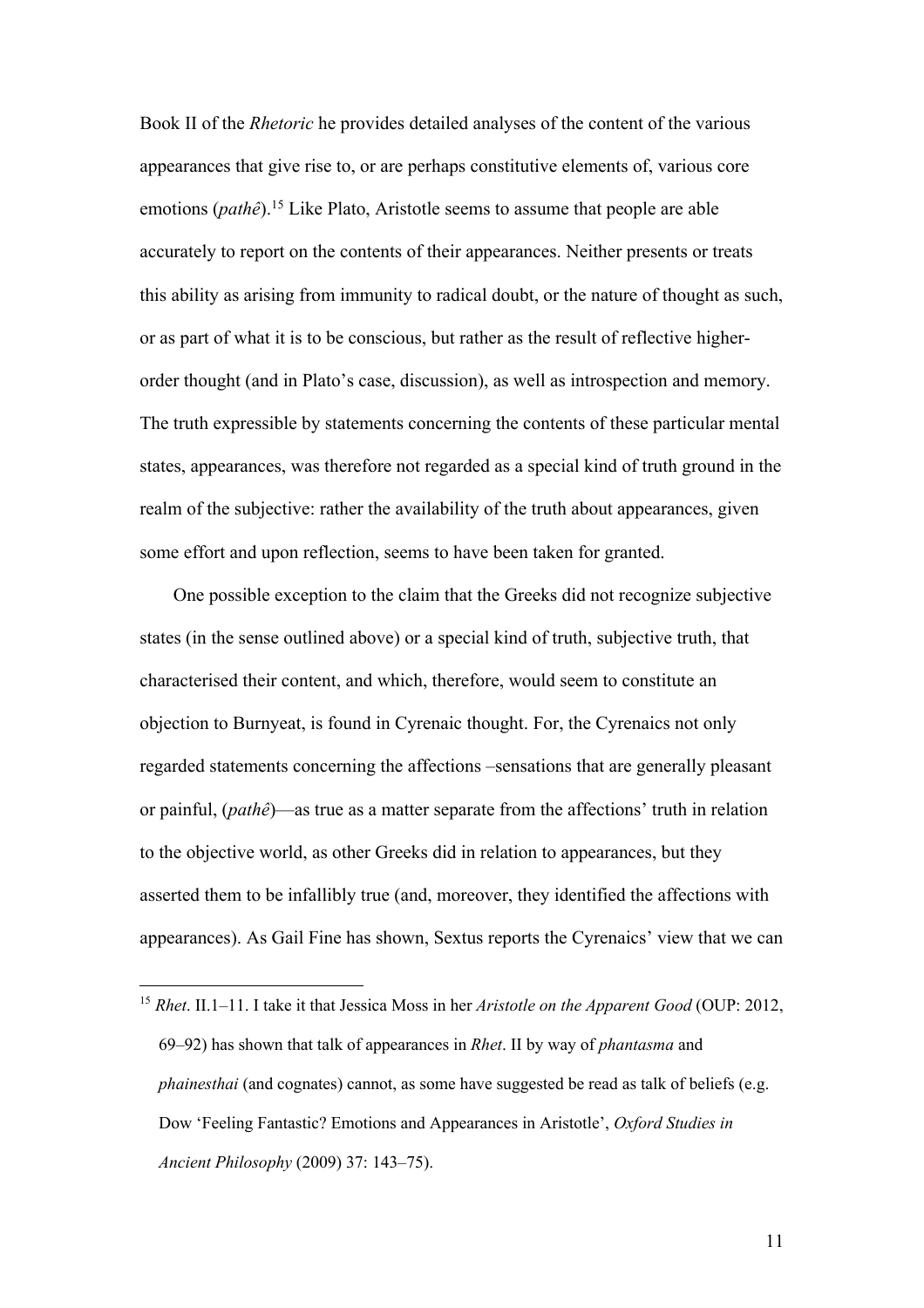Book II of the *Rhetoric* he provides detailed analyses of the content of the various appearances that give rise to, or are perhaps constitutive elements of, various core emotions (*pathê*).15 Like Plato, Aristotle seems to assume that people are able accurately to report on the contents of their appearances. Neither presents or treats this ability as arising from immunity to radical doubt, or the nature of thought as such, or as part of what it is to be conscious, but rather as the result of reflective higherorder thought (and in Plato's case, discussion), as well as introspection and memory. The truth expressible by statements concerning the contents of these particular mental states, appearances, was therefore not regarded as a special kind of truth ground in the realm of the subjective: rather the availability of the truth about appearances, given some effort and upon reflection, seems to have been taken for granted.

One possible exception to the claim that the Greeks did not recognize subjective states (in the sense outlined above) or a special kind of truth, subjective truth, that characterised their content, and which, therefore, would seem to constitute an objection to Burnyeat, is found in Cyrenaic thought. For, the Cyrenaics not only regarded statements concerning the affections –sensations that are generally pleasant or painful, (*pathê*)—as true as a matter separate from the affections' truth in relation to the objective world, as other Greeks did in relation to appearances, but they asserted them to be infallibly true (and, moreover, they identified the affections with appearances). As Gail Fine has shown, Sextus reports the Cyrenaics' view that we can

<sup>15</sup> *Rhet*. II.1–11. I take it that Jessica Moss in her *Aristotle on the Apparent Good* (OUP: 2012, 69–92) has shown that talk of appearances in *Rhet*. II by way of *phantasma* and *phainesthai* (and cognates) cannot, as some have suggested be read as talk of beliefs (e.g. Dow 'Feeling Fantastic? Emotions and Appearances in Aristotle', *Oxford Studies in Ancient Philosophy* (2009) 37: 143–75).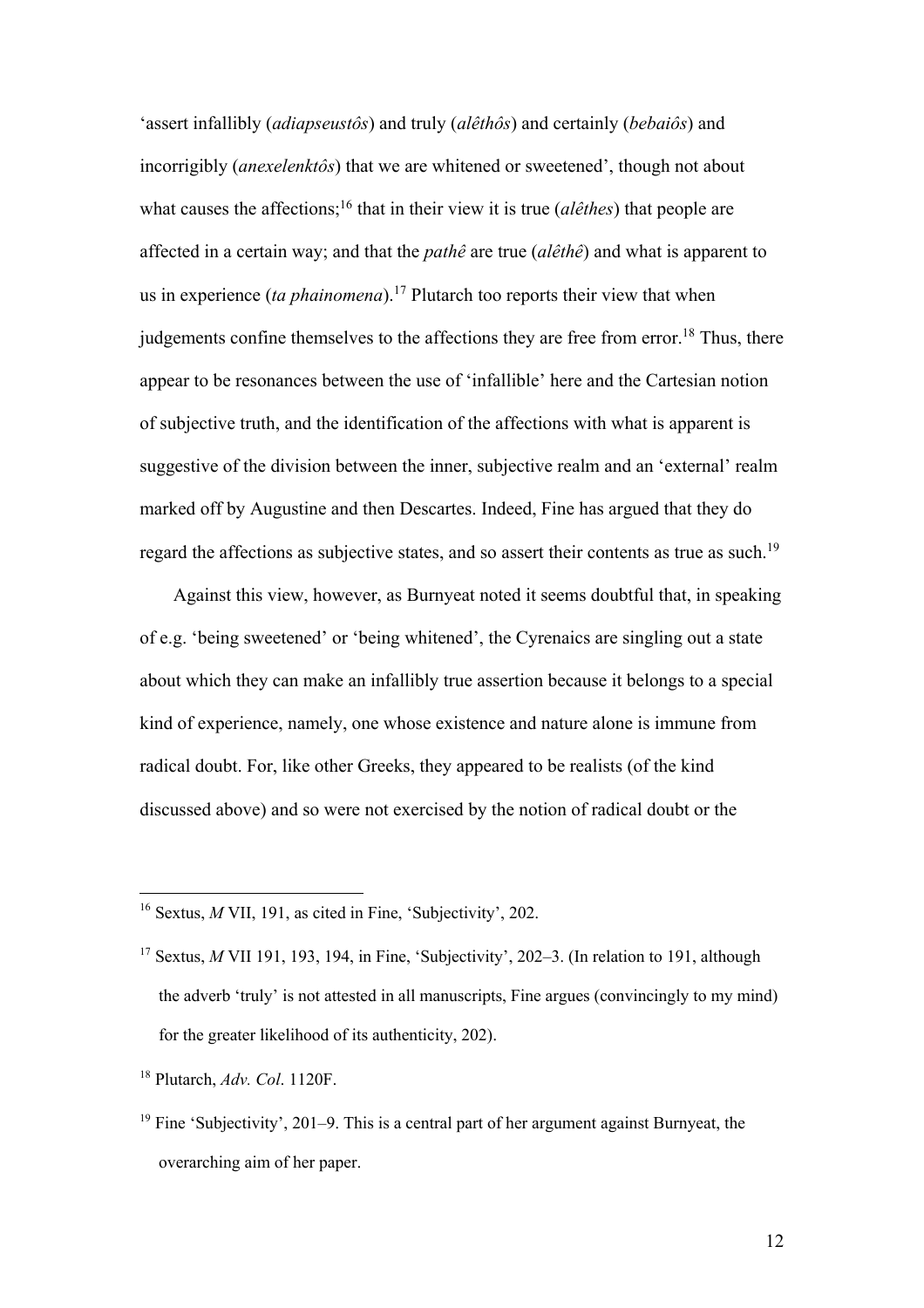'assert infallibly (*adiapseustôs*) and truly (*alêthôs*) and certainly (*bebaiôs*) and incorrigibly (*anexelenktôs*) that we are whitened or sweetened', though not about what causes the affections;<sup>16</sup> that in their view it is true *(alêthes)* that people are affected in a certain way; and that the *pathê* are true (*alêthê*) and what is apparent to us in experience (*ta phainomena*).17 Plutarch too reports their view that when judgements confine themselves to the affections they are free from error.<sup>18</sup> Thus, there appear to be resonances between the use of 'infallible' here and the Cartesian notion of subjective truth, and the identification of the affections with what is apparent is suggestive of the division between the inner, subjective realm and an 'external' realm marked off by Augustine and then Descartes. Indeed, Fine has argued that they do regard the affections as subjective states, and so assert their contents as true as such.<sup>19</sup>

Against this view, however, as Burnyeat noted it seems doubtful that, in speaking of e.g. 'being sweetened' or 'being whitened', the Cyrenaics are singling out a state about which they can make an infallibly true assertion because it belongs to a special kind of experience, namely, one whose existence and nature alone is immune from radical doubt. For, like other Greeks, they appeared to be realists (of the kind discussed above) and so were not exercised by the notion of radical doubt or the

<sup>18</sup> Plutarch, *Adv. Col*. 1120F.

<sup>&</sup>lt;sup>16</sup> Sextus, *M* VII, 191, as cited in Fine, 'Subjectivity', 202.

<sup>&</sup>lt;sup>17</sup> Sextus, *M* VII 191, 193, 194, in Fine, 'Subjectivity', 202–3. (In relation to 191, although the adverb 'truly' is not attested in all manuscripts, Fine argues (convincingly to my mind) for the greater likelihood of its authenticity, 202).

<sup>19</sup> Fine 'Subjectivity', 201–9. This is a central part of her argument against Burnyeat, the overarching aim of her paper.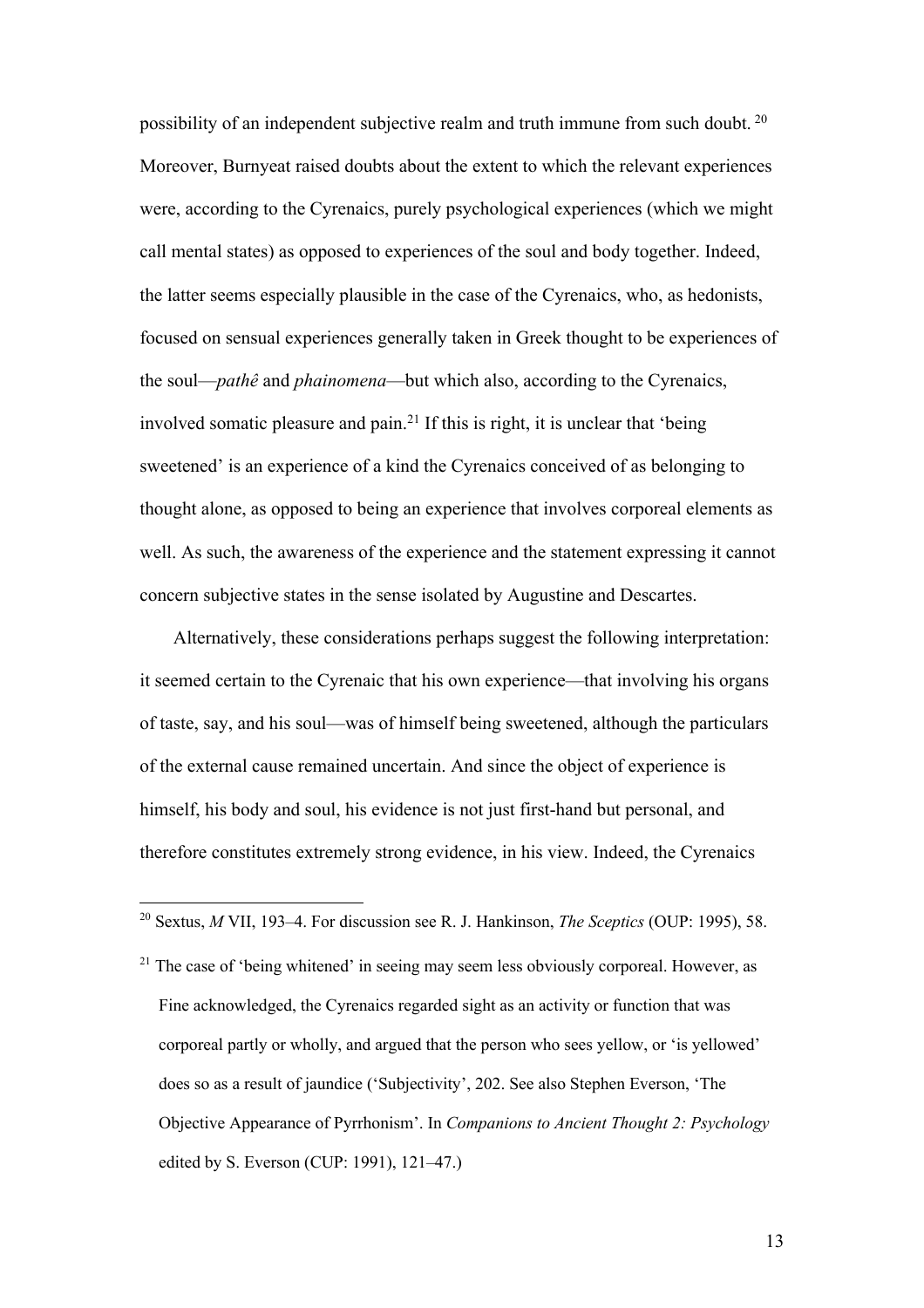possibility of an independent subjective realm and truth immune from such doubt. <sup>20</sup> Moreover, Burnyeat raised doubts about the extent to which the relevant experiences were, according to the Cyrenaics, purely psychological experiences (which we might call mental states) as opposed to experiences of the soul and body together. Indeed, the latter seems especially plausible in the case of the Cyrenaics, who, as hedonists, focused on sensual experiences generally taken in Greek thought to be experiences of the soul—*pathê* and *phainomena*—but which also, according to the Cyrenaics, involved somatic pleasure and pain.21 If this is right, it is unclear that 'being sweetened' is an experience of a kind the Cyrenaics conceived of as belonging to thought alone, as opposed to being an experience that involves corporeal elements as well. As such, the awareness of the experience and the statement expressing it cannot concern subjective states in the sense isolated by Augustine and Descartes.

Alternatively, these considerations perhaps suggest the following interpretation: it seemed certain to the Cyrenaic that his own experience—that involving his organs of taste, say, and his soul—was of himself being sweetened, although the particulars of the external cause remained uncertain. And since the object of experience is himself, his body and soul, his evidence is not just first-hand but personal, and therefore constitutes extremely strong evidence, in his view. Indeed, the Cyrenaics

<sup>20</sup> Sextus, *M* VII, 193–4. For discussion see R. J. Hankinson, *The Sceptics* (OUP: 1995), 58.

 $21$  The case of 'being whitened' in seeing may seem less obviously corporeal. However, as Fine acknowledged, the Cyrenaics regarded sight as an activity or function that was corporeal partly or wholly, and argued that the person who sees yellow, or 'is yellowed' does so as a result of jaundice ('Subjectivity', 202. See also Stephen Everson, 'The Objective Appearance of Pyrrhonism'. In *Companions to Ancient Thought 2: Psychology* edited by S. Everson (CUP: 1991), 121–47.)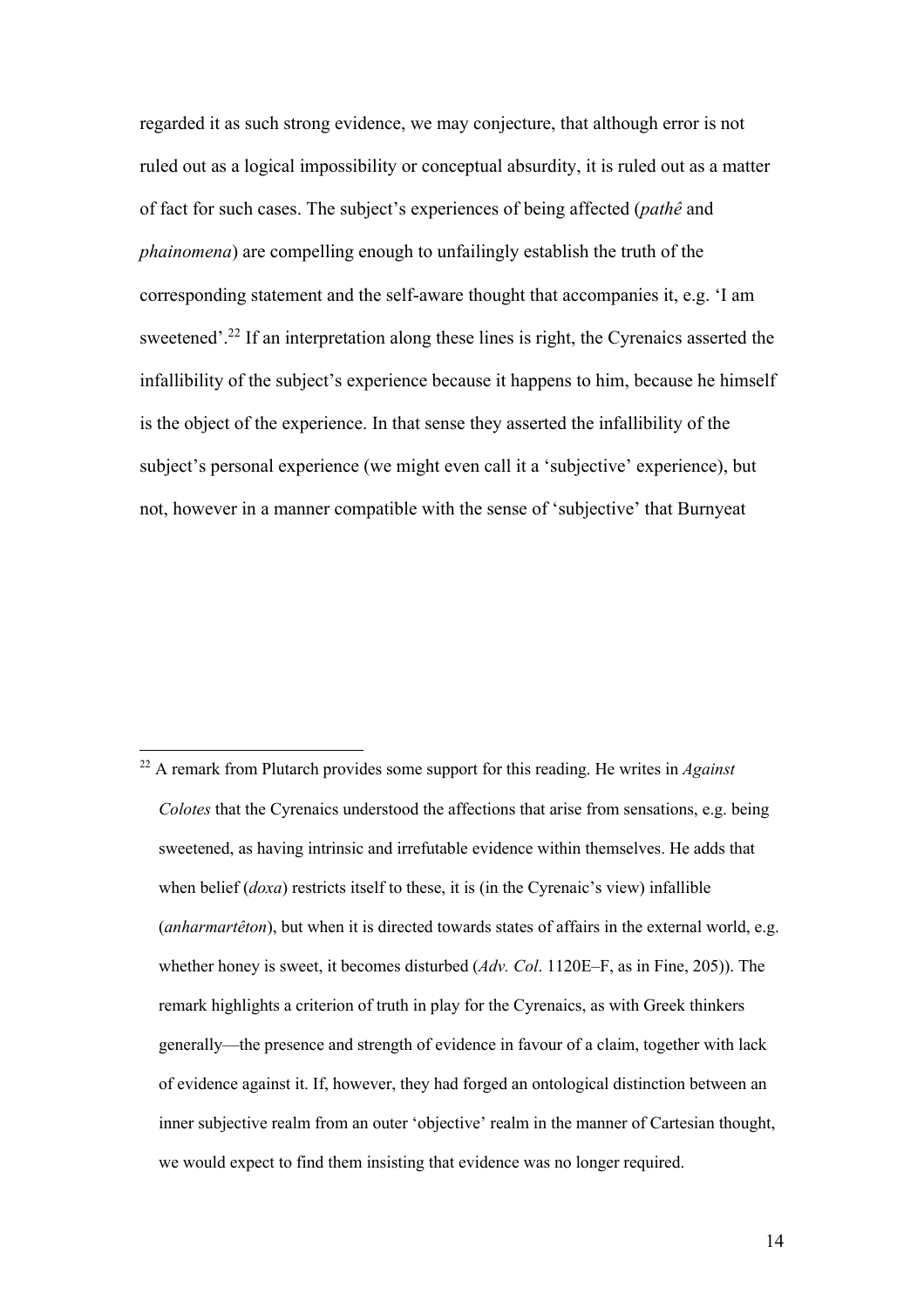regarded it as such strong evidence, we may conjecture, that although error is not ruled out as a logical impossibility or conceptual absurdity, it is ruled out as a matter of fact for such cases. The subject's experiences of being affected (*pathê* and *phainomena*) are compelling enough to unfailingly establish the truth of the corresponding statement and the self-aware thought that accompanies it, e.g. 'I am sweetened'.<sup>22</sup> If an interpretation along these lines is right, the Cyrenaics asserted the infallibility of the subject's experience because it happens to him, because he himself is the object of the experience. In that sense they asserted the infallibility of the subject's personal experience (we might even call it a 'subjective' experience), but not, however in a manner compatible with the sense of 'subjective' that Burnyeat

<sup>22</sup> A remark from Plutarch provides some support for this reading. He writes in *Against Colotes* that the Cyrenaics understood the affections that arise from sensations, e.g. being sweetened, as having intrinsic and irrefutable evidence within themselves. He adds that when belief (*doxa*) restricts itself to these, it is (in the Cyrenaic's view) infallible (*anharmartêton*), but when it is directed towards states of affairs in the external world, e.g. whether honey is sweet, it becomes disturbed (*Adv. Col*. 1120E–F, as in Fine, 205)). The remark highlights a criterion of truth in play for the Cyrenaics, as with Greek thinkers generally—the presence and strength of evidence in favour of a claim, together with lack of evidence against it. If, however, they had forged an ontological distinction between an inner subjective realm from an outer 'objective' realm in the manner of Cartesian thought, we would expect to find them insisting that evidence was no longer required.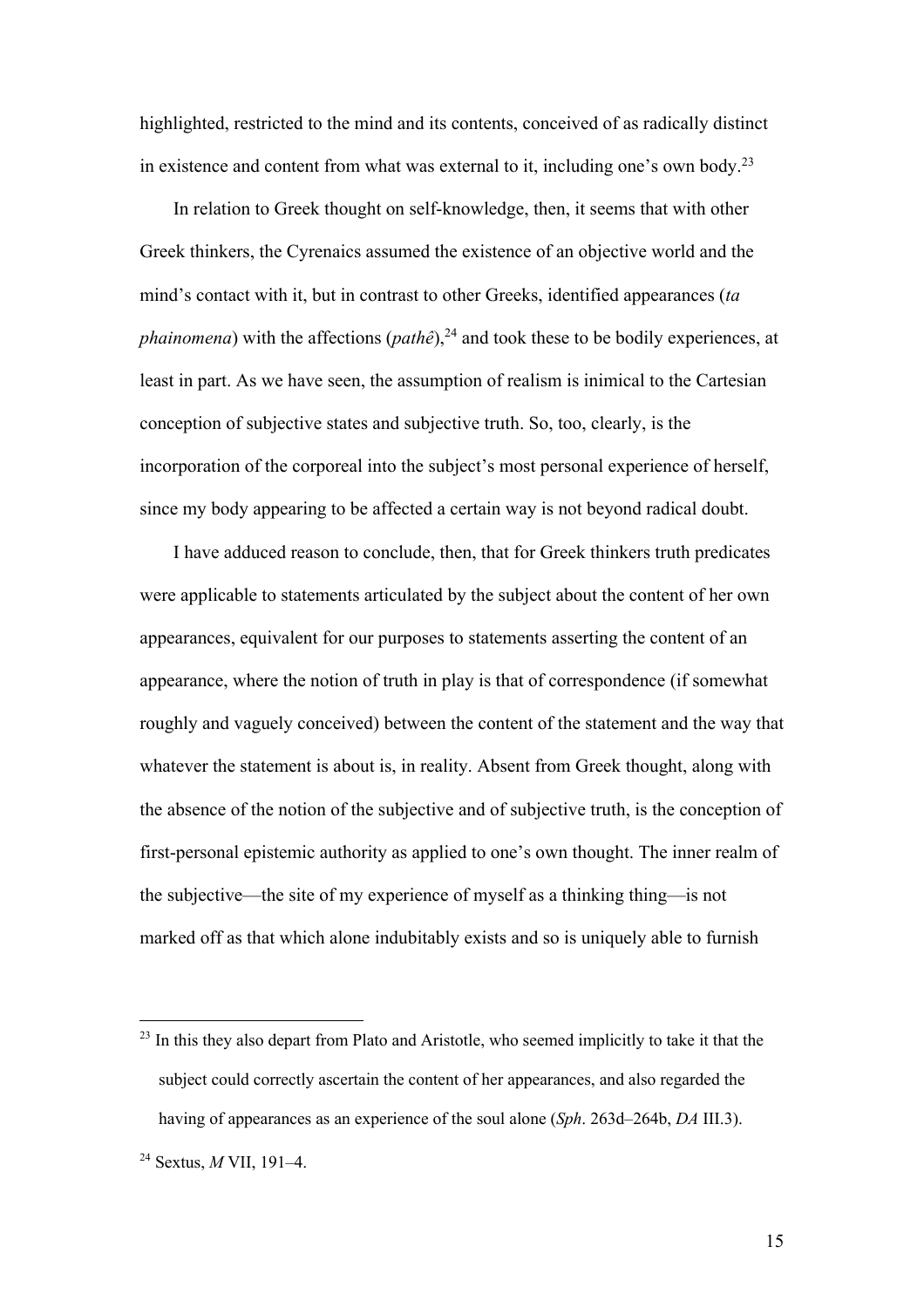highlighted, restricted to the mind and its contents, conceived of as radically distinct in existence and content from what was external to it, including one's own body.23

In relation to Greek thought on self-knowledge, then, it seems that with other Greek thinkers, the Cyrenaics assumed the existence of an objective world and the mind's contact with it, but in contrast to other Greeks, identified appearances (*ta phainomena*) with the affections (*pathê*),<sup>24</sup> and took these to be bodily experiences, at least in part. As we have seen, the assumption of realism is inimical to the Cartesian conception of subjective states and subjective truth. So, too, clearly, is the incorporation of the corporeal into the subject's most personal experience of herself, since my body appearing to be affected a certain way is not beyond radical doubt.

I have adduced reason to conclude, then, that for Greek thinkers truth predicates were applicable to statements articulated by the subject about the content of her own appearances, equivalent for our purposes to statements asserting the content of an appearance, where the notion of truth in play is that of correspondence (if somewhat roughly and vaguely conceived) between the content of the statement and the way that whatever the statement is about is, in reality. Absent from Greek thought, along with the absence of the notion of the subjective and of subjective truth, is the conception of first-personal epistemic authority as applied to one's own thought. The inner realm of the subjective—the site of my experience of myself as a thinking thing—is not marked off as that which alone indubitably exists and so is uniquely able to furnish

 $23$  In this they also depart from Plato and Aristotle, who seemed implicitly to take it that the subject could correctly ascertain the content of her appearances, and also regarded the having of appearances as an experience of the soul alone (*Sph*. 263d–264b, *DA* III.3).

<sup>24</sup> Sextus, *M* VII, 191–4.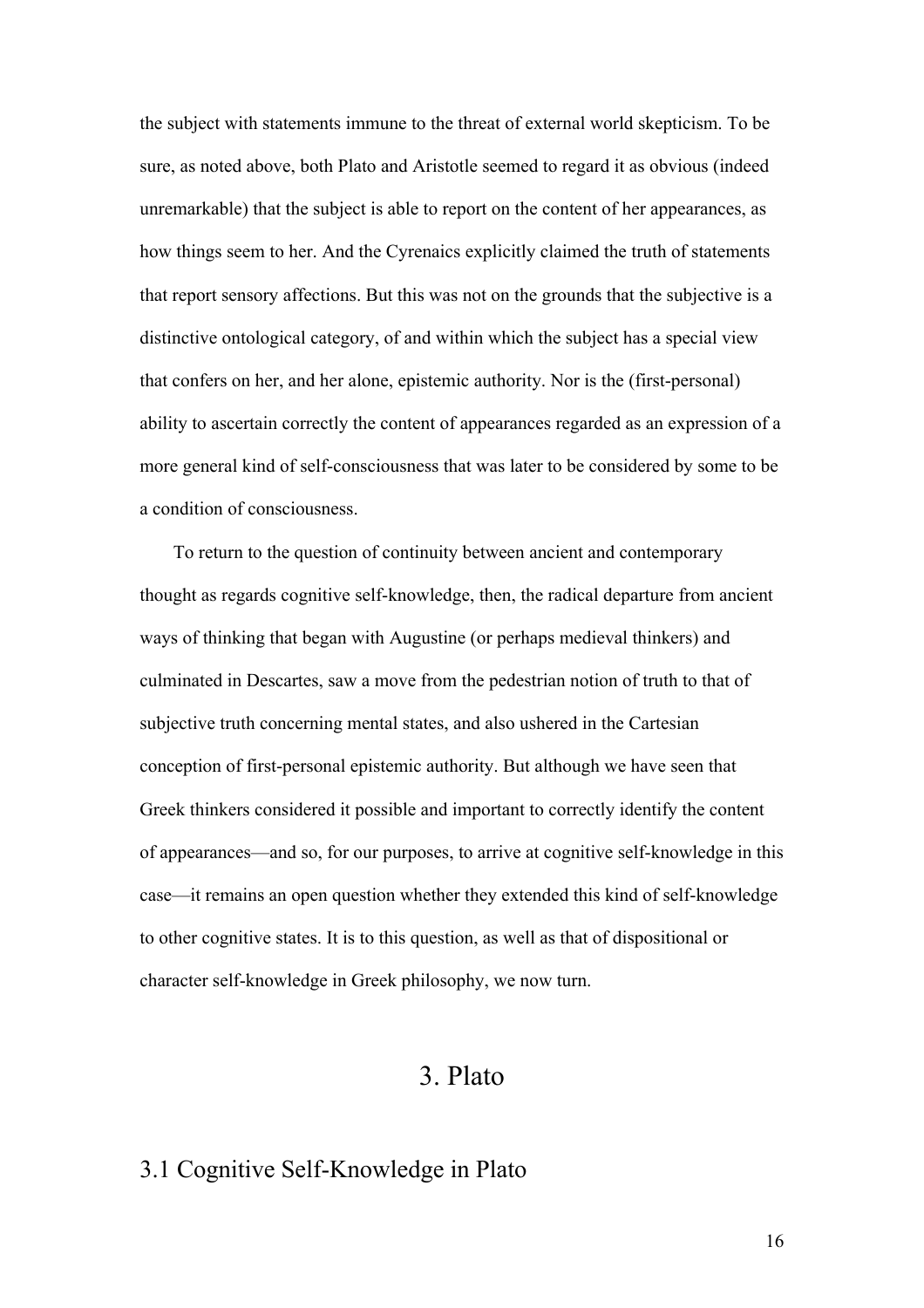the subject with statements immune to the threat of external world skepticism. To be sure, as noted above, both Plato and Aristotle seemed to regard it as obvious (indeed unremarkable) that the subject is able to report on the content of her appearances, as how things seem to her. And the Cyrenaics explicitly claimed the truth of statements that report sensory affections. But this was not on the grounds that the subjective is a distinctive ontological category, of and within which the subject has a special view that confers on her, and her alone, epistemic authority. Nor is the (first-personal) ability to ascertain correctly the content of appearances regarded as an expression of a more general kind of self-consciousness that was later to be considered by some to be a condition of consciousness.

To return to the question of continuity between ancient and contemporary thought as regards cognitive self-knowledge, then, the radical departure from ancient ways of thinking that began with Augustine (or perhaps medieval thinkers) and culminated in Descartes, saw a move from the pedestrian notion of truth to that of subjective truth concerning mental states, and also ushered in the Cartesian conception of first-personal epistemic authority. But although we have seen that Greek thinkers considered it possible and important to correctly identify the content of appearances—and so, for our purposes, to arrive at cognitive self-knowledge in this case—it remains an open question whether they extended this kind of self-knowledge to other cognitive states. It is to this question, as well as that of dispositional or character self-knowledge in Greek philosophy, we now turn.

### 3. Plato

#### 3.1 Cognitive Self-Knowledge in Plato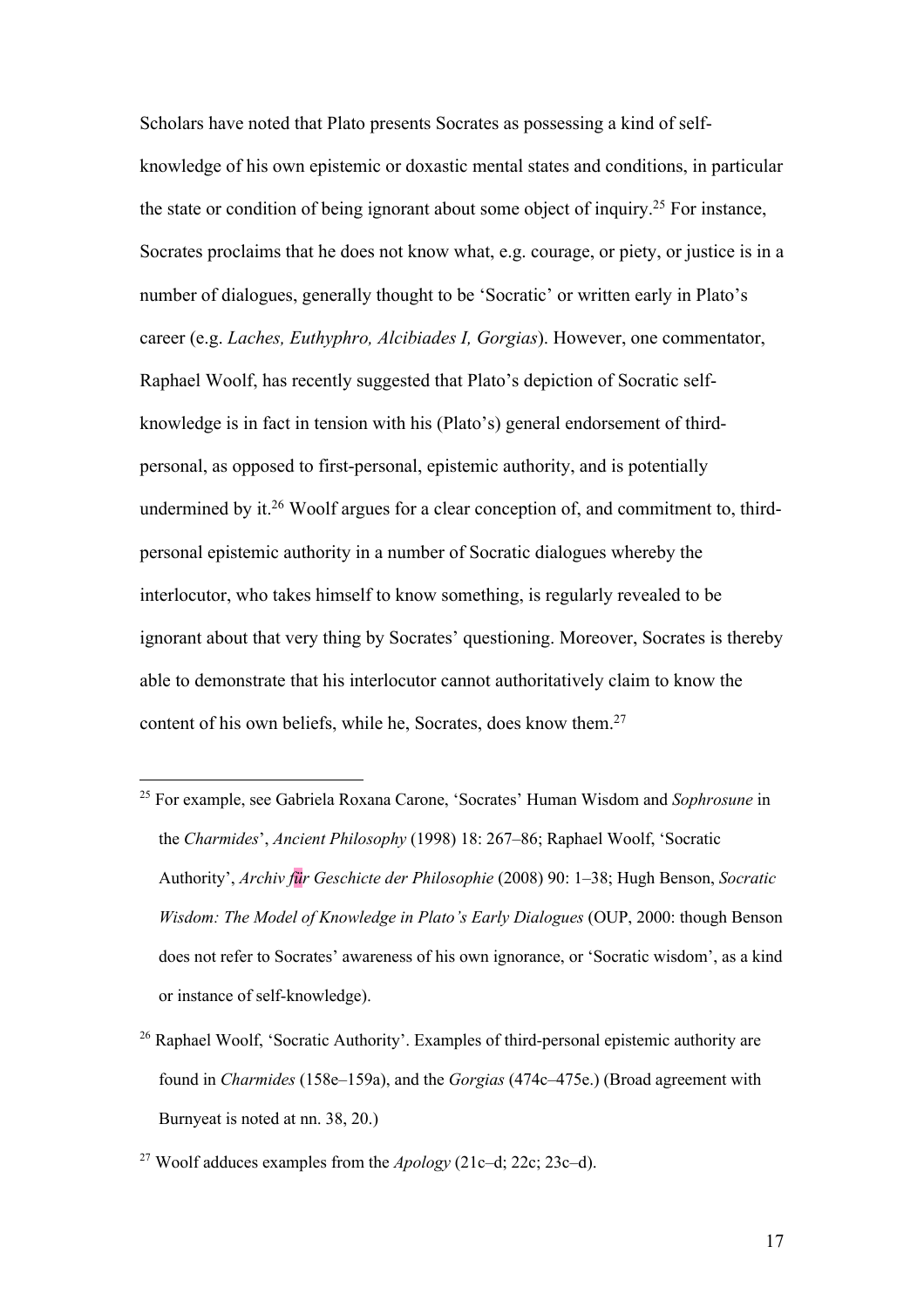Scholars have noted that Plato presents Socrates as possessing a kind of selfknowledge of his own epistemic or doxastic mental states and conditions, in particular the state or condition of being ignorant about some object of inquiry.25 For instance, Socrates proclaims that he does not know what, e.g. courage, or piety, or justice is in a number of dialogues, generally thought to be 'Socratic' or written early in Plato's career (e.g. *Laches, Euthyphro, Alcibiades I, Gorgias*). However, one commentator, Raphael Woolf, has recently suggested that Plato's depiction of Socratic selfknowledge is in fact in tension with his (Plato's) general endorsement of thirdpersonal, as opposed to first-personal, epistemic authority, and is potentially undermined by it.<sup>26</sup> Woolf argues for a clear conception of, and commitment to, thirdpersonal epistemic authority in a number of Socratic dialogues whereby the interlocutor, who takes himself to know something, is regularly revealed to be ignorant about that very thing by Socrates' questioning. Moreover, Socrates is thereby able to demonstrate that his interlocutor cannot authoritatively claim to know the content of his own beliefs, while he, Socrates, does know them.<sup>27</sup>

- <sup>25</sup> For example, see Gabriela Roxana Carone, 'Socrates' Human Wisdom and *Sophrosune* in the *Charmides*', *Ancient Philosophy* (1998) 18: 267–86; Raphael Woolf, 'Socratic Authority', *Archiv für Geschicte der Philosophie* (2008) 90: 1–38; Hugh Benson, *Socratic Wisdom: The Model of Knowledge in Plato's Early Dialogues* (OUP, 2000: though Benson does not refer to Socrates' awareness of his own ignorance, or 'Socratic wisdom', as a kind or instance of self-knowledge).
- <sup>26</sup> Raphael Woolf, 'Socratic Authority'. Examples of third-personal epistemic authority are found in *Charmides* (158e–159a), and the *Gorgias* (474c–475e.) (Broad agreement with Burnyeat is noted at nn. 38, 20.)

<sup>27</sup> Woolf adduces examples from the *Apology* (21c–d; 22c; 23c–d).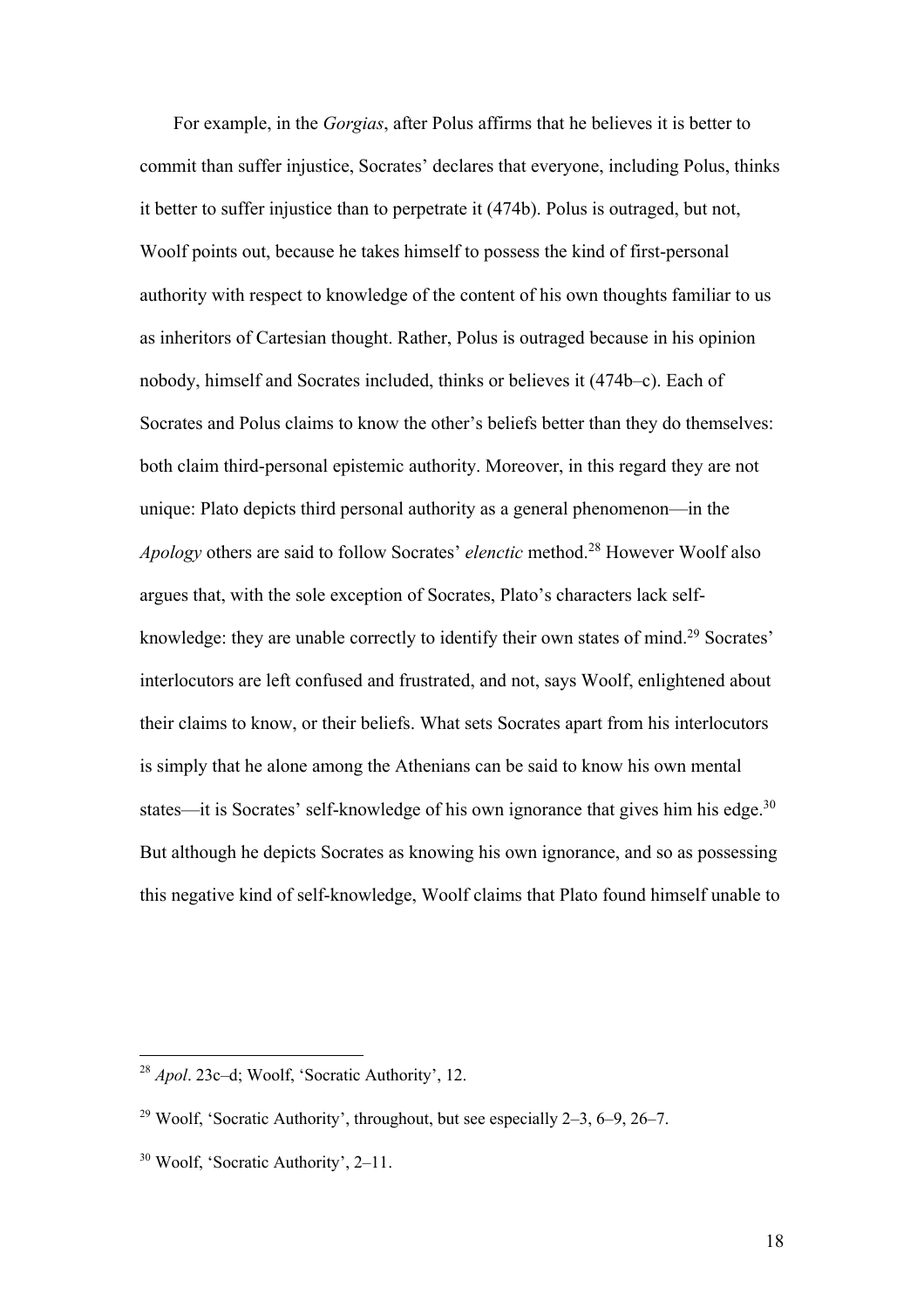For example, in the *Gorgias*, after Polus affirms that he believes it is better to commit than suffer injustice, Socrates' declares that everyone, including Polus, thinks it better to suffer injustice than to perpetrate it (474b). Polus is outraged, but not, Woolf points out, because he takes himself to possess the kind of first-personal authority with respect to knowledge of the content of his own thoughts familiar to us as inheritors of Cartesian thought. Rather, Polus is outraged because in his opinion nobody, himself and Socrates included, thinks or believes it (474b–c). Each of Socrates and Polus claims to know the other's beliefs better than they do themselves: both claim third-personal epistemic authority. Moreover, in this regard they are not unique: Plato depicts third personal authority as a general phenomenon—in the *Apology* others are said to follow Socrates' *elenctic* method.28 However Woolf also argues that, with the sole exception of Socrates, Plato's characters lack selfknowledge: they are unable correctly to identify their own states of mind.<sup>29</sup> Socrates' interlocutors are left confused and frustrated, and not, says Woolf, enlightened about their claims to know, or their beliefs. What sets Socrates apart from his interlocutors is simply that he alone among the Athenians can be said to know his own mental states—it is Socrates' self-knowledge of his own ignorance that gives him his edge.<sup>30</sup> But although he depicts Socrates as knowing his own ignorance, and so as possessing this negative kind of self-knowledge, Woolf claims that Plato found himself unable to

<sup>28</sup> *Apol*. 23c–d; Woolf, 'Socratic Authority', 12.

<sup>&</sup>lt;sup>29</sup> Woolf, 'Socratic Authority', throughout, but see especially  $2-3$ ,  $6-9$ ,  $26-7$ .

<sup>30</sup> Woolf, 'Socratic Authority', 2–11.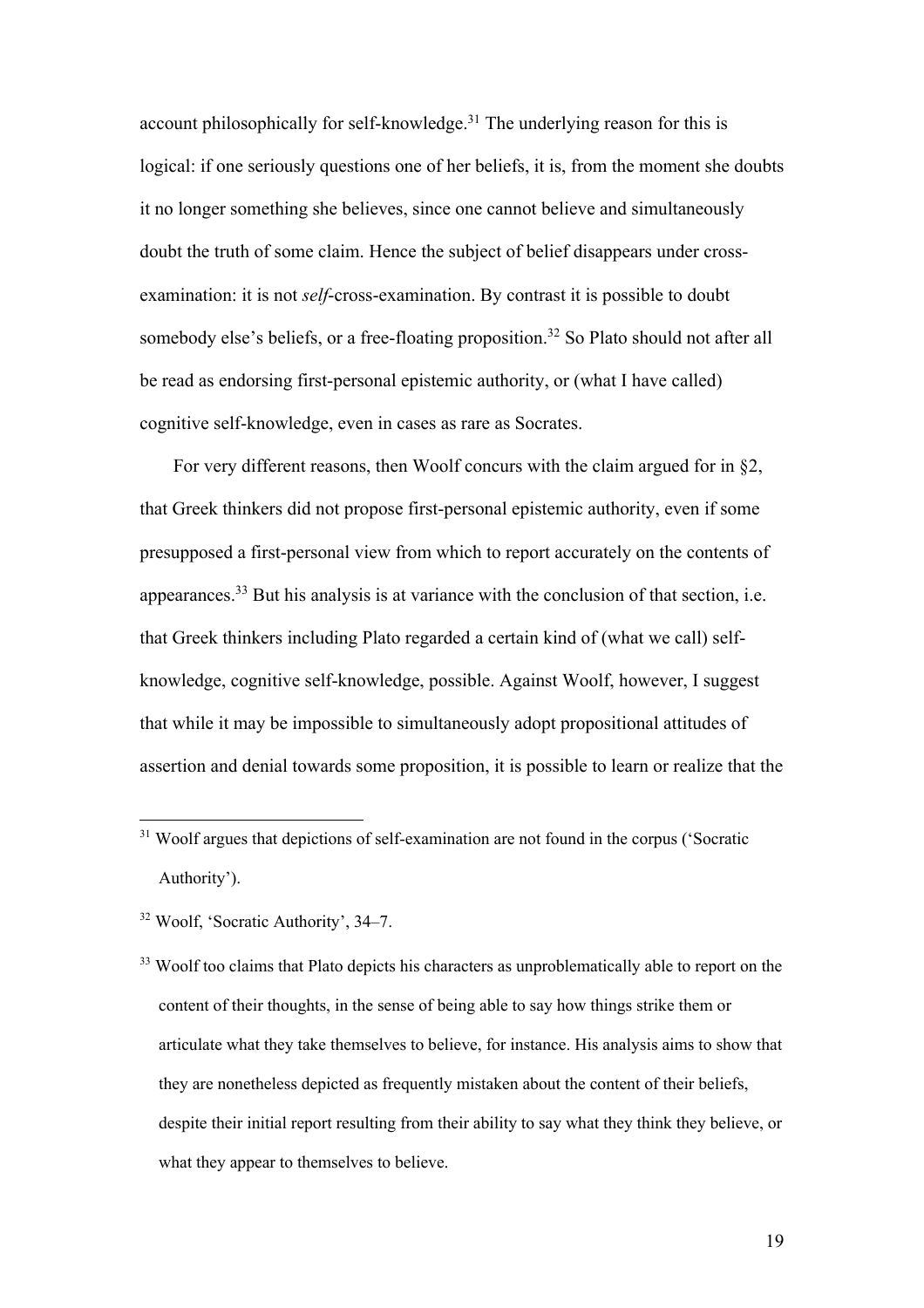account philosophically for self-knowledge.<sup>31</sup> The underlying reason for this is logical: if one seriously questions one of her beliefs, it is, from the moment she doubts it no longer something she believes, since one cannot believe and simultaneously doubt the truth of some claim. Hence the subject of belief disappears under crossexamination: it is not *self*-cross-examination. By contrast it is possible to doubt somebody else's beliefs, or a free-floating proposition.<sup>32</sup> So Plato should not after all be read as endorsing first-personal epistemic authority, or (what I have called) cognitive self-knowledge, even in cases as rare as Socrates.

For very different reasons, then Woolf concurs with the claim argued for in §2, that Greek thinkers did not propose first-personal epistemic authority, even if some presupposed a first-personal view from which to report accurately on the contents of appearances.33 But his analysis is at variance with the conclusion of that section, i.e. that Greek thinkers including Plato regarded a certain kind of (what we call) selfknowledge, cognitive self-knowledge, possible. Against Woolf, however, I suggest that while it may be impossible to simultaneously adopt propositional attitudes of assertion and denial towards some proposition, it is possible to learn or realize that the

<sup>&</sup>lt;sup>31</sup> Woolf argues that depictions of self-examination are not found in the corpus ('Socratic Authority').

<sup>32</sup> Woolf, 'Socratic Authority', 34–7.

<sup>&</sup>lt;sup>33</sup> Woolf too claims that Plato depicts his characters as unproblematically able to report on the content of their thoughts, in the sense of being able to say how things strike them or articulate what they take themselves to believe, for instance. His analysis aims to show that they are nonetheless depicted as frequently mistaken about the content of their beliefs, despite their initial report resulting from their ability to say what they think they believe, or what they appear to themselves to believe.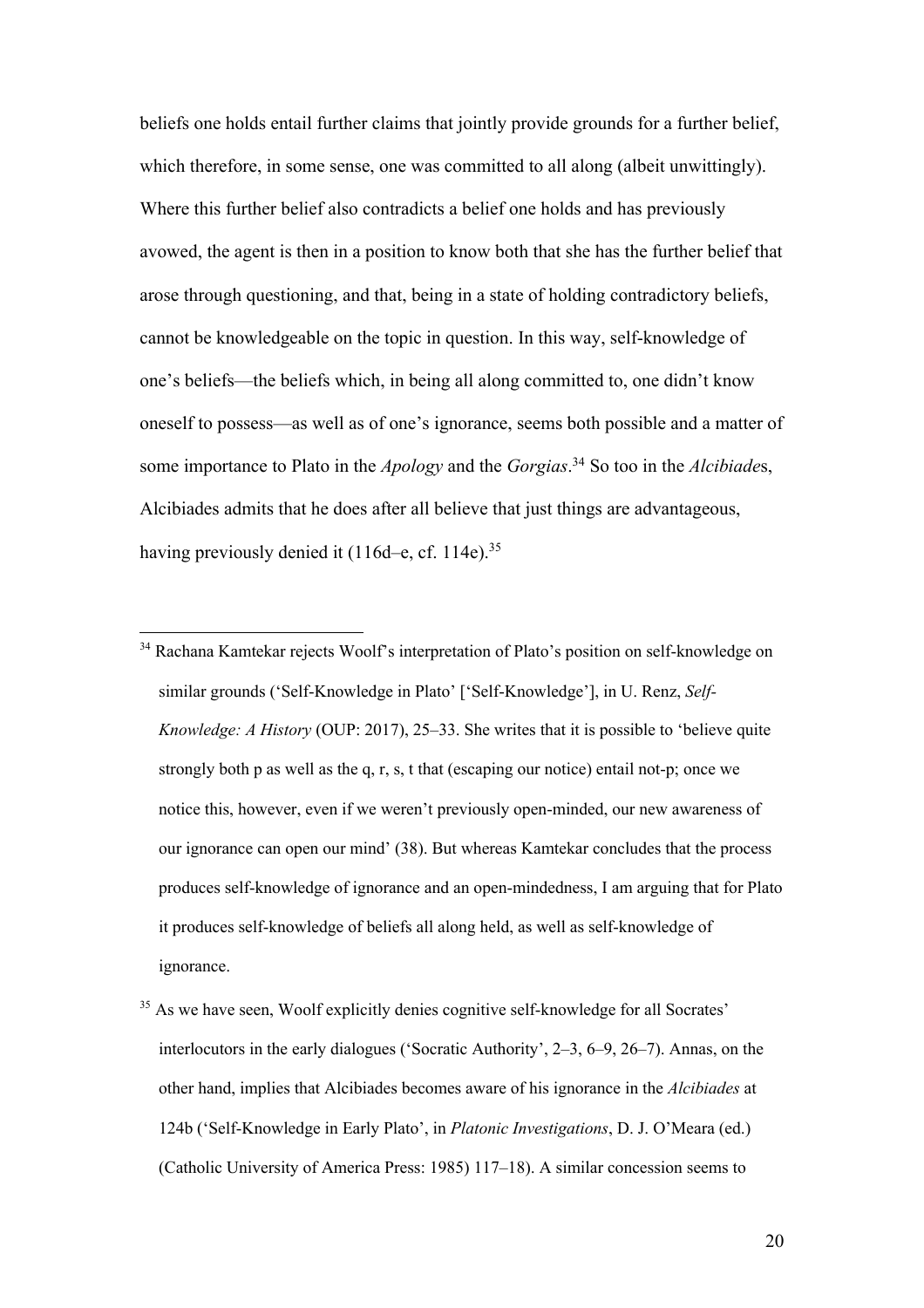beliefs one holds entail further claims that jointly provide grounds for a further belief, which therefore, in some sense, one was committed to all along (albeit unwittingly). Where this further belief also contradicts a belief one holds and has previously avowed, the agent is then in a position to know both that she has the further belief that arose through questioning, and that, being in a state of holding contradictory beliefs, cannot be knowledgeable on the topic in question. In this way, self-knowledge of one's beliefs—the beliefs which, in being all along committed to, one didn't know oneself to possess—as well as of one's ignorance, seems both possible and a matter of some importance to Plato in the *Apology* and the *Gorgias*. <sup>34</sup> So too in the *Alcibiade*s, Alcibiades admits that he does after all believe that just things are advantageous, having previously denied it (116d–e, cf. 114e).<sup>35</sup>

<sup>&</sup>lt;sup>34</sup> Rachana Kamtekar rejects Woolf's interpretation of Plato's position on self-knowledge on similar grounds ('Self-Knowledge in Plato' ['Self-Knowledge'], in U. Renz, *Self-Knowledge: A History* (OUP: 2017), 25–33. She writes that it is possible to 'believe quite strongly both p as well as the q, r, s, t that (escaping our notice) entail not-p; once we notice this, however, even if we weren't previously open-minded, our new awareness of our ignorance can open our mind' (38). But whereas Kamtekar concludes that the process produces self-knowledge of ignorance and an open-mindedness, I am arguing that for Plato it produces self-knowledge of beliefs all along held, as well as self-knowledge of ignorance.

<sup>&</sup>lt;sup>35</sup> As we have seen, Woolf explicitly denies cognitive self-knowledge for all Socrates' interlocutors in the early dialogues ('Socratic Authority', 2–3, 6–9, 26–7). Annas, on the other hand, implies that Alcibiades becomes aware of his ignorance in the *Alcibiades* at 124b ('Self-Knowledge in Early Plato', in *Platonic Investigations*, D. J. O'Meara (ed.) (Catholic University of America Press: 1985) 117–18). A similar concession seems to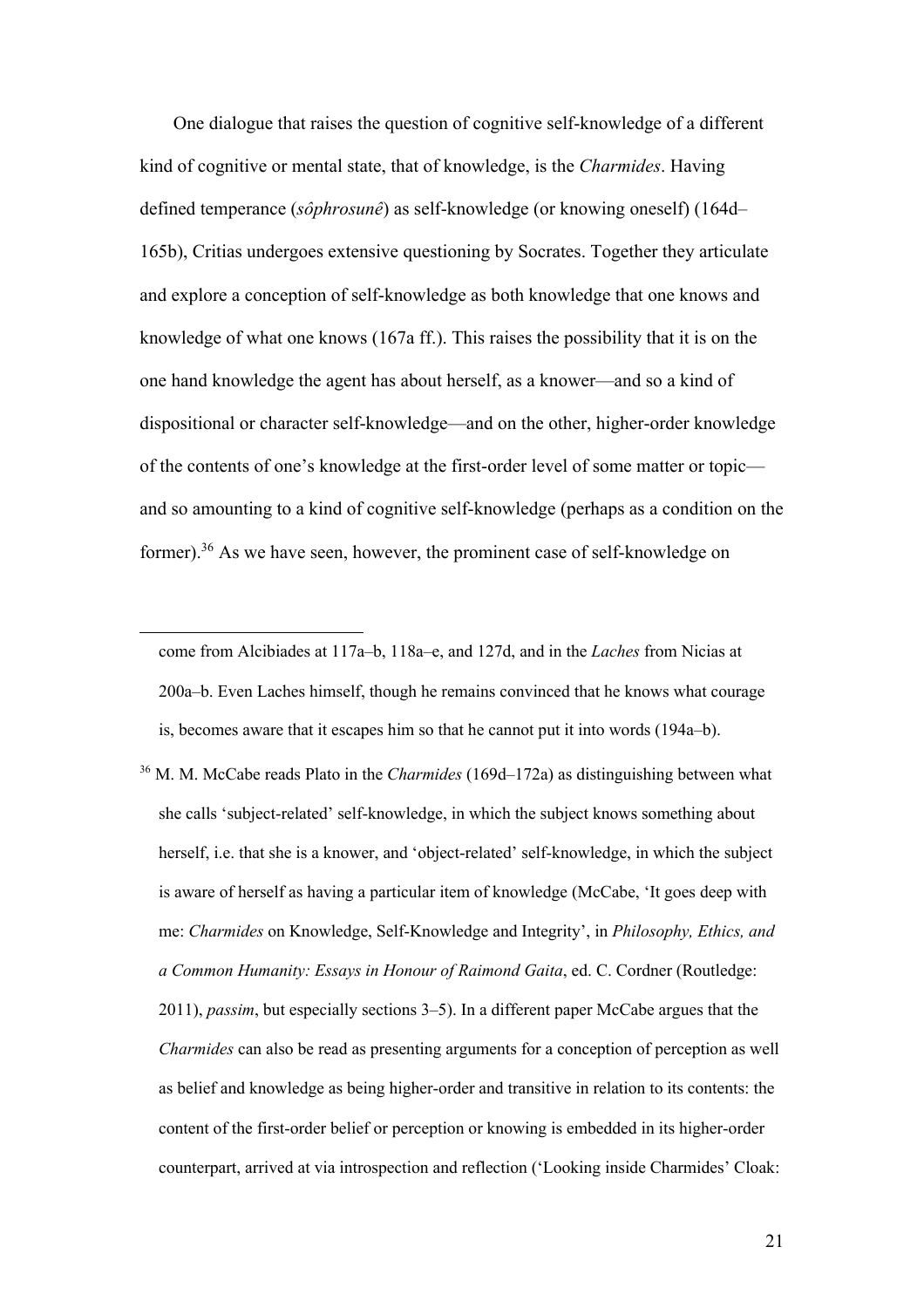One dialogue that raises the question of cognitive self-knowledge of a different kind of cognitive or mental state, that of knowledge, is the *Charmides*. Having defined temperance (*sôphrosunê*) as self-knowledge (or knowing oneself) (164d– 165b), Critias undergoes extensive questioning by Socrates. Together they articulate and explore a conception of self-knowledge as both knowledge that one knows and knowledge of what one knows (167a ff.). This raises the possibility that it is on the one hand knowledge the agent has about herself, as a knower—and so a kind of dispositional or character self-knowledge—and on the other, higher-order knowledge of the contents of one's knowledge at the first-order level of some matter or topic and so amounting to a kind of cognitive self-knowledge (perhaps as a condition on the former).36 As we have seen, however, the prominent case of self-knowledge on

come from Alcibiades at 117a–b, 118a–e, and 127d, and in the *Laches* from Nicias at 200a–b. Even Laches himself, though he remains convinced that he knows what courage is, becomes aware that it escapes him so that he cannot put it into words (194a–b).

<sup>36</sup> M. M. McCabe reads Plato in the *Charmides* (169d–172a) as distinguishing between what she calls 'subject-related' self-knowledge, in which the subject knows something about herself, i.e. that she is a knower, and 'object-related' self-knowledge, in which the subject is aware of herself as having a particular item of knowledge (McCabe, 'It goes deep with me: *Charmides* on Knowledge, Self-Knowledge and Integrity', in *Philosophy, Ethics, and a Common Humanity: Essays in Honour of Raimond Gaita*, ed. C. Cordner (Routledge: 2011), *passim*, but especially sections 3–5). In a different paper McCabe argues that the *Charmides* can also be read as presenting arguments for a conception of perception as well as belief and knowledge as being higher-order and transitive in relation to its contents: the content of the first-order belief or perception or knowing is embedded in its higher-order counterpart, arrived at via introspection and reflection ('Looking inside Charmides' Cloak: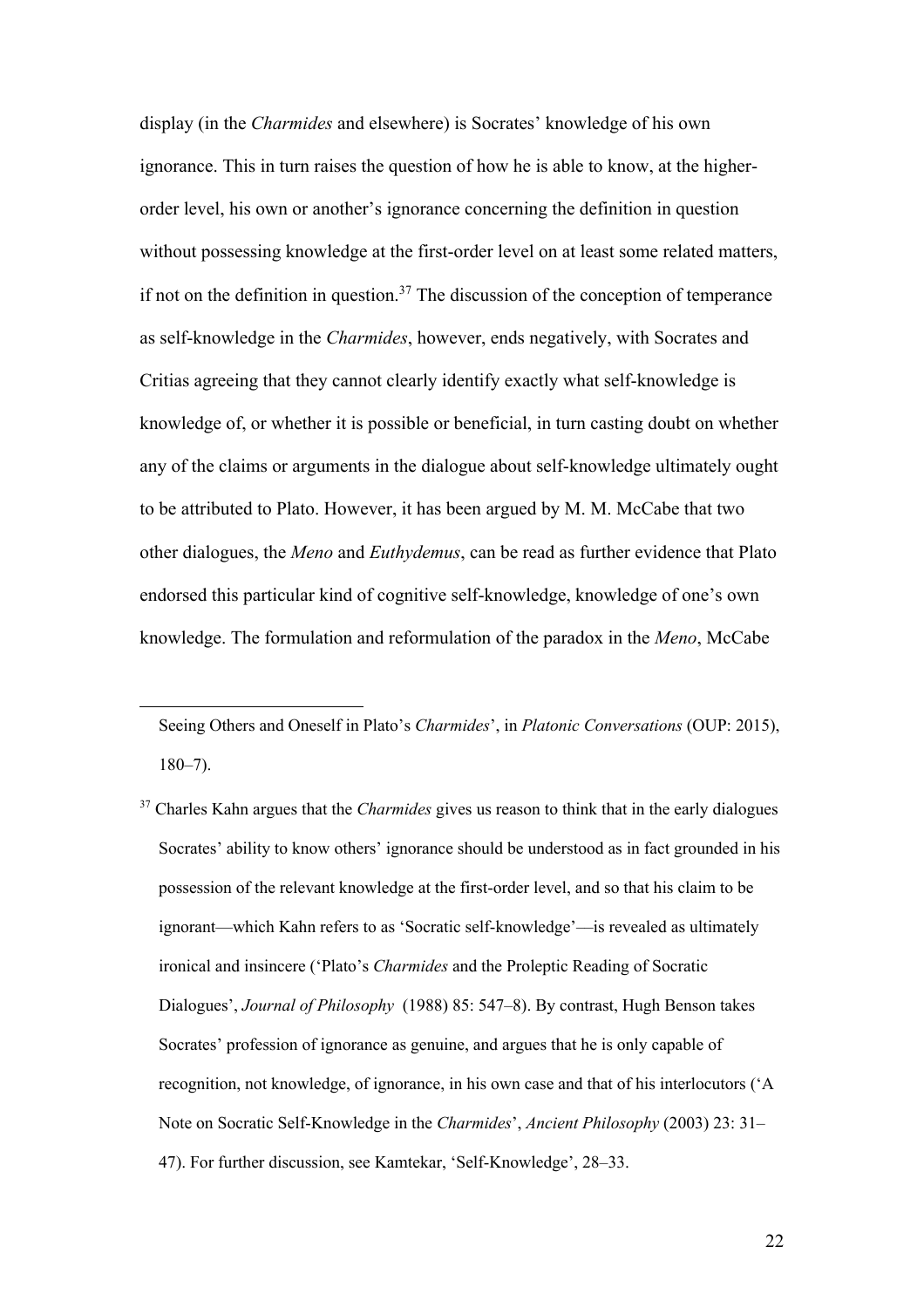display (in the *Charmides* and elsewhere) is Socrates' knowledge of his own ignorance. This in turn raises the question of how he is able to know, at the higherorder level, his own or another's ignorance concerning the definition in question without possessing knowledge at the first-order level on at least some related matters, if not on the definition in question.<sup>37</sup> The discussion of the conception of temperance as self-knowledge in the *Charmides*, however, ends negatively, with Socrates and Critias agreeing that they cannot clearly identify exactly what self-knowledge is knowledge of, or whether it is possible or beneficial, in turn casting doubt on whether any of the claims or arguments in the dialogue about self-knowledge ultimately ought to be attributed to Plato. However, it has been argued by M. M. McCabe that two other dialogues, the *Meno* and *Euthydemus*, can be read as further evidence that Plato endorsed this particular kind of cognitive self-knowledge, knowledge of one's own knowledge. The formulation and reformulation of the paradox in the *Meno*, McCabe

Seeing Others and Oneself in Plato's *Charmides*', in *Platonic Conversations* (OUP: 2015), 180–7).

<sup>37</sup> Charles Kahn argues that the *Charmides* gives us reason to think that in the early dialogues Socrates' ability to know others' ignorance should be understood as in fact grounded in his possession of the relevant knowledge at the first-order level, and so that his claim to be ignorant—which Kahn refers to as 'Socratic self-knowledge'––is revealed as ultimately ironical and insincere ('Plato's *Charmides* and the Proleptic Reading of Socratic Dialogues', *Journal of Philosophy* (1988) 85: 547–8). By contrast, Hugh Benson takes Socrates' profession of ignorance as genuine, and argues that he is only capable of recognition, not knowledge, of ignorance, in his own case and that of his interlocutors ('A Note on Socratic Self-Knowledge in the *Charmides*', *Ancient Philosophy* (2003) 23: 31– 47). For further discussion, see Kamtekar, 'Self-Knowledge', 28–33.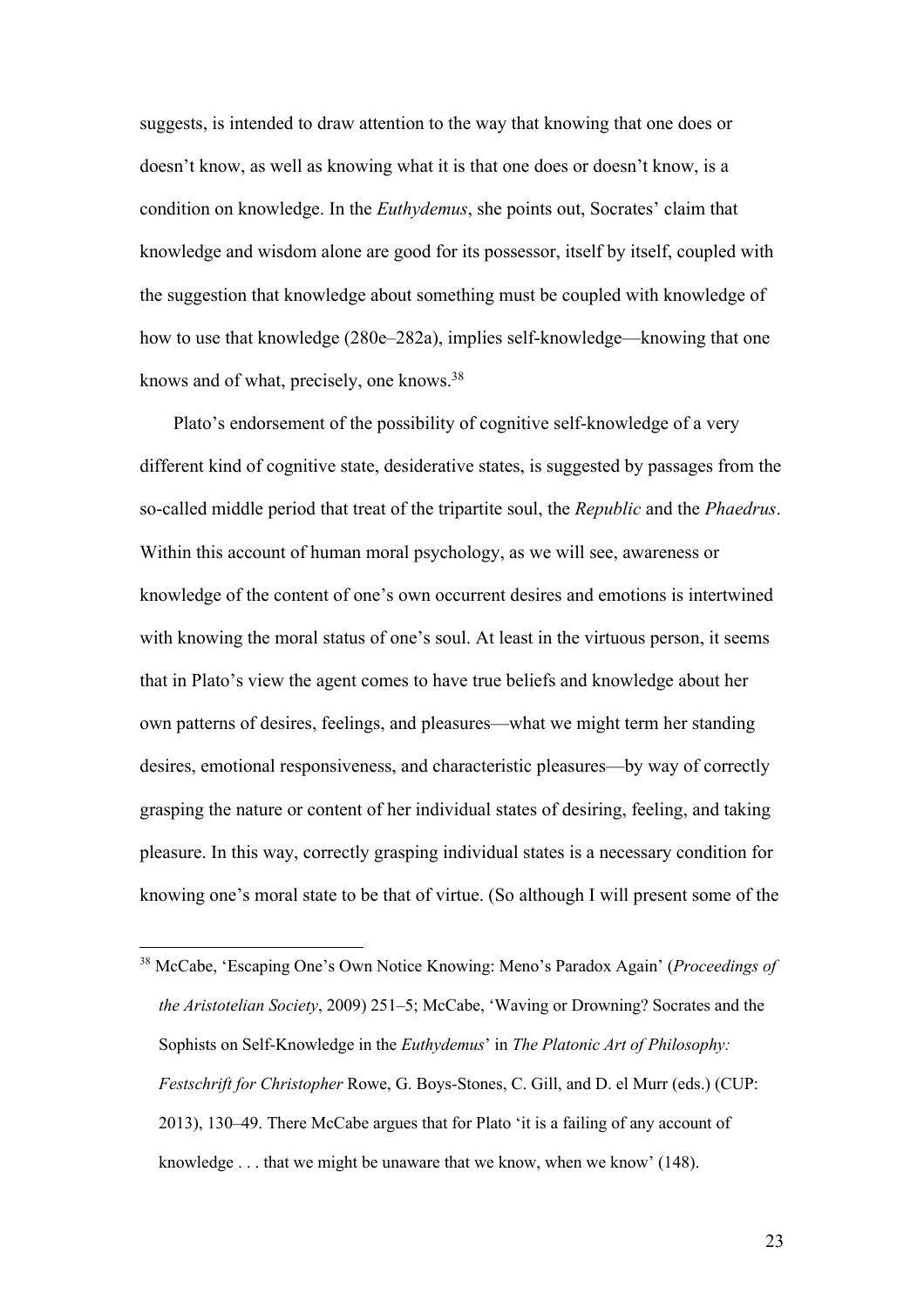suggests, is intended to draw attention to the way that knowing that one does or doesn't know, as well as knowing what it is that one does or doesn't know, is a condition on knowledge. In the *Euthydemus*, she points out, Socrates' claim that knowledge and wisdom alone are good for its possessor, itself by itself, coupled with the suggestion that knowledge about something must be coupled with knowledge of how to use that knowledge (280e–282a), implies self-knowledge—knowing that one knows and of what, precisely, one knows.38

Plato's endorsement of the possibility of cognitive self-knowledge of a very different kind of cognitive state, desiderative states, is suggested by passages from the so-called middle period that treat of the tripartite soul, the *Republic* and the *Phaedrus*. Within this account of human moral psychology, as we will see, awareness or knowledge of the content of one's own occurrent desires and emotions is intertwined with knowing the moral status of one's soul. At least in the virtuous person, it seems that in Plato's view the agent comes to have true beliefs and knowledge about her own patterns of desires, feelings, and pleasures—what we might term her standing desires, emotional responsiveness, and characteristic pleasures—by way of correctly grasping the nature or content of her individual states of desiring, feeling, and taking pleasure. In this way, correctly grasping individual states is a necessary condition for knowing one's moral state to be that of virtue. (So although I will present some of the

<sup>38</sup> McCabe, 'Escaping One's Own Notice Knowing: Meno's Paradox Again' (*Proceedings of the Aristotelian Society*, 2009) 251–5; McCabe, 'Waving or Drowning? Socrates and the Sophists on Self-Knowledge in the *Euthydemus*' in *The Platonic Art of Philosophy: Festschrift for Christopher* Rowe, G. Boys-Stones, C. Gill, and D. el Murr (eds.) (CUP: 2013), 130–49. There McCabe argues that for Plato 'it is a failing of any account of knowledge . . . that we might be unaware that we know, when we know' (148).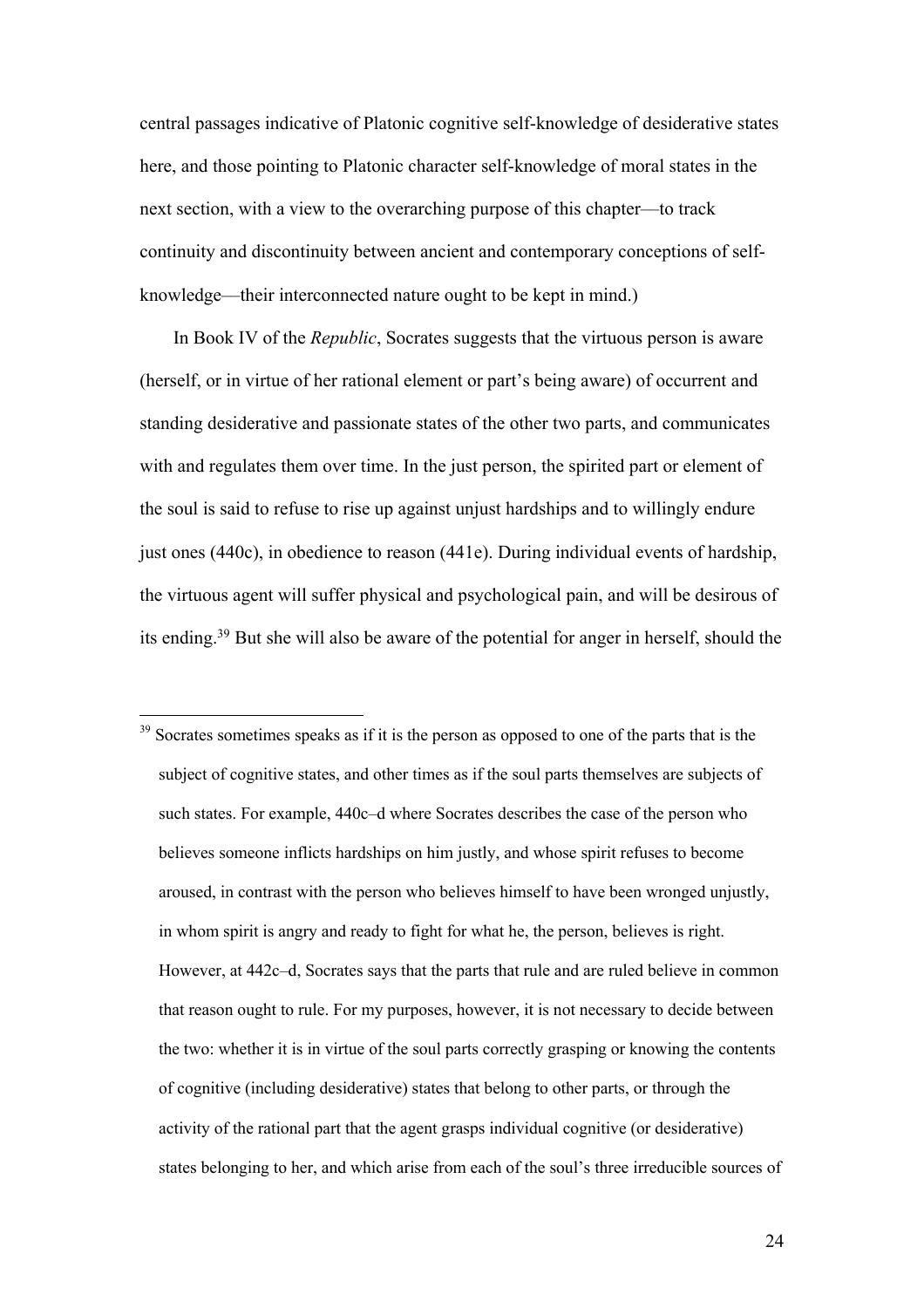central passages indicative of Platonic cognitive self-knowledge of desiderative states here, and those pointing to Platonic character self-knowledge of moral states in the next section, with a view to the overarching purpose of this chapter––to track continuity and discontinuity between ancient and contemporary conceptions of selfknowledge––their interconnected nature ought to be kept in mind.)

In Book IV of the *Republic*, Socrates suggests that the virtuous person is aware (herself, or in virtue of her rational element or part's being aware) of occurrent and standing desiderative and passionate states of the other two parts, and communicates with and regulates them over time. In the just person, the spirited part or element of the soul is said to refuse to rise up against unjust hardships and to willingly endure just ones (440c), in obedience to reason (441e). During individual events of hardship, the virtuous agent will suffer physical and psychological pain, and will be desirous of its ending.39 But she will also be aware of the potential for anger in herself, should the

 $39$  Socrates sometimes speaks as if it is the person as opposed to one of the parts that is the subject of cognitive states, and other times as if the soul parts themselves are subjects of such states. For example, 440c–d where Socrates describes the case of the person who believes someone inflicts hardships on him justly, and whose spirit refuses to become aroused, in contrast with the person who believes himself to have been wronged unjustly, in whom spirit is angry and ready to fight for what he, the person, believes is right. However, at 442c–d, Socrates says that the parts that rule and are ruled believe in common that reason ought to rule. For my purposes, however, it is not necessary to decide between the two: whether it is in virtue of the soul parts correctly grasping or knowing the contents of cognitive (including desiderative) states that belong to other parts, or through the activity of the rational part that the agent grasps individual cognitive (or desiderative) states belonging to her, and which arise from each of the soul's three irreducible sources of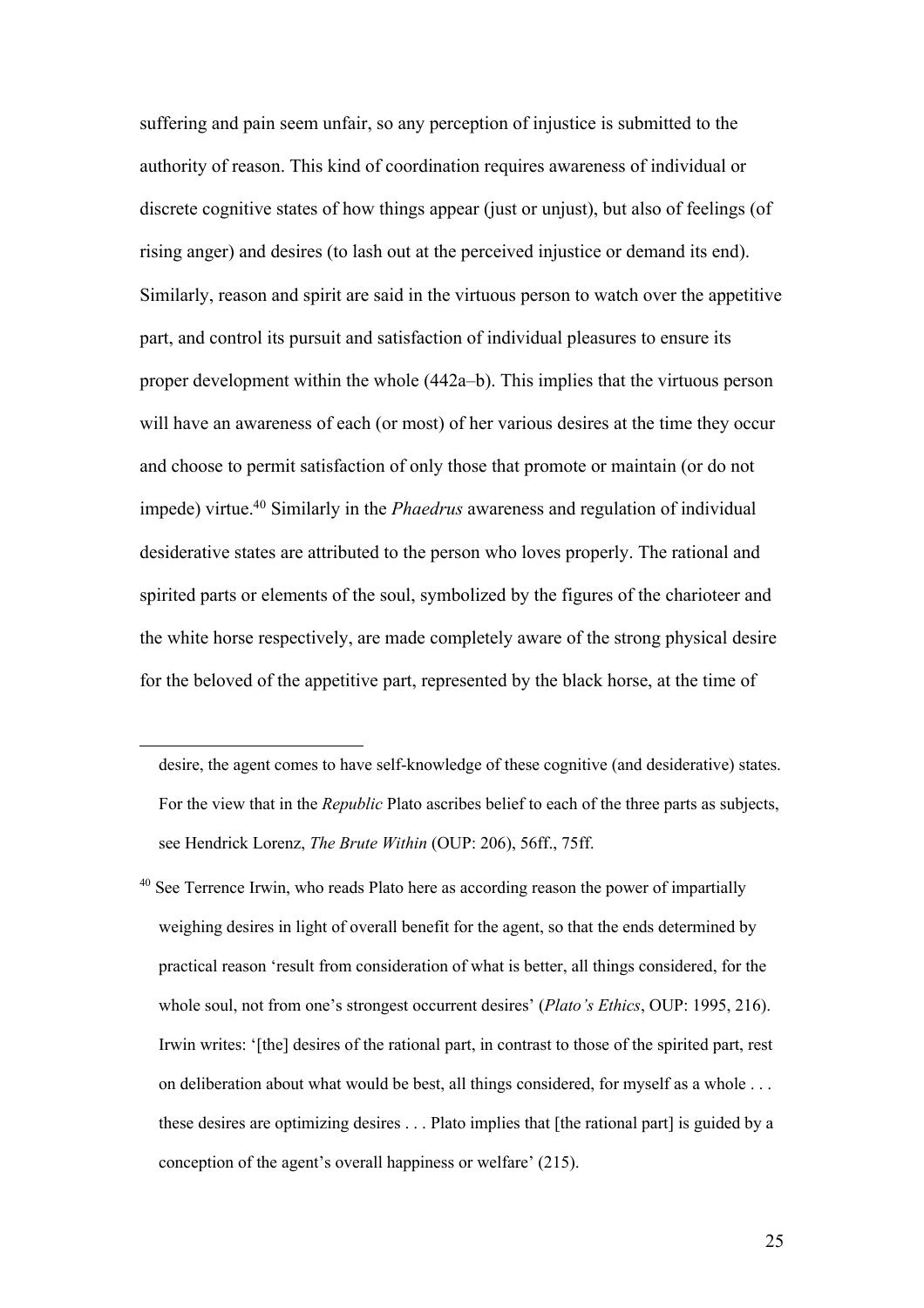suffering and pain seem unfair, so any perception of injustice is submitted to the authority of reason. This kind of coordination requires awareness of individual or discrete cognitive states of how things appear (just or unjust), but also of feelings (of rising anger) and desires (to lash out at the perceived injustice or demand its end). Similarly, reason and spirit are said in the virtuous person to watch over the appetitive part, and control its pursuit and satisfaction of individual pleasures to ensure its proper development within the whole (442a–b). This implies that the virtuous person will have an awareness of each (or most) of her various desires at the time they occur and choose to permit satisfaction of only those that promote or maintain (or do not impede) virtue.40 Similarly in the *Phaedrus* awareness and regulation of individual desiderative states are attributed to the person who loves properly. The rational and spirited parts or elements of the soul, symbolized by the figures of the charioteer and the white horse respectively, are made completely aware of the strong physical desire for the beloved of the appetitive part, represented by the black horse, at the time of

desire, the agent comes to have self-knowledge of these cognitive (and desiderative) states. For the view that in the *Republic* Plato ascribes belief to each of the three parts as subjects, see Hendrick Lorenz, *The Brute Within* (OUP: 206), 56ff., 75ff.

 $40$  See Terrence Irwin, who reads Plato here as according reason the power of impartially weighing desires in light of overall benefit for the agent, so that the ends determined by practical reason 'result from consideration of what is better, all things considered, for the whole soul, not from one's strongest occurrent desires' (*Plato's Ethics*, OUP: 1995, 216). Irwin writes: '[the] desires of the rational part, in contrast to those of the spirited part, rest on deliberation about what would be best, all things considered, for myself as a whole . . . these desires are optimizing desires . . . Plato implies that [the rational part] is guided by a conception of the agent's overall happiness or welfare' (215).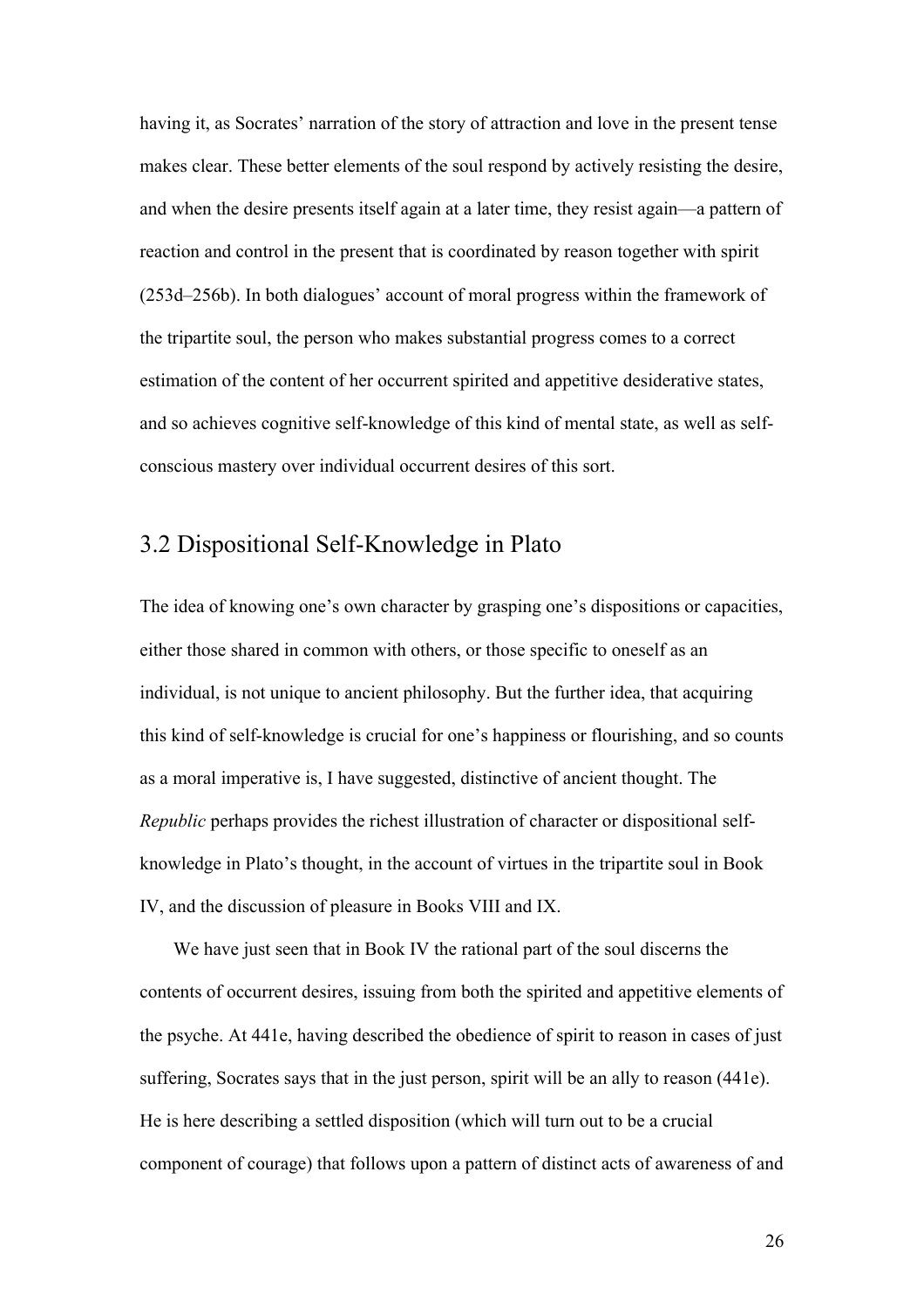having it, as Socrates' narration of the story of attraction and love in the present tense makes clear. These better elements of the soul respond by actively resisting the desire, and when the desire presents itself again at a later time, they resist again—a pattern of reaction and control in the present that is coordinated by reason together with spirit (253d–256b). In both dialogues' account of moral progress within the framework of the tripartite soul, the person who makes substantial progress comes to a correct estimation of the content of her occurrent spirited and appetitive desiderative states, and so achieves cognitive self-knowledge of this kind of mental state, as well as selfconscious mastery over individual occurrent desires of this sort.

#### 3.2 Dispositional Self-Knowledge in Plato

The idea of knowing one's own character by grasping one's dispositions or capacities, either those shared in common with others, or those specific to oneself as an individual, is not unique to ancient philosophy. But the further idea, that acquiring this kind of self-knowledge is crucial for one's happiness or flourishing, and so counts as a moral imperative is, I have suggested, distinctive of ancient thought. The *Republic* perhaps provides the richest illustration of character or dispositional selfknowledge in Plato's thought, in the account of virtues in the tripartite soul in Book IV, and the discussion of pleasure in Books VIII and IX.

We have just seen that in Book IV the rational part of the soul discerns the contents of occurrent desires, issuing from both the spirited and appetitive elements of the psyche. At 441e, having described the obedience of spirit to reason in cases of just suffering, Socrates says that in the just person, spirit will be an ally to reason (441e). He is here describing a settled disposition (which will turn out to be a crucial component of courage) that follows upon a pattern of distinct acts of awareness of and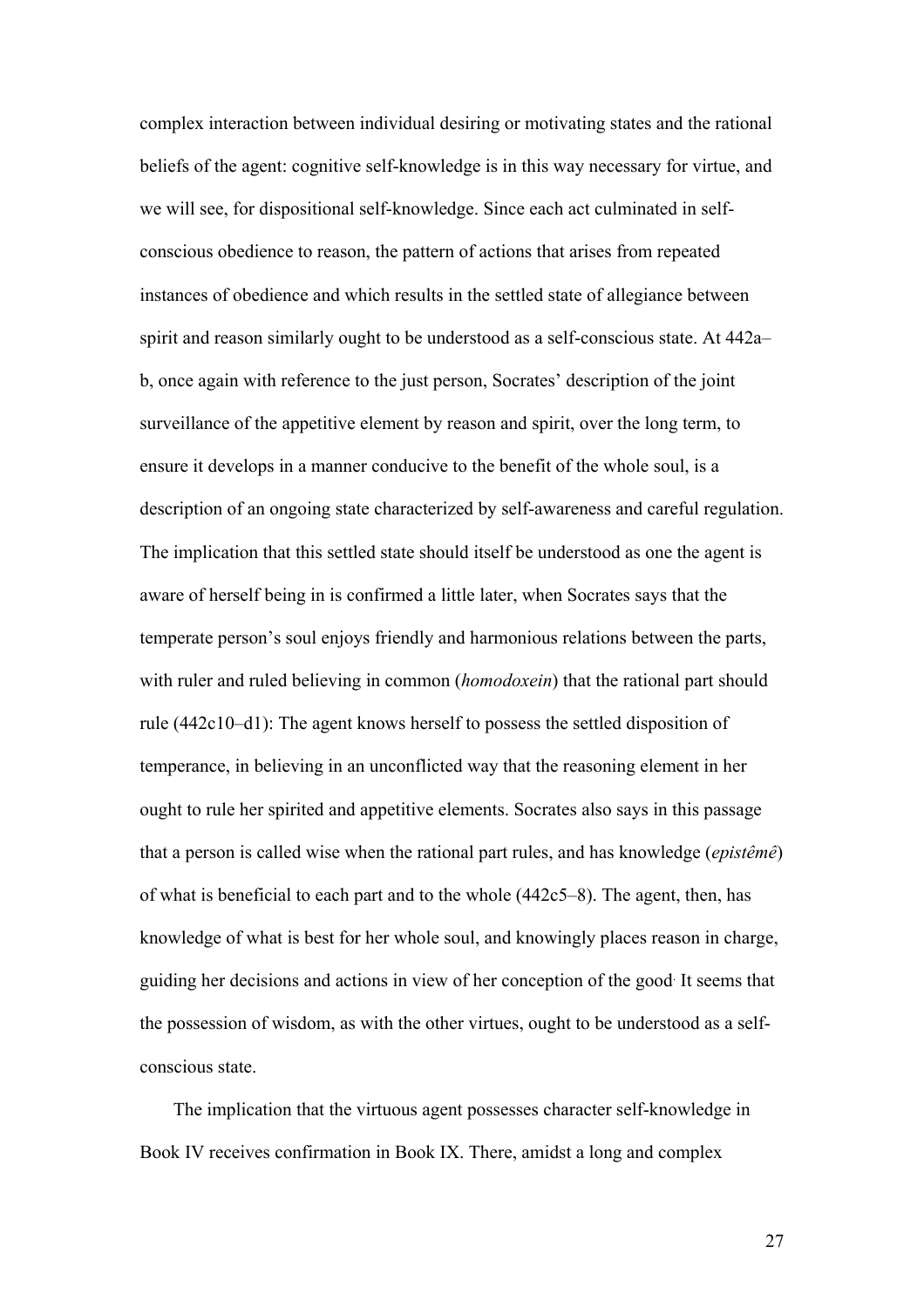complex interaction between individual desiring or motivating states and the rational beliefs of the agent: cognitive self-knowledge is in this way necessary for virtue, and we will see, for dispositional self-knowledge. Since each act culminated in selfconscious obedience to reason, the pattern of actions that arises from repeated instances of obedience and which results in the settled state of allegiance between spirit and reason similarly ought to be understood as a self-conscious state. At 442a– b, once again with reference to the just person, Socrates' description of the joint surveillance of the appetitive element by reason and spirit, over the long term, to ensure it develops in a manner conducive to the benefit of the whole soul, is a description of an ongoing state characterized by self-awareness and careful regulation. The implication that this settled state should itself be understood as one the agent is aware of herself being in is confirmed a little later, when Socrates says that the temperate person's soul enjoys friendly and harmonious relations between the parts, with ruler and ruled believing in common (*homodoxein*) that the rational part should rule (442c10–d1): The agent knows herself to possess the settled disposition of temperance, in believing in an unconflicted way that the reasoning element in her ought to rule her spirited and appetitive elements. Socrates also says in this passage that a person is called wise when the rational part rules, and has knowledge (*epistêmê*) of what is beneficial to each part and to the whole (442c5–8). The agent, then, has knowledge of what is best for her whole soul, and knowingly places reason in charge, guiding her decisions and actions in view of her conception of the good. It seems that the possession of wisdom, as with the other virtues, ought to be understood as a selfconscious state.

The implication that the virtuous agent possesses character self-knowledge in Book IV receives confirmation in Book IX. There, amidst a long and complex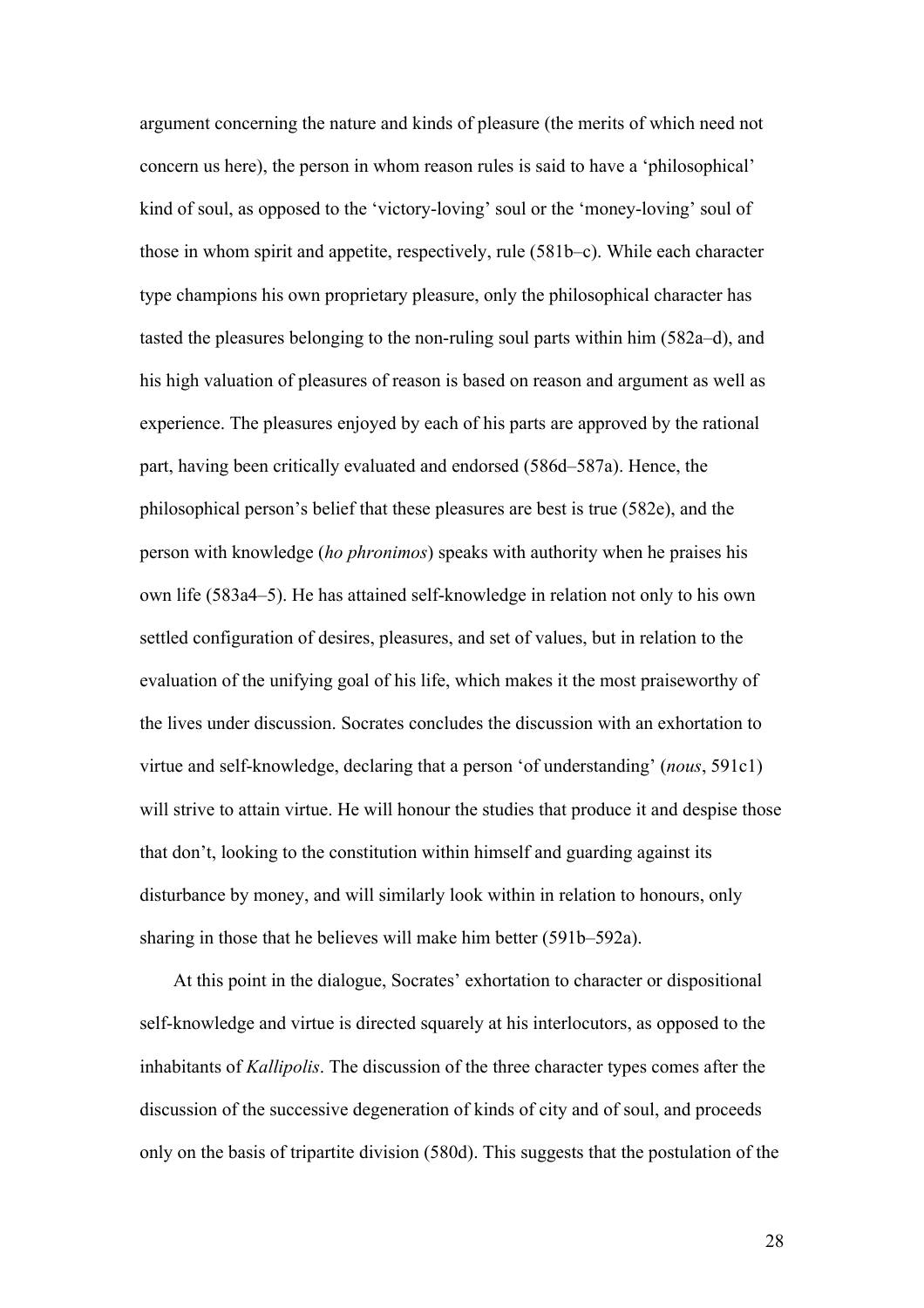argument concerning the nature and kinds of pleasure (the merits of which need not concern us here), the person in whom reason rules is said to have a 'philosophical' kind of soul, as opposed to the 'victory-loving' soul or the 'money-loving' soul of those in whom spirit and appetite, respectively, rule (581b–c). While each character type champions his own proprietary pleasure, only the philosophical character has tasted the pleasures belonging to the non-ruling soul parts within him (582a–d), and his high valuation of pleasures of reason is based on reason and argument as well as experience. The pleasures enjoyed by each of his parts are approved by the rational part, having been critically evaluated and endorsed (586d–587a). Hence, the philosophical person's belief that these pleasures are best is true (582e), and the person with knowledge (*ho phronimos*) speaks with authority when he praises his own life (583a4–5). He has attained self-knowledge in relation not only to his own settled configuration of desires, pleasures, and set of values, but in relation to the evaluation of the unifying goal of his life, which makes it the most praiseworthy of the lives under discussion. Socrates concludes the discussion with an exhortation to virtue and self-knowledge, declaring that a person 'of understanding' (*nous*, 591c1) will strive to attain virtue. He will honour the studies that produce it and despise those that don't, looking to the constitution within himself and guarding against its disturbance by money, and will similarly look within in relation to honours, only sharing in those that he believes will make him better (591b–592a).

At this point in the dialogue, Socrates' exhortation to character or dispositional self-knowledge and virtue is directed squarely at his interlocutors, as opposed to the inhabitants of *Kallipolis*. The discussion of the three character types comes after the discussion of the successive degeneration of kinds of city and of soul, and proceeds only on the basis of tripartite division (580d). This suggests that the postulation of the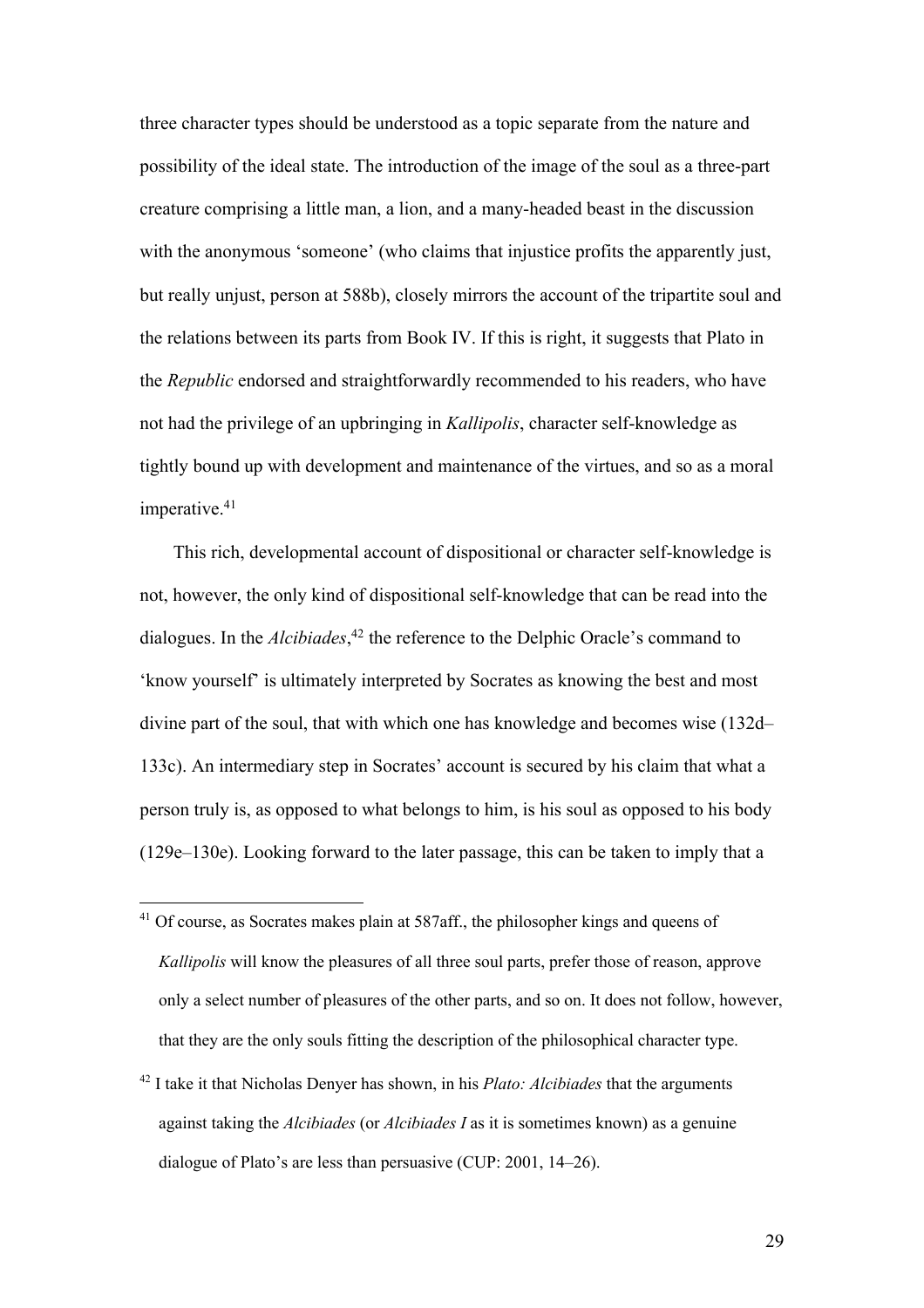three character types should be understood as a topic separate from the nature and possibility of the ideal state. The introduction of the image of the soul as a three-part creature comprising a little man, a lion, and a many-headed beast in the discussion with the anonymous 'someone' (who claims that injustice profits the apparently just, but really unjust, person at 588b), closely mirrors the account of the tripartite soul and the relations between its parts from Book IV. If this is right, it suggests that Plato in the *Republic* endorsed and straightforwardly recommended to his readers, who have not had the privilege of an upbringing in *Kallipolis*, character self-knowledge as tightly bound up with development and maintenance of the virtues, and so as a moral imperative.<sup>41</sup>

This rich, developmental account of dispositional or character self-knowledge is not, however, the only kind of dispositional self-knowledge that can be read into the dialogues. In the *Alcibiades*, <sup>42</sup> the reference to the Delphic Oracle's command to 'know yourself' is ultimately interpreted by Socrates as knowing the best and most divine part of the soul, that with which one has knowledge and becomes wise (132d– 133c). An intermediary step in Socrates' account is secured by his claim that what a person truly is, as opposed to what belongs to him, is his soul as opposed to his body (129e–130e). Looking forward to the later passage, this can be taken to imply that a

- $41$  Of course, as Socrates makes plain at 587aff., the philosopher kings and queens of *Kallipolis* will know the pleasures of all three soul parts, prefer those of reason, approve only a select number of pleasures of the other parts, and so on. It does not follow, however, that they are the only souls fitting the description of the philosophical character type.
- <sup>42</sup> I take it that Nicholas Denyer has shown, in his *Plato: Alcibiades* that the arguments against taking the *Alcibiades* (or *Alcibiades I* as it is sometimes known) as a genuine dialogue of Plato's are less than persuasive (CUP: 2001, 14–26).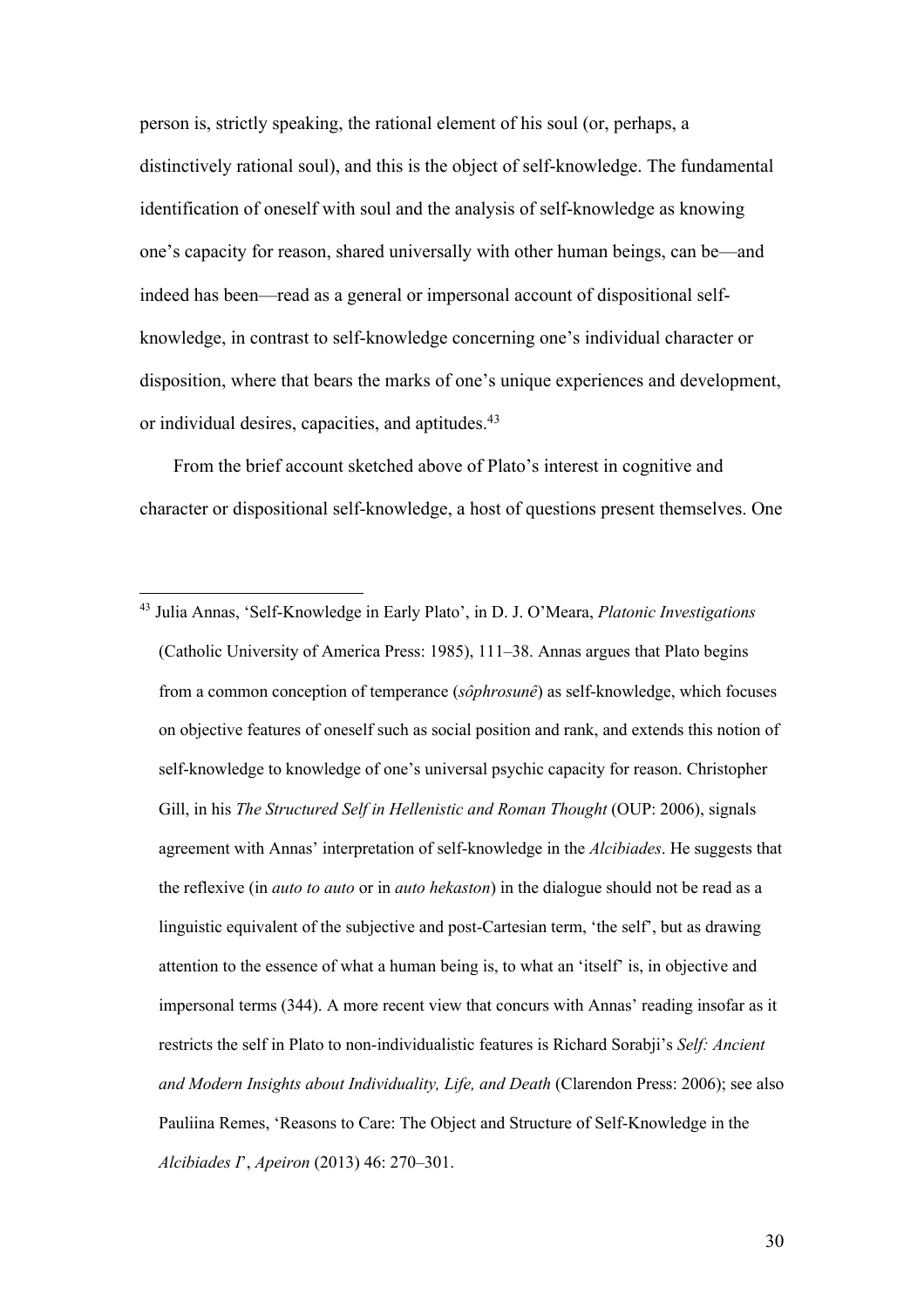person is, strictly speaking, the rational element of his soul (or, perhaps, a distinctively rational soul), and this is the object of self-knowledge. The fundamental identification of oneself with soul and the analysis of self-knowledge as knowing one's capacity for reason, shared universally with other human beings, can be—and indeed has been—read as a general or impersonal account of dispositional selfknowledge, in contrast to self-knowledge concerning one's individual character or disposition, where that bears the marks of one's unique experiences and development, or individual desires, capacities, and aptitudes.43

From the brief account sketched above of Plato's interest in cognitive and character or dispositional self-knowledge, a host of questions present themselves. One

<sup>43</sup> Julia Annas, 'Self-Knowledge in Early Plato', in D. J. O'Meara, *Platonic Investigations* (Catholic University of America Press: 1985), 111–38. Annas argues that Plato begins from a common conception of temperance (*sôphrosunê*) as self-knowledge, which focuses on objective features of oneself such as social position and rank, and extends this notion of self-knowledge to knowledge of one's universal psychic capacity for reason. Christopher Gill, in his *The Structured Self in Hellenistic and Roman Thought* (OUP: 2006), signals agreement with Annas' interpretation of self-knowledge in the *Alcibiades*. He suggests that the reflexive (in *auto to auto* or in *auto hekaston*) in the dialogue should not be read as a linguistic equivalent of the subjective and post-Cartesian term, 'the self', but as drawing attention to the essence of what a human being is, to what an 'itself' is, in objective and impersonal terms (344). A more recent view that concurs with Annas' reading insofar as it restricts the self in Plato to non-individualistic features is Richard Sorabji's *Self: Ancient and Modern Insights about Individuality, Life, and Death* (Clarendon Press: 2006); see also Pauliina Remes, 'Reasons to Care: The Object and Structure of Self-Knowledge in the *Alcibiades I*', *Apeiron* (2013) 46: 270–301.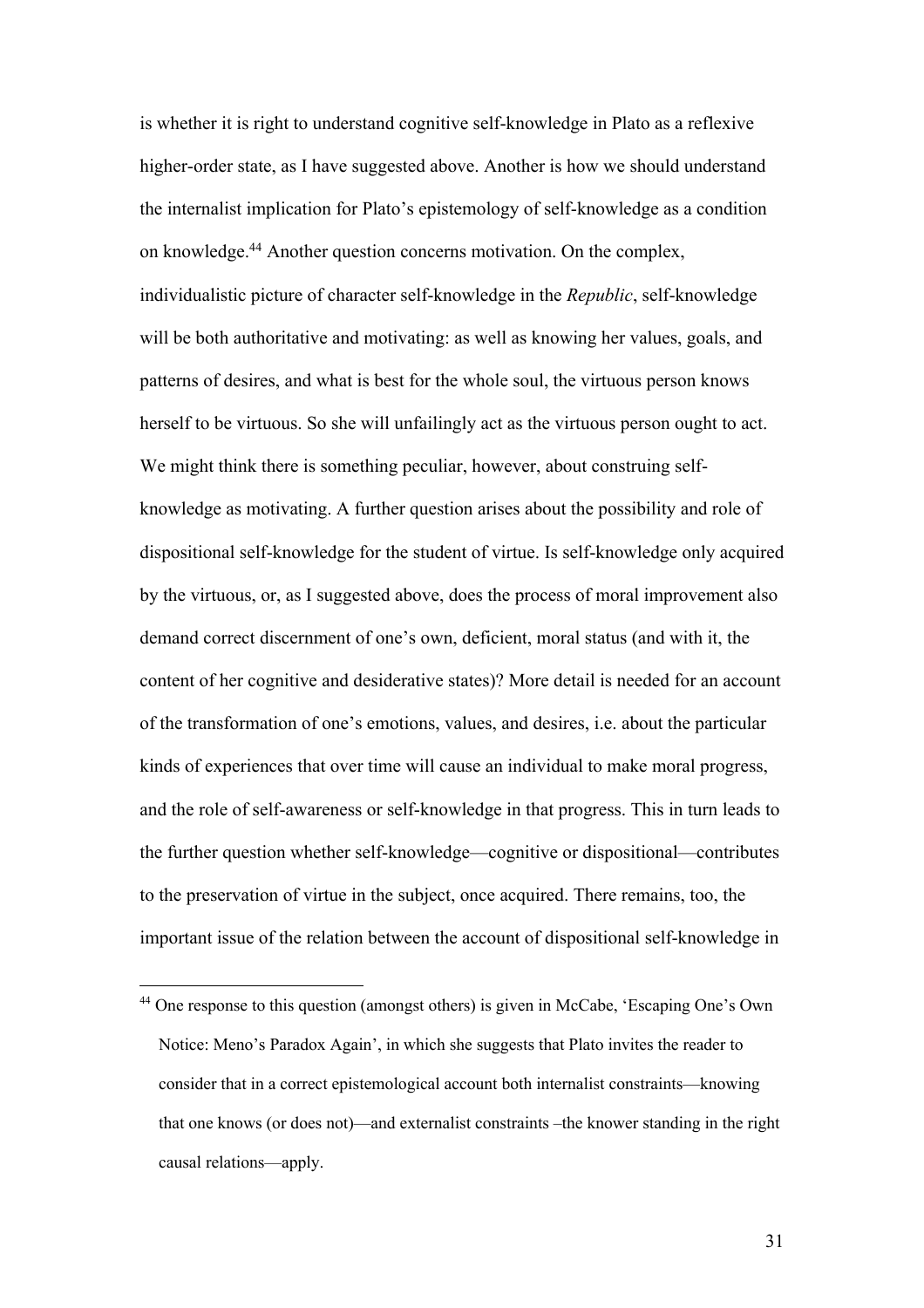is whether it is right to understand cognitive self-knowledge in Plato as a reflexive higher-order state, as I have suggested above. Another is how we should understand the internalist implication for Plato's epistemology of self-knowledge as a condition on knowledge.44 Another question concerns motivation. On the complex, individualistic picture of character self-knowledge in the *Republic*, self-knowledge will be both authoritative and motivating: as well as knowing her values, goals, and patterns of desires, and what is best for the whole soul, the virtuous person knows herself to be virtuous. So she will unfailingly act as the virtuous person ought to act. We might think there is something peculiar, however, about construing selfknowledge as motivating. A further question arises about the possibility and role of dispositional self-knowledge for the student of virtue. Is self-knowledge only acquired by the virtuous, or, as I suggested above, does the process of moral improvement also demand correct discernment of one's own, deficient, moral status (and with it, the content of her cognitive and desiderative states)? More detail is needed for an account of the transformation of one's emotions, values, and desires, i.e. about the particular kinds of experiences that over time will cause an individual to make moral progress, and the role of self-awareness or self-knowledge in that progress. This in turn leads to the further question whether self-knowledge—cognitive or dispositional—contributes to the preservation of virtue in the subject, once acquired. There remains, too, the important issue of the relation between the account of dispositional self-knowledge in

<sup>&</sup>lt;sup>44</sup> One response to this question (amongst others) is given in McCabe, 'Escaping One's Own Notice: Meno's Paradox Again', in which she suggests that Plato invites the reader to consider that in a correct epistemological account both internalist constraints—knowing that one knows (or does not)—and externalist constraints –the knower standing in the right causal relations—apply.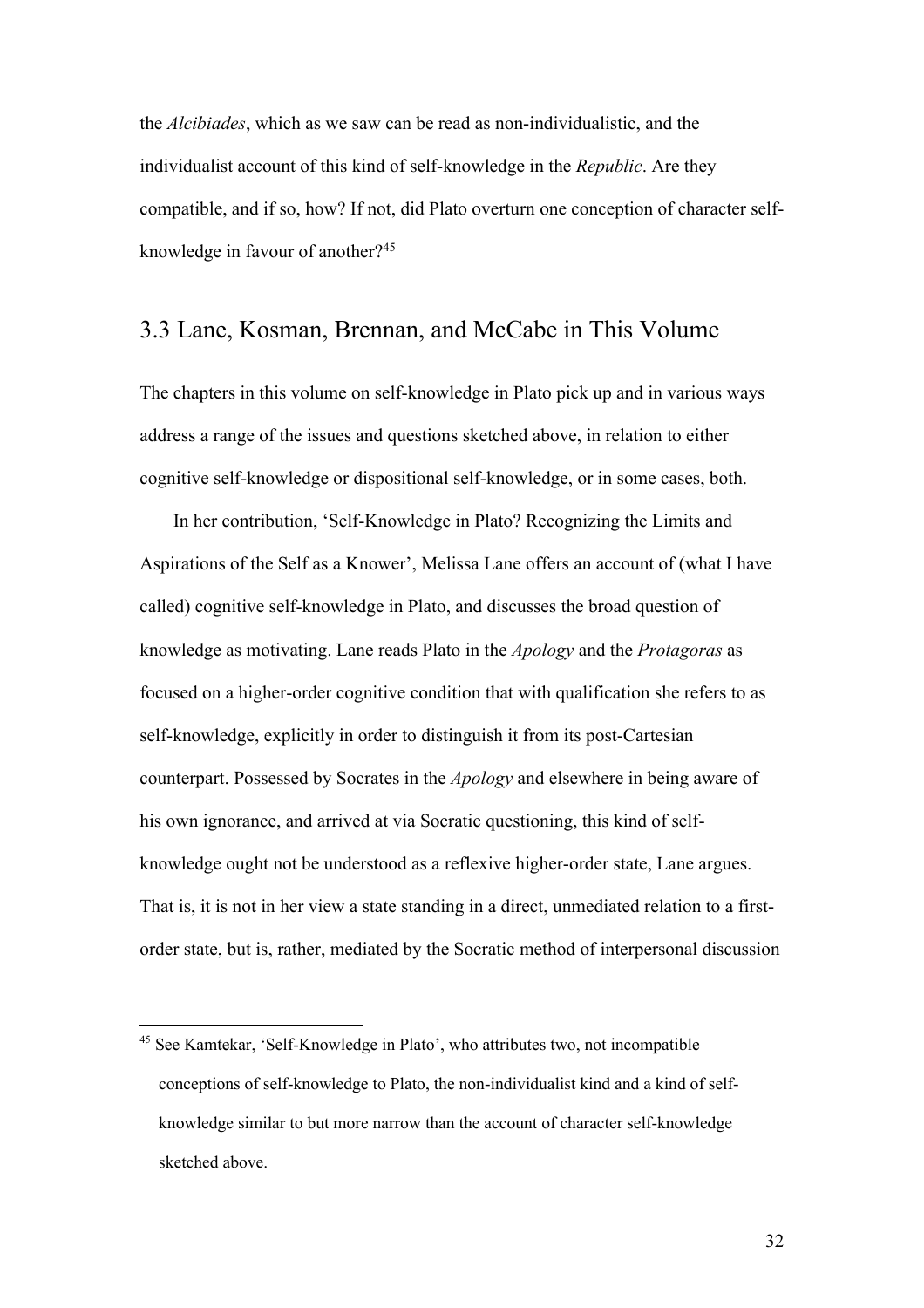the *Alcibiades*, which as we saw can be read as non-individualistic, and the individualist account of this kind of self-knowledge in the *Republic*. Are they compatible, and if so, how? If not, did Plato overturn one conception of character selfknowledge in favour of another?45

#### 3.3 Lane, Kosman, Brennan, and McCabe in This Volume

The chapters in this volume on self-knowledge in Plato pick up and in various ways address a range of the issues and questions sketched above, in relation to either cognitive self-knowledge or dispositional self-knowledge, or in some cases, both.

In her contribution, 'Self-Knowledge in Plato? Recognizing the Limits and Aspirations of the Self as a Knower', Melissa Lane offers an account of (what I have called) cognitive self-knowledge in Plato, and discusses the broad question of knowledge as motivating. Lane reads Plato in the *Apology* and the *Protagoras* as focused on a higher-order cognitive condition that with qualification she refers to as self-knowledge, explicitly in order to distinguish it from its post-Cartesian counterpart. Possessed by Socrates in the *Apology* and elsewhere in being aware of his own ignorance, and arrived at via Socratic questioning, this kind of selfknowledge ought not be understood as a reflexive higher-order state, Lane argues. That is, it is not in her view a state standing in a direct, unmediated relation to a firstorder state, but is, rather, mediated by the Socratic method of interpersonal discussion

<sup>&</sup>lt;sup>45</sup> See Kamtekar, 'Self-Knowledge in Plato', who attributes two, not incompatible conceptions of self-knowledge to Plato, the non-individualist kind and a kind of selfknowledge similar to but more narrow than the account of character self-knowledge sketched above.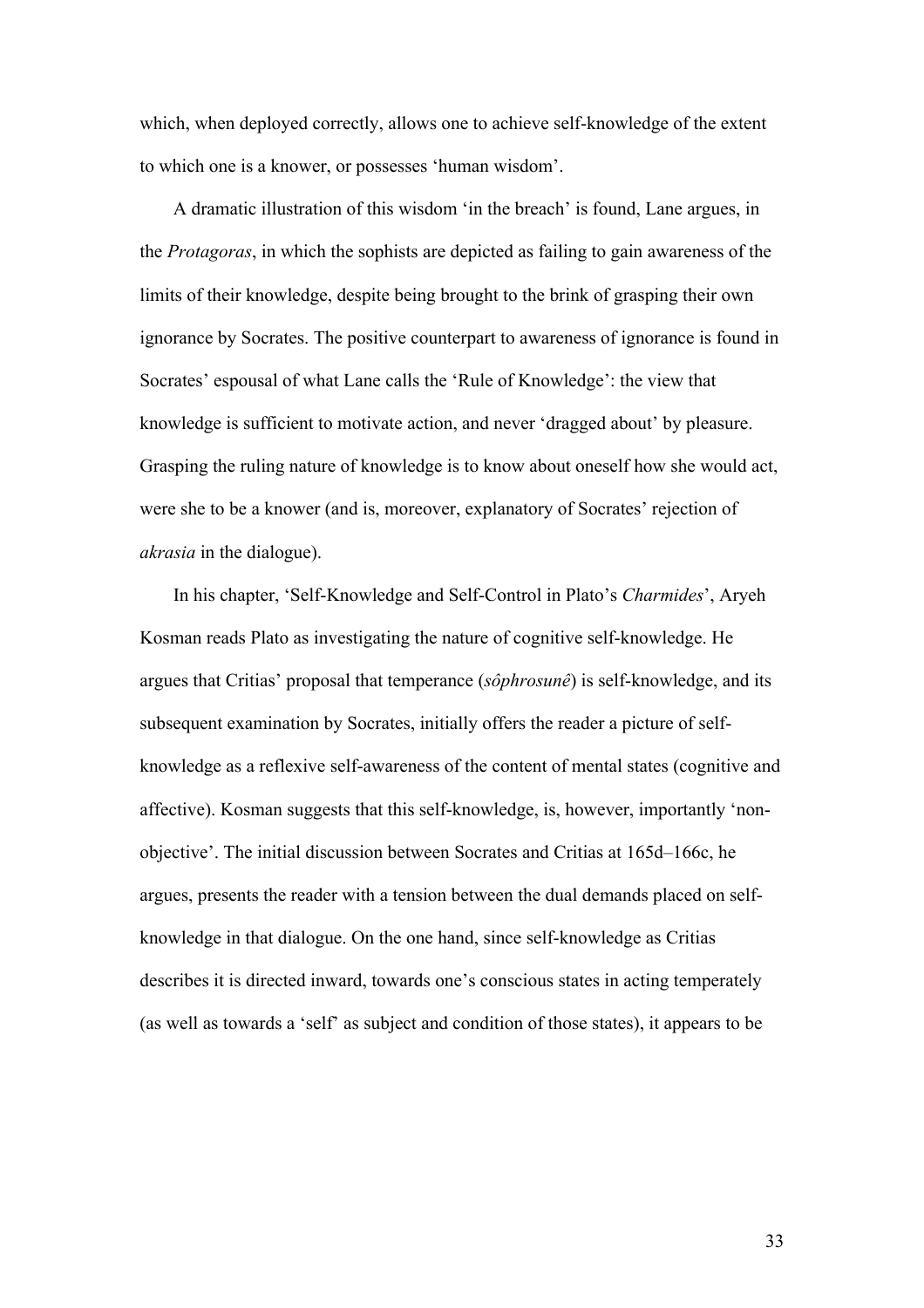which, when deployed correctly, allows one to achieve self-knowledge of the extent to which one is a knower, or possesses 'human wisdom'.

A dramatic illustration of this wisdom 'in the breach' is found, Lane argues, in the *Protagoras*, in which the sophists are depicted as failing to gain awareness of the limits of their knowledge, despite being brought to the brink of grasping their own ignorance by Socrates. The positive counterpart to awareness of ignorance is found in Socrates' espousal of what Lane calls the 'Rule of Knowledge': the view that knowledge is sufficient to motivate action, and never 'dragged about' by pleasure. Grasping the ruling nature of knowledge is to know about oneself how she would act, were she to be a knower (and is, moreover, explanatory of Socrates' rejection of *akrasia* in the dialogue).

In his chapter, 'Self-Knowledge and Self-Control in Plato's *Charmides*', Aryeh Kosman reads Plato as investigating the nature of cognitive self-knowledge. He argues that Critias' proposal that temperance (*sôphrosunê*) is self-knowledge, and its subsequent examination by Socrates, initially offers the reader a picture of selfknowledge as a reflexive self-awareness of the content of mental states (cognitive and affective). Kosman suggests that this self-knowledge, is, however, importantly 'nonobjective'. The initial discussion between Socrates and Critias at 165d–166c, he argues, presents the reader with a tension between the dual demands placed on selfknowledge in that dialogue. On the one hand, since self-knowledge as Critias describes it is directed inward, towards one's conscious states in acting temperately (as well as towards a 'self' as subject and condition of those states), it appears to be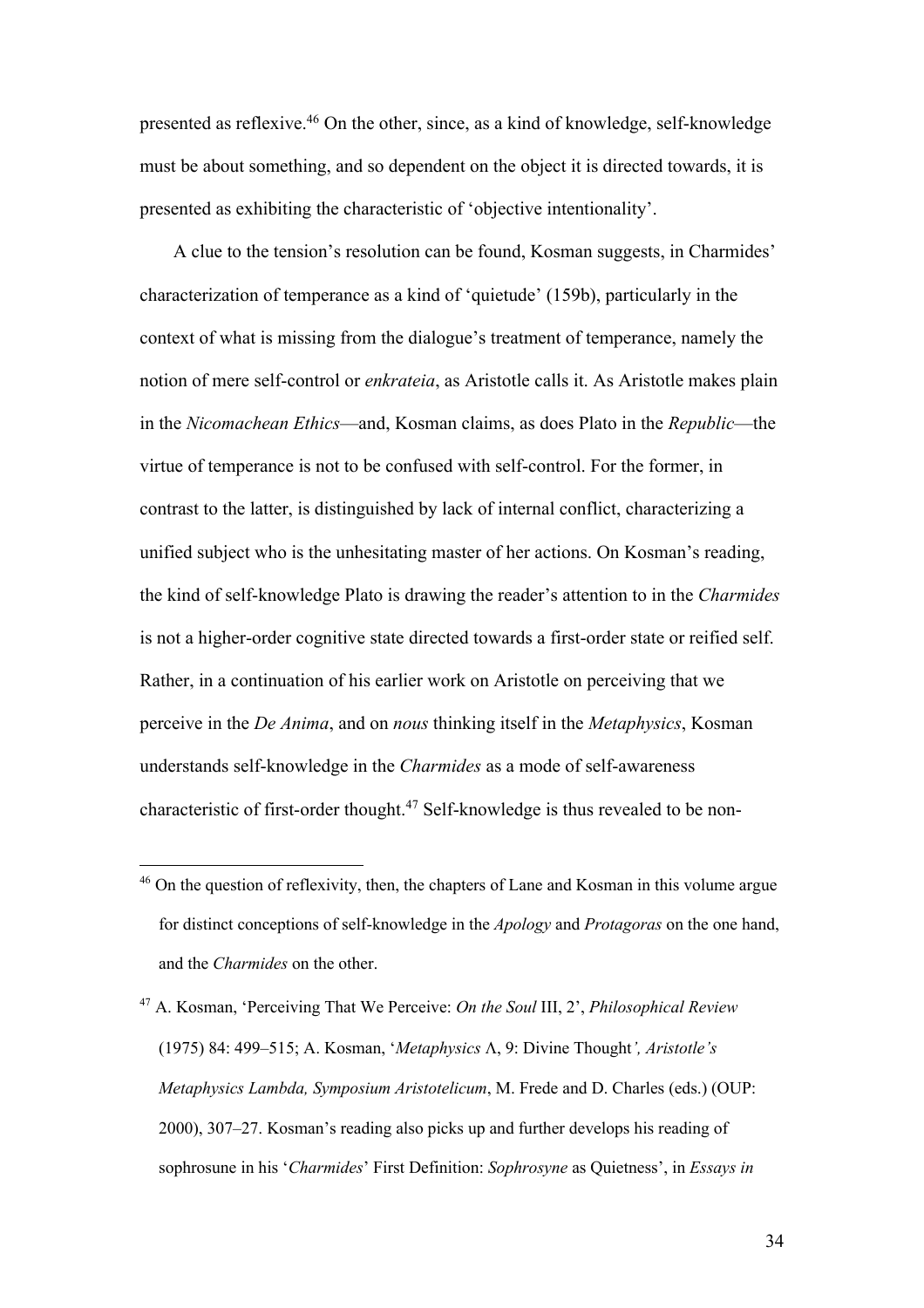presented as reflexive.46 On the other, since, as a kind of knowledge, self-knowledge must be about something, and so dependent on the object it is directed towards, it is presented as exhibiting the characteristic of 'objective intentionality'.

A clue to the tension's resolution can be found, Kosman suggests, in Charmides' characterization of temperance as a kind of 'quietude' (159b), particularly in the context of what is missing from the dialogue's treatment of temperance, namely the notion of mere self-control or *enkrateia*, as Aristotle calls it. As Aristotle makes plain in the *Nicomachean Ethics*—and, Kosman claims, as does Plato in the *Republic*—the virtue of temperance is not to be confused with self-control. For the former, in contrast to the latter, is distinguished by lack of internal conflict, characterizing a unified subject who is the unhesitating master of her actions. On Kosman's reading, the kind of self-knowledge Plato is drawing the reader's attention to in the *Charmides* is not a higher-order cognitive state directed towards a first-order state or reified self. Rather, in a continuation of his earlier work on Aristotle on perceiving that we perceive in the *De Anima*, and on *nous* thinking itself in the *Metaphysics*, Kosman understands self-knowledge in the *Charmides* as a mode of self-awareness characteristic of first-order thought.47 Self-knowledge is thus revealed to be non-

<sup>47</sup> A. Kosman, 'Perceiving That We Perceive: *On the Soul* III, 2', *Philosophical Review* (1975) 84: 499–515; A. Kosman, '*Metaphysics* L, 9: Divine Thought*', Aristotle's Metaphysics Lambda, Symposium Aristotelicum*, M. Frede and D. Charles (eds.) (OUP: 2000), 307–27. Kosman's reading also picks up and further develops his reading of sophrosune in his '*Charmides*' First Definition: *Sophrosyne* as Quietness', in *Essays in*

<sup>&</sup>lt;sup>46</sup> On the question of reflexivity, then, the chapters of Lane and Kosman in this volume argue for distinct conceptions of self-knowledge in the *Apology* and *Protagoras* on the one hand, and the *Charmides* on the other.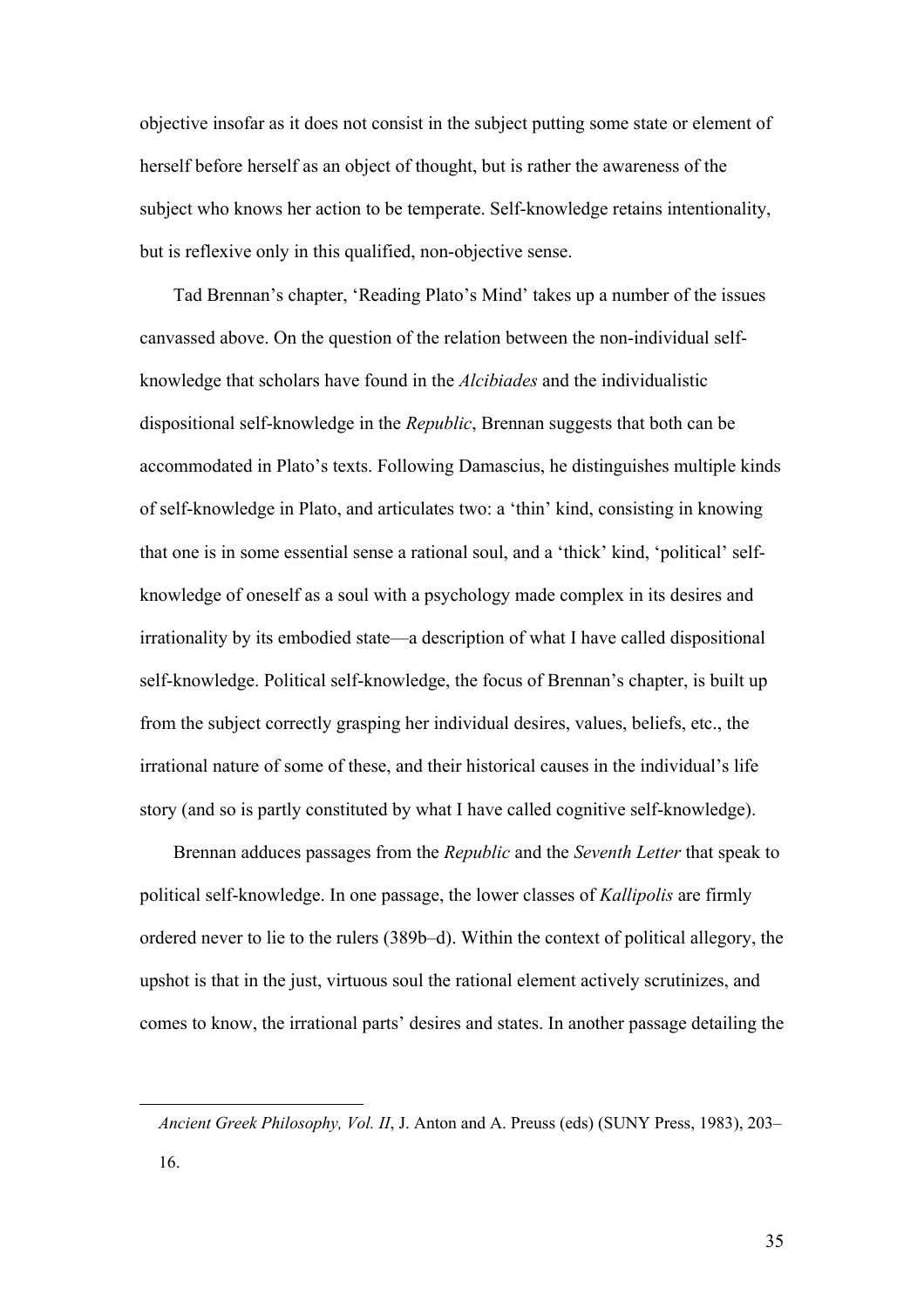objective insofar as it does not consist in the subject putting some state or element of herself before herself as an object of thought, but is rather the awareness of the subject who knows her action to be temperate. Self-knowledge retains intentionality, but is reflexive only in this qualified, non-objective sense.

Tad Brennan's chapter, 'Reading Plato's Mind' takes up a number of the issues canvassed above. On the question of the relation between the non-individual selfknowledge that scholars have found in the *Alcibiades* and the individualistic dispositional self-knowledge in the *Republic*, Brennan suggests that both can be accommodated in Plato's texts. Following Damascius, he distinguishes multiple kinds of self-knowledge in Plato, and articulates two: a 'thin' kind, consisting in knowing that one is in some essential sense a rational soul, and a 'thick' kind, 'political' selfknowledge of oneself as a soul with a psychology made complex in its desires and irrationality by its embodied state—a description of what I have called dispositional self-knowledge. Political self-knowledge, the focus of Brennan's chapter, is built up from the subject correctly grasping her individual desires, values, beliefs, etc., the irrational nature of some of these, and their historical causes in the individual's life story (and so is partly constituted by what I have called cognitive self-knowledge).

Brennan adduces passages from the *Republic* and the *Seventh Letter* that speak to political self-knowledge. In one passage, the lower classes of *Kallipolis* are firmly ordered never to lie to the rulers (389b–d). Within the context of political allegory, the upshot is that in the just, virtuous soul the rational element actively scrutinizes, and comes to know, the irrational parts' desires and states. In another passage detailing the

*Ancient Greek Philosophy, Vol. II*, J. Anton and A. Preuss (eds) (SUNY Press, 1983), 203– 16.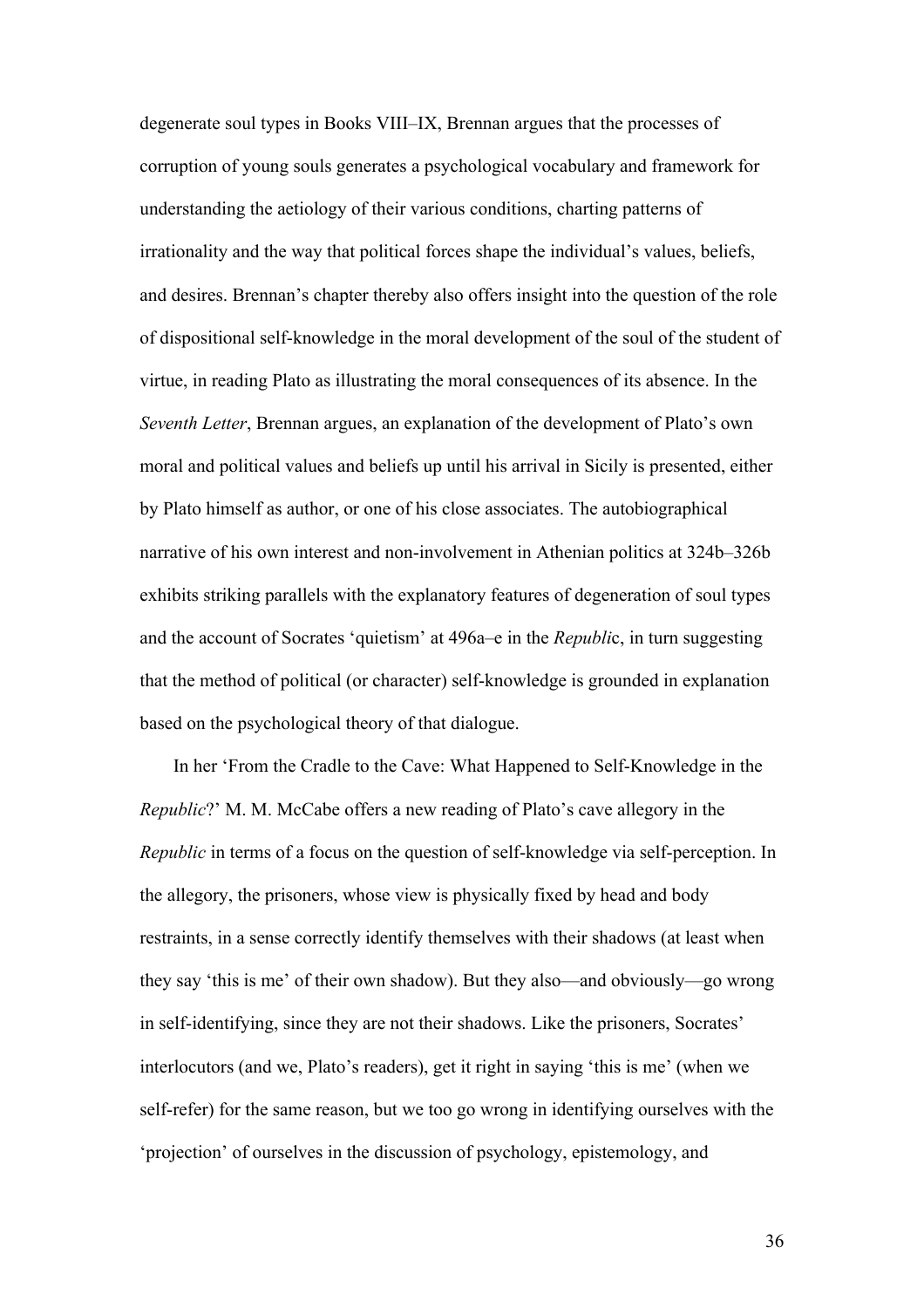degenerate soul types in Books VIII–IX, Brennan argues that the processes of corruption of young souls generates a psychological vocabulary and framework for understanding the aetiology of their various conditions, charting patterns of irrationality and the way that political forces shape the individual's values, beliefs, and desires. Brennan's chapter thereby also offers insight into the question of the role of dispositional self-knowledge in the moral development of the soul of the student of virtue, in reading Plato as illustrating the moral consequences of its absence. In the *Seventh Letter*, Brennan argues, an explanation of the development of Plato's own moral and political values and beliefs up until his arrival in Sicily is presented, either by Plato himself as author, or one of his close associates. The autobiographical narrative of his own interest and non-involvement in Athenian politics at 324b–326b exhibits striking parallels with the explanatory features of degeneration of soul types and the account of Socrates 'quietism' at 496a–e in the *Republi*c, in turn suggesting that the method of political (or character) self-knowledge is grounded in explanation based on the psychological theory of that dialogue.

In her 'From the Cradle to the Cave: What Happened to Self-Knowledge in the *Republic*?' M. M. McCabe offers a new reading of Plato's cave allegory in the *Republic* in terms of a focus on the question of self-knowledge via self-perception. In the allegory, the prisoners, whose view is physically fixed by head and body restraints, in a sense correctly identify themselves with their shadows (at least when they say 'this is me' of their own shadow). But they also—and obviously—go wrong in self-identifying, since they are not their shadows. Like the prisoners, Socrates' interlocutors (and we, Plato's readers), get it right in saying 'this is me' (when we self-refer) for the same reason, but we too go wrong in identifying ourselves with the 'projection' of ourselves in the discussion of psychology, epistemology, and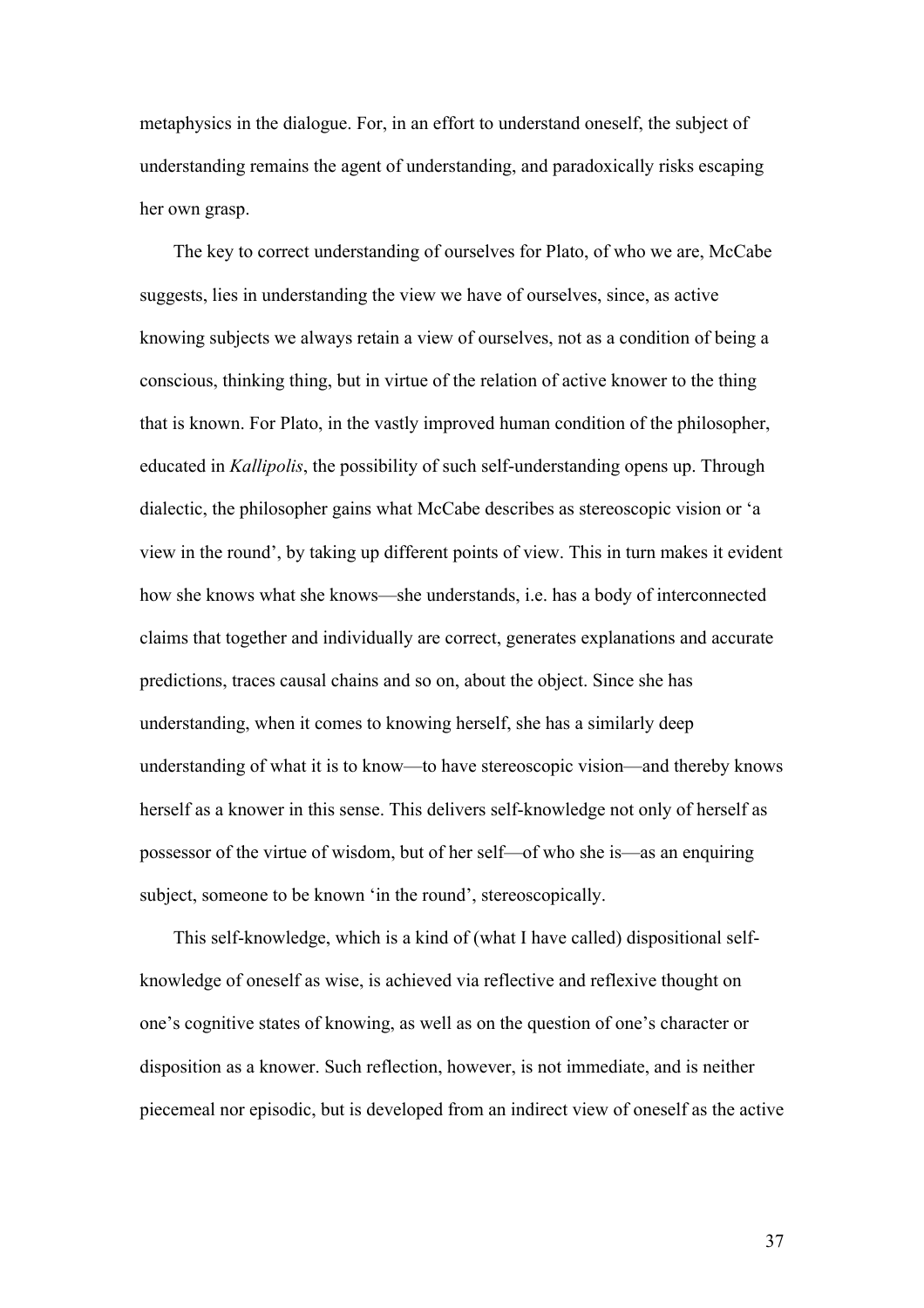metaphysics in the dialogue. For, in an effort to understand oneself, the subject of understanding remains the agent of understanding, and paradoxically risks escaping her own grasp.

The key to correct understanding of ourselves for Plato, of who we are, McCabe suggests, lies in understanding the view we have of ourselves, since, as active knowing subjects we always retain a view of ourselves, not as a condition of being a conscious, thinking thing, but in virtue of the relation of active knower to the thing that is known. For Plato, in the vastly improved human condition of the philosopher, educated in *Kallipolis*, the possibility of such self-understanding opens up. Through dialectic, the philosopher gains what McCabe describes as stereoscopic vision or 'a view in the round', by taking up different points of view. This in turn makes it evident how she knows what she knows—she understands, i.e. has a body of interconnected claims that together and individually are correct, generates explanations and accurate predictions, traces causal chains and so on, about the object. Since she has understanding, when it comes to knowing herself, she has a similarly deep understanding of what it is to know—to have stereoscopic vision—and thereby knows herself as a knower in this sense. This delivers self-knowledge not only of herself as possessor of the virtue of wisdom, but of her self—of who she is—as an enquiring subject, someone to be known 'in the round', stereoscopically.

This self-knowledge, which is a kind of (what I have called) dispositional selfknowledge of oneself as wise, is achieved via reflective and reflexive thought on one's cognitive states of knowing, as well as on the question of one's character or disposition as a knower. Such reflection, however, is not immediate, and is neither piecemeal nor episodic, but is developed from an indirect view of oneself as the active

37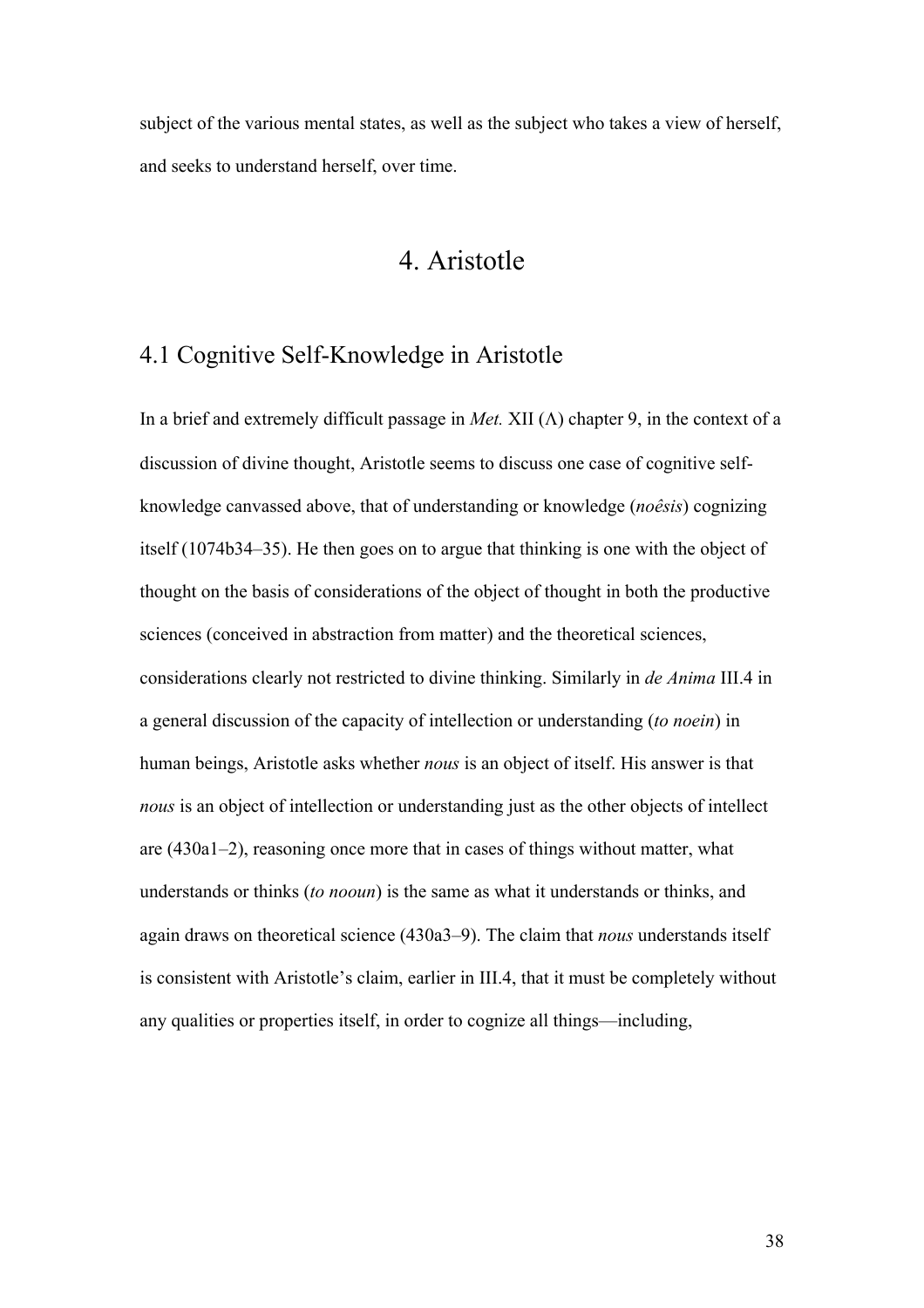subject of the various mental states, as well as the subject who takes a view of herself, and seeks to understand herself, over time.

# 4. Aristotle

## 4.1 Cognitive Self-Knowledge in Aristotle

In a brief and extremely difficult passage in *Met.* XII  $(\Lambda)$  chapter 9, in the context of a discussion of divine thought, Aristotle seems to discuss one case of cognitive selfknowledge canvassed above, that of understanding or knowledge (*noêsis*) cognizing itself (1074b34–35). He then goes on to argue that thinking is one with the object of thought on the basis of considerations of the object of thought in both the productive sciences (conceived in abstraction from matter) and the theoretical sciences, considerations clearly not restricted to divine thinking. Similarly in *de Anima* III.4 in a general discussion of the capacity of intellection or understanding (*to noein*) in human beings, Aristotle asks whether *nous* is an object of itself. His answer is that *nous* is an object of intellection or understanding just as the other objects of intellect are (430a1–2), reasoning once more that in cases of things without matter, what understands or thinks (*to nooun*) is the same as what it understands or thinks, and again draws on theoretical science (430a3–9). The claim that *nous* understands itself is consistent with Aristotle's claim, earlier in III.4, that it must be completely without any qualities or properties itself, in order to cognize all things—including,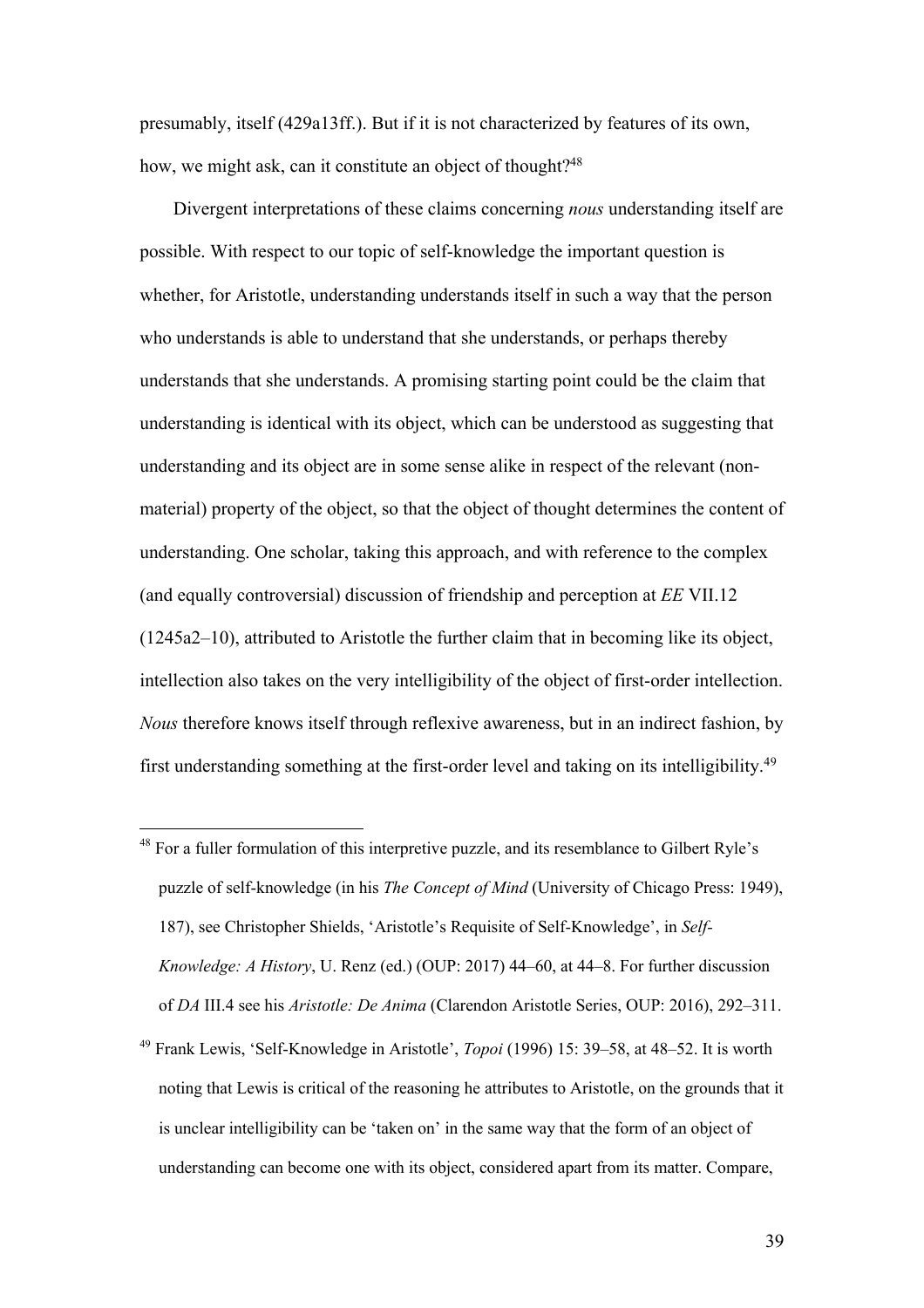presumably, itself (429a13ff.). But if it is not characterized by features of its own, how, we might ask, can it constitute an object of thought?<sup>48</sup>

Divergent interpretations of these claims concerning *nous* understanding itself are possible. With respect to our topic of self-knowledge the important question is whether, for Aristotle, understanding understands itself in such a way that the person who understands is able to understand that she understands, or perhaps thereby understands that she understands. A promising starting point could be the claim that understanding is identical with its object, which can be understood as suggesting that understanding and its object are in some sense alike in respect of the relevant (nonmaterial) property of the object, so that the object of thought determines the content of understanding. One scholar, taking this approach, and with reference to the complex (and equally controversial) discussion of friendship and perception at *EE* VII.12 (1245a2–10), attributed to Aristotle the further claim that in becoming like its object, intellection also takes on the very intelligibility of the object of first-order intellection. *Nous* therefore knows itself through reflexive awareness, but in an indirect fashion, by first understanding something at the first-order level and taking on its intelligibility.49

<sup>&</sup>lt;sup>48</sup> For a fuller formulation of this interpretive puzzle, and its resemblance to Gilbert Ryle's puzzle of self-knowledge (in his *The Concept of Mind* (University of Chicago Press: 1949), 187), see Christopher Shields, 'Aristotle's Requisite of Self-Knowledge', in *Self-Knowledge: A History*, U. Renz (ed.) (OUP: 2017) 44–60, at 44–8. For further discussion of *DA* III.4 see his *Aristotle: De Anima* (Clarendon Aristotle Series, OUP: 2016), 292–311.

<sup>49</sup> Frank Lewis, 'Self-Knowledge in Aristotle', *Topoi* (1996) 15: 39–58, at 48–52. It is worth noting that Lewis is critical of the reasoning he attributes to Aristotle, on the grounds that it is unclear intelligibility can be 'taken on' in the same way that the form of an object of understanding can become one with its object, considered apart from its matter. Compare,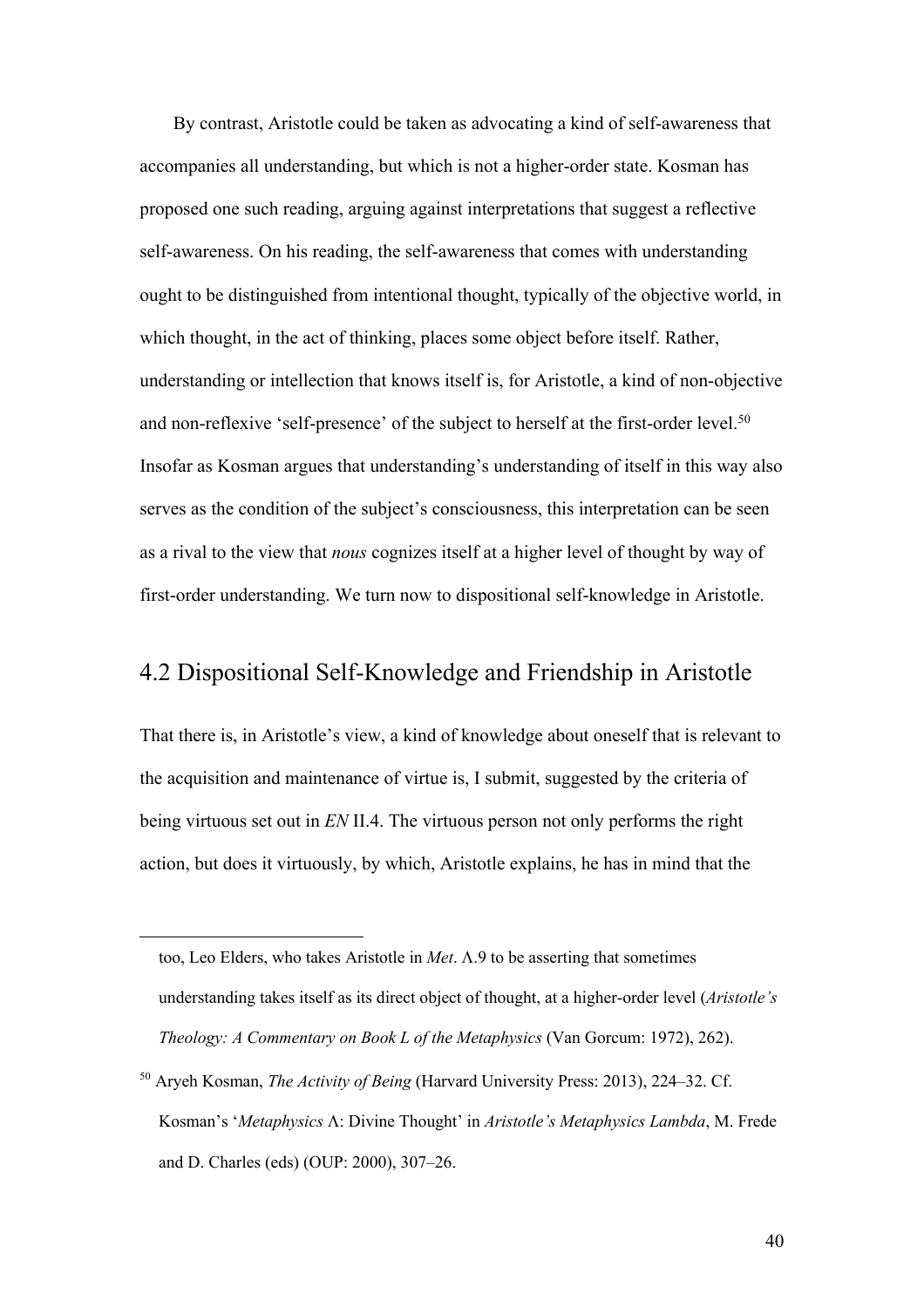By contrast, Aristotle could be taken as advocating a kind of self-awareness that accompanies all understanding, but which is not a higher-order state. Kosman has proposed one such reading, arguing against interpretations that suggest a reflective self-awareness. On his reading, the self-awareness that comes with understanding ought to be distinguished from intentional thought, typically of the objective world, in which thought, in the act of thinking, places some object before itself. Rather, understanding or intellection that knows itself is, for Aristotle, a kind of non-objective and non-reflexive 'self-presence' of the subject to herself at the first-order level.<sup>50</sup> Insofar as Kosman argues that understanding's understanding of itself in this way also serves as the condition of the subject's consciousness, this interpretation can be seen as a rival to the view that *nous* cognizes itself at a higher level of thought by way of first-order understanding. We turn now to dispositional self-knowledge in Aristotle.

#### 4.2 Dispositional Self-Knowledge and Friendship in Aristotle

That there is, in Aristotle's view, a kind of knowledge about oneself that is relevant to the acquisition and maintenance of virtue is, I submit, suggested by the criteria of being virtuous set out in *EN* II.4. The virtuous person not only performs the right action, but does it virtuously, by which, Aristotle explains, he has in mind that the

too, Leo Elders, who takes Aristotle in  $Met.$   $\Lambda.9$  to be asserting that sometimes understanding takes itself as its direct object of thought, at a higher-order level (*Aristotle's Theology: A Commentary on Book L of the Metaphysics* (Van Gorcum: 1972), 262).

<sup>50</sup> Aryeh Kosman, *The Activity of Being* (Harvard University Press: 2013), 224–32. Cf. Kosman's '*Metaphysics* L: Divine Thought' in *Aristotle's Metaphysics Lambda*, M. Frede and D. Charles (eds) (OUP: 2000), 307–26.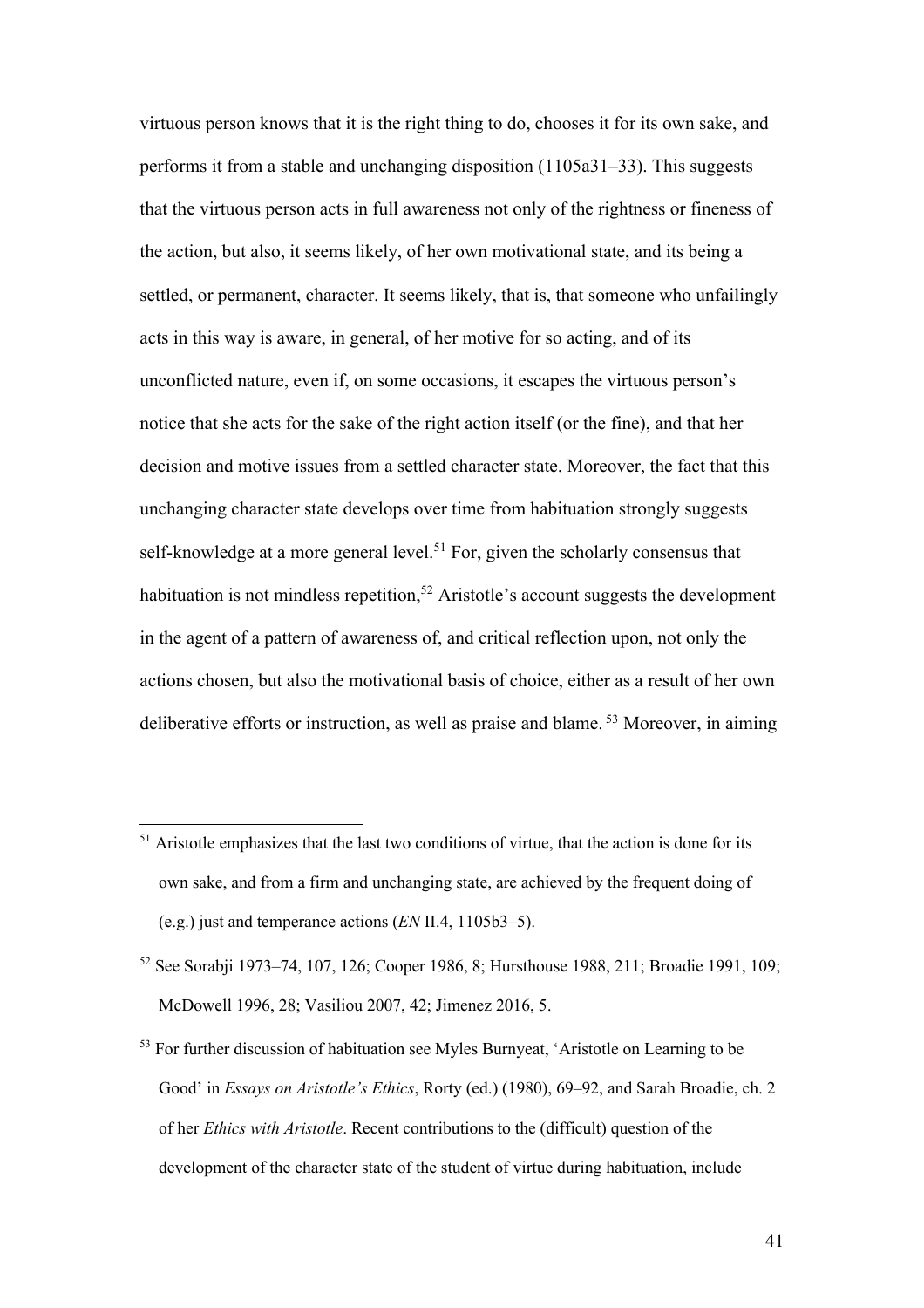virtuous person knows that it is the right thing to do, chooses it for its own sake, and performs it from a stable and unchanging disposition (1105a31–33). This suggests that the virtuous person acts in full awareness not only of the rightness or fineness of the action, but also, it seems likely, of her own motivational state, and its being a settled, or permanent, character. It seems likely, that is, that someone who unfailingly acts in this way is aware, in general, of her motive for so acting, and of its unconflicted nature, even if, on some occasions, it escapes the virtuous person's notice that she acts for the sake of the right action itself (or the fine), and that her decision and motive issues from a settled character state. Moreover, the fact that this unchanging character state develops over time from habituation strongly suggests self-knowledge at a more general level.<sup>51</sup> For, given the scholarly consensus that habituation is not mindless repetition,<sup>52</sup> Aristotle's account suggests the development in the agent of a pattern of awareness of, and critical reflection upon, not only the actions chosen, but also the motivational basis of choice, either as a result of her own deliberative efforts or instruction, as well as praise and blame. <sup>53</sup> Moreover, in aiming

<sup>&</sup>lt;sup>51</sup> Aristotle emphasizes that the last two conditions of virtue, that the action is done for its own sake, and from a firm and unchanging state, are achieved by the frequent doing of (e.g.) just and temperance actions (*EN* II.4, 1105b3–5).

<sup>52</sup> See Sorabji 1973–74, 107, 126; Cooper 1986, 8; Hursthouse 1988, 211; Broadie 1991, 109; McDowell 1996, 28; Vasiliou 2007, 42; Jimenez 2016, 5.

<sup>&</sup>lt;sup>53</sup> For further discussion of habituation see Myles Burnyeat, 'Aristotle on Learning to be Good' in *Essays on Aristotle's Ethics*, Rorty (ed.) (1980), 69–92, and Sarah Broadie, ch. 2 of her *Ethics with Aristotle*. Recent contributions to the (difficult) question of the development of the character state of the student of virtue during habituation, include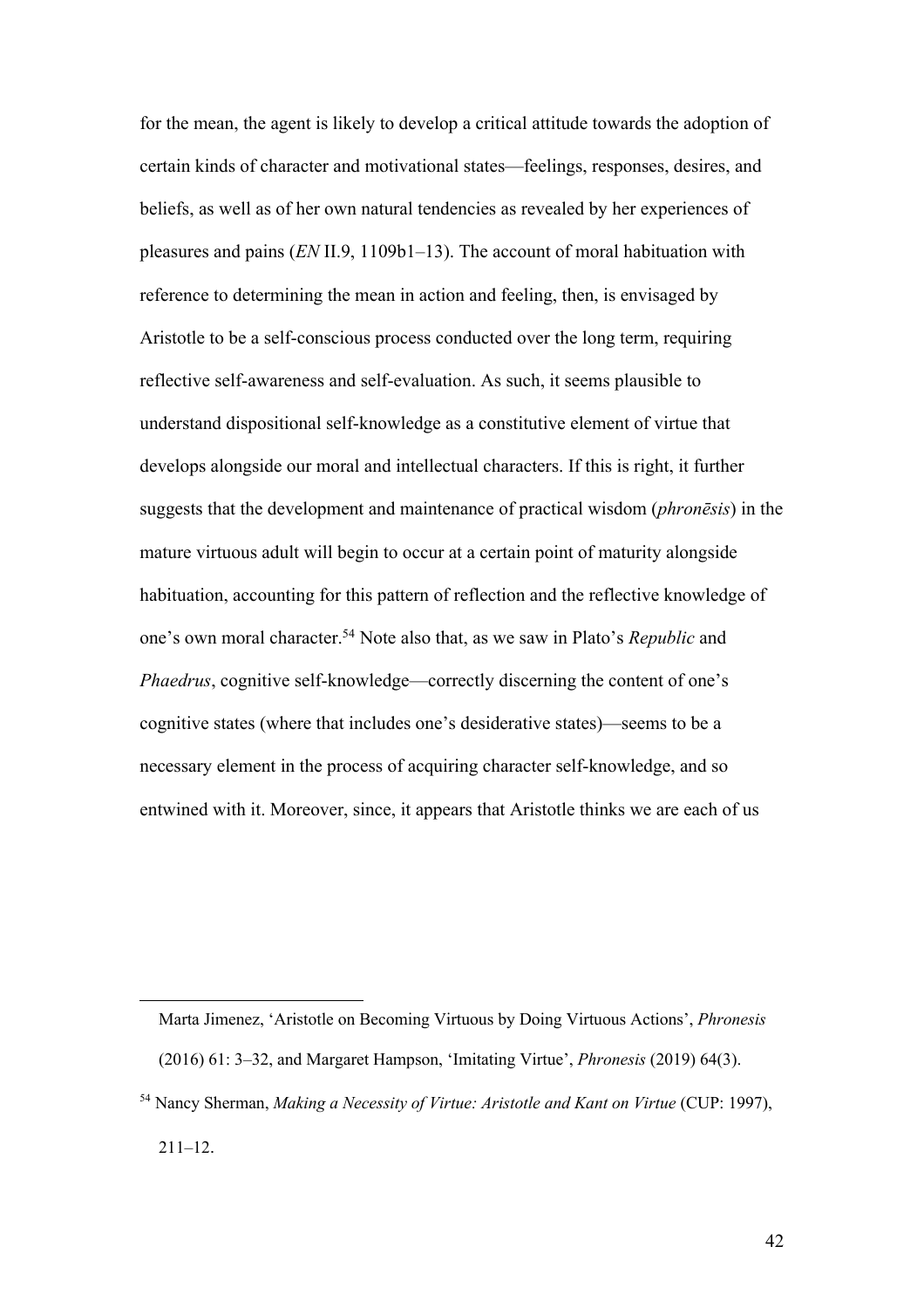for the mean, the agent is likely to develop a critical attitude towards the adoption of certain kinds of character and motivational states—feelings, responses, desires, and beliefs, as well as of her own natural tendencies as revealed by her experiences of pleasures and pains (*EN* II.9, 1109b1–13). The account of moral habituation with reference to determining the mean in action and feeling, then, is envisaged by Aristotle to be a self-conscious process conducted over the long term, requiring reflective self-awareness and self-evaluation. As such, it seems plausible to understand dispositional self-knowledge as a constitutive element of virtue that develops alongside our moral and intellectual characters. If this is right, it further suggests that the development and maintenance of practical wisdom (*phronēsis*) in the mature virtuous adult will begin to occur at a certain point of maturity alongside habituation, accounting for this pattern of reflection and the reflective knowledge of one's own moral character.54 Note also that, as we saw in Plato's *Republic* and *Phaedrus*, cognitive self-knowledge—correctly discerning the content of one's cognitive states (where that includes one's desiderative states)—seems to be a necessary element in the process of acquiring character self-knowledge, and so entwined with it. Moreover, since, it appears that Aristotle thinks we are each of us

Marta Jimenez, 'Aristotle on Becoming Virtuous by Doing Virtuous Actions', *Phronesis* (2016) 61: 3–32, and Margaret Hampson, 'Imitating Virtue', *Phronesis* (2019) 64(3).

<sup>54</sup> Nancy Sherman, *Making a Necessity of Virtue: Aristotle and Kant on Virtue* (CUP: 1997),  $211 - 12$ .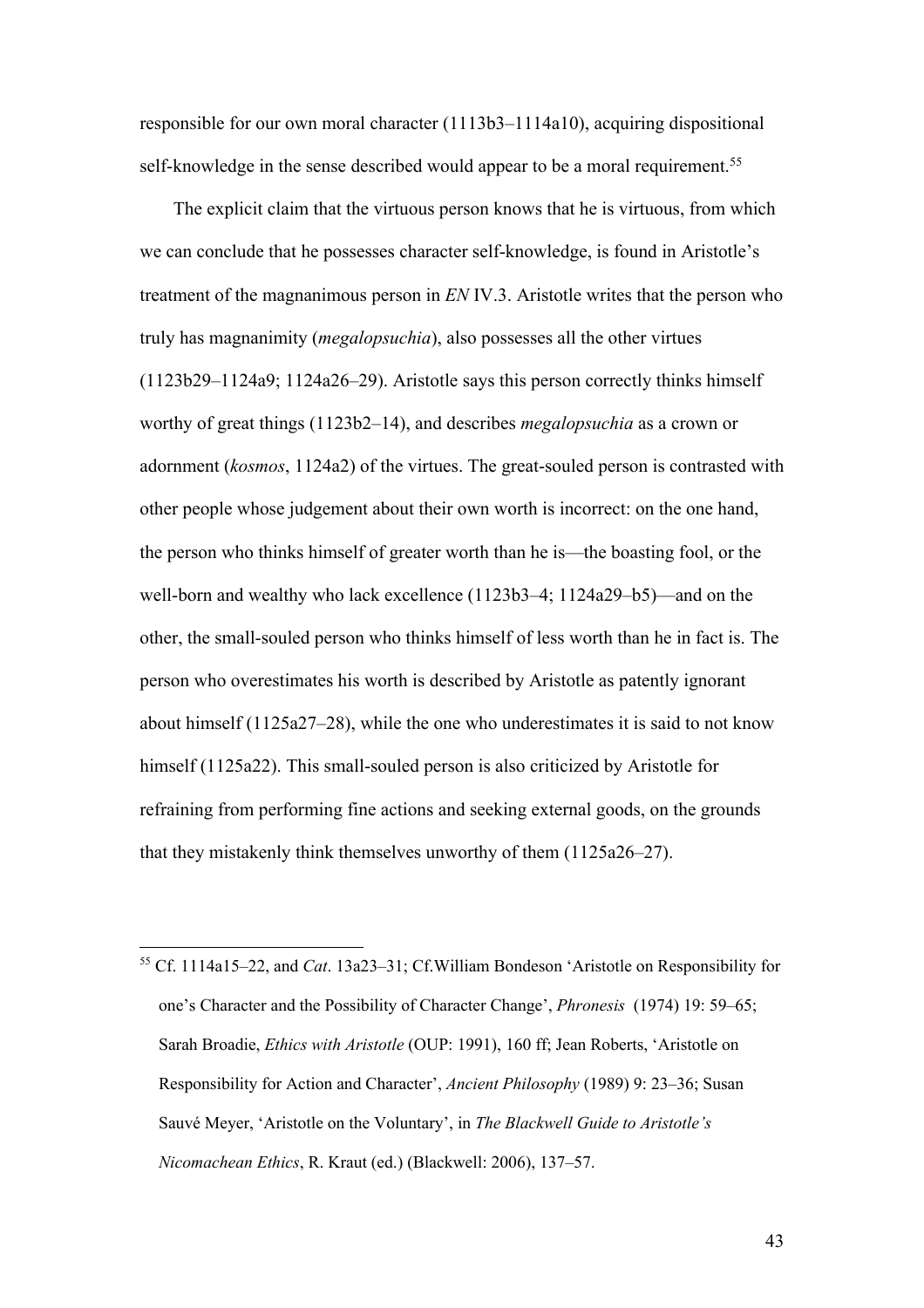responsible for our own moral character (1113b3–1114a10), acquiring dispositional self-knowledge in the sense described would appear to be a moral requirement.<sup>55</sup>

The explicit claim that the virtuous person knows that he is virtuous, from which we can conclude that he possesses character self-knowledge, is found in Aristotle's treatment of the magnanimous person in *EN* IV.3. Aristotle writes that the person who truly has magnanimity (*megalopsuchia*), also possesses all the other virtues (1123b29–1124a9; 1124a26–29). Aristotle says this person correctly thinks himself worthy of great things (1123b2–14), and describes *megalopsuchia* as a crown or adornment (*kosmos*, 1124a2) of the virtues. The great-souled person is contrasted with other people whose judgement about their own worth is incorrect: on the one hand, the person who thinks himself of greater worth than he is—the boasting fool, or the well-born and wealthy who lack excellence (1123b3–4; 1124a29–b5)—and on the other, the small-souled person who thinks himself of less worth than he in fact is. The person who overestimates his worth is described by Aristotle as patently ignorant about himself (1125a27–28), while the one who underestimates it is said to not know himself (1125a22). This small-souled person is also criticized by Aristotle for refraining from performing fine actions and seeking external goods, on the grounds that they mistakenly think themselves unworthy of them (1125a26–27).

<sup>55</sup> Cf. 1114a15–22, and *Cat*. 13a23–31; Cf.William Bondeson 'Aristotle on Responsibility for one's Character and the Possibility of Character Change', *Phronesis* (1974) 19: 59–65; Sarah Broadie, *Ethics with Aristotle* (OUP: 1991), 160 ff; Jean Roberts, 'Aristotle on Responsibility for Action and Character', *Ancient Philosophy* (1989) 9: 23–36; Susan Sauvé Meyer, 'Aristotle on the Voluntary', in *The Blackwell Guide to Aristotle's Nicomachean Ethics*, R. Kraut (ed.) (Blackwell: 2006), 137–57.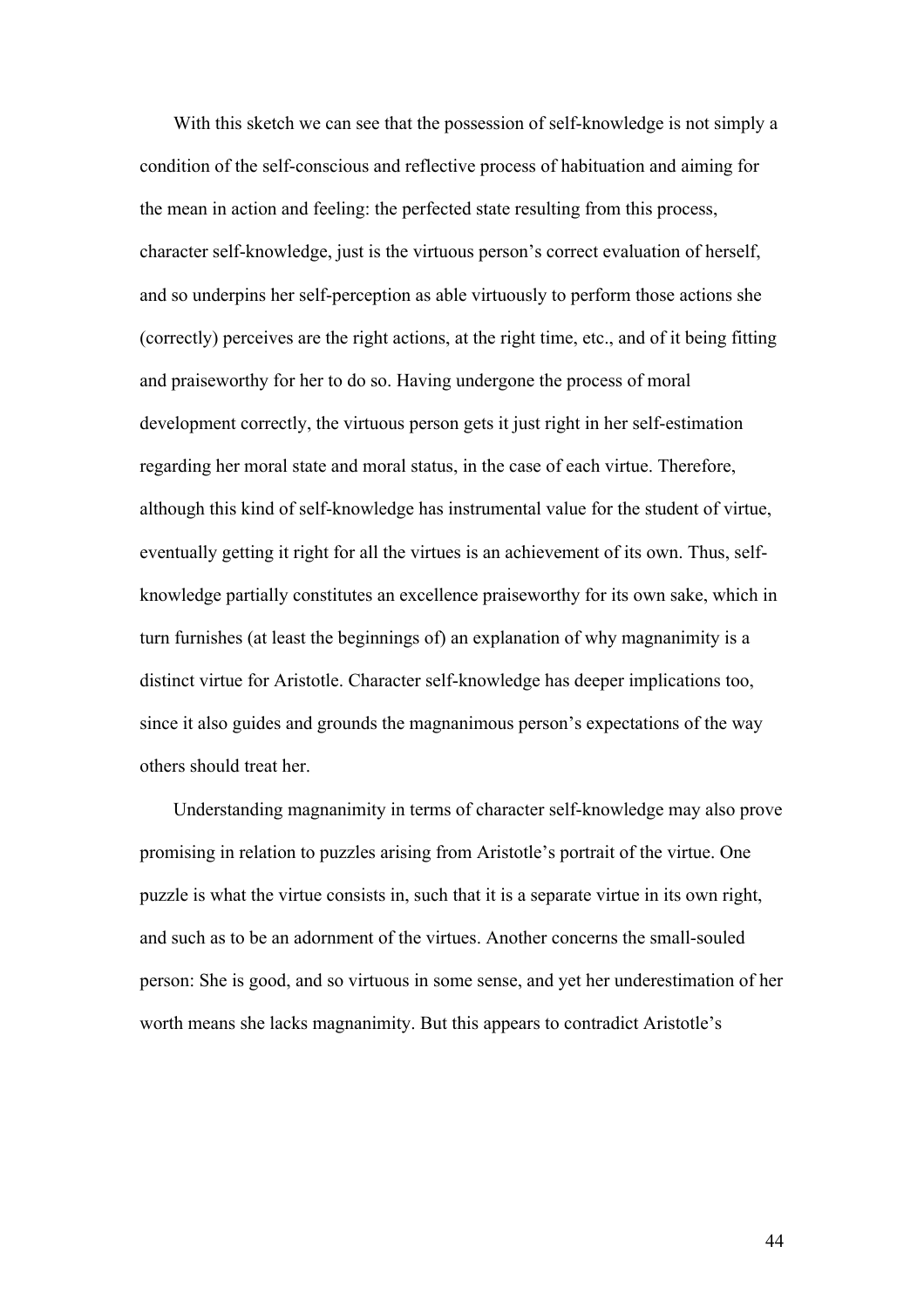With this sketch we can see that the possession of self-knowledge is not simply a condition of the self-conscious and reflective process of habituation and aiming for the mean in action and feeling: the perfected state resulting from this process, character self-knowledge, just is the virtuous person's correct evaluation of herself, and so underpins her self-perception as able virtuously to perform those actions she (correctly) perceives are the right actions, at the right time, etc., and of it being fitting and praiseworthy for her to do so. Having undergone the process of moral development correctly, the virtuous person gets it just right in her self-estimation regarding her moral state and moral status, in the case of each virtue. Therefore, although this kind of self-knowledge has instrumental value for the student of virtue, eventually getting it right for all the virtues is an achievement of its own. Thus, selfknowledge partially constitutes an excellence praiseworthy for its own sake, which in turn furnishes (at least the beginnings of) an explanation of why magnanimity is a distinct virtue for Aristotle. Character self-knowledge has deeper implications too, since it also guides and grounds the magnanimous person's expectations of the way others should treat her.

Understanding magnanimity in terms of character self-knowledge may also prove promising in relation to puzzles arising from Aristotle's portrait of the virtue. One puzzle is what the virtue consists in, such that it is a separate virtue in its own right, and such as to be an adornment of the virtues. Another concerns the small-souled person: She is good, and so virtuous in some sense, and yet her underestimation of her worth means she lacks magnanimity. But this appears to contradict Aristotle's

44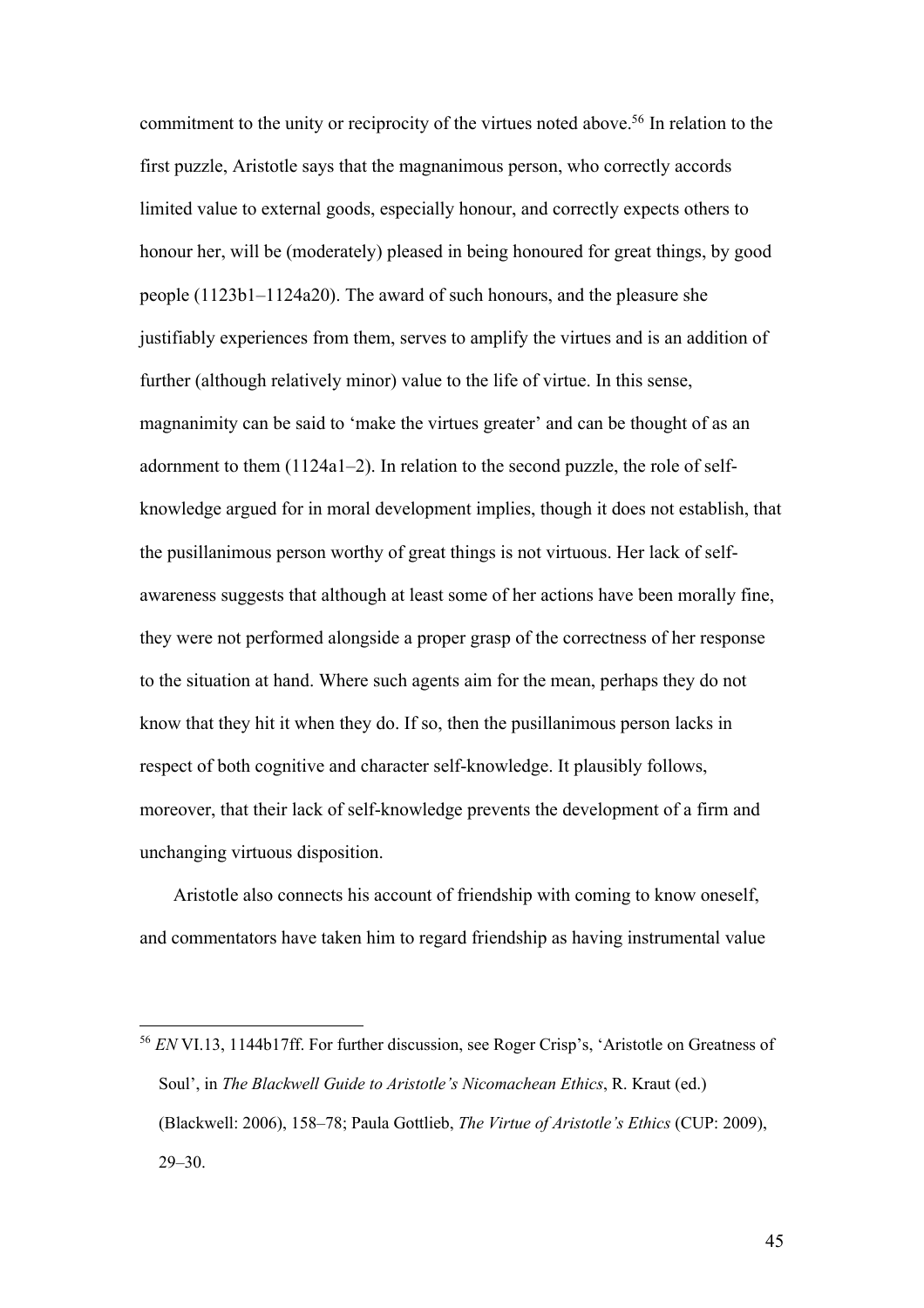commitment to the unity or reciprocity of the virtues noted above.<sup>56</sup> In relation to the first puzzle, Aristotle says that the magnanimous person, who correctly accords limited value to external goods, especially honour, and correctly expects others to honour her, will be (moderately) pleased in being honoured for great things, by good people (1123b1–1124a20). The award of such honours, and the pleasure she justifiably experiences from them, serves to amplify the virtues and is an addition of further (although relatively minor) value to the life of virtue. In this sense, magnanimity can be said to 'make the virtues greater' and can be thought of as an adornment to them (1124a1–2). In relation to the second puzzle, the role of selfknowledge argued for in moral development implies, though it does not establish, that the pusillanimous person worthy of great things is not virtuous. Her lack of selfawareness suggests that although at least some of her actions have been morally fine, they were not performed alongside a proper grasp of the correctness of her response to the situation at hand. Where such agents aim for the mean, perhaps they do not know that they hit it when they do. If so, then the pusillanimous person lacks in respect of both cognitive and character self-knowledge. It plausibly follows, moreover, that their lack of self-knowledge prevents the development of a firm and unchanging virtuous disposition.

Aristotle also connects his account of friendship with coming to know oneself, and commentators have taken him to regard friendship as having instrumental value

<sup>56</sup> *EN* VI.13, 1144b17ff. For further discussion, see Roger Crisp's, 'Aristotle on Greatness of Soul', in *The Blackwell Guide to Aristotle's Nicomachean Ethics*, R. Kraut (ed.) (Blackwell: 2006), 158–78; Paula Gottlieb, *The Virtue of Aristotle's Ethics* (CUP: 2009), 29–30.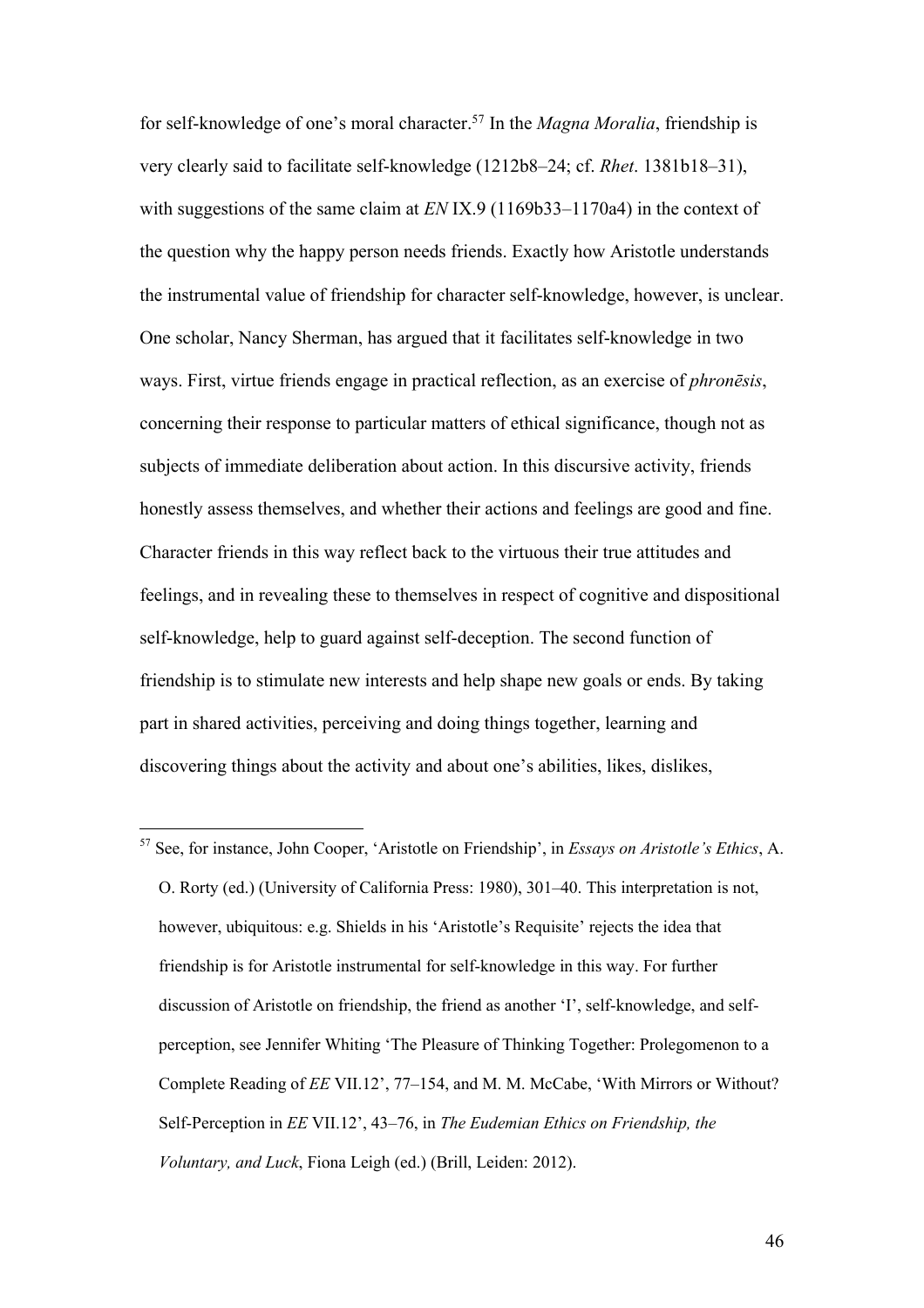for self-knowledge of one's moral character.57 In the *Magna Moralia*, friendship is very clearly said to facilitate self-knowledge (1212b8–24; cf. *Rhet*. 1381b18–31), with suggestions of the same claim at *EN* IX.9 (1169b33–1170a4) in the context of the question why the happy person needs friends. Exactly how Aristotle understands the instrumental value of friendship for character self-knowledge, however, is unclear. One scholar, Nancy Sherman, has argued that it facilitates self-knowledge in two ways. First, virtue friends engage in practical reflection, as an exercise of *phronēsis*, concerning their response to particular matters of ethical significance, though not as subjects of immediate deliberation about action. In this discursive activity, friends honestly assess themselves, and whether their actions and feelings are good and fine. Character friends in this way reflect back to the virtuous their true attitudes and feelings, and in revealing these to themselves in respect of cognitive and dispositional self-knowledge, help to guard against self-deception. The second function of friendship is to stimulate new interests and help shape new goals or ends. By taking part in shared activities, perceiving and doing things together, learning and discovering things about the activity and about one's abilities, likes, dislikes,

<sup>57</sup> See, for instance, John Cooper, 'Aristotle on Friendship', in *Essays on Aristotle's Ethics*, A. O. Rorty (ed.) (University of California Press: 1980), 301–40. This interpretation is not, however, ubiquitous: e.g. Shields in his 'Aristotle's Requisite' rejects the idea that friendship is for Aristotle instrumental for self-knowledge in this way. For further discussion of Aristotle on friendship, the friend as another 'I', self-knowledge, and selfperception, see Jennifer Whiting 'The Pleasure of Thinking Together: Prolegomenon to a Complete Reading of *EE* VII.12', 77–154, and M. M. McCabe, 'With Mirrors or Without? Self-Perception in *EE* VII.12', 43–76, in *The Eudemian Ethics on Friendship, the Voluntary, and Luck*, Fiona Leigh (ed.) (Brill, Leiden: 2012).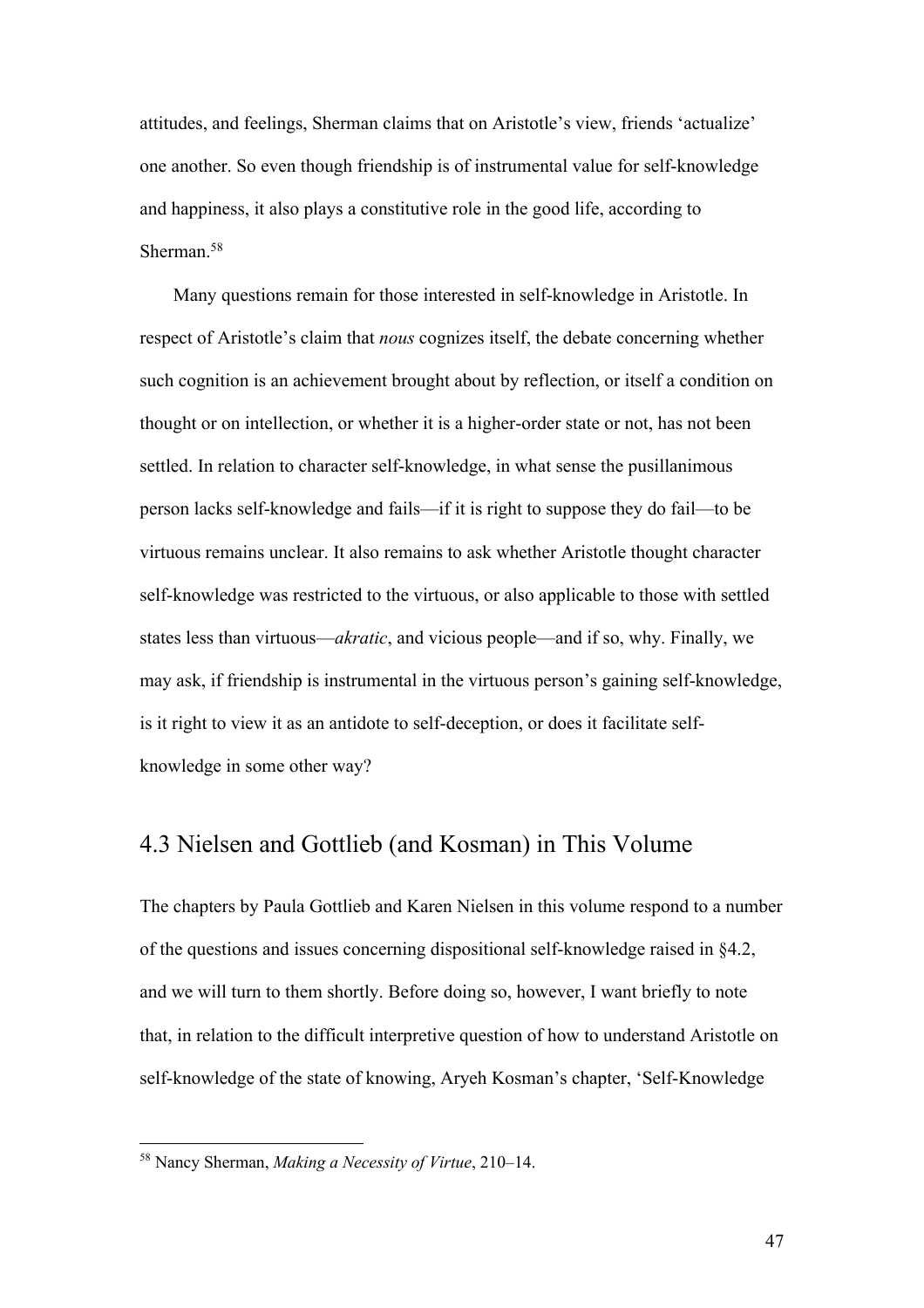attitudes, and feelings, Sherman claims that on Aristotle's view, friends 'actualize' one another. So even though friendship is of instrumental value for self-knowledge and happiness, it also plays a constitutive role in the good life, according to Sherman.<sup>58</sup>

Many questions remain for those interested in self-knowledge in Aristotle. In respect of Aristotle's claim that *nous* cognizes itself, the debate concerning whether such cognition is an achievement brought about by reflection, or itself a condition on thought or on intellection, or whether it is a higher-order state or not, has not been settled. In relation to character self-knowledge, in what sense the pusillanimous person lacks self-knowledge and fails—if it is right to suppose they do fail—to be virtuous remains unclear. It also remains to ask whether Aristotle thought character self-knowledge was restricted to the virtuous, or also applicable to those with settled states less than virtuous—*akratic*, and vicious people—and if so, why. Finally, we may ask, if friendship is instrumental in the virtuous person's gaining self-knowledge, is it right to view it as an antidote to self-deception, or does it facilitate selfknowledge in some other way?

## 4.3 Nielsen and Gottlieb (and Kosman) in This Volume

The chapters by Paula Gottlieb and Karen Nielsen in this volume respond to a number of the questions and issues concerning dispositional self-knowledge raised in §4.2, and we will turn to them shortly. Before doing so, however, I want briefly to note that, in relation to the difficult interpretive question of how to understand Aristotle on self-knowledge of the state of knowing, Aryeh Kosman's chapter, 'Self-Knowledge

<sup>58</sup> Nancy Sherman, *Making a Necessity of Virtue*, 210–14.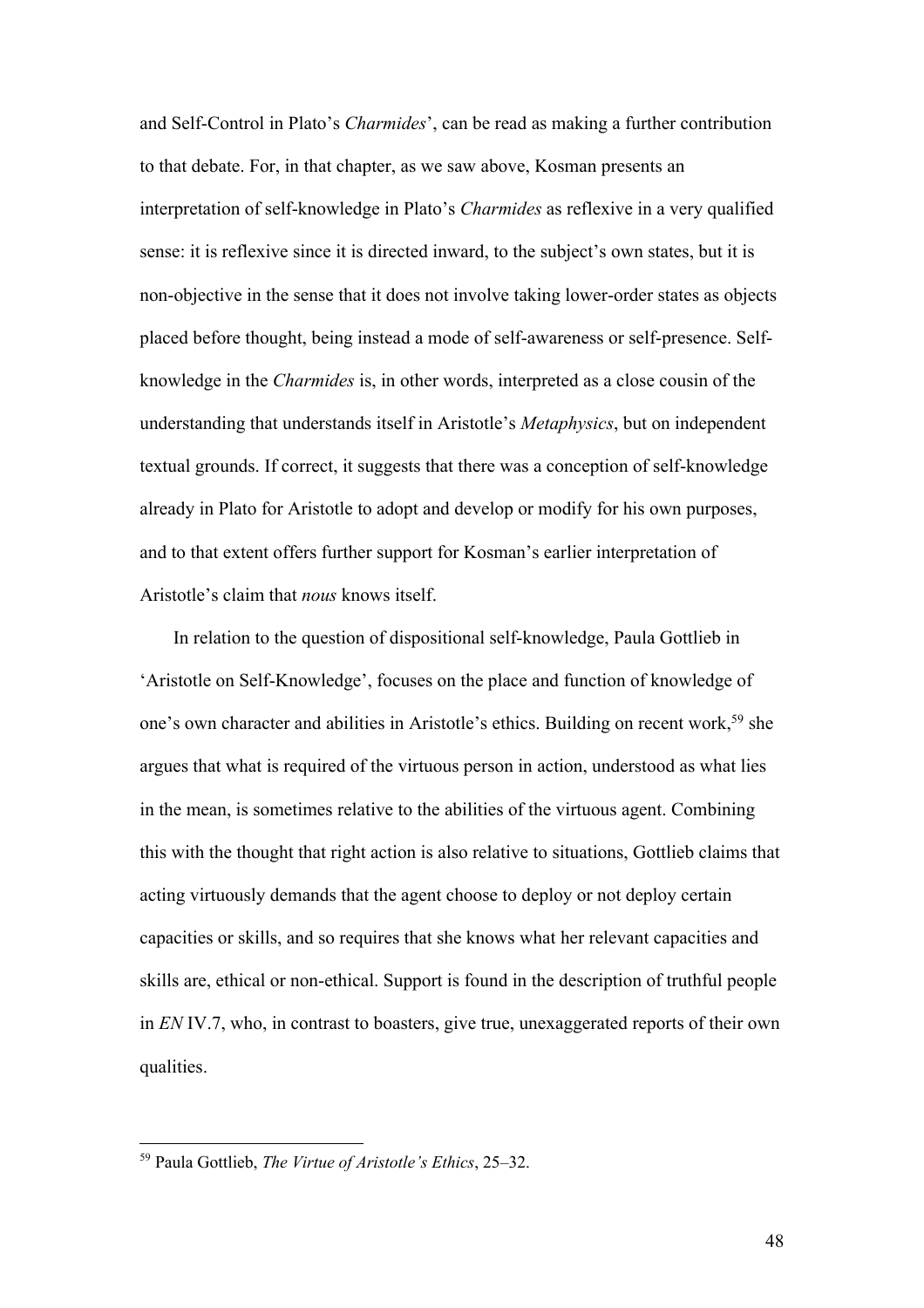and Self-Control in Plato's *Charmides*', can be read as making a further contribution to that debate. For, in that chapter, as we saw above, Kosman presents an interpretation of self-knowledge in Plato's *Charmides* as reflexive in a very qualified sense: it is reflexive since it is directed inward, to the subject's own states, but it is non-objective in the sense that it does not involve taking lower-order states as objects placed before thought, being instead a mode of self-awareness or self-presence. Selfknowledge in the *Charmides* is, in other words, interpreted as a close cousin of the understanding that understands itself in Aristotle's *Metaphysics*, but on independent textual grounds. If correct, it suggests that there was a conception of self-knowledge already in Plato for Aristotle to adopt and develop or modify for his own purposes, and to that extent offers further support for Kosman's earlier interpretation of Aristotle's claim that *nous* knows itself.

In relation to the question of dispositional self-knowledge, Paula Gottlieb in 'Aristotle on Self-Knowledge', focuses on the place and function of knowledge of one's own character and abilities in Aristotle's ethics. Building on recent work,<sup>59</sup> she argues that what is required of the virtuous person in action, understood as what lies in the mean, is sometimes relative to the abilities of the virtuous agent. Combining this with the thought that right action is also relative to situations, Gottlieb claims that acting virtuously demands that the agent choose to deploy or not deploy certain capacities or skills, and so requires that she knows what her relevant capacities and skills are, ethical or non-ethical. Support is found in the description of truthful people in *EN* IV.7, who, in contrast to boasters, give true, unexaggerated reports of their own qualities.

<sup>59</sup> Paula Gottlieb, *The Virtue of Aristotle's Ethics*, 25–32.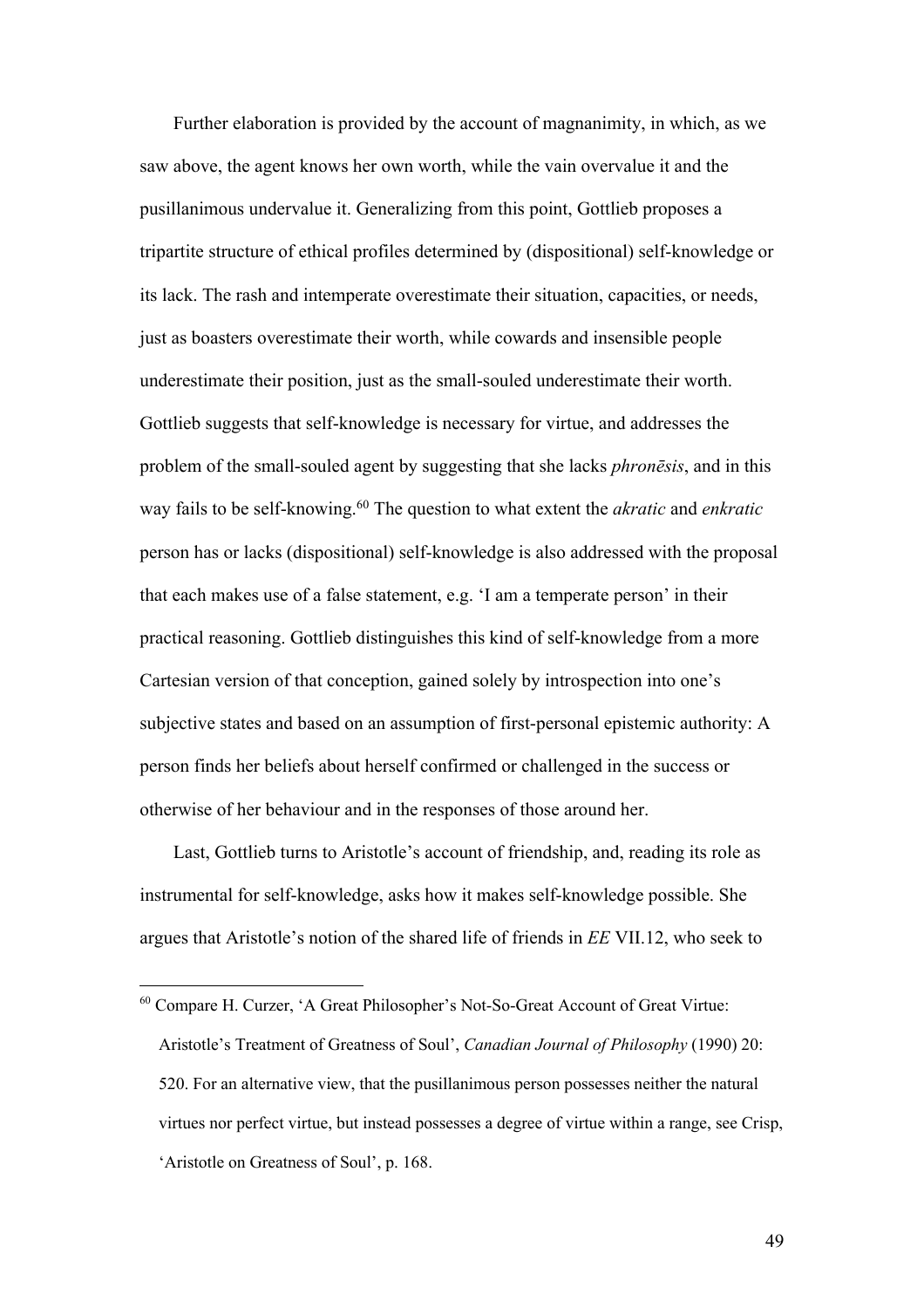Further elaboration is provided by the account of magnanimity, in which, as we saw above, the agent knows her own worth, while the vain overvalue it and the pusillanimous undervalue it. Generalizing from this point, Gottlieb proposes a tripartite structure of ethical profiles determined by (dispositional) self-knowledge or its lack. The rash and intemperate overestimate their situation, capacities, or needs, just as boasters overestimate their worth, while cowards and insensible people underestimate their position, just as the small-souled underestimate their worth. Gottlieb suggests that self-knowledge is necessary for virtue, and addresses the problem of the small-souled agent by suggesting that she lacks *phronēsis*, and in this way fails to be self-knowing.60 The question to what extent the *akratic* and *enkratic* person has or lacks (dispositional) self-knowledge is also addressed with the proposal that each makes use of a false statement, e.g. 'I am a temperate person' in their practical reasoning. Gottlieb distinguishes this kind of self-knowledge from a more Cartesian version of that conception, gained solely by introspection into one's subjective states and based on an assumption of first-personal epistemic authority: A person finds her beliefs about herself confirmed or challenged in the success or otherwise of her behaviour and in the responses of those around her.

Last, Gottlieb turns to Aristotle's account of friendship, and, reading its role as instrumental for self-knowledge, asks how it makes self-knowledge possible. She argues that Aristotle's notion of the shared life of friends in *EE* VII.12, who seek to

<sup>60</sup> Compare H. Curzer, 'A Great Philosopher's Not-So-Great Account of Great Virtue: Aristotle's Treatment of Greatness of Soul', *Canadian Journal of Philosophy* (1990) 20: 520. For an alternative view, that the pusillanimous person possesses neither the natural virtues nor perfect virtue, but instead possesses a degree of virtue within a range, see Crisp, 'Aristotle on Greatness of Soul', p. 168.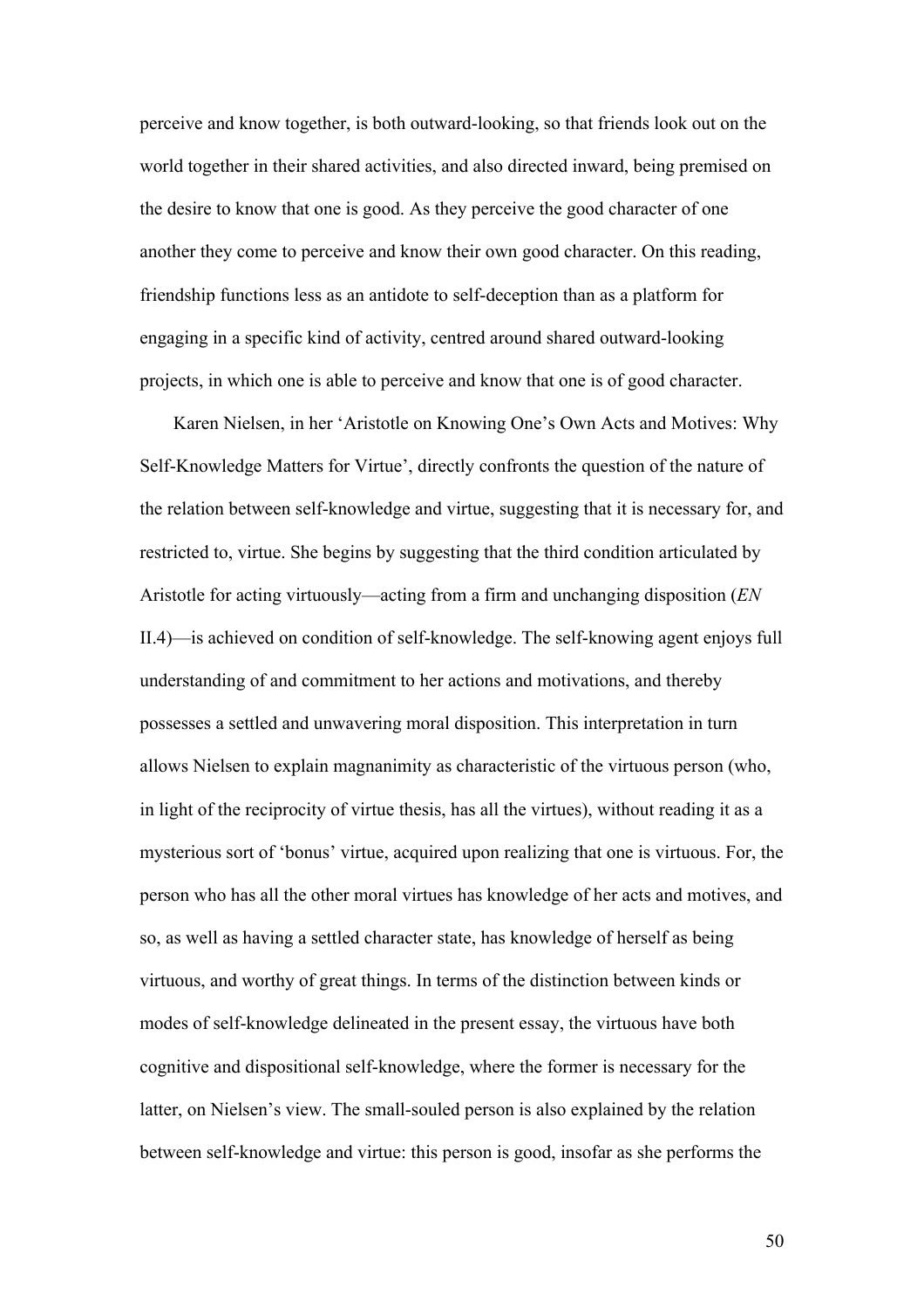perceive and know together, is both outward-looking, so that friends look out on the world together in their shared activities, and also directed inward, being premised on the desire to know that one is good. As they perceive the good character of one another they come to perceive and know their own good character. On this reading, friendship functions less as an antidote to self-deception than as a platform for engaging in a specific kind of activity, centred around shared outward-looking projects, in which one is able to perceive and know that one is of good character.

Karen Nielsen, in her 'Aristotle on Knowing One's Own Acts and Motives: Why Self-Knowledge Matters for Virtue', directly confronts the question of the nature of the relation between self-knowledge and virtue, suggesting that it is necessary for, and restricted to, virtue. She begins by suggesting that the third condition articulated by Aristotle for acting virtuously—acting from a firm and unchanging disposition (*EN* II.4)—is achieved on condition of self-knowledge. The self-knowing agent enjoys full understanding of and commitment to her actions and motivations, and thereby possesses a settled and unwavering moral disposition. This interpretation in turn allows Nielsen to explain magnanimity as characteristic of the virtuous person (who, in light of the reciprocity of virtue thesis, has all the virtues), without reading it as a mysterious sort of 'bonus' virtue, acquired upon realizing that one is virtuous. For, the person who has all the other moral virtues has knowledge of her acts and motives, and so, as well as having a settled character state, has knowledge of herself as being virtuous, and worthy of great things. In terms of the distinction between kinds or modes of self-knowledge delineated in the present essay, the virtuous have both cognitive and dispositional self-knowledge, where the former is necessary for the latter, on Nielsen's view. The small-souled person is also explained by the relation between self-knowledge and virtue: this person is good, insofar as she performs the

50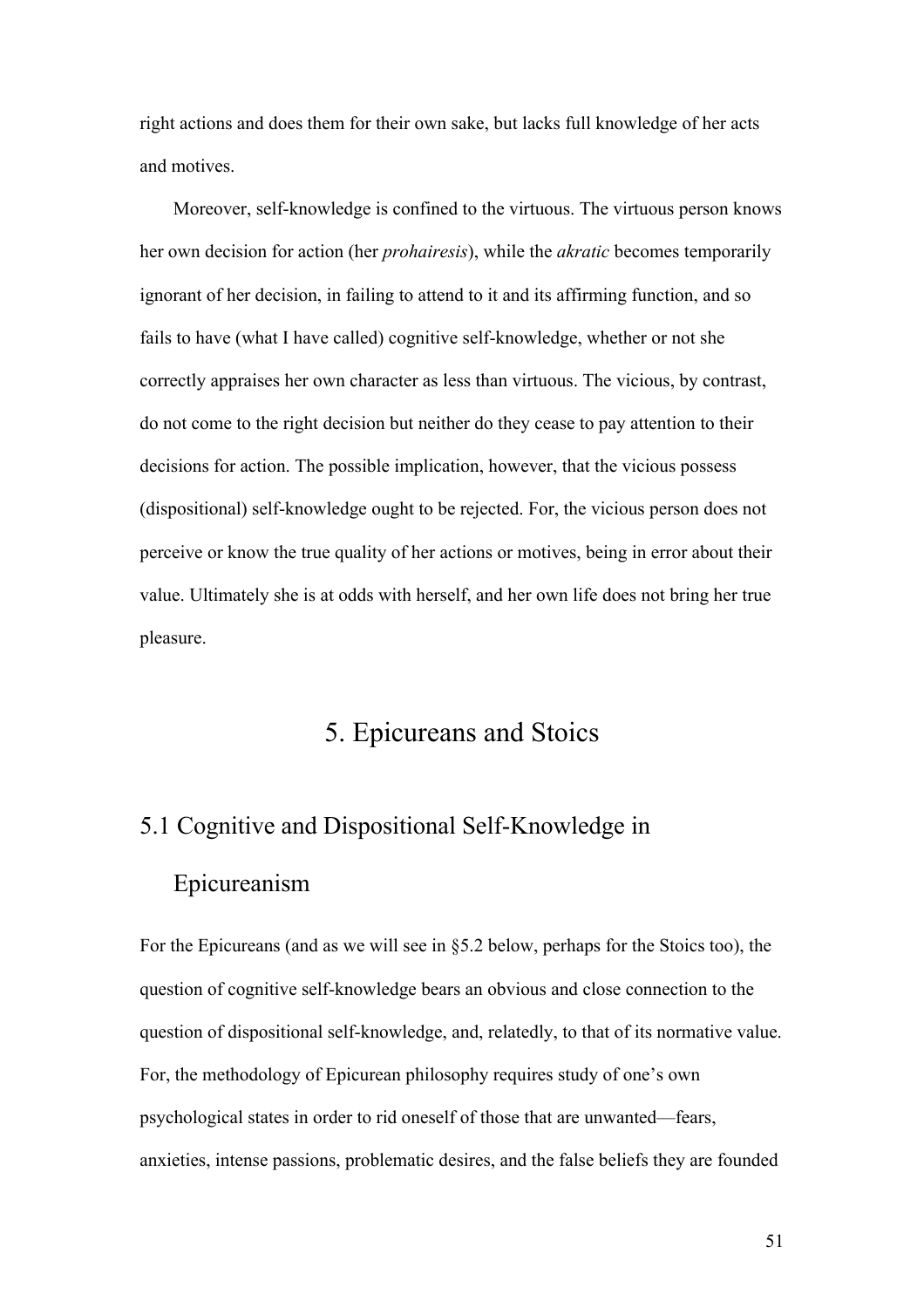right actions and does them for their own sake, but lacks full knowledge of her acts and motives.

Moreover, self-knowledge is confined to the virtuous. The virtuous person knows her own decision for action (her *prohairesis*), while the *akratic* becomes temporarily ignorant of her decision, in failing to attend to it and its affirming function, and so fails to have (what I have called) cognitive self-knowledge, whether or not she correctly appraises her own character as less than virtuous. The vicious, by contrast, do not come to the right decision but neither do they cease to pay attention to their decisions for action. The possible implication, however, that the vicious possess (dispositional) self-knowledge ought to be rejected. For, the vicious person does not perceive or know the true quality of her actions or motives, being in error about their value. Ultimately she is at odds with herself, and her own life does not bring her true pleasure.

# 5. Epicureans and Stoics

# 5.1 Cognitive and Dispositional Self-Knowledge in Epicureanism

For the Epicureans (and as we will see in §5.2 below, perhaps for the Stoics too), the question of cognitive self-knowledge bears an obvious and close connection to the question of dispositional self-knowledge, and, relatedly, to that of its normative value. For, the methodology of Epicurean philosophy requires study of one's own psychological states in order to rid oneself of those that are unwanted—fears, anxieties, intense passions, problematic desires, and the false beliefs they are founded

51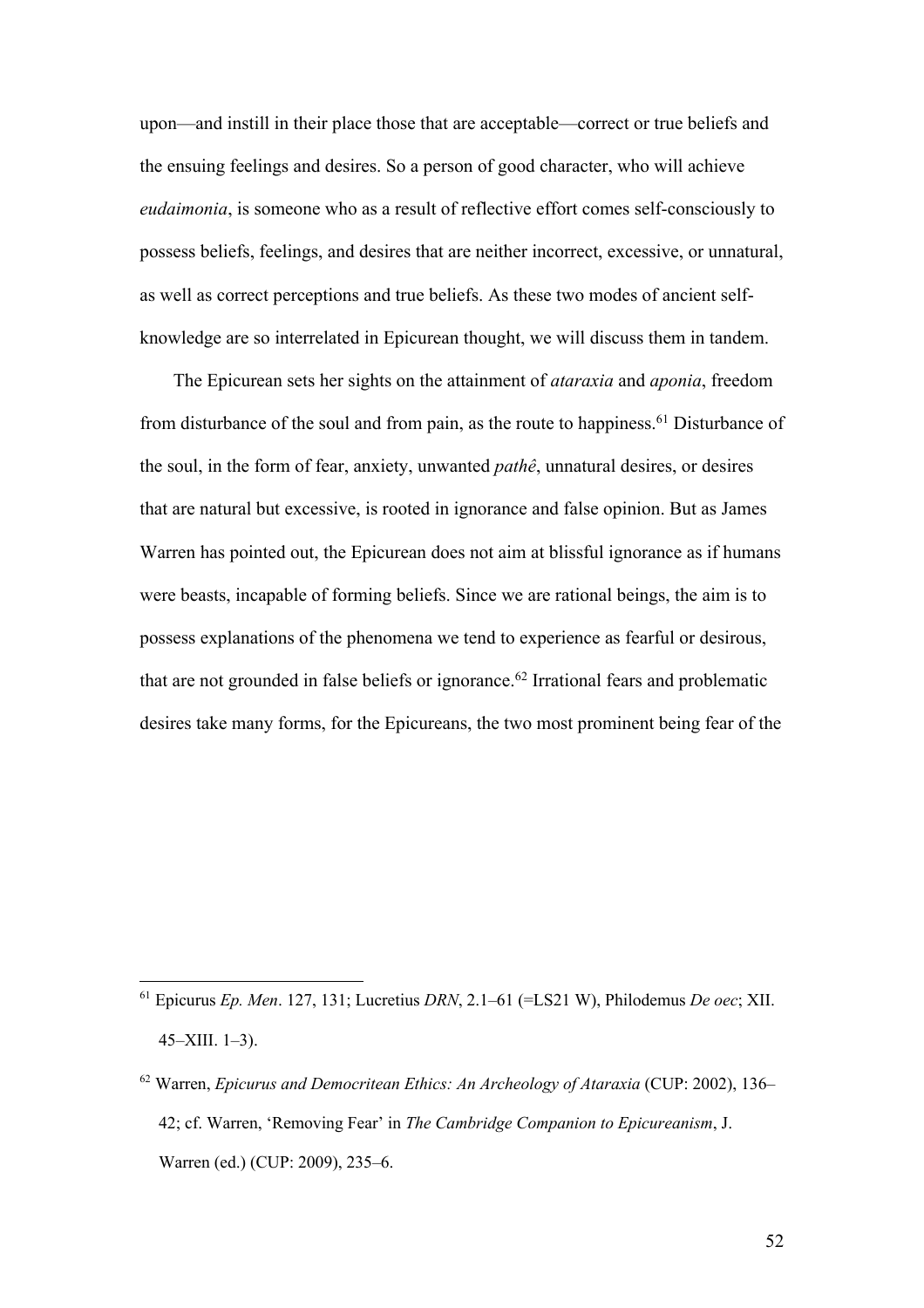upon—and instill in their place those that are acceptable—correct or true beliefs and the ensuing feelings and desires. So a person of good character, who will achieve *eudaimonia*, is someone who as a result of reflective effort comes self-consciously to possess beliefs, feelings, and desires that are neither incorrect, excessive, or unnatural, as well as correct perceptions and true beliefs. As these two modes of ancient selfknowledge are so interrelated in Epicurean thought, we will discuss them in tandem.

The Epicurean sets her sights on the attainment of *ataraxia* and *aponia*, freedom from disturbance of the soul and from pain, as the route to happiness.<sup>61</sup> Disturbance of the soul, in the form of fear, anxiety, unwanted *pathê*, unnatural desires, or desires that are natural but excessive, is rooted in ignorance and false opinion. But as James Warren has pointed out, the Epicurean does not aim at blissful ignorance as if humans were beasts, incapable of forming beliefs. Since we are rational beings, the aim is to possess explanations of the phenomena we tend to experience as fearful or desirous, that are not grounded in false beliefs or ignorance.<sup>62</sup> Irrational fears and problematic desires take many forms, for the Epicureans, the two most prominent being fear of the

<sup>61</sup> Epicurus *Ep. Men*. 127, 131; Lucretius *DRN*, 2.1–61 (=LS21 W), Philodemus *De oec*; XII. 45–XIII. 1–3).

<sup>62</sup> Warren, *Epicurus and Democritean Ethics: An Archeology of Ataraxia* (CUP: 2002), 136– 42; cf. Warren, 'Removing Fear' in *The Cambridge Companion to Epicureanism*, J. Warren (ed.) (CUP: 2009), 235–6.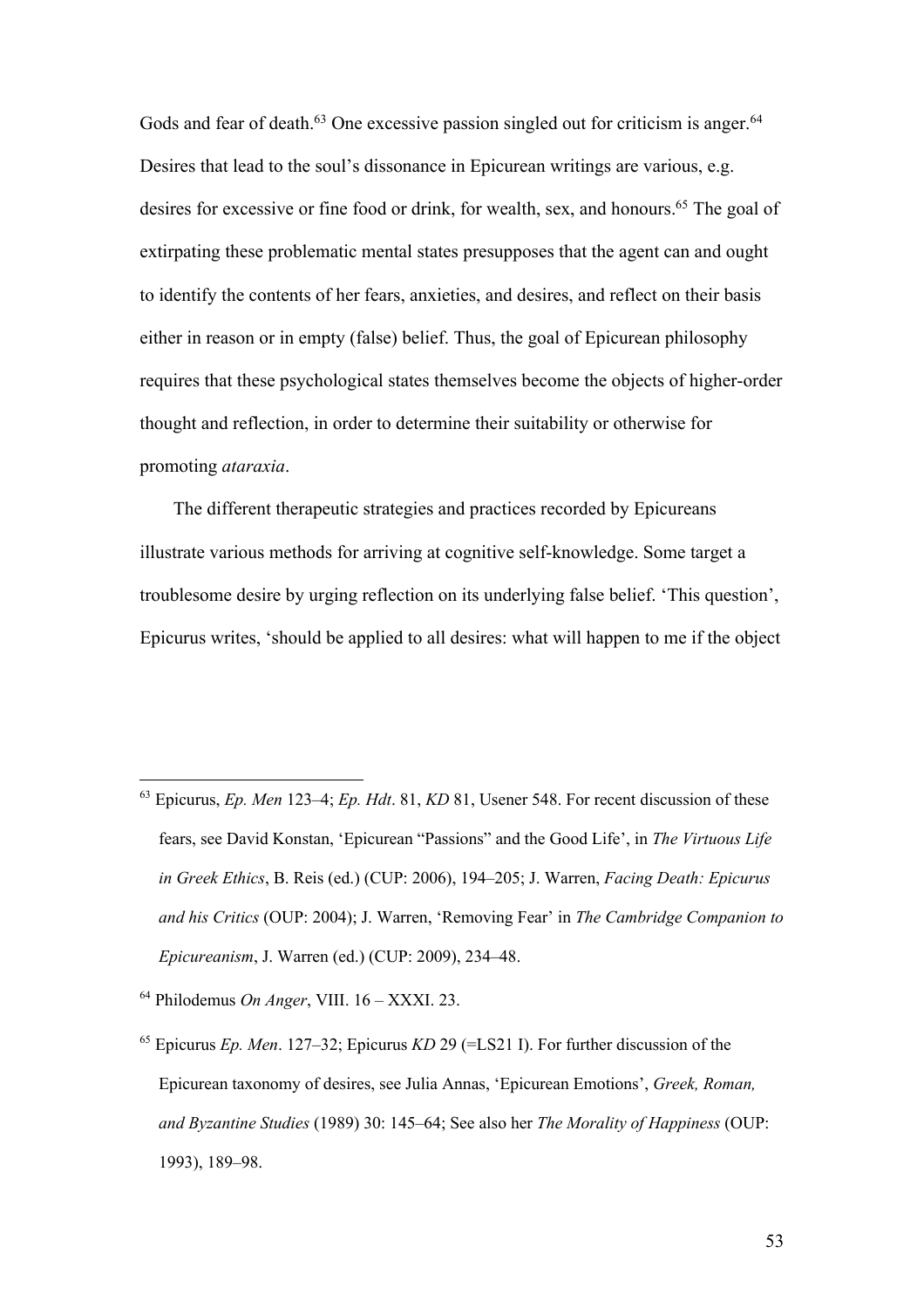Gods and fear of death. $63$  One excessive passion singled out for criticism is anger. $64$ Desires that lead to the soul's dissonance in Epicurean writings are various, e.g. desires for excessive or fine food or drink, for wealth, sex, and honours.<sup>65</sup> The goal of extirpating these problematic mental states presupposes that the agent can and ought to identify the contents of her fears, anxieties, and desires, and reflect on their basis either in reason or in empty (false) belief. Thus, the goal of Epicurean philosophy requires that these psychological states themselves become the objects of higher-order thought and reflection, in order to determine their suitability or otherwise for promoting *ataraxia*.

The different therapeutic strategies and practices recorded by Epicureans illustrate various methods for arriving at cognitive self-knowledge. Some target a troublesome desire by urging reflection on its underlying false belief. 'This question', Epicurus writes, 'should be applied to all desires: what will happen to me if the object

<sup>63</sup> Epicurus, *Ep. Men* 123–4; *Ep. Hdt*. 81, *KD* 81, Usener 548. For recent discussion of these fears, see David Konstan, 'Epicurean "Passions" and the Good Life', in *The Virtuous Life in Greek Ethics*, B. Reis (ed.) (CUP: 2006), 194–205; J. Warren, *Facing Death: Epicurus and his Critics* (OUP: 2004); J. Warren, 'Removing Fear' in *The Cambridge Companion to Epicureanism*, J. Warren (ed.) (CUP: 2009), 234–48.

<sup>64</sup> Philodemus *On Anger*, VIII. 16 – XXXI. 23.

<sup>65</sup> Epicurus *Ep. Men*. 127–32; Epicurus *KD* 29 (=LS21 I). For further discussion of the Epicurean taxonomy of desires, see Julia Annas, 'Epicurean Emotions', *Greek, Roman, and Byzantine Studies* (1989) 30: 145–64; See also her *The Morality of Happiness* (OUP: 1993), 189–98.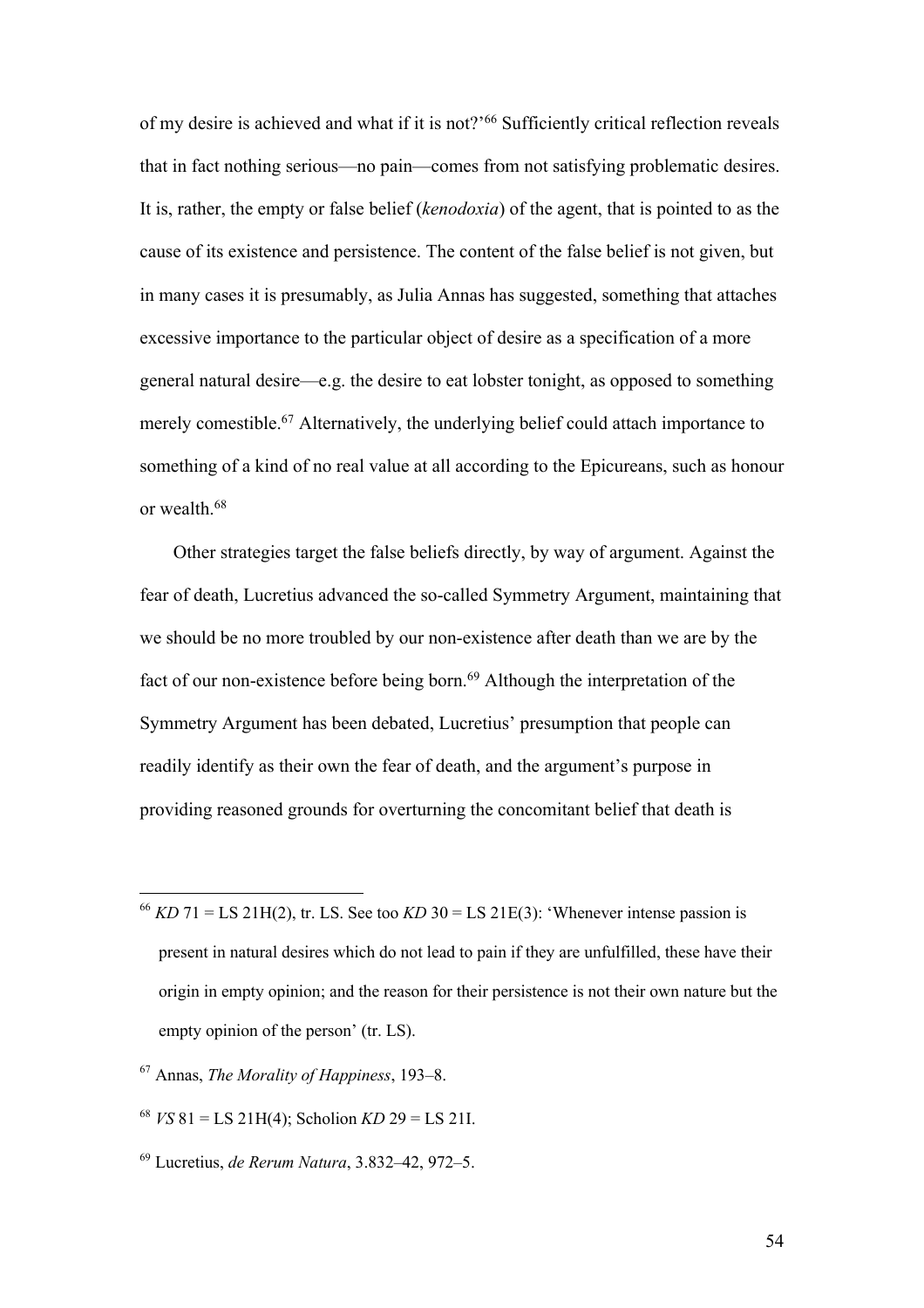of my desire is achieved and what if it is not?'66 Sufficiently critical reflection reveals that in fact nothing serious—no pain—comes from not satisfying problematic desires. It is, rather, the empty or false belief (*kenodoxia*) of the agent, that is pointed to as the cause of its existence and persistence. The content of the false belief is not given, but in many cases it is presumably, as Julia Annas has suggested, something that attaches excessive importance to the particular object of desire as a specification of a more general natural desire—e.g. the desire to eat lobster tonight, as opposed to something merely comestible.67 Alternatively, the underlying belief could attach importance to something of a kind of no real value at all according to the Epicureans, such as honour or wealth.68

Other strategies target the false beliefs directly, by way of argument. Against the fear of death, Lucretius advanced the so-called Symmetry Argument, maintaining that we should be no more troubled by our non-existence after death than we are by the fact of our non-existence before being born.<sup>69</sup> Although the interpretation of the Symmetry Argument has been debated, Lucretius' presumption that people can readily identify as their own the fear of death, and the argument's purpose in providing reasoned grounds for overturning the concomitant belief that death is

- <sup>66</sup> *KD* 71 = LS 21H(2), tr. LS. See too *KD* 30 = LS 21E(3): 'Whenever intense passion is present in natural desires which do not lead to pain if they are unfulfilled, these have their origin in empty opinion; and the reason for their persistence is not their own nature but the empty opinion of the person' (tr. LS).
- <sup>67</sup> Annas, *The Morality of Happiness*, 193–8.
- <sup>68</sup> *VS* 81 = LS 21H(4); Scholion *KD* 29 = LS 21I.
- <sup>69</sup> Lucretius, *de Rerum Natura*, 3.832–42, 972–5.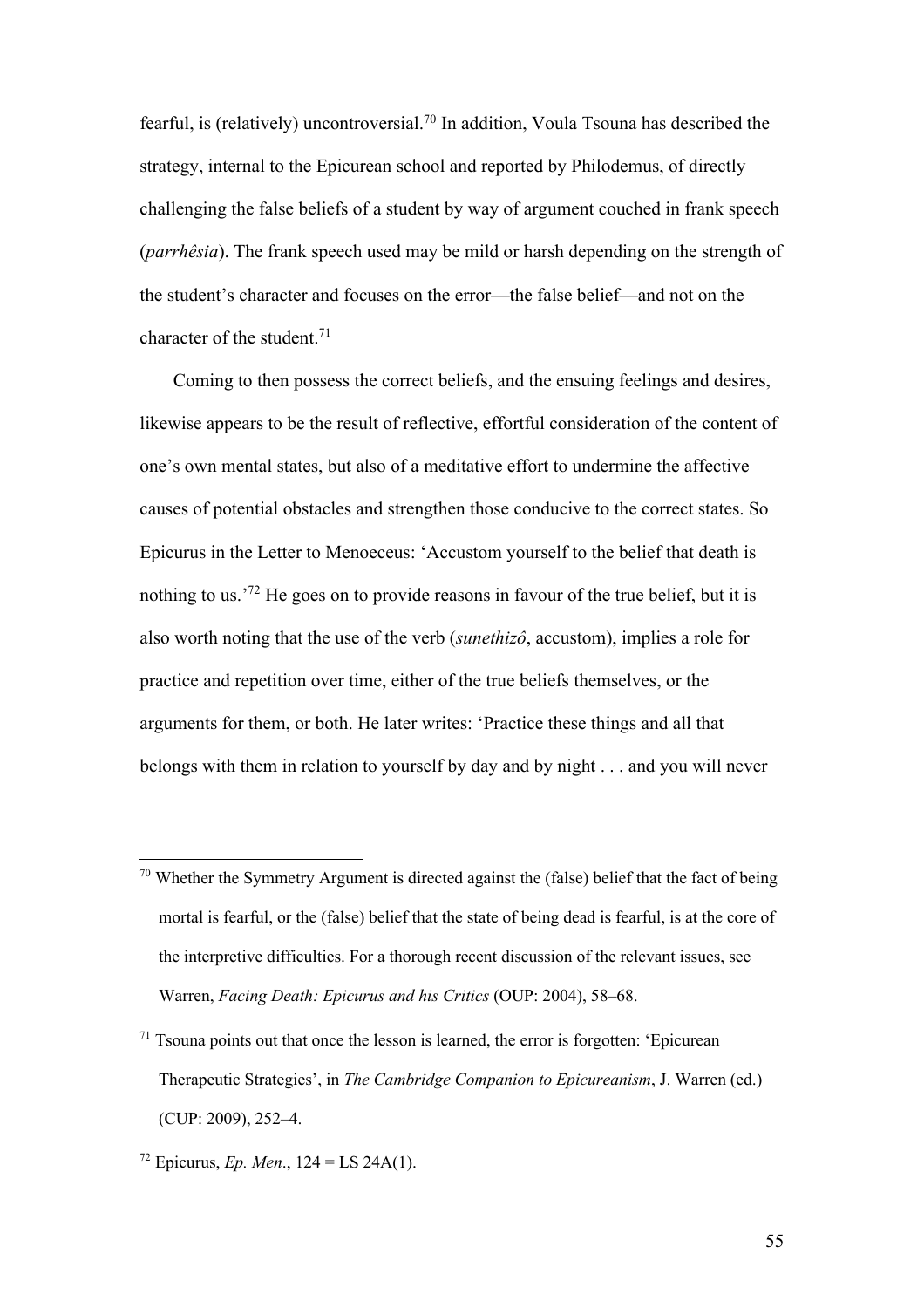fearful, is (relatively) uncontroversial.<sup>70</sup> In addition, Voula Tsouna has described the strategy, internal to the Epicurean school and reported by Philodemus, of directly challenging the false beliefs of a student by way of argument couched in frank speech (*parrhêsia*). The frank speech used may be mild or harsh depending on the strength of the student's character and focuses on the error—the false belief—and not on the character of the student.<sup>71</sup>

Coming to then possess the correct beliefs, and the ensuing feelings and desires, likewise appears to be the result of reflective, effortful consideration of the content of one's own mental states, but also of a meditative effort to undermine the affective causes of potential obstacles and strengthen those conducive to the correct states. So Epicurus in the Letter to Menoeceus: 'Accustom yourself to the belief that death is nothing to us.<sup>'72</sup> He goes on to provide reasons in favour of the true belief, but it is also worth noting that the use of the verb (*sunethizô*, accustom), implies a role for practice and repetition over time, either of the true beliefs themselves, or the arguments for them, or both. He later writes: 'Practice these things and all that belongs with them in relation to yourself by day and by night . . . and you will never

 $70$  Whether the Symmetry Argument is directed against the (false) belief that the fact of being mortal is fearful, or the (false) belief that the state of being dead is fearful, is at the core of the interpretive difficulties. For a thorough recent discussion of the relevant issues, see Warren, *Facing Death: Epicurus and his Critics* (OUP: 2004), 58–68.

 $71$  Tsouna points out that once the lesson is learned, the error is forgotten: 'Epicurean' Therapeutic Strategies', in *The Cambridge Companion to Epicureanism*, J. Warren (ed.) (CUP: 2009), 252–4.

<sup>&</sup>lt;sup>72</sup> Epicurus, *Ep. Men.*,  $124 = LS 24A(1)$ .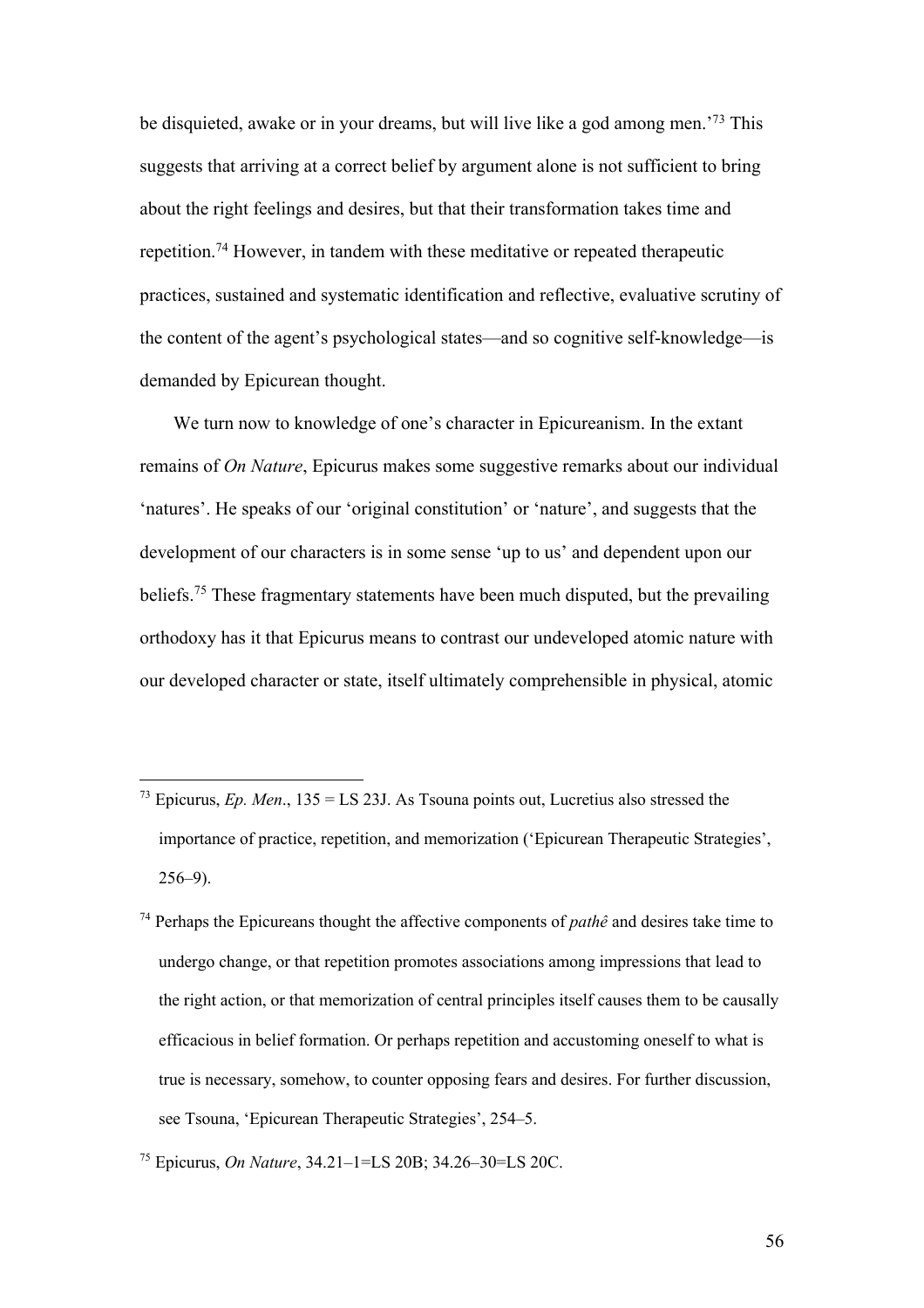be disquieted, awake or in your dreams, but will live like a god among men.'73 This suggests that arriving at a correct belief by argument alone is not sufficient to bring about the right feelings and desires, but that their transformation takes time and repetition.74 However, in tandem with these meditative or repeated therapeutic practices, sustained and systematic identification and reflective, evaluative scrutiny of the content of the agent's psychological states—and so cognitive self-knowledge—is demanded by Epicurean thought.

We turn now to knowledge of one's character in Epicureanism. In the extant remains of *On Nature*, Epicurus makes some suggestive remarks about our individual 'natures'. He speaks of our 'original constitution' or 'nature', and suggests that the development of our characters is in some sense 'up to us' and dependent upon our beliefs.75 These fragmentary statements have been much disputed, but the prevailing orthodoxy has it that Epicurus means to contrast our undeveloped atomic nature with our developed character or state, itself ultimately comprehensible in physical, atomic

<sup>&</sup>lt;sup>73</sup> Epicurus, *Ep. Men.*,  $135 = LS$  23J. As Tsouna points out, Lucretius also stressed the importance of practice, repetition, and memorization ('Epicurean Therapeutic Strategies', 256–9).

<sup>74</sup> Perhaps the Epicureans thought the affective components of *pathê* and desires take time to undergo change, or that repetition promotes associations among impressions that lead to the right action, or that memorization of central principles itself causes them to be causally efficacious in belief formation. Or perhaps repetition and accustoming oneself to what is true is necessary, somehow, to counter opposing fears and desires. For further discussion, see Tsouna, 'Epicurean Therapeutic Strategies', 254–5.

<sup>75</sup> Epicurus, *On Nature*, 34.21–1=LS 20B; 34.26–30=LS 20C.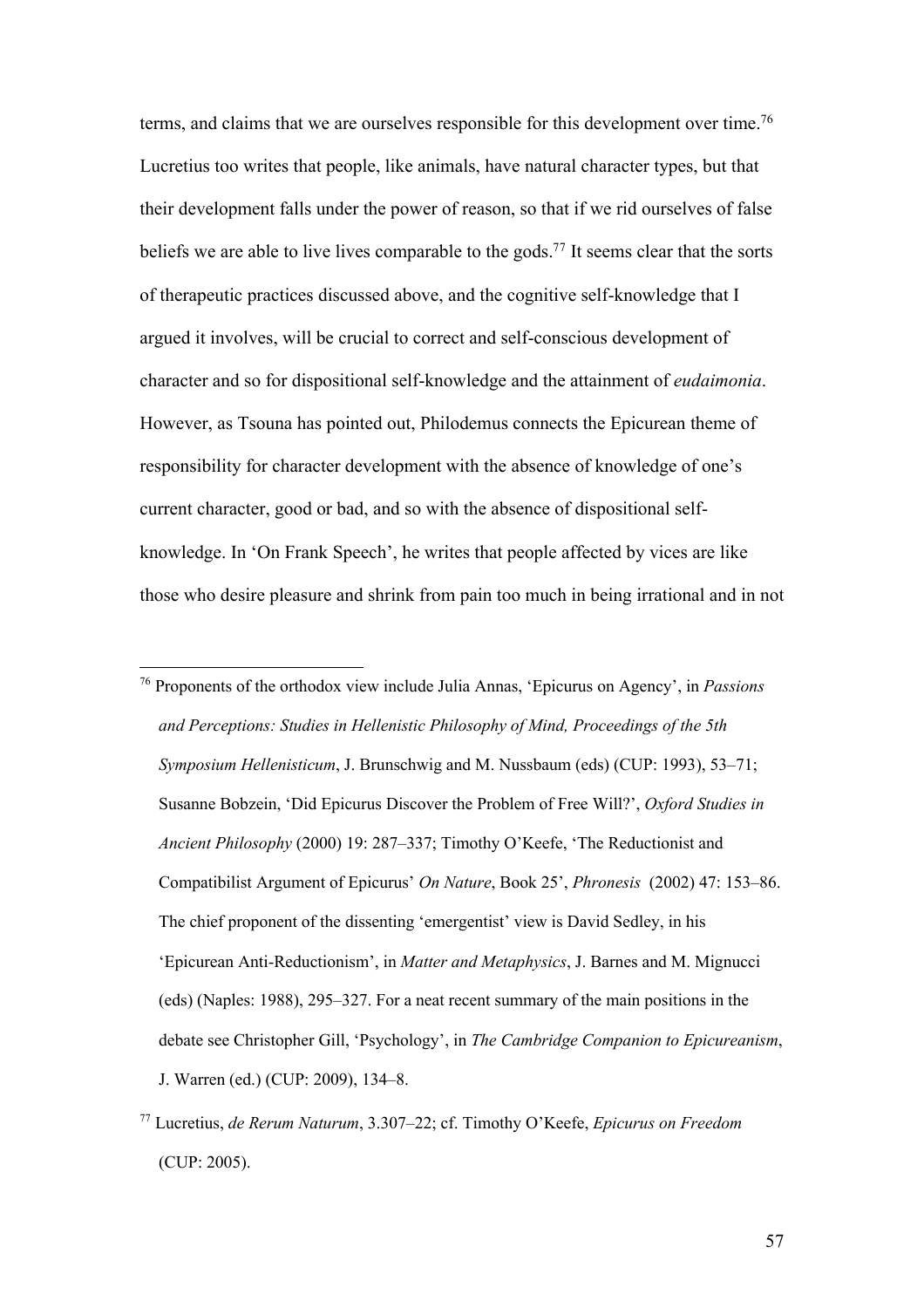terms, and claims that we are ourselves responsible for this development over time.<sup>76</sup> Lucretius too writes that people, like animals, have natural character types, but that their development falls under the power of reason, so that if we rid ourselves of false beliefs we are able to live lives comparable to the gods.<sup>77</sup> It seems clear that the sorts of therapeutic practices discussed above, and the cognitive self-knowledge that I argued it involves, will be crucial to correct and self-conscious development of character and so for dispositional self-knowledge and the attainment of *eudaimonia*. However, as Tsouna has pointed out, Philodemus connects the Epicurean theme of responsibility for character development with the absence of knowledge of one's current character, good or bad, and so with the absence of dispositional selfknowledge. In 'On Frank Speech', he writes that people affected by vices are like those who desire pleasure and shrink from pain too much in being irrational and in not

<sup>76</sup> Proponents of the orthodox view include Julia Annas, 'Epicurus on Agency', in *Passions and Perceptions: Studies in Hellenistic Philosophy of Mind, Proceedings of the 5th Symposium Hellenisticum*, J. Brunschwig and M. Nussbaum (eds) (CUP: 1993), 53–71; Susanne Bobzein, 'Did Epicurus Discover the Problem of Free Will?', *Oxford Studies in Ancient Philosophy* (2000) 19: 287–337; Timothy O'Keefe, 'The Reductionist and Compatibilist Argument of Epicurus' *On Nature*, Book 25', *Phronesis* (2002) 47: 153–86. The chief proponent of the dissenting 'emergentist' view is David Sedley, in his 'Epicurean Anti-Reductionism', in *Matter and Metaphysics*, J. Barnes and M. Mignucci (eds) (Naples: 1988), 295–327. For a neat recent summary of the main positions in the debate see Christopher Gill, 'Psychology', in *The Cambridge Companion to Epicureanism*, J. Warren (ed.) (CUP: 2009), 134–8.

<sup>77</sup> Lucretius, *de Rerum Naturum*, 3.307–22; cf. Timothy O'Keefe, *Epicurus on Freedom* (CUP: 2005).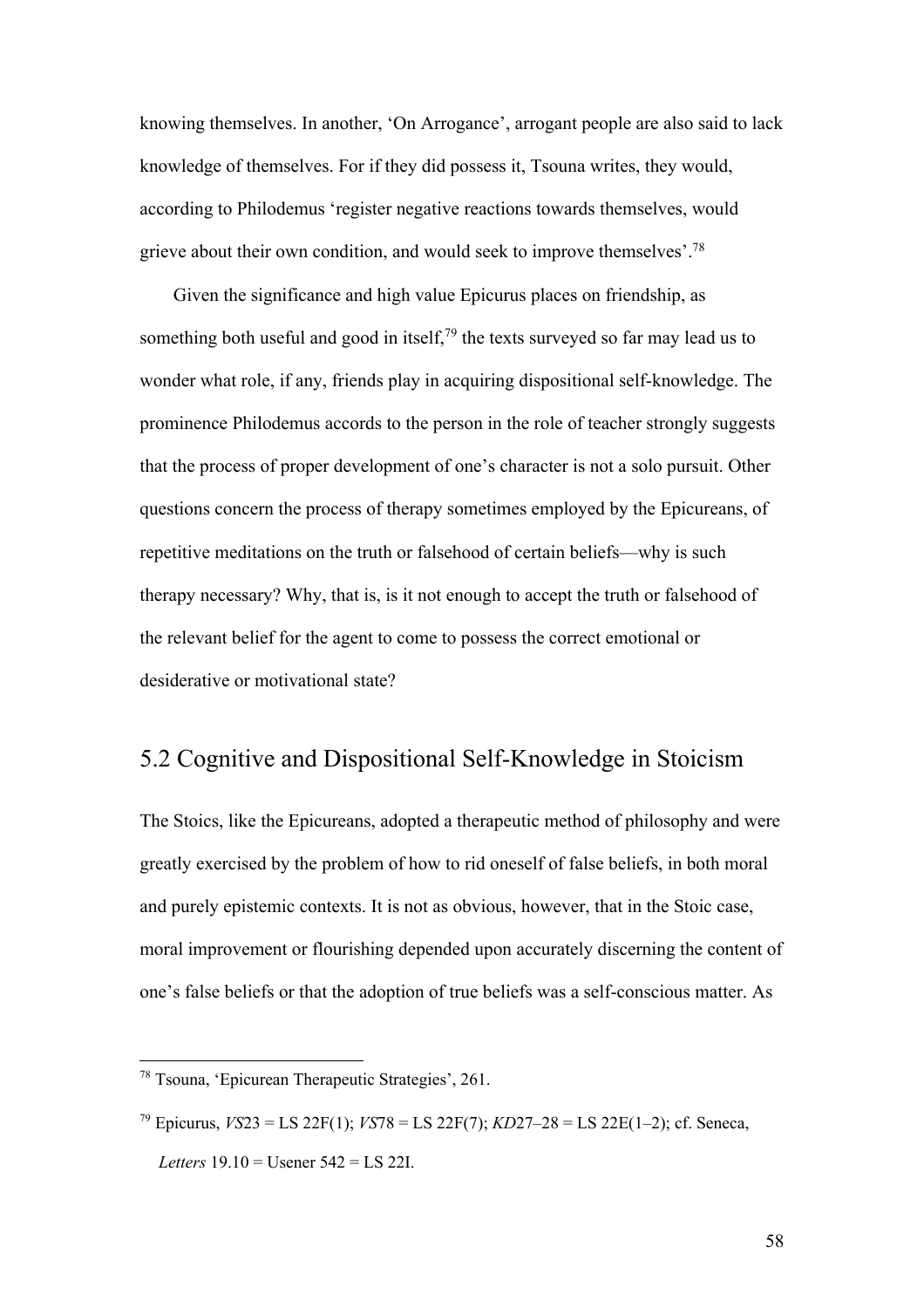knowing themselves. In another, 'On Arrogance', arrogant people are also said to lack knowledge of themselves. For if they did possess it, Tsouna writes, they would, according to Philodemus 'register negative reactions towards themselves, would grieve about their own condition, and would seek to improve themselves'.78

Given the significance and high value Epicurus places on friendship, as something both useful and good in itself,  $79$  the texts surveyed so far may lead us to wonder what role, if any, friends play in acquiring dispositional self-knowledge. The prominence Philodemus accords to the person in the role of teacher strongly suggests that the process of proper development of one's character is not a solo pursuit. Other questions concern the process of therapy sometimes employed by the Epicureans, of repetitive meditations on the truth or falsehood of certain beliefs—why is such therapy necessary? Why, that is, is it not enough to accept the truth or falsehood of the relevant belief for the agent to come to possess the correct emotional or desiderative or motivational state?

## 5.2 Cognitive and Dispositional Self-Knowledge in Stoicism

The Stoics, like the Epicureans, adopted a therapeutic method of philosophy and were greatly exercised by the problem of how to rid oneself of false beliefs, in both moral and purely epistemic contexts. It is not as obvious, however, that in the Stoic case, moral improvement or flourishing depended upon accurately discerning the content of one's false beliefs or that the adoption of true beliefs was a self-conscious matter. As

<sup>78</sup> Tsouna, 'Epicurean Therapeutic Strategies', 261.

<sup>79</sup> Epicurus, *VS*23 = LS 22F(1); *VS*78 = LS 22F(7); *KD*27–28 = LS 22E(1–2); cf. Seneca, *Letters* 19.10 = Usener 542 = LS 22I.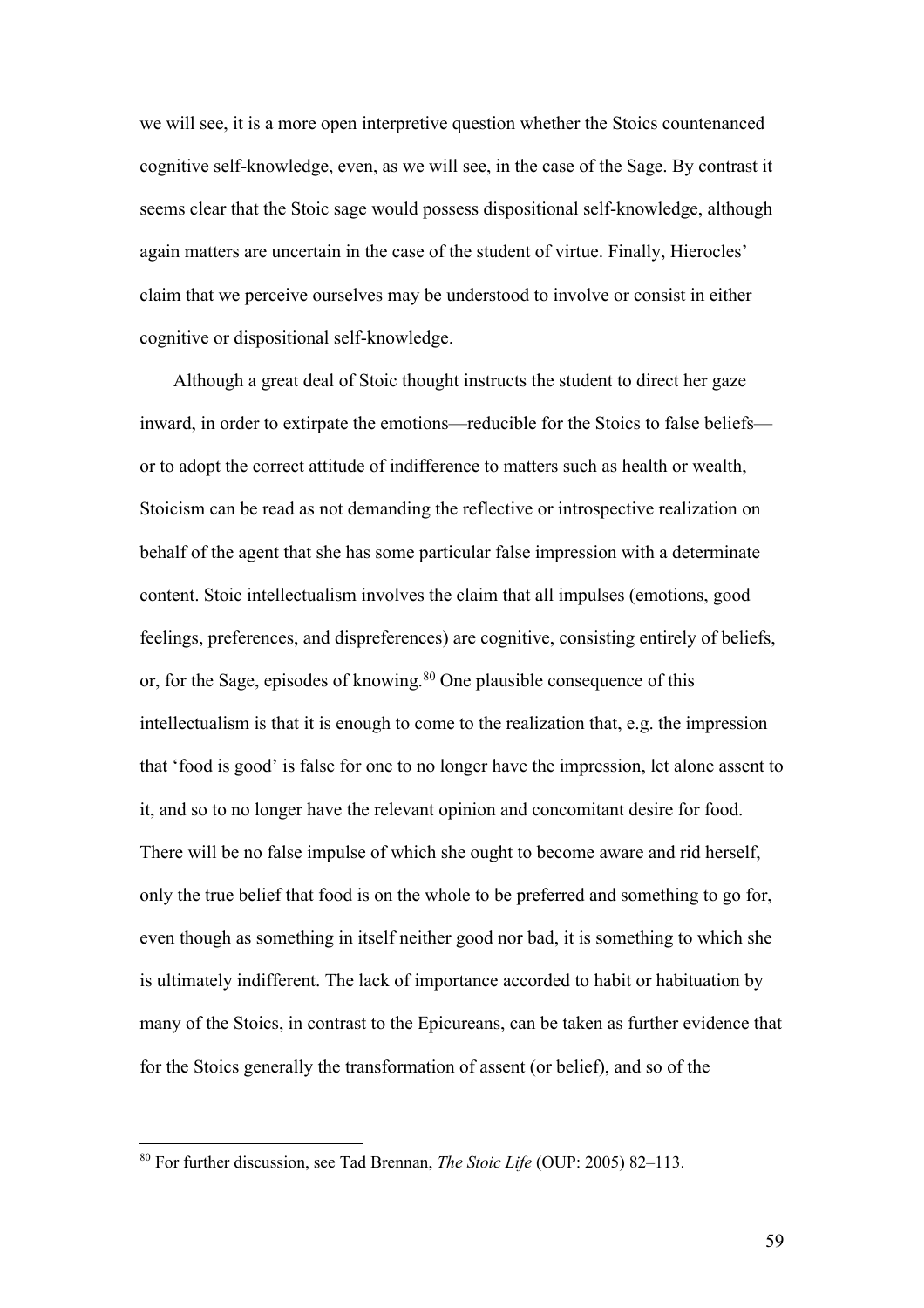we will see, it is a more open interpretive question whether the Stoics countenanced cognitive self-knowledge, even, as we will see, in the case of the Sage. By contrast it seems clear that the Stoic sage would possess dispositional self-knowledge, although again matters are uncertain in the case of the student of virtue. Finally, Hierocles' claim that we perceive ourselves may be understood to involve or consist in either cognitive or dispositional self-knowledge.

Although a great deal of Stoic thought instructs the student to direct her gaze inward, in order to extirpate the emotions—reducible for the Stoics to false beliefs or to adopt the correct attitude of indifference to matters such as health or wealth, Stoicism can be read as not demanding the reflective or introspective realization on behalf of the agent that she has some particular false impression with a determinate content. Stoic intellectualism involves the claim that all impulses (emotions, good feelings, preferences, and dispreferences) are cognitive, consisting entirely of beliefs, or, for the Sage, episodes of knowing.<sup>80</sup> One plausible consequence of this intellectualism is that it is enough to come to the realization that, e.g. the impression that 'food is good' is false for one to no longer have the impression, let alone assent to it, and so to no longer have the relevant opinion and concomitant desire for food. There will be no false impulse of which she ought to become aware and rid herself, only the true belief that food is on the whole to be preferred and something to go for, even though as something in itself neither good nor bad, it is something to which she is ultimately indifferent. The lack of importance accorded to habit or habituation by many of the Stoics, in contrast to the Epicureans, can be taken as further evidence that for the Stoics generally the transformation of assent (or belief), and so of the

<sup>80</sup> For further discussion, see Tad Brennan, *The Stoic Life* (OUP: 2005) 82–113.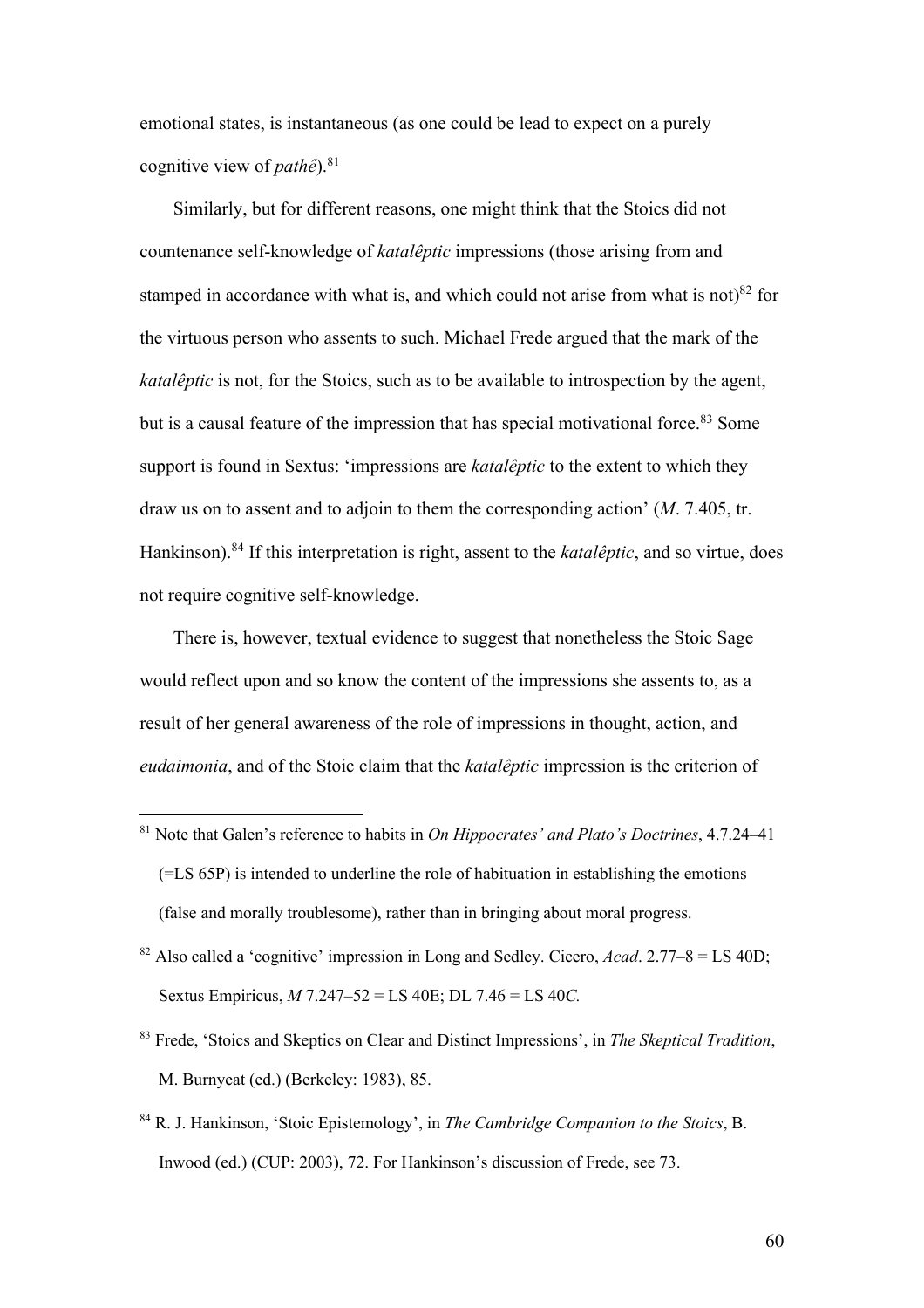emotional states, is instantaneous (as one could be lead to expect on a purely cognitive view of *pathê*).81

Similarly, but for different reasons, one might think that the Stoics did not countenance self-knowledge of *katalêptic* impressions (those arising from and stamped in accordance with what is, and which could not arise from what is not) $82$  for the virtuous person who assents to such. Michael Frede argued that the mark of the *katalêptic* is not, for the Stoics, such as to be available to introspection by the agent, but is a causal feature of the impression that has special motivational force.<sup>83</sup> Some support is found in Sextus: 'impressions are *katalêptic* to the extent to which they draw us on to assent and to adjoin to them the corresponding action' (*M*. 7.405, tr. Hankinson).84 If this interpretation is right, assent to the *katalêptic*, and so virtue, does not require cognitive self-knowledge.

There is, however, textual evidence to suggest that nonetheless the Stoic Sage would reflect upon and so know the content of the impressions she assents to, as a result of her general awareness of the role of impressions in thought, action, and *eudaimonia*, and of the Stoic claim that the *katalêptic* impression is the criterion of

- <sup>81</sup> Note that Galen's reference to habits in *On Hippocrates' and Plato's Doctrines*, 4.7.24–41 (=LS 65P) is intended to underline the role of habituation in establishing the emotions (false and morally troublesome), rather than in bringing about moral progress.
- <sup>82</sup> Also called a 'cognitive' impression in Long and Sedley. Cicero, *Acad.* 2.77–8 = LS 40D; Sextus Empiricus, *M* 7.247–52 = LS 40E; DL 7.46 = LS 40*C.*
- <sup>83</sup> Frede, 'Stoics and Skeptics on Clear and Distinct Impressions', in *The Skeptical Tradition*, M. Burnyeat (ed.) (Berkeley: 1983), 85.
- <sup>84</sup> R. J. Hankinson, 'Stoic Epistemology', in *The Cambridge Companion to the Stoics*, B. Inwood (ed.) (CUP: 2003), 72. For Hankinson's discussion of Frede, see 73.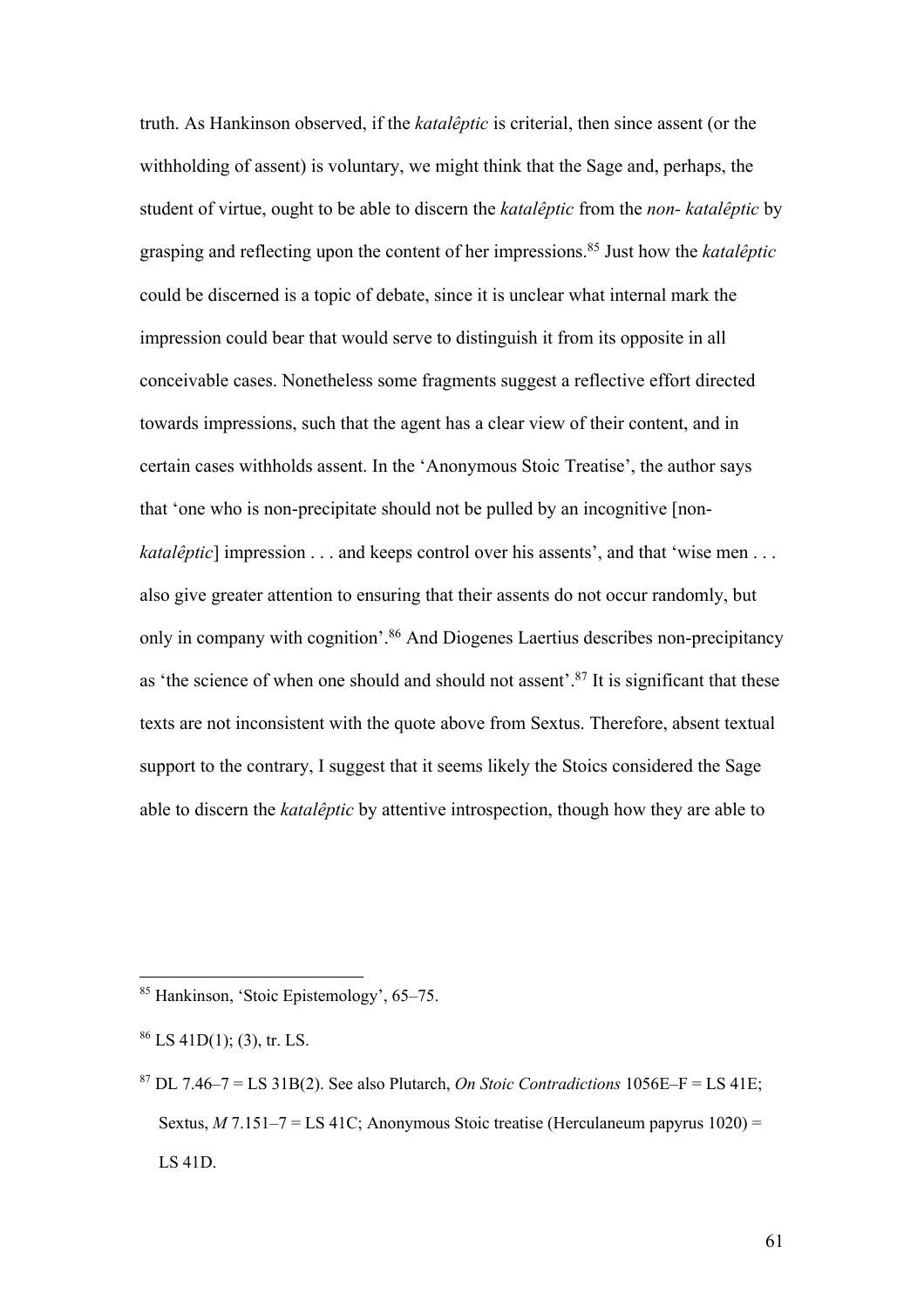truth. As Hankinson observed, if the *katalêptic* is criterial, then since assent (or the withholding of assent) is voluntary, we might think that the Sage and, perhaps, the student of virtue, ought to be able to discern the *katalêptic* from the *non- katalêptic* by grasping and reflecting upon the content of her impressions.85 Just how the *katalêptic* could be discerned is a topic of debate, since it is unclear what internal mark the impression could bear that would serve to distinguish it from its opposite in all conceivable cases. Nonetheless some fragments suggest a reflective effort directed towards impressions, such that the agent has a clear view of their content, and in certain cases withholds assent. In the 'Anonymous Stoic Treatise', the author says that 'one who is non-precipitate should not be pulled by an incognitive [non*katalêptic*] impression . . . and keeps control over his assents', and that 'wise men . . . also give greater attention to ensuring that their assents do not occur randomly, but only in company with cognition'.86 And Diogenes Laertius describes non-precipitancy as 'the science of when one should and should not assent'.87 It is significant that these texts are not inconsistent with the quote above from Sextus. Therefore, absent textual support to the contrary, I suggest that it seems likely the Stoics considered the Sage able to discern the *katalêptic* by attentive introspection, though how they are able to

<sup>85</sup> Hankinson, 'Stoic Epistemology', 65–75.

 $86$  LS 41D(1); (3), tr. LS.

 $87$  DL 7.46–7 = LS 31B(2). See also Plutarch, *On Stoic Contradictions* 1056E–F = LS 41E; Sextus, *M* 7.151–7 = LS 41C; Anonymous Stoic treatise (Herculaneum papyrus 1020) = LS 41D.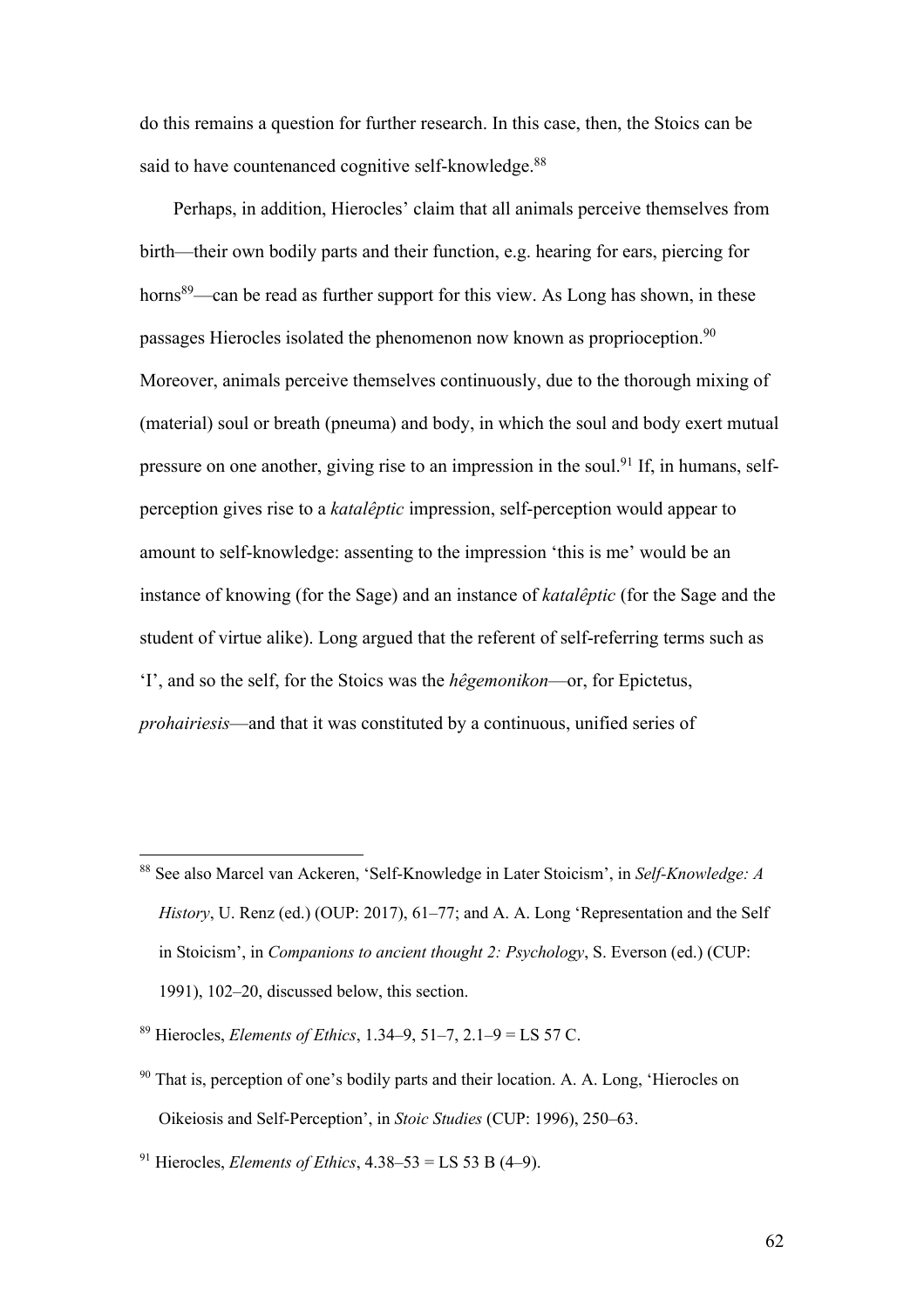do this remains a question for further research. In this case, then, the Stoics can be said to have countenanced cognitive self-knowledge.<sup>88</sup>

Perhaps, in addition, Hierocles' claim that all animals perceive themselves from birth—their own bodily parts and their function, e.g. hearing for ears, piercing for horns<sup>89</sup>—can be read as further support for this view. As Long has shown, in these passages Hierocles isolated the phenomenon now known as proprioception.<sup>90</sup> Moreover, animals perceive themselves continuously, due to the thorough mixing of (material) soul or breath (pneuma) and body, in which the soul and body exert mutual pressure on one another, giving rise to an impression in the soul.<sup>91</sup> If, in humans, selfperception gives rise to a *katalêptic* impression, self-perception would appear to amount to self-knowledge: assenting to the impression 'this is me' would be an instance of knowing (for the Sage) and an instance of *katalêptic* (for the Sage and the student of virtue alike). Long argued that the referent of self-referring terms such as 'I', and so the self, for the Stoics was the *hêgemonikon*—or, for Epictetus, *prohairiesis*—and that it was constituted by a continuous, unified series of

<sup>88</sup> See also Marcel van Ackeren, 'Self-Knowledge in Later Stoicism', in *Self-Knowledge: A History*, U. Renz (ed.) (OUP: 2017), 61–77; and A. A. Long 'Representation and the Self in Stoicism', in *Companions to ancient thought 2: Psychology*, S. Everson (ed.) (CUP: 1991), 102–20, discussed below, this section.

<sup>89</sup> Hierocles, *Elements of Ethics*, 1.34–9, 51–7, 2.1–9 = LS 57 C.

 $90$  That is, perception of one's bodily parts and their location. A. A. Long, 'Hierocles on Oikeiosis and Self-Perception', in *Stoic Studies* (CUP: 1996), 250–63.

<sup>&</sup>lt;sup>91</sup> Hierocles, *Elements of Ethics*,  $4.38 - 53 = LS 53 B (4 - 9)$ .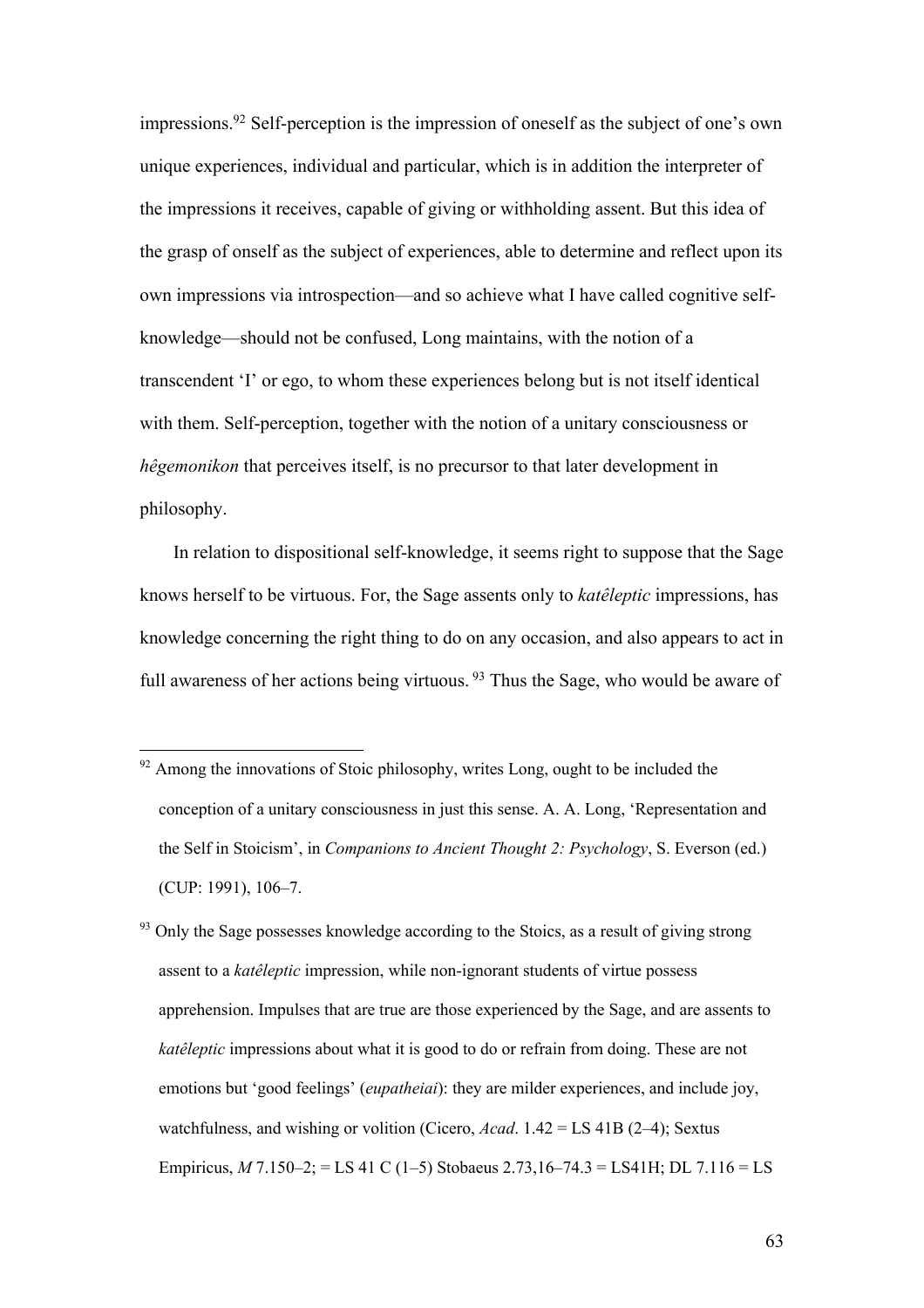impressions.92 Self-perception is the impression of oneself as the subject of one's own unique experiences, individual and particular, which is in addition the interpreter of the impressions it receives, capable of giving or withholding assent. But this idea of the grasp of onself as the subject of experiences, able to determine and reflect upon its own impressions via introspection—and so achieve what I have called cognitive selfknowledge—should not be confused, Long maintains, with the notion of a transcendent 'I' or ego, to whom these experiences belong but is not itself identical with them. Self-perception, together with the notion of a unitary consciousness or *hêgemonikon* that perceives itself, is no precursor to that later development in philosophy.

In relation to dispositional self-knowledge, it seems right to suppose that the Sage knows herself to be virtuous. For, the Sage assents only to *katêleptic* impressions, has knowledge concerning the right thing to do on any occasion, and also appears to act in full awareness of her actions being virtuous. <sup>93</sup> Thus the Sage, who would be aware of

 $92$  Among the innovations of Stoic philosophy, writes Long, ought to be included the conception of a unitary consciousness in just this sense. A. A. Long, 'Representation and the Self in Stoicism', in *Companions to Ancient Thought 2: Psychology*, S. Everson (ed.) (CUP: 1991), 106–7.

 $93$  Only the Sage possesses knowledge according to the Stoics, as a result of giving strong assent to a *katêleptic* impression, while non-ignorant students of virtue possess apprehension. Impulses that are true are those experienced by the Sage, and are assents to *katêleptic* impressions about what it is good to do or refrain from doing. These are not emotions but 'good feelings' (*eupatheiai*): they are milder experiences, and include joy, watchfulness, and wishing or volition (Cicero, *Acad*. 1.42 = LS 41B (2–4); Sextus Empiricus, *M* 7.150–2; = LS 41 C (1–5) Stobaeus 2.73,16–74.3 = LS41H; DL 7.116 = LS

63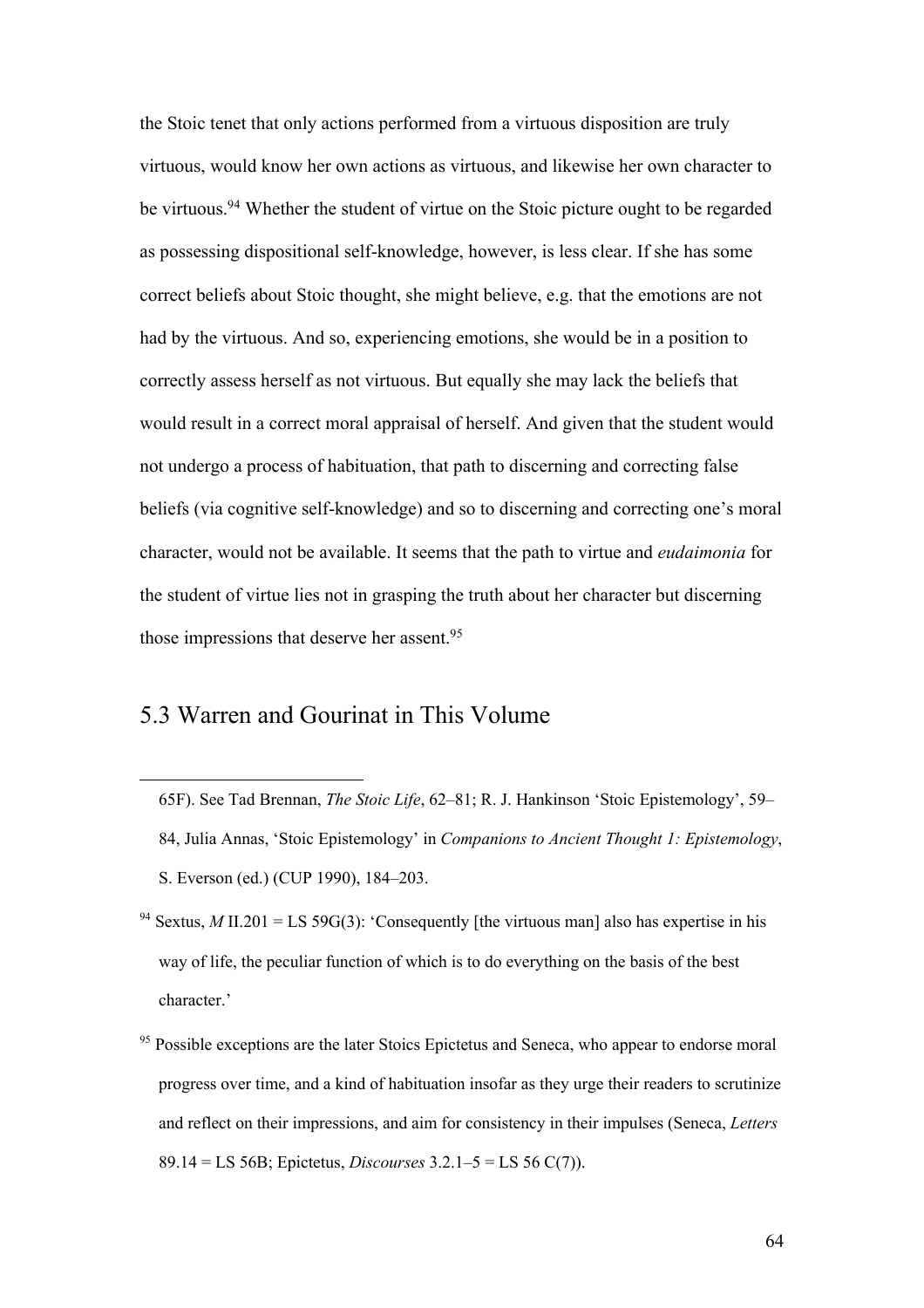the Stoic tenet that only actions performed from a virtuous disposition are truly virtuous, would know her own actions as virtuous, and likewise her own character to be virtuous.94 Whether the student of virtue on the Stoic picture ought to be regarded as possessing dispositional self-knowledge, however, is less clear. If she has some correct beliefs about Stoic thought, she might believe, e.g. that the emotions are not had by the virtuous. And so, experiencing emotions, she would be in a position to correctly assess herself as not virtuous. But equally she may lack the beliefs that would result in a correct moral appraisal of herself. And given that the student would not undergo a process of habituation, that path to discerning and correcting false beliefs (via cognitive self-knowledge) and so to discerning and correcting one's moral character, would not be available. It seems that the path to virtue and *eudaimonia* for the student of virtue lies not in grasping the truth about her character but discerning those impressions that deserve her assent.95

#### 5.3 Warren and Gourinat in This Volume

- 65F). See Tad Brennan, *The Stoic Life*, 62–81; R. J. Hankinson 'Stoic Epistemology', 59– 84, Julia Annas, 'Stoic Epistemology' in *Companions to Ancient Thought 1: Epistemology*, S. Everson (ed.) (CUP 1990), 184–203.
- Sextus, *M* II.201 = LS 59G(3): 'Consequently [the virtuous man] also has expertise in his way of life, the peculiar function of which is to do everything on the basis of the best character.'
- Possible exceptions are the later Stoics Epictetus and Seneca, who appear to endorse moral progress over time, and a kind of habituation insofar as they urge their readers to scrutinize and reflect on their impressions, and aim for consistency in their impulses (Seneca, *Letters* 89.14 = LS 56B; Epictetus, *Discourses* 3.2.1–5 = LS 56 C(7)).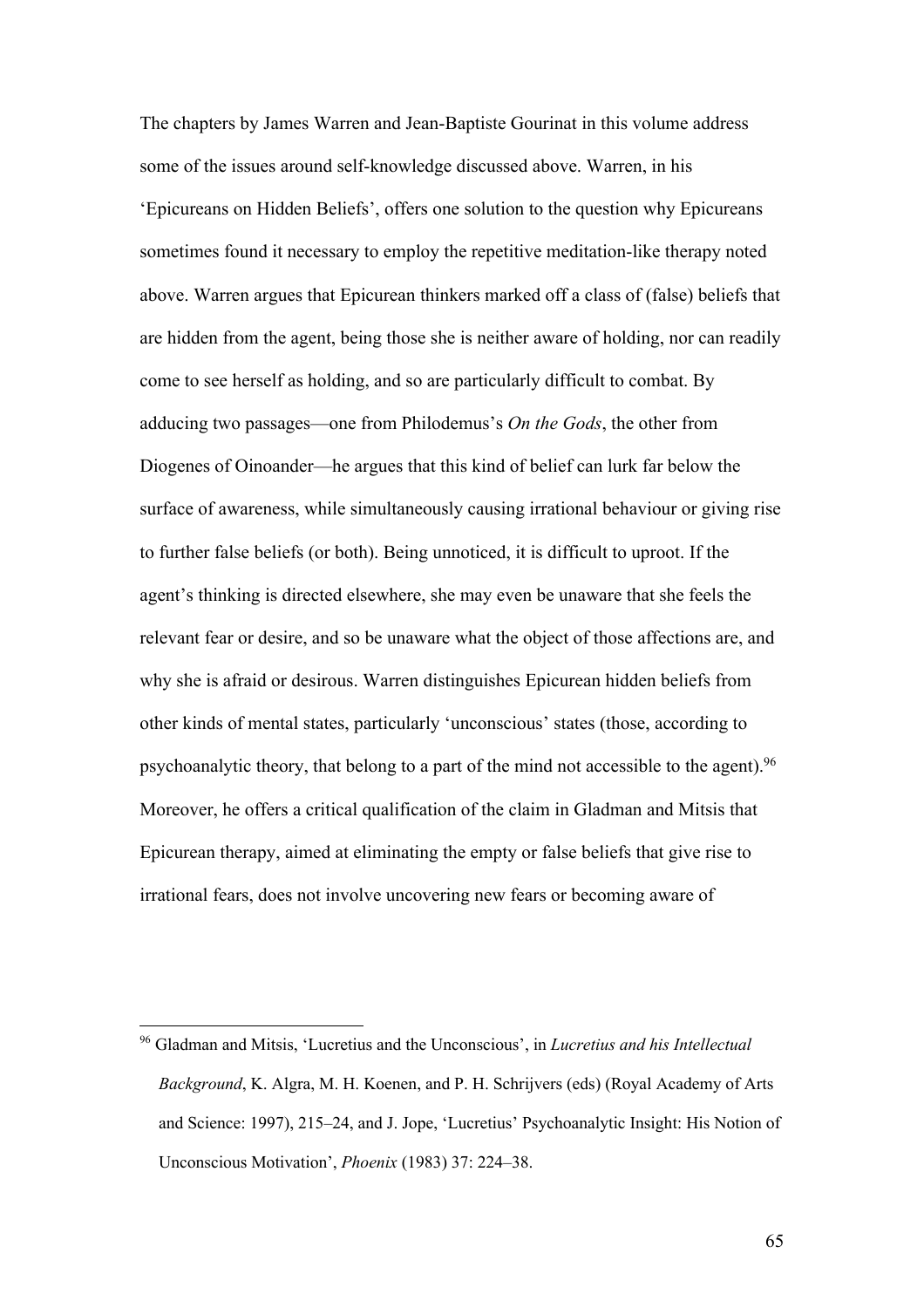The chapters by James Warren and Jean-Baptiste Gourinat in this volume address some of the issues around self-knowledge discussed above. Warren, in his 'Epicureans on Hidden Beliefs', offers one solution to the question why Epicureans sometimes found it necessary to employ the repetitive meditation-like therapy noted above. Warren argues that Epicurean thinkers marked off a class of (false) beliefs that are hidden from the agent, being those she is neither aware of holding, nor can readily come to see herself as holding, and so are particularly difficult to combat. By adducing two passages—one from Philodemus's *On the Gods*, the other from Diogenes of Oinoander—he argues that this kind of belief can lurk far below the surface of awareness, while simultaneously causing irrational behaviour or giving rise to further false beliefs (or both). Being unnoticed, it is difficult to uproot. If the agent's thinking is directed elsewhere, she may even be unaware that she feels the relevant fear or desire, and so be unaware what the object of those affections are, and why she is afraid or desirous. Warren distinguishes Epicurean hidden beliefs from other kinds of mental states, particularly 'unconscious' states (those, according to psychoanalytic theory, that belong to a part of the mind not accessible to the agent).96 Moreover, he offers a critical qualification of the claim in Gladman and Mitsis that Epicurean therapy, aimed at eliminating the empty or false beliefs that give rise to irrational fears, does not involve uncovering new fears or becoming aware of

<sup>96</sup> Gladman and Mitsis, 'Lucretius and the Unconscious', in *Lucretius and his Intellectual Background*, K. Algra, M. H. Koenen, and P. H. Schrijvers (eds) (Royal Academy of Arts and Science: 1997), 215–24, and J. Jope, 'Lucretius' Psychoanalytic Insight: His Notion of Unconscious Motivation', *Phoenix* (1983) 37: 224–38.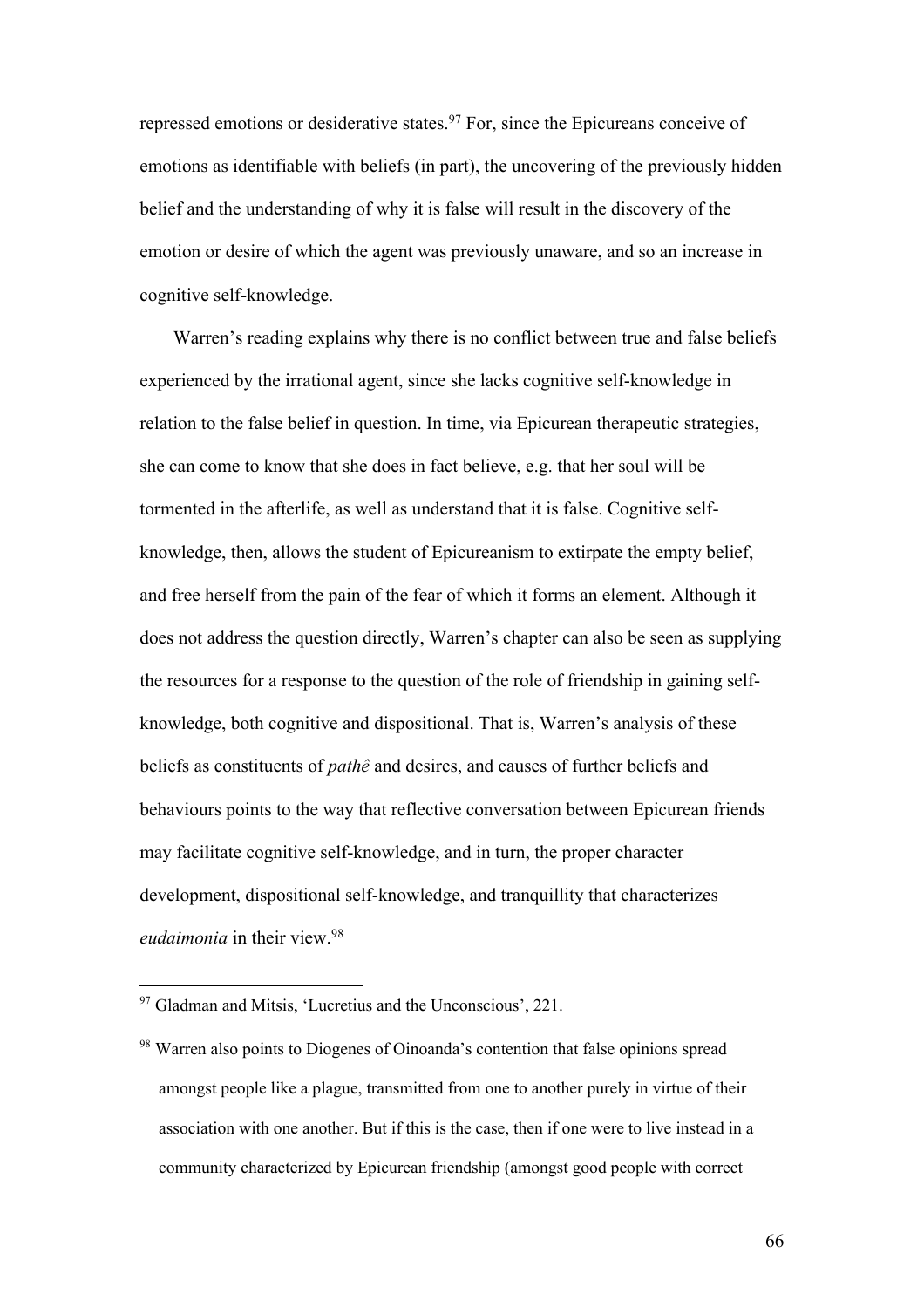repressed emotions or desiderative states.<sup>97</sup> For, since the Epicureans conceive of emotions as identifiable with beliefs (in part), the uncovering of the previously hidden belief and the understanding of why it is false will result in the discovery of the emotion or desire of which the agent was previously unaware, and so an increase in cognitive self-knowledge.

Warren's reading explains why there is no conflict between true and false beliefs experienced by the irrational agent, since she lacks cognitive self-knowledge in relation to the false belief in question. In time, via Epicurean therapeutic strategies, she can come to know that she does in fact believe, e.g. that her soul will be tormented in the afterlife, as well as understand that it is false. Cognitive selfknowledge, then, allows the student of Epicureanism to extirpate the empty belief, and free herself from the pain of the fear of which it forms an element. Although it does not address the question directly, Warren's chapter can also be seen as supplying the resources for a response to the question of the role of friendship in gaining selfknowledge, both cognitive and dispositional. That is, Warren's analysis of these beliefs as constituents of *pathê* and desires, and causes of further beliefs and behaviours points to the way that reflective conversation between Epicurean friends may facilitate cognitive self-knowledge, and in turn, the proper character development, dispositional self-knowledge, and tranquillity that characterizes *eudaimonia* in their view.98

 $97$  Gladman and Mitsis, 'Lucretius and the Unconscious', 221.

<sup>&</sup>lt;sup>98</sup> Warren also points to Diogenes of Oinoanda's contention that false opinions spread amongst people like a plague, transmitted from one to another purely in virtue of their association with one another. But if this is the case, then if one were to live instead in a community characterized by Epicurean friendship (amongst good people with correct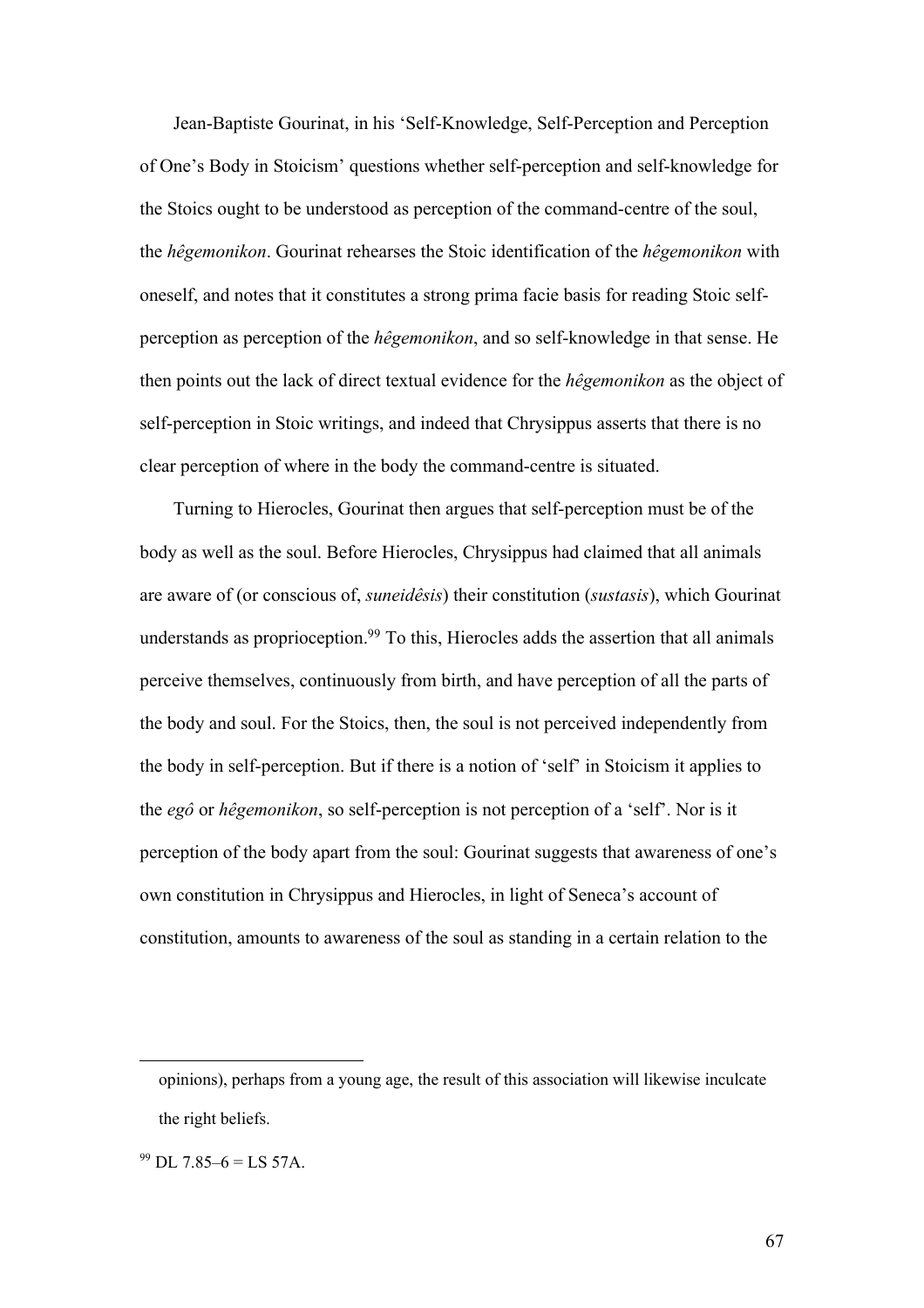Jean-Baptiste Gourinat, in his 'Self-Knowledge, Self-Perception and Perception of One's Body in Stoicism' questions whether self-perception and self-knowledge for the Stoics ought to be understood as perception of the command-centre of the soul, the *hêgemonikon*. Gourinat rehearses the Stoic identification of the *hêgemonikon* with oneself, and notes that it constitutes a strong prima facie basis for reading Stoic selfperception as perception of the *hêgemonikon*, and so self-knowledge in that sense. He then points out the lack of direct textual evidence for the *hêgemonikon* as the object of self-perception in Stoic writings, and indeed that Chrysippus asserts that there is no clear perception of where in the body the command-centre is situated.

Turning to Hierocles, Gourinat then argues that self-perception must be of the body as well as the soul. Before Hierocles, Chrysippus had claimed that all animals are aware of (or conscious of, *suneidêsis*) their constitution (*sustasis*), which Gourinat understands as proprioception.<sup>99</sup> To this, Hierocles adds the assertion that all animals perceive themselves, continuously from birth, and have perception of all the parts of the body and soul. For the Stoics, then, the soul is not perceived independently from the body in self-perception. But if there is a notion of 'self' in Stoicism it applies to the *egô* or *hêgemonikon*, so self-perception is not perception of a 'self'. Nor is it perception of the body apart from the soul: Gourinat suggests that awareness of one's own constitution in Chrysippus and Hierocles, in light of Seneca's account of constitution, amounts to awareness of the soul as standing in a certain relation to the

opinions), perhaps from a young age, the result of this association will likewise inculcate the right beliefs.

 $99$  DL 7.85–6 = LS 57A.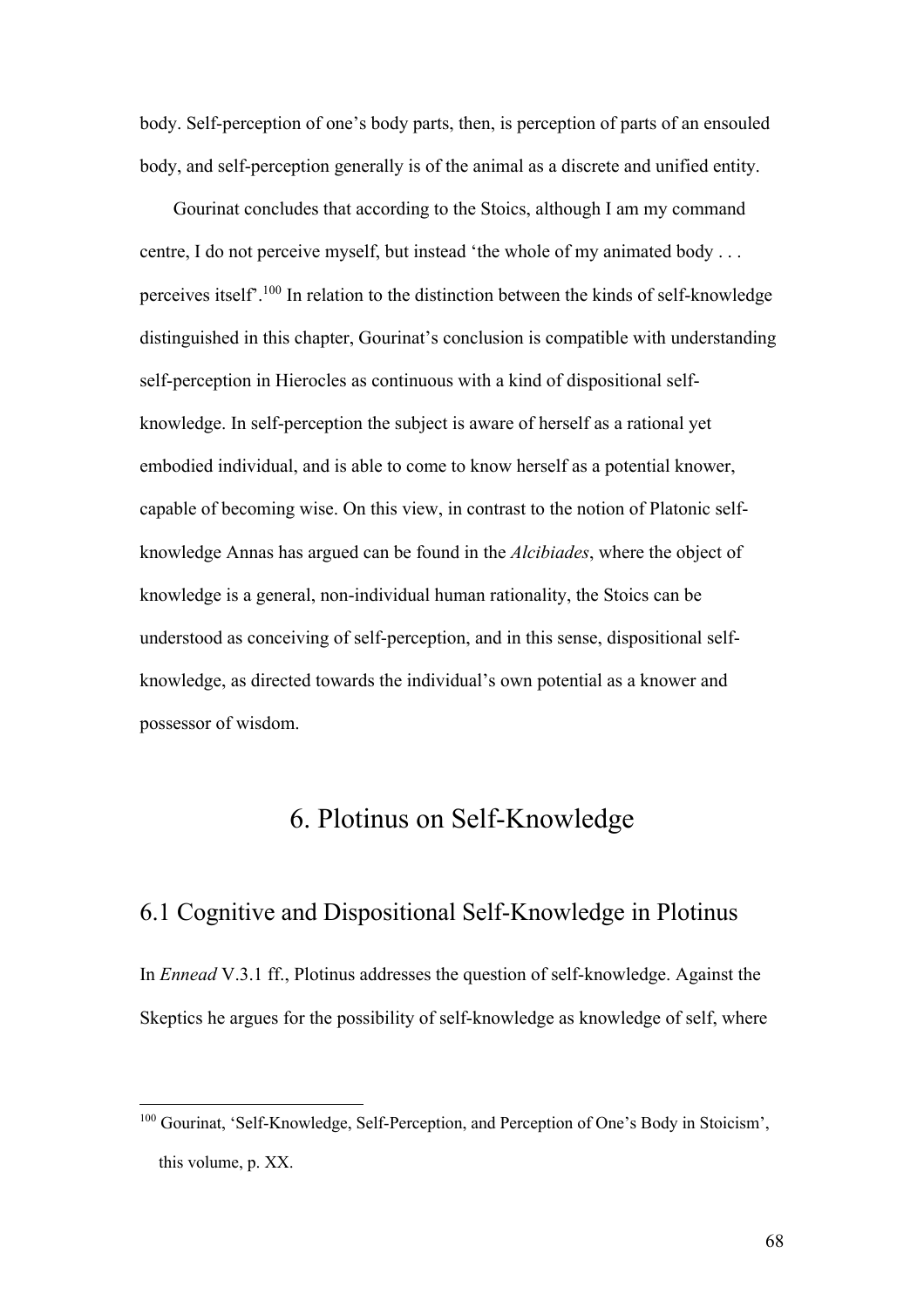body. Self-perception of one's body parts, then, is perception of parts of an ensouled body, and self-perception generally is of the animal as a discrete and unified entity.

Gourinat concludes that according to the Stoics, although I am my command centre, I do not perceive myself, but instead 'the whole of my animated body . . . perceives itself'.100 In relation to the distinction between the kinds of self-knowledge distinguished in this chapter, Gourinat's conclusion is compatible with understanding self-perception in Hierocles as continuous with a kind of dispositional selfknowledge. In self-perception the subject is aware of herself as a rational yet embodied individual, and is able to come to know herself as a potential knower, capable of becoming wise. On this view, in contrast to the notion of Platonic selfknowledge Annas has argued can be found in the *Alcibiades*, where the object of knowledge is a general, non-individual human rationality, the Stoics can be understood as conceiving of self-perception, and in this sense, dispositional selfknowledge, as directed towards the individual's own potential as a knower and possessor of wisdom.

# 6. Plotinus on Self-Knowledge

#### 6.1 Cognitive and Dispositional Self-Knowledge in Plotinus

In *Ennead* V.3.1 ff., Plotinus addresses the question of self-knowledge. Against the Skeptics he argues for the possibility of self-knowledge as knowledge of self, where

<sup>&</sup>lt;sup>100</sup> Gourinat, 'Self-Knowledge, Self-Perception, and Perception of One's Body in Stoicism', this volume, p. XX.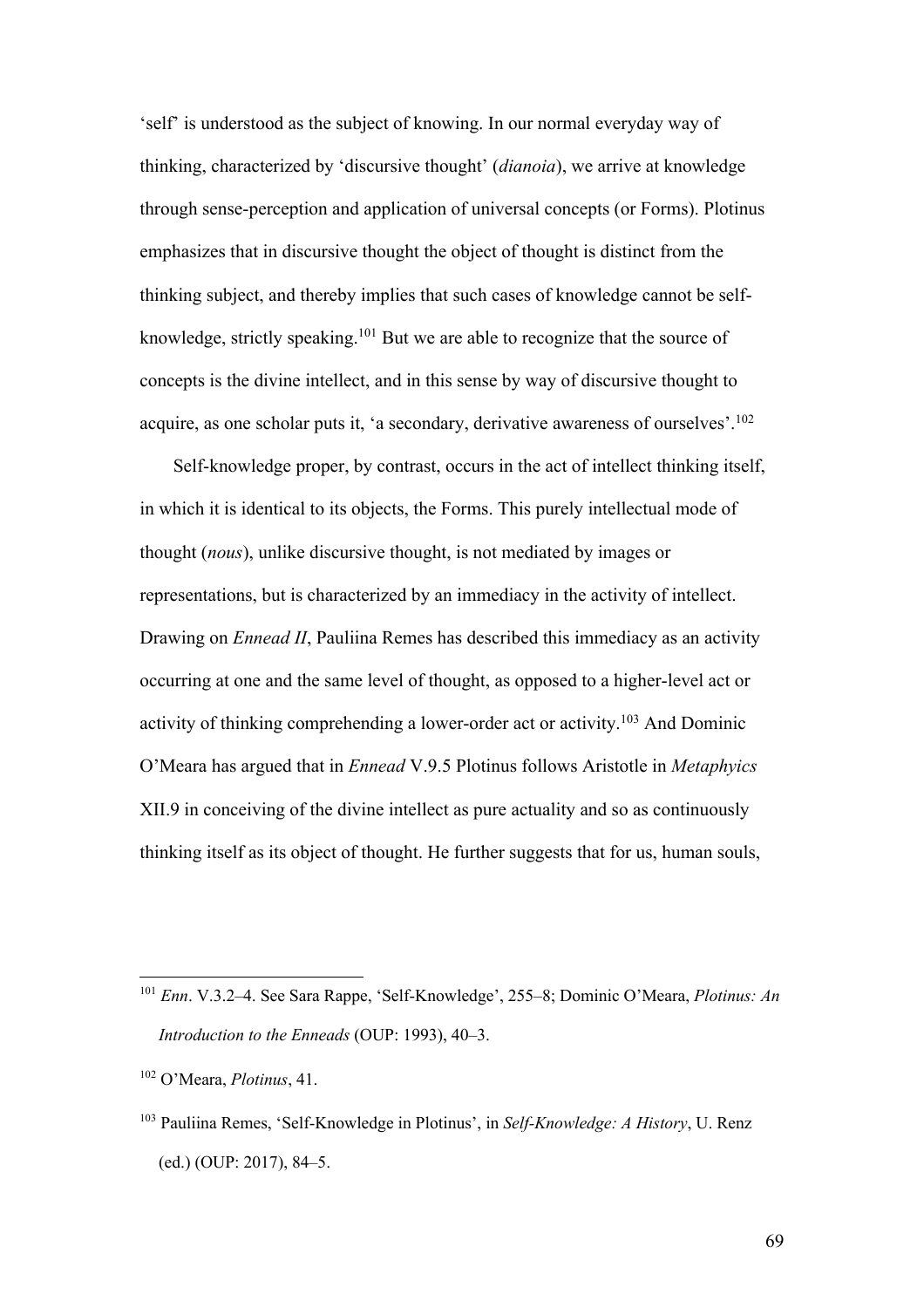'self' is understood as the subject of knowing. In our normal everyday way of thinking, characterized by 'discursive thought' (*dianoia*), we arrive at knowledge through sense-perception and application of universal concepts (or Forms). Plotinus emphasizes that in discursive thought the object of thought is distinct from the thinking subject, and thereby implies that such cases of knowledge cannot be selfknowledge, strictly speaking.101 But we are able to recognize that the source of concepts is the divine intellect, and in this sense by way of discursive thought to acquire, as one scholar puts it, 'a secondary, derivative awareness of ourselves'.102

Self-knowledge proper, by contrast, occurs in the act of intellect thinking itself, in which it is identical to its objects, the Forms. This purely intellectual mode of thought (*nous*), unlike discursive thought, is not mediated by images or representations, but is characterized by an immediacy in the activity of intellect. Drawing on *Ennead II*, Pauliina Remes has described this immediacy as an activity occurring at one and the same level of thought, as opposed to a higher-level act or activity of thinking comprehending a lower-order act or activity.103 And Dominic O'Meara has argued that in *Ennead* V.9.5 Plotinus follows Aristotle in *Metaphyics* XII.9 in conceiving of the divine intellect as pure actuality and so as continuously thinking itself as its object of thought. He further suggests that for us, human souls,

<sup>102</sup> O'Meara, *Plotinus*, 41.

<sup>101</sup> *Enn*. V.3.2–4. See Sara Rappe, 'Self-Knowledge', 255–8; Dominic O'Meara, *Plotinus: An Introduction to the Enneads* (OUP: 1993), 40–3.

<sup>103</sup> Pauliina Remes, 'Self-Knowledge in Plotinus', in *Self-Knowledge: A History*, U. Renz (ed.) (OUP: 2017), 84–5.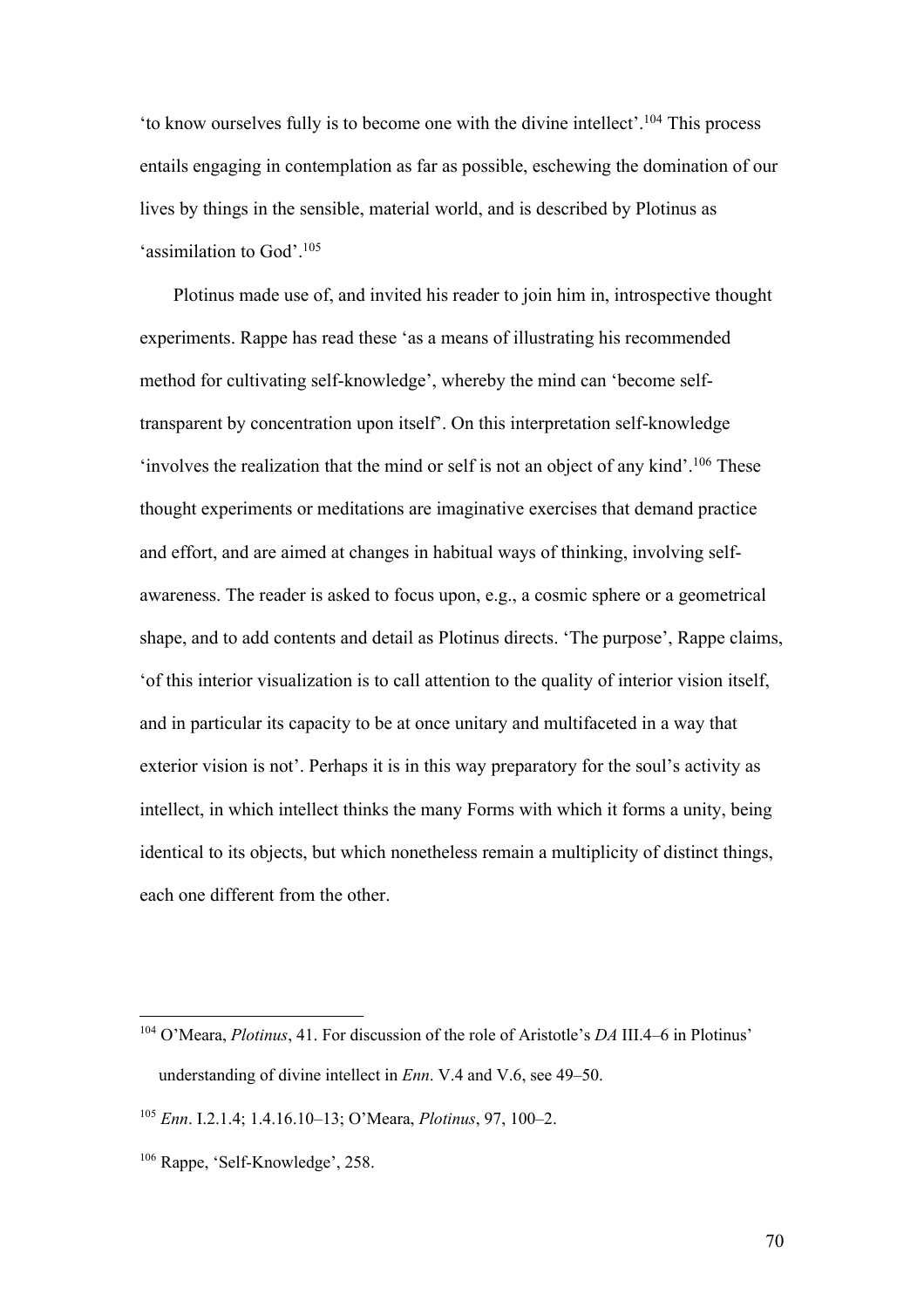'to know ourselves fully is to become one with the divine intellect'.104 This process entails engaging in contemplation as far as possible, eschewing the domination of our lives by things in the sensible, material world, and is described by Plotinus as 'assimilation to God'.105

Plotinus made use of, and invited his reader to join him in, introspective thought experiments. Rappe has read these 'as a means of illustrating his recommended method for cultivating self-knowledge', whereby the mind can 'become selftransparent by concentration upon itself'. On this interpretation self-knowledge 'involves the realization that the mind or self is not an object of any kind'.106 These thought experiments or meditations are imaginative exercises that demand practice and effort, and are aimed at changes in habitual ways of thinking, involving selfawareness. The reader is asked to focus upon, e.g., a cosmic sphere or a geometrical shape, and to add contents and detail as Plotinus directs. 'The purpose', Rappe claims, 'of this interior visualization is to call attention to the quality of interior vision itself, and in particular its capacity to be at once unitary and multifaceted in a way that exterior vision is not'. Perhaps it is in this way preparatory for the soul's activity as intellect, in which intellect thinks the many Forms with which it forms a unity, being identical to its objects, but which nonetheless remain a multiplicity of distinct things, each one different from the other.

<sup>104</sup> O'Meara, *Plotinus*, 41. For discussion of the role of Aristotle's *DA* III.4–6 in Plotinus' understanding of divine intellect in *Enn*. V.4 and V.6, see 49–50.

<sup>105</sup> *Enn*. I.2.1.4; 1.4.16.10–13; O'Meara, *Plotinus*, 97, 100–2.

<sup>106</sup> Rappe, 'Self-Knowledge', 258.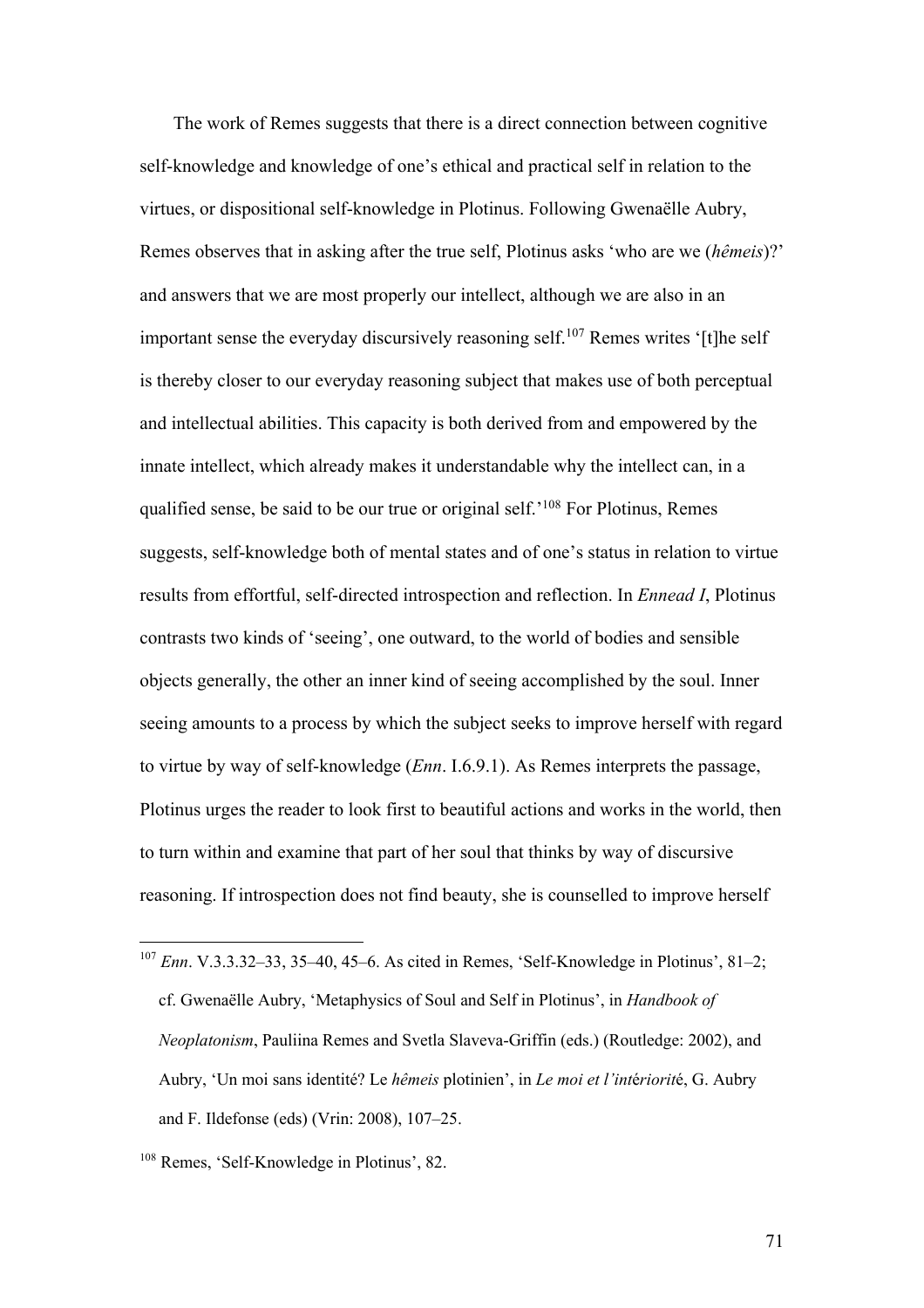The work of Remes suggests that there is a direct connection between cognitive self-knowledge and knowledge of one's ethical and practical self in relation to the virtues, or dispositional self-knowledge in Plotinus. Following Gwenaëlle Aubry, Remes observes that in asking after the true self, Plotinus asks 'who are we (*hêmeis*)?' and answers that we are most properly our intellect, although we are also in an important sense the everyday discursively reasoning self.107 Remes writes '[t]he self is thereby closer to our everyday reasoning subject that makes use of both perceptual and intellectual abilities. This capacity is both derived from and empowered by the innate intellect, which already makes it understandable why the intellect can, in a qualified sense, be said to be our true or original self.'108 For Plotinus, Remes suggests, self-knowledge both of mental states and of one's status in relation to virtue results from effortful, self-directed introspection and reflection. In *Ennead I*, Plotinus contrasts two kinds of 'seeing', one outward, to the world of bodies and sensible objects generally, the other an inner kind of seeing accomplished by the soul. Inner seeing amounts to a process by which the subject seeks to improve herself with regard to virtue by way of self-knowledge (*Enn*. I.6.9.1). As Remes interprets the passage, Plotinus urges the reader to look first to beautiful actions and works in the world, then to turn within and examine that part of her soul that thinks by way of discursive reasoning. If introspection does not find beauty, she is counselled to improve herself

<sup>107</sup> *Enn*. V.3.3.32–33, 35–40, 45–6. As cited in Remes, 'Self-Knowledge in Plotinus', 81–2; cf. Gwenaëlle Aubry, 'Metaphysics of Soul and Self in Plotinus', in *Handbook of Neoplatonism*, Pauliina Remes and Svetla Slaveva-Griffin (eds.) (Routledge: 2002), and Aubry, 'Un moi sans identité? Le *hêmeis* plotinien', in *Le moi et l'int*é*riorit*é, G. Aubry and F. Ildefonse (eds) (Vrin: 2008), 107–25.

<sup>108</sup> Remes, 'Self-Knowledge in Plotinus', 82.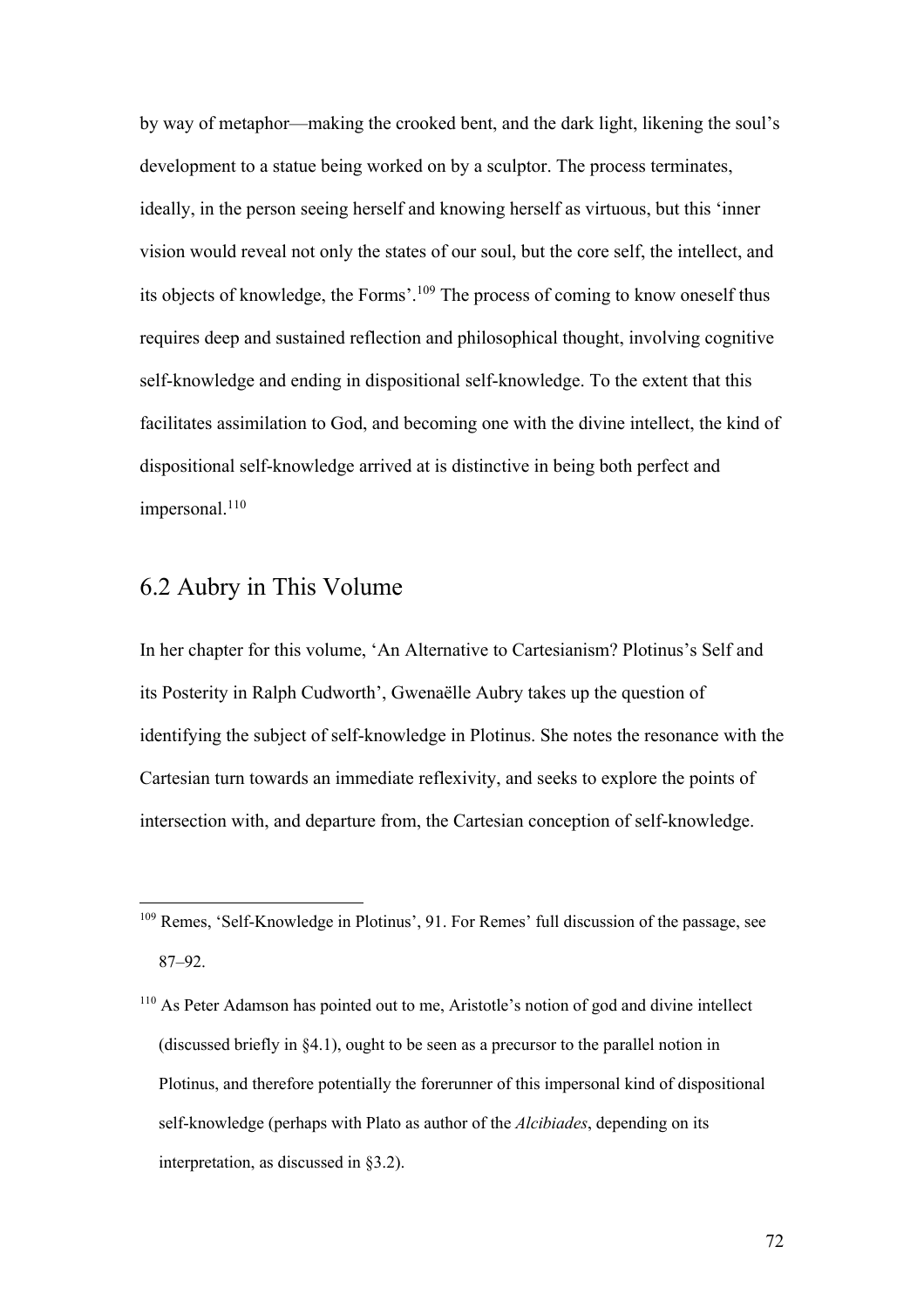by way of metaphor—making the crooked bent, and the dark light, likening the soul's development to a statue being worked on by a sculptor. The process terminates, ideally, in the person seeing herself and knowing herself as virtuous, but this 'inner vision would reveal not only the states of our soul, but the core self, the intellect, and its objects of knowledge, the Forms'.109 The process of coming to know oneself thus requires deep and sustained reflection and philosophical thought, involving cognitive self-knowledge and ending in dispositional self-knowledge. To the extent that this facilitates assimilation to God, and becoming one with the divine intellect, the kind of dispositional self-knowledge arrived at is distinctive in being both perfect and  $impersonal.<sup>110</sup>$ 

#### 6.2 Aubry in This Volume

In her chapter for this volume, 'An Alternative to Cartesianism? Plotinus's Self and its Posterity in Ralph Cudworth', Gwenaëlle Aubry takes up the question of identifying the subject of self-knowledge in Plotinus. She notes the resonance with the Cartesian turn towards an immediate reflexivity, and seeks to explore the points of intersection with, and departure from, the Cartesian conception of self-knowledge.

<sup>109</sup> Remes, 'Self-Knowledge in Plotinus', 91. For Remes' full discussion of the passage, see 87–92.

<sup>110</sup> As Peter Adamson has pointed out to me, Aristotle's notion of god and divine intellect (discussed briefly in §4.1), ought to be seen as a precursor to the parallel notion in Plotinus, and therefore potentially the forerunner of this impersonal kind of dispositional self-knowledge (perhaps with Plato as author of the *Alcibiades*, depending on its interpretation, as discussed in §3.2).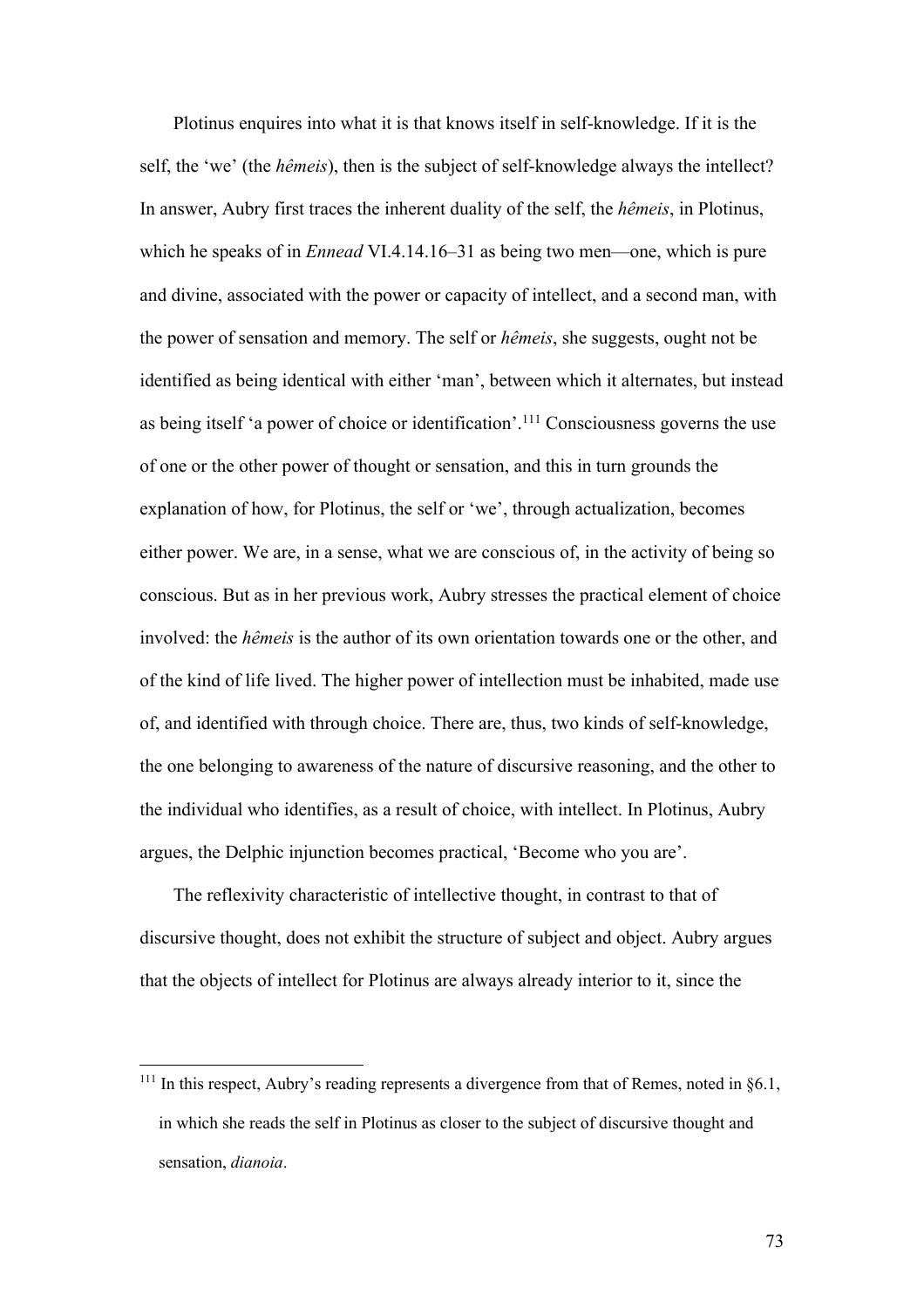Plotinus enquires into what it is that knows itself in self-knowledge. If it is the self, the 'we' (the *hêmeis*), then is the subject of self-knowledge always the intellect? In answer, Aubry first traces the inherent duality of the self, the *hêmeis*, in Plotinus, which he speaks of in *Ennead* VI.4.14.16–31 as being two men—one, which is pure and divine, associated with the power or capacity of intellect, and a second man, with the power of sensation and memory. The self or *hêmeis*, she suggests, ought not be identified as being identical with either 'man', between which it alternates, but instead as being itself 'a power of choice or identification'.111 Consciousness governs the use of one or the other power of thought or sensation, and this in turn grounds the explanation of how, for Plotinus, the self or 'we', through actualization, becomes either power. We are, in a sense, what we are conscious of, in the activity of being so conscious. But as in her previous work, Aubry stresses the practical element of choice involved: the *hêmeis* is the author of its own orientation towards one or the other, and of the kind of life lived. The higher power of intellection must be inhabited, made use of, and identified with through choice. There are, thus, two kinds of self-knowledge, the one belonging to awareness of the nature of discursive reasoning, and the other to the individual who identifies, as a result of choice, with intellect. In Plotinus, Aubry argues, the Delphic injunction becomes practical, 'Become who you are'.

The reflexivity characteristic of intellective thought, in contrast to that of discursive thought, does not exhibit the structure of subject and object. Aubry argues that the objects of intellect for Plotinus are always already interior to it, since the

<sup>&</sup>lt;sup>111</sup> In this respect, Aubry's reading represents a divergence from that of Remes, noted in  $§6.1$ , in which she reads the self in Plotinus as closer to the subject of discursive thought and sensation, *dianoia*.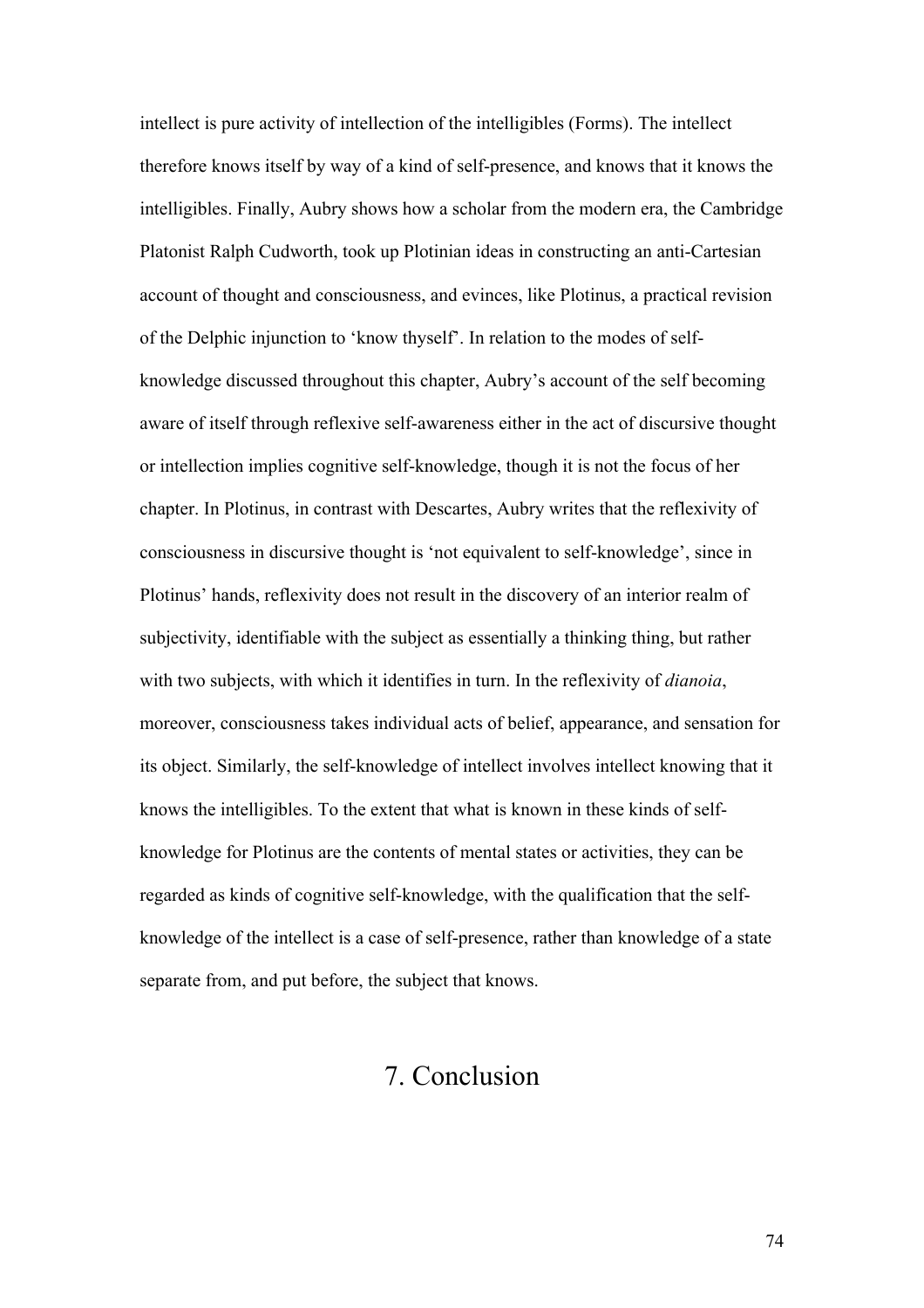intellect is pure activity of intellection of the intelligibles (Forms). The intellect therefore knows itself by way of a kind of self-presence, and knows that it knows the intelligibles. Finally, Aubry shows how a scholar from the modern era, the Cambridge Platonist Ralph Cudworth, took up Plotinian ideas in constructing an anti-Cartesian account of thought and consciousness, and evinces, like Plotinus, a practical revision of the Delphic injunction to 'know thyself'. In relation to the modes of selfknowledge discussed throughout this chapter, Aubry's account of the self becoming aware of itself through reflexive self-awareness either in the act of discursive thought or intellection implies cognitive self-knowledge, though it is not the focus of her chapter. In Plotinus, in contrast with Descartes, Aubry writes that the reflexivity of consciousness in discursive thought is 'not equivalent to self-knowledge', since in Plotinus' hands, reflexivity does not result in the discovery of an interior realm of subjectivity, identifiable with the subject as essentially a thinking thing, but rather with two subjects, with which it identifies in turn. In the reflexivity of *dianoia*, moreover, consciousness takes individual acts of belief, appearance, and sensation for its object. Similarly, the self-knowledge of intellect involves intellect knowing that it knows the intelligibles. To the extent that what is known in these kinds of selfknowledge for Plotinus are the contents of mental states or activities, they can be regarded as kinds of cognitive self-knowledge, with the qualification that the selfknowledge of the intellect is a case of self-presence, rather than knowledge of a state separate from, and put before, the subject that knows.

## 7. Conclusion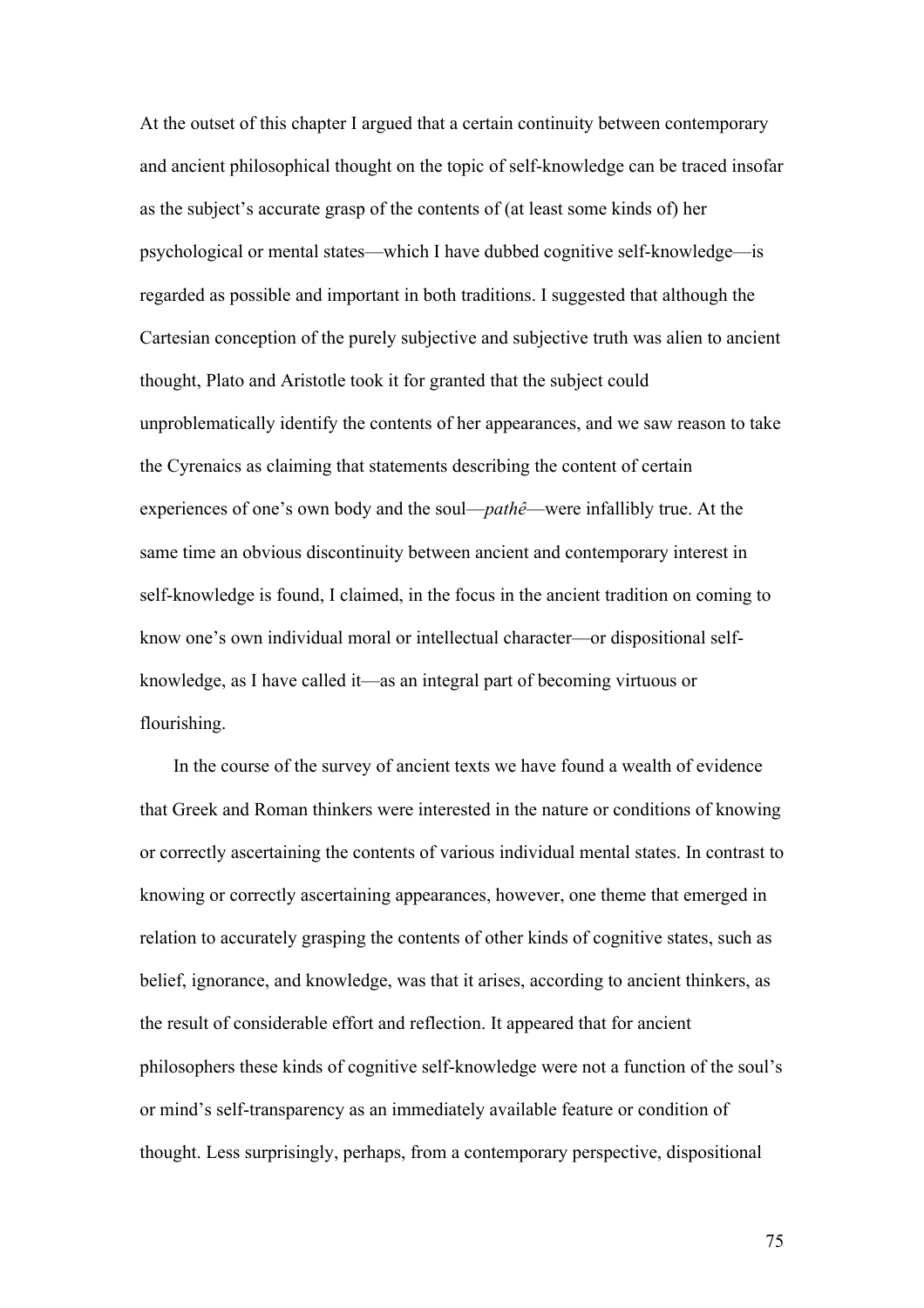At the outset of this chapter I argued that a certain continuity between contemporary and ancient philosophical thought on the topic of self-knowledge can be traced insofar as the subject's accurate grasp of the contents of (at least some kinds of) her psychological or mental states—which I have dubbed cognitive self-knowledge—is regarded as possible and important in both traditions. I suggested that although the Cartesian conception of the purely subjective and subjective truth was alien to ancient thought, Plato and Aristotle took it for granted that the subject could unproblematically identify the contents of her appearances, and we saw reason to take the Cyrenaics as claiming that statements describing the content of certain experiences of one's own body and the soul—*pathê*—were infallibly true. At the same time an obvious discontinuity between ancient and contemporary interest in self-knowledge is found, I claimed, in the focus in the ancient tradition on coming to know one's own individual moral or intellectual character—or dispositional selfknowledge, as I have called it—as an integral part of becoming virtuous or flourishing.

In the course of the survey of ancient texts we have found a wealth of evidence that Greek and Roman thinkers were interested in the nature or conditions of knowing or correctly ascertaining the contents of various individual mental states. In contrast to knowing or correctly ascertaining appearances, however, one theme that emerged in relation to accurately grasping the contents of other kinds of cognitive states, such as belief, ignorance, and knowledge, was that it arises, according to ancient thinkers, as the result of considerable effort and reflection. It appeared that for ancient philosophers these kinds of cognitive self-knowledge were not a function of the soul's or mind's self-transparency as an immediately available feature or condition of thought. Less surprisingly, perhaps, from a contemporary perspective, dispositional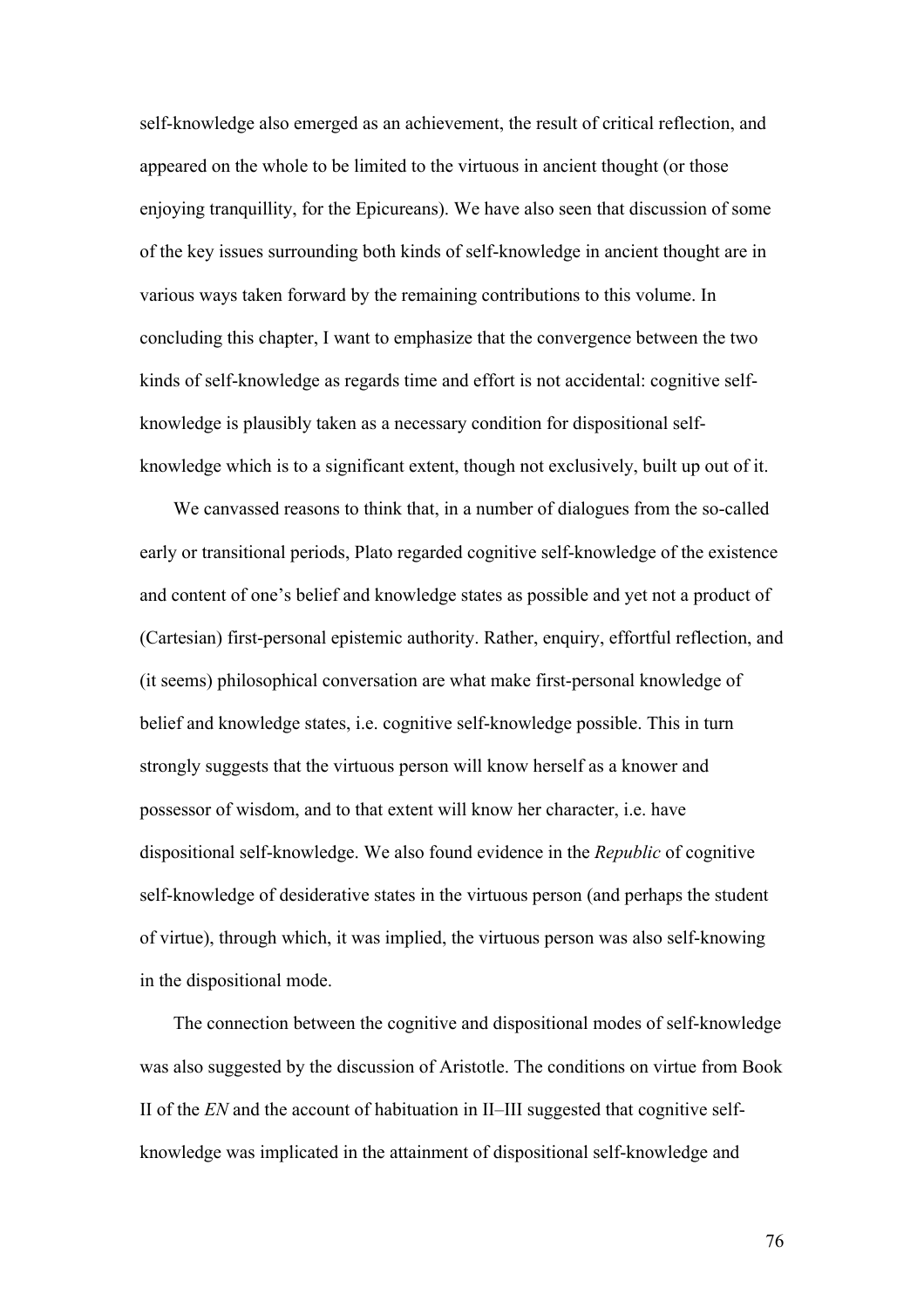self-knowledge also emerged as an achievement, the result of critical reflection, and appeared on the whole to be limited to the virtuous in ancient thought (or those enjoying tranquillity, for the Epicureans). We have also seen that discussion of some of the key issues surrounding both kinds of self-knowledge in ancient thought are in various ways taken forward by the remaining contributions to this volume. In concluding this chapter, I want to emphasize that the convergence between the two kinds of self-knowledge as regards time and effort is not accidental: cognitive selfknowledge is plausibly taken as a necessary condition for dispositional selfknowledge which is to a significant extent, though not exclusively, built up out of it.

We canvassed reasons to think that, in a number of dialogues from the so-called early or transitional periods, Plato regarded cognitive self-knowledge of the existence and content of one's belief and knowledge states as possible and yet not a product of (Cartesian) first-personal epistemic authority. Rather, enquiry, effortful reflection, and (it seems) philosophical conversation are what make first-personal knowledge of belief and knowledge states, i.e. cognitive self-knowledge possible. This in turn strongly suggests that the virtuous person will know herself as a knower and possessor of wisdom, and to that extent will know her character, i.e. have dispositional self-knowledge. We also found evidence in the *Republic* of cognitive self-knowledge of desiderative states in the virtuous person (and perhaps the student of virtue), through which, it was implied, the virtuous person was also self-knowing in the dispositional mode.

The connection between the cognitive and dispositional modes of self-knowledge was also suggested by the discussion of Aristotle. The conditions on virtue from Book II of the *EN* and the account of habituation in II–III suggested that cognitive selfknowledge was implicated in the attainment of dispositional self-knowledge and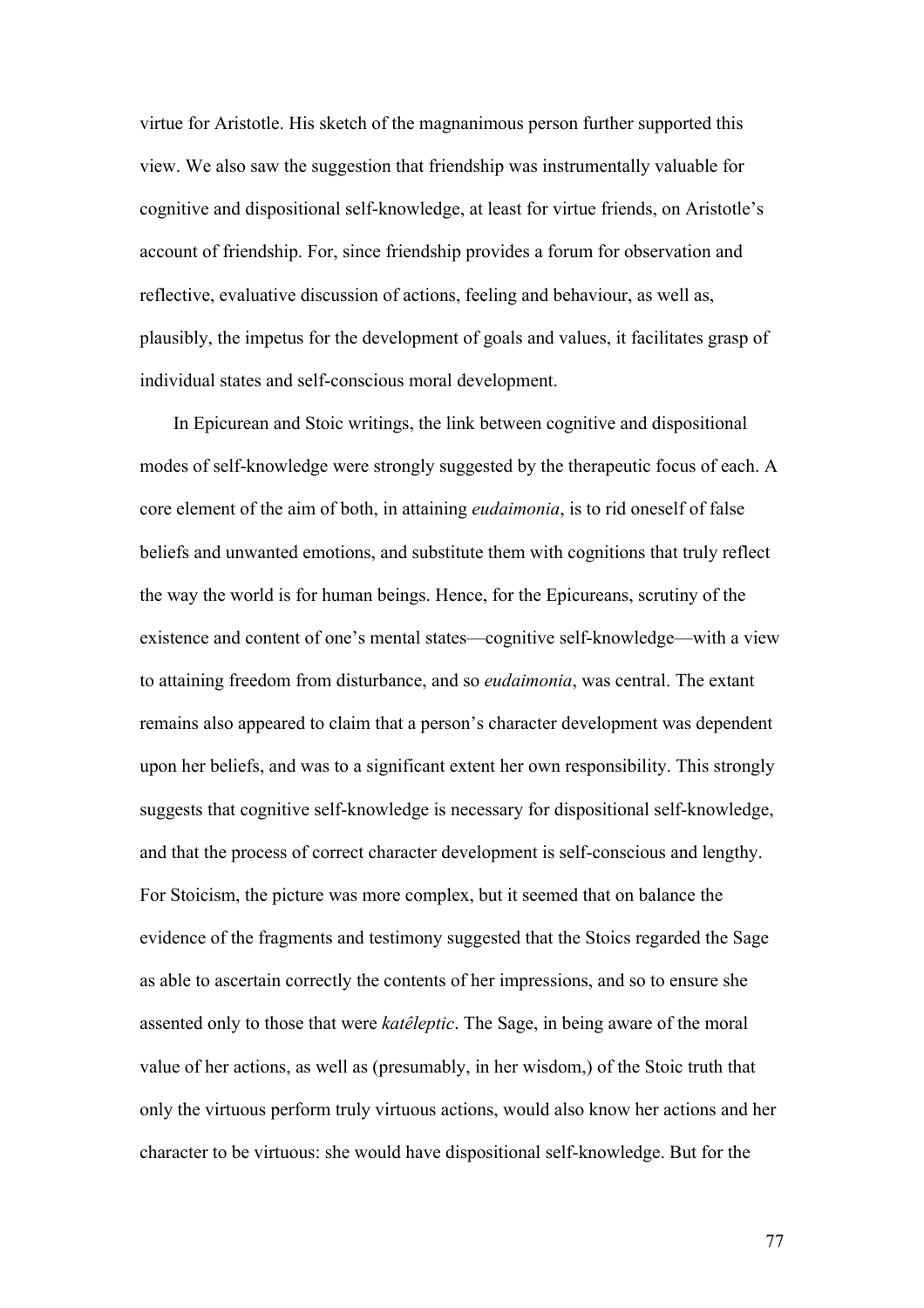virtue for Aristotle. His sketch of the magnanimous person further supported this view. We also saw the suggestion that friendship was instrumentally valuable for cognitive and dispositional self-knowledge, at least for virtue friends, on Aristotle's account of friendship. For, since friendship provides a forum for observation and reflective, evaluative discussion of actions, feeling and behaviour, as well as, plausibly, the impetus for the development of goals and values, it facilitates grasp of individual states and self-conscious moral development.

In Epicurean and Stoic writings, the link between cognitive and dispositional modes of self-knowledge were strongly suggested by the therapeutic focus of each. A core element of the aim of both, in attaining *eudaimonia*, is to rid oneself of false beliefs and unwanted emotions, and substitute them with cognitions that truly reflect the way the world is for human beings. Hence, for the Epicureans, scrutiny of the existence and content of one's mental states—cognitive self-knowledge—with a view to attaining freedom from disturbance, and so *eudaimonia*, was central. The extant remains also appeared to claim that a person's character development was dependent upon her beliefs, and was to a significant extent her own responsibility. This strongly suggests that cognitive self-knowledge is necessary for dispositional self-knowledge, and that the process of correct character development is self-conscious and lengthy. For Stoicism, the picture was more complex, but it seemed that on balance the evidence of the fragments and testimony suggested that the Stoics regarded the Sage as able to ascertain correctly the contents of her impressions, and so to ensure she assented only to those that were *katêleptic*. The Sage, in being aware of the moral value of her actions, as well as (presumably, in her wisdom,) of the Stoic truth that only the virtuous perform truly virtuous actions, would also know her actions and her character to be virtuous: she would have dispositional self-knowledge. But for the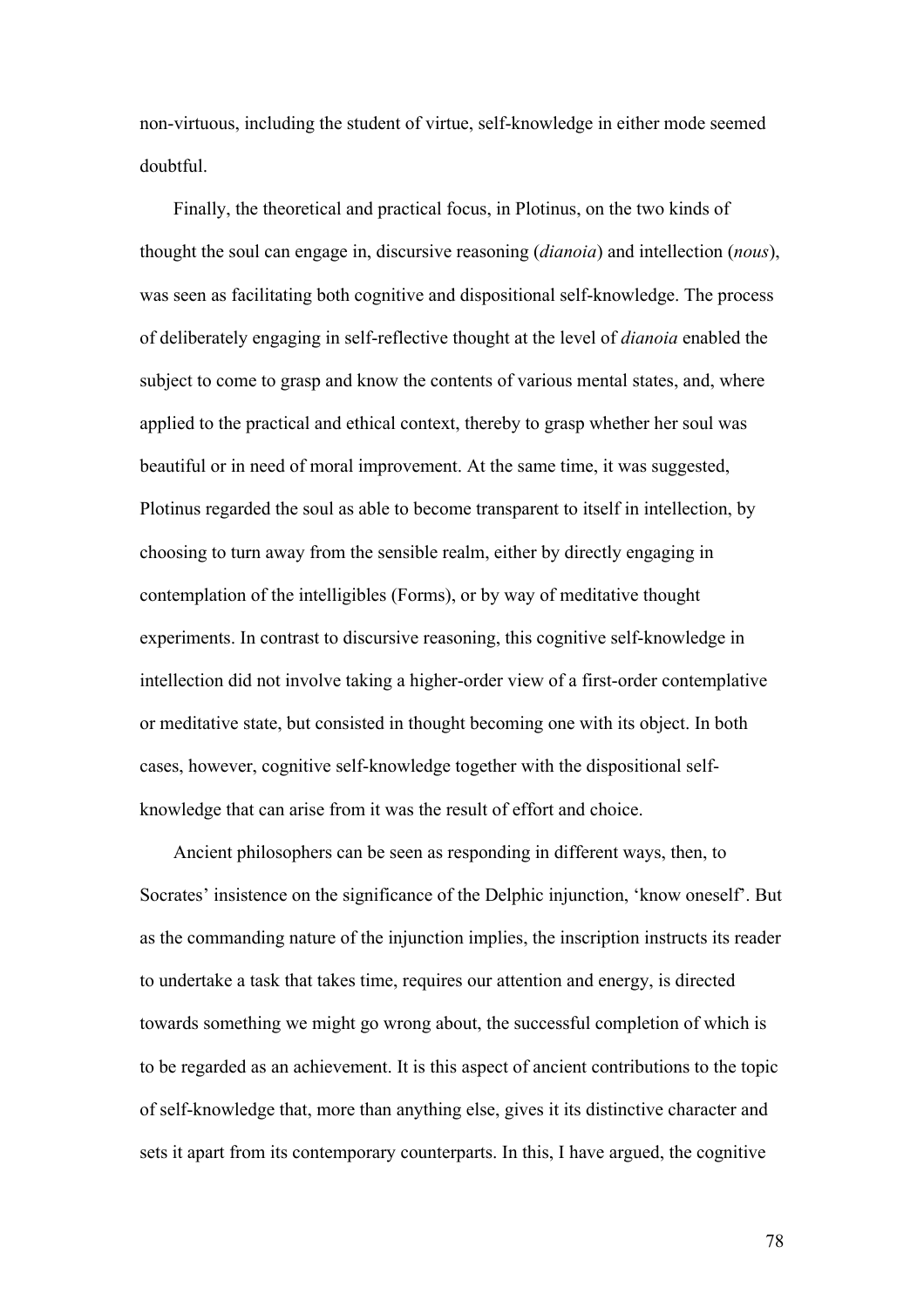non-virtuous, including the student of virtue, self-knowledge in either mode seemed doubtful.

Finally, the theoretical and practical focus, in Plotinus, on the two kinds of thought the soul can engage in, discursive reasoning (*dianoia*) and intellection (*nous*), was seen as facilitating both cognitive and dispositional self-knowledge. The process of deliberately engaging in self-reflective thought at the level of *dianoia* enabled the subject to come to grasp and know the contents of various mental states, and, where applied to the practical and ethical context, thereby to grasp whether her soul was beautiful or in need of moral improvement. At the same time, it was suggested, Plotinus regarded the soul as able to become transparent to itself in intellection, by choosing to turn away from the sensible realm, either by directly engaging in contemplation of the intelligibles (Forms), or by way of meditative thought experiments. In contrast to discursive reasoning, this cognitive self-knowledge in intellection did not involve taking a higher-order view of a first-order contemplative or meditative state, but consisted in thought becoming one with its object. In both cases, however, cognitive self-knowledge together with the dispositional selfknowledge that can arise from it was the result of effort and choice.

Ancient philosophers can be seen as responding in different ways, then, to Socrates' insistence on the significance of the Delphic injunction, 'know oneself'. But as the commanding nature of the injunction implies, the inscription instructs its reader to undertake a task that takes time, requires our attention and energy, is directed towards something we might go wrong about, the successful completion of which is to be regarded as an achievement. It is this aspect of ancient contributions to the topic of self-knowledge that, more than anything else, gives it its distinctive character and sets it apart from its contemporary counterparts. In this, I have argued, the cognitive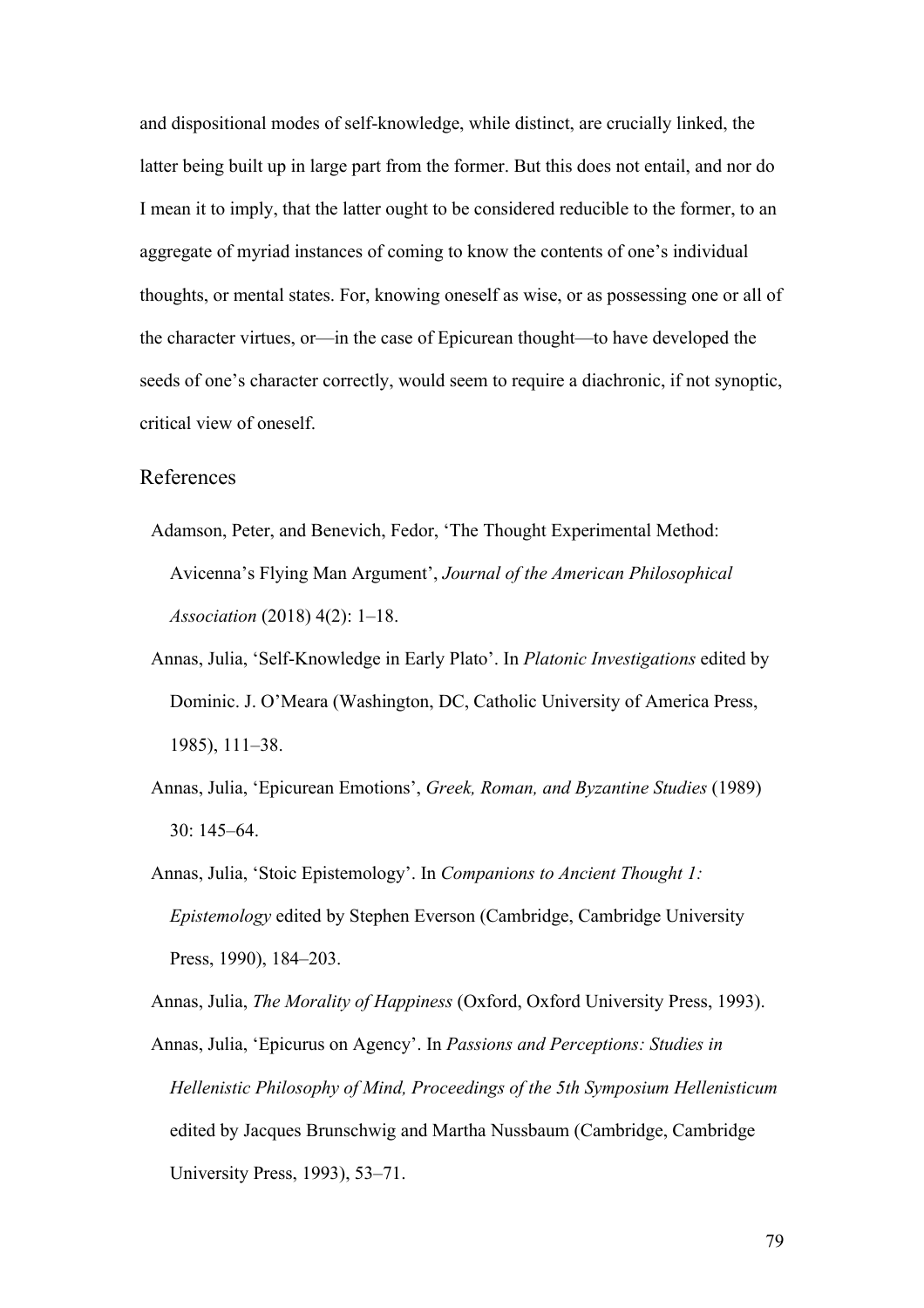and dispositional modes of self-knowledge, while distinct, are crucially linked, the latter being built up in large part from the former. But this does not entail, and nor do I mean it to imply, that the latter ought to be considered reducible to the former, to an aggregate of myriad instances of coming to know the contents of one's individual thoughts, or mental states. For, knowing oneself as wise, or as possessing one or all of the character virtues, or—in the case of Epicurean thought—to have developed the seeds of one's character correctly, would seem to require a diachronic, if not synoptic, critical view of oneself.

## References

- Adamson, Peter, and Benevich, Fedor, 'The Thought Experimental Method: Avicenna's Flying Man Argument', *Journal of the American Philosophical Association* (2018) 4(2): 1–18.
- Annas, Julia, 'Self-Knowledge in Early Plato'. In *Platonic Investigations* edited by Dominic. J. O'Meara (Washington, DC, Catholic University of America Press, 1985), 111–38.
- Annas, Julia, 'Epicurean Emotions', *Greek, Roman, and Byzantine Studies* (1989) 30: 145–64.
- Annas, Julia, 'Stoic Epistemology'. In *Companions to Ancient Thought 1: Epistemology* edited by Stephen Everson (Cambridge, Cambridge University Press, 1990), 184–203.

Annas, Julia, *The Morality of Happiness* (Oxford, Oxford University Press, 1993).

Annas, Julia, 'Epicurus on Agency'. In *Passions and Perceptions: Studies in Hellenistic Philosophy of Mind, Proceedings of the 5th Symposium Hellenisticum* edited by Jacques Brunschwig and Martha Nussbaum (Cambridge, Cambridge University Press, 1993), 53–71.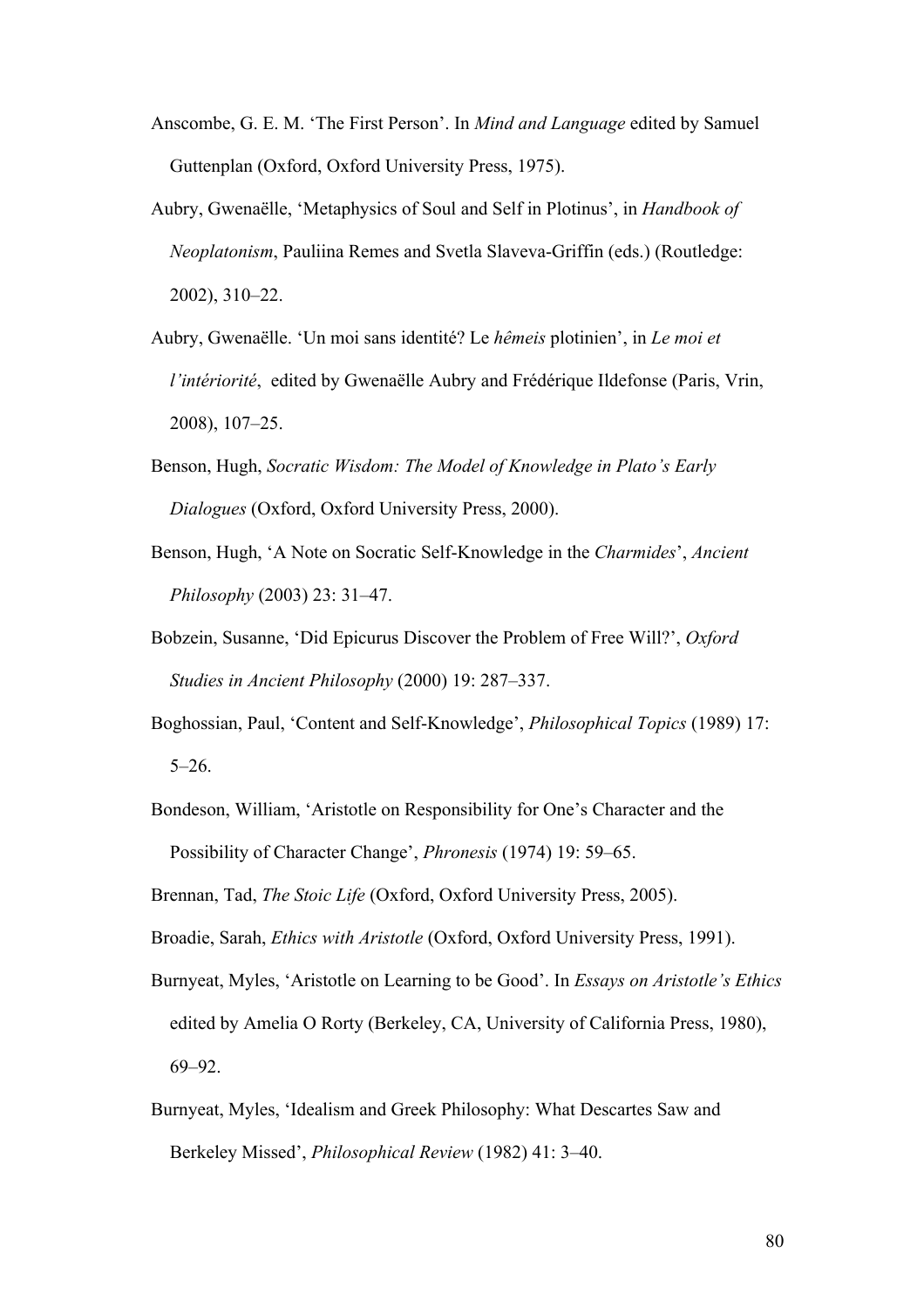- Anscombe, G. E. M. 'The First Person'. In *Mind and Language* edited by Samuel Guttenplan (Oxford, Oxford University Press, 1975).
- Aubry, Gwenaëlle, 'Metaphysics of Soul and Self in Plotinus', in *Handbook of Neoplatonism*, Pauliina Remes and Svetla Slaveva-Griffin (eds.) (Routledge: 2002), 310–22.
- Aubry, Gwenaëlle. 'Un moi sans identité? Le *hêmeis* plotinien', in *Le moi et l'intériorité*, edited by Gwenaëlle Aubry and Frédérique Ildefonse (Paris, Vrin, 2008), 107–25.
- Benson, Hugh, *Socratic Wisdom: The Model of Knowledge in Plato's Early Dialogues* (Oxford, Oxford University Press, 2000).
- Benson, Hugh, 'A Note on Socratic Self-Knowledge in the *Charmides*', *Ancient Philosophy* (2003) 23: 31–47.
- Bobzein, Susanne, 'Did Epicurus Discover the Problem of Free Will?', *Oxford Studies in Ancient Philosophy* (2000) 19: 287–337.
- Boghossian, Paul, 'Content and Self-Knowledge', *Philosophical Topics* (1989) 17:  $5-26.$
- Bondeson, William, 'Aristotle on Responsibility for One's Character and the Possibility of Character Change', *Phronesis* (1974) 19: 59–65.
- Brennan, Tad, *The Stoic Life* (Oxford, Oxford University Press, 2005).
- Broadie, Sarah, *Ethics with Aristotle* (Oxford, Oxford University Press, 1991).
- Burnyeat, Myles, 'Aristotle on Learning to be Good'. In *Essays on Aristotle's Ethics* edited by Amelia O Rorty (Berkeley, CA, University of California Press, 1980), 69–92.
- Burnyeat, Myles, 'Idealism and Greek Philosophy: What Descartes Saw and Berkeley Missed', *Philosophical Review* (1982) 41: 3–40.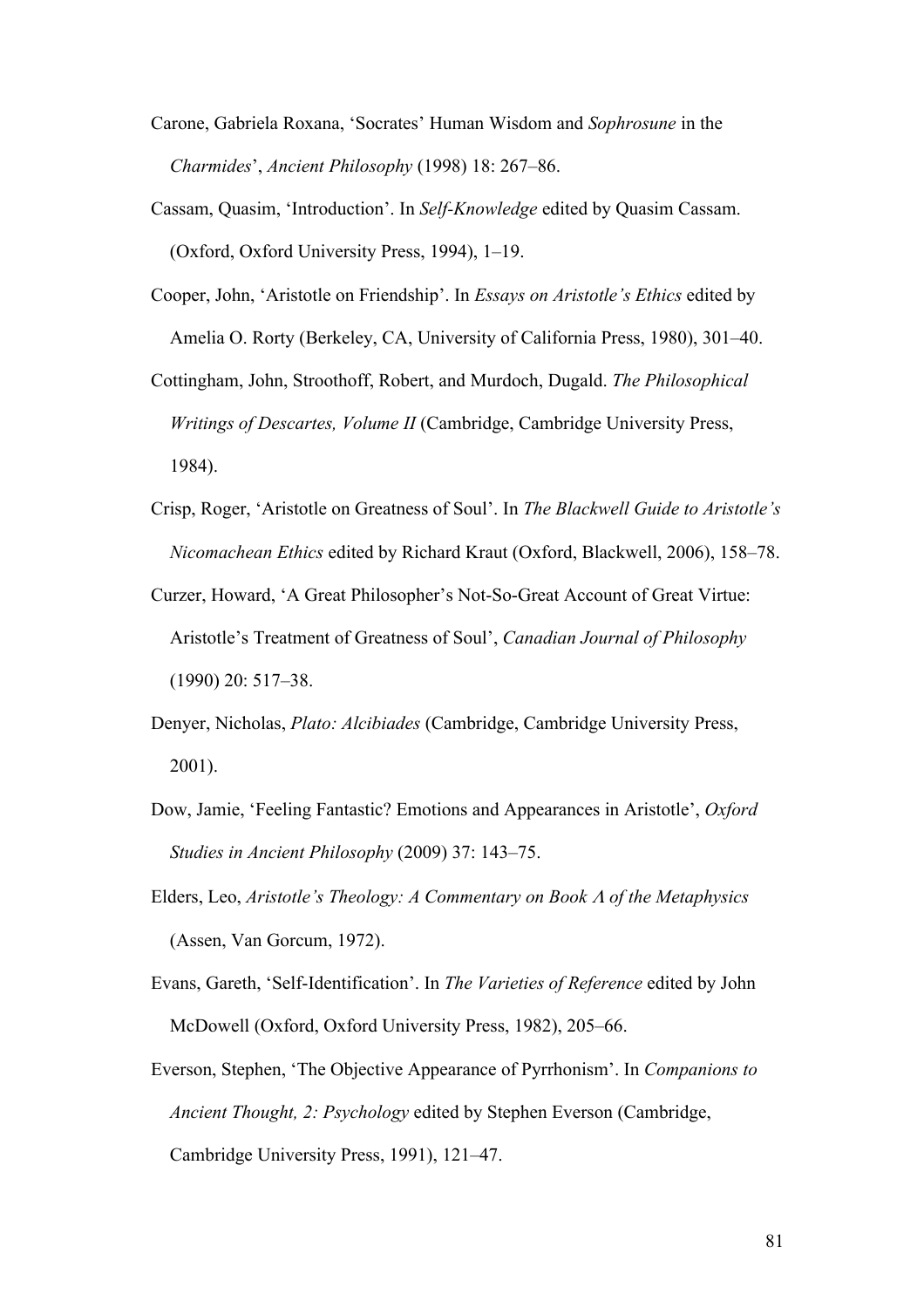- Carone, Gabriela Roxana, 'Socrates' Human Wisdom and *Sophrosune* in the *Charmides*', *Ancient Philosophy* (1998) 18: 267–86.
- Cassam, Quasim, 'Introduction'. In *Self-Knowledge* edited by Quasim Cassam. (Oxford, Oxford University Press, 1994), 1–19.
- Cooper, John, 'Aristotle on Friendship'. In *Essays on Aristotle's Ethics* edited by Amelia O. Rorty (Berkeley, CA, University of California Press, 1980), 301–40.
- Cottingham, John, Stroothoff, Robert, and Murdoch, Dugald. *The Philosophical Writings of Descartes, Volume II* (Cambridge, Cambridge University Press, 1984).
- Crisp, Roger, 'Aristotle on Greatness of Soul'. In *The Blackwell Guide to Aristotle's Nicomachean Ethics* edited by Richard Kraut (Oxford, Blackwell, 2006), 158–78.
- Curzer, Howard, 'A Great Philosopher's Not-So-Great Account of Great Virtue: Aristotle's Treatment of Greatness of Soul', *Canadian Journal of Philosophy* (1990) 20: 517–38.
- Denyer, Nicholas, *Plato: Alcibiades* (Cambridge, Cambridge University Press, 2001).
- Dow, Jamie, 'Feeling Fantastic? Emotions and Appearances in Aristotle', *Oxford Studies in Ancient Philosophy* (2009) 37: 143–75.
- Elders, Leo, *Aristotle's Theology: A Commentary on Book* <sup>L</sup> *of the Metaphysics* (Assen, Van Gorcum, 1972).
- Evans, Gareth, 'Self-Identification'. In *The Varieties of Reference* edited by John McDowell (Oxford, Oxford University Press, 1982), 205–66.
- Everson, Stephen, 'The Objective Appearance of Pyrrhonism'. In *Companions to Ancient Thought, 2: Psychology* edited by Stephen Everson (Cambridge, Cambridge University Press, 1991), 121–47.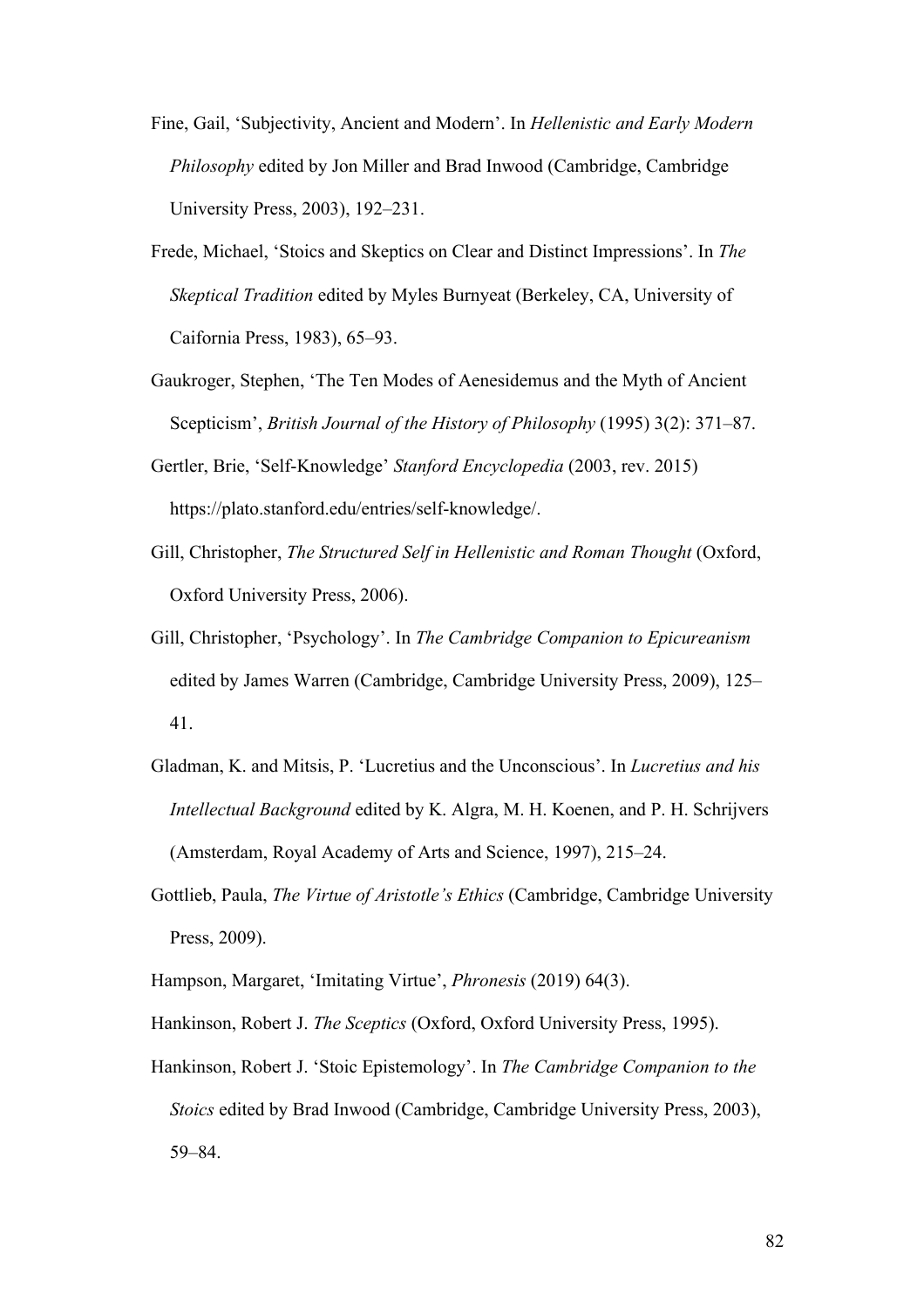- Fine, Gail, 'Subjectivity, Ancient and Modern'. In *Hellenistic and Early Modern Philosophy* edited by Jon Miller and Brad Inwood (Cambridge, Cambridge University Press, 2003), 192–231.
- Frede, Michael, 'Stoics and Skeptics on Clear and Distinct Impressions'. In *The Skeptical Tradition* edited by Myles Burnyeat (Berkeley, CA, University of Caifornia Press, 1983), 65–93.
- Gaukroger, Stephen, 'The Ten Modes of Aenesidemus and the Myth of Ancient Scepticism', *British Journal of the History of Philosophy* (1995) 3(2): 371–87.
- Gertler, Brie, 'Self-Knowledge' *Stanford Encyclopedia* (2003, rev. 2015) https://plato.stanford.edu/entries/self-knowledge/.
- Gill, Christopher, *The Structured Self in Hellenistic and Roman Thought* (Oxford, Oxford University Press, 2006).
- Gill, Christopher, 'Psychology'. In *The Cambridge Companion to Epicureanism* edited by James Warren (Cambridge, Cambridge University Press, 2009), 125– 41.
- Gladman, K. and Mitsis, P. 'Lucretius and the Unconscious'. In *Lucretius and his Intellectual Background* edited by K. Algra, M. H. Koenen, and P. H. Schrijvers (Amsterdam, Royal Academy of Arts and Science, 1997), 215–24.
- Gottlieb, Paula, *The Virtue of Aristotle's Ethics* (Cambridge, Cambridge University Press, 2009).
- Hampson, Margaret, 'Imitating Virtue', *Phronesis* (2019) 64(3).
- Hankinson, Robert J. *The Sceptics* (Oxford, Oxford University Press, 1995).
- Hankinson, Robert J. 'Stoic Epistemology'. In *The Cambridge Companion to the Stoics* edited by Brad Inwood (Cambridge, Cambridge University Press, 2003), 59–84.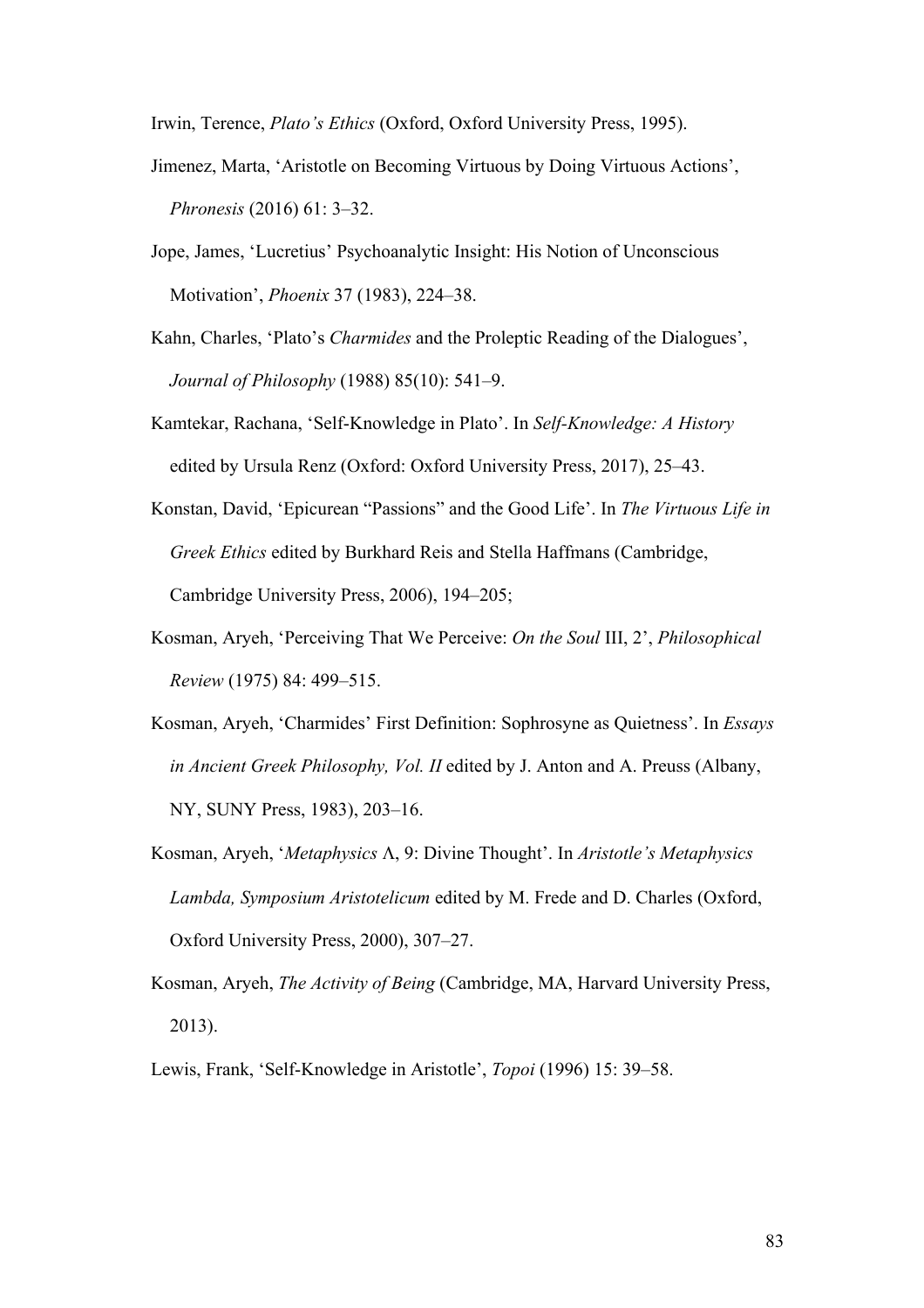Irwin, Terence, *Plato's Ethics* (Oxford, Oxford University Press, 1995).

- Jimenez, Marta, 'Aristotle on Becoming Virtuous by Doing Virtuous Actions', *Phronesis* (2016) 61: 3–32.
- Jope, James, 'Lucretius' Psychoanalytic Insight: His Notion of Unconscious Motivation', *Phoenix* 37 (1983), 224–38.
- Kahn, Charles, 'Plato's *Charmides* and the Proleptic Reading of the Dialogues', *Journal of Philosophy* (1988) 85(10): 541–9.
- Kamtekar, Rachana, 'Self-Knowledge in Plato'. In *Self-Knowledge: A History* edited by Ursula Renz (Oxford: Oxford University Press, 2017), 25–43.
- Konstan, David, 'Epicurean "Passions" and the Good Life'. In *The Virtuous Life in Greek Ethics* edited by Burkhard Reis and Stella Haffmans (Cambridge, Cambridge University Press, 2006), 194–205;
- Kosman, Aryeh, 'Perceiving That We Perceive: *On the Soul* III, 2', *Philosophical Review* (1975) 84: 499–515.
- Kosman, Aryeh, 'Charmides' First Definition: Sophrosyne as Quietness'. In *Essays in Ancient Greek Philosophy, Vol. II* edited by J. Anton and A. Preuss (Albany, NY, SUNY Press, 1983), 203–16.
- Kosman, Aryeh, '*Metaphysics*  $\Lambda$ , 9: Divine Thought'. In *Aristotle's Metaphysics Lambda, Symposium Aristotelicum* edited by M. Frede and D. Charles (Oxford, Oxford University Press, 2000), 307–27.
- Kosman, Aryeh, *The Activity of Being* (Cambridge, MA, Harvard University Press, 2013).
- Lewis, Frank, 'Self-Knowledge in Aristotle', *Topoi* (1996) 15: 39–58.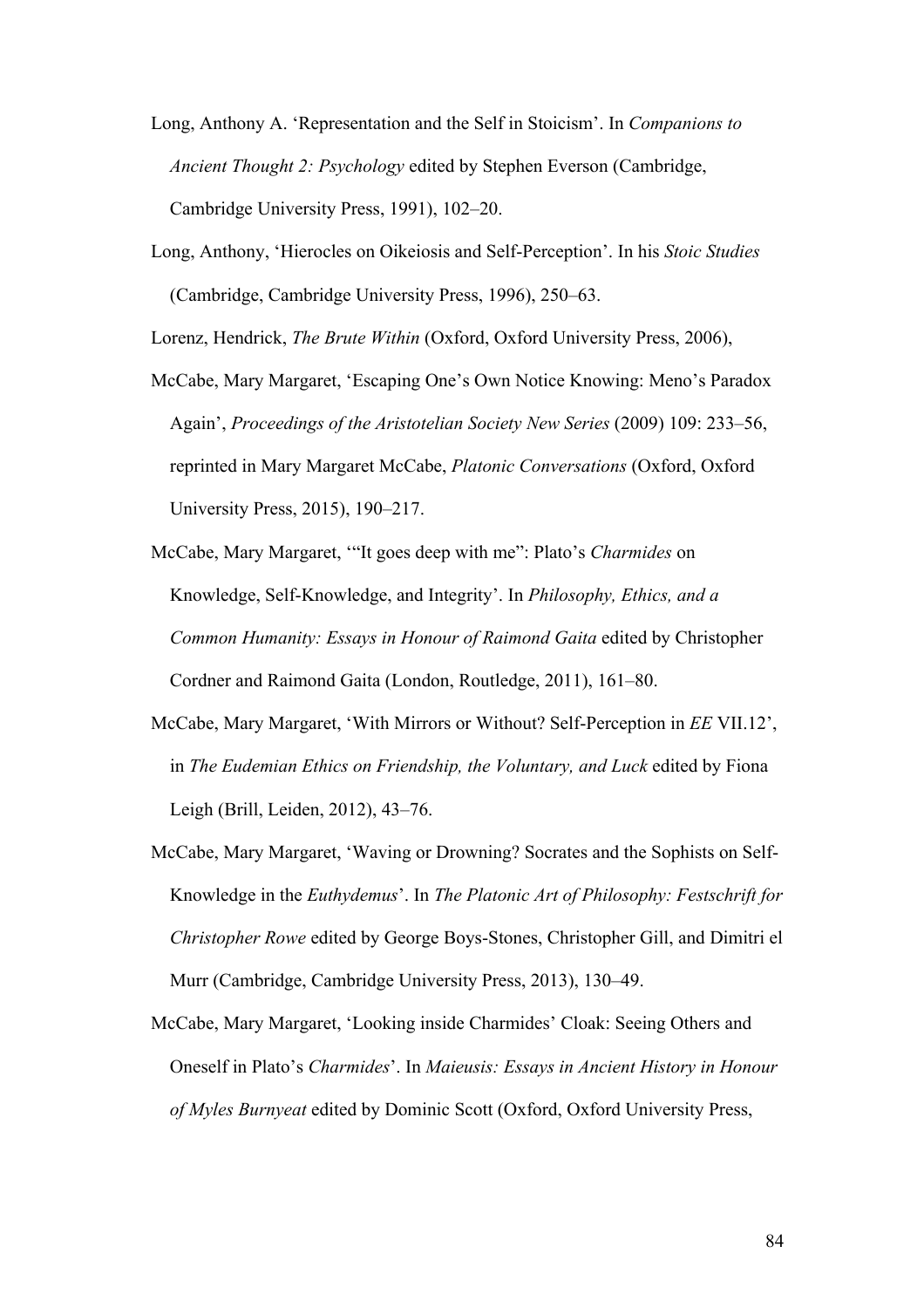- Long, Anthony A. 'Representation and the Self in Stoicism'. In *Companions to Ancient Thought 2: Psychology* edited by Stephen Everson (Cambridge, Cambridge University Press, 1991), 102–20.
- Long, Anthony, 'Hierocles on Oikeiosis and Self-Perception'. In his *Stoic Studies* (Cambridge, Cambridge University Press, 1996), 250–63.

Lorenz, Hendrick, *The Brute Within* (Oxford, Oxford University Press, 2006),

- McCabe, Mary Margaret, 'Escaping One's Own Notice Knowing: Meno's Paradox Again', *Proceedings of the Aristotelian Society New Series* (2009) 109: 233–56, reprinted in Mary Margaret McCabe, *Platonic Conversations* (Oxford, Oxford University Press, 2015), 190–217.
- McCabe, Mary Margaret, '"It goes deep with me": Plato's *Charmides* on Knowledge, Self-Knowledge, and Integrity'. In *Philosophy, Ethics, and a Common Humanity: Essays in Honour of Raimond Gaita* edited by Christopher Cordner and Raimond Gaita (London, Routledge, 2011), 161–80.
- McCabe, Mary Margaret, 'With Mirrors or Without? Self-Perception in *EE* VII.12', in *The Eudemian Ethics on Friendship, the Voluntary, and Luck* edited by Fiona Leigh (Brill, Leiden, 2012), 43–76.
- McCabe, Mary Margaret, 'Waving or Drowning? Socrates and the Sophists on Self-Knowledge in the *Euthydemus*'. In *The Platonic Art of Philosophy: Festschrift for Christopher Rowe* edited by George Boys-Stones, Christopher Gill, and Dimitri el Murr (Cambridge, Cambridge University Press, 2013), 130–49.
- McCabe, Mary Margaret, 'Looking inside Charmides' Cloak: Seeing Others and Oneself in Plato's *Charmides*'. In *Maieusis: Essays in Ancient History in Honour of Myles Burnyeat* edited by Dominic Scott (Oxford, Oxford University Press,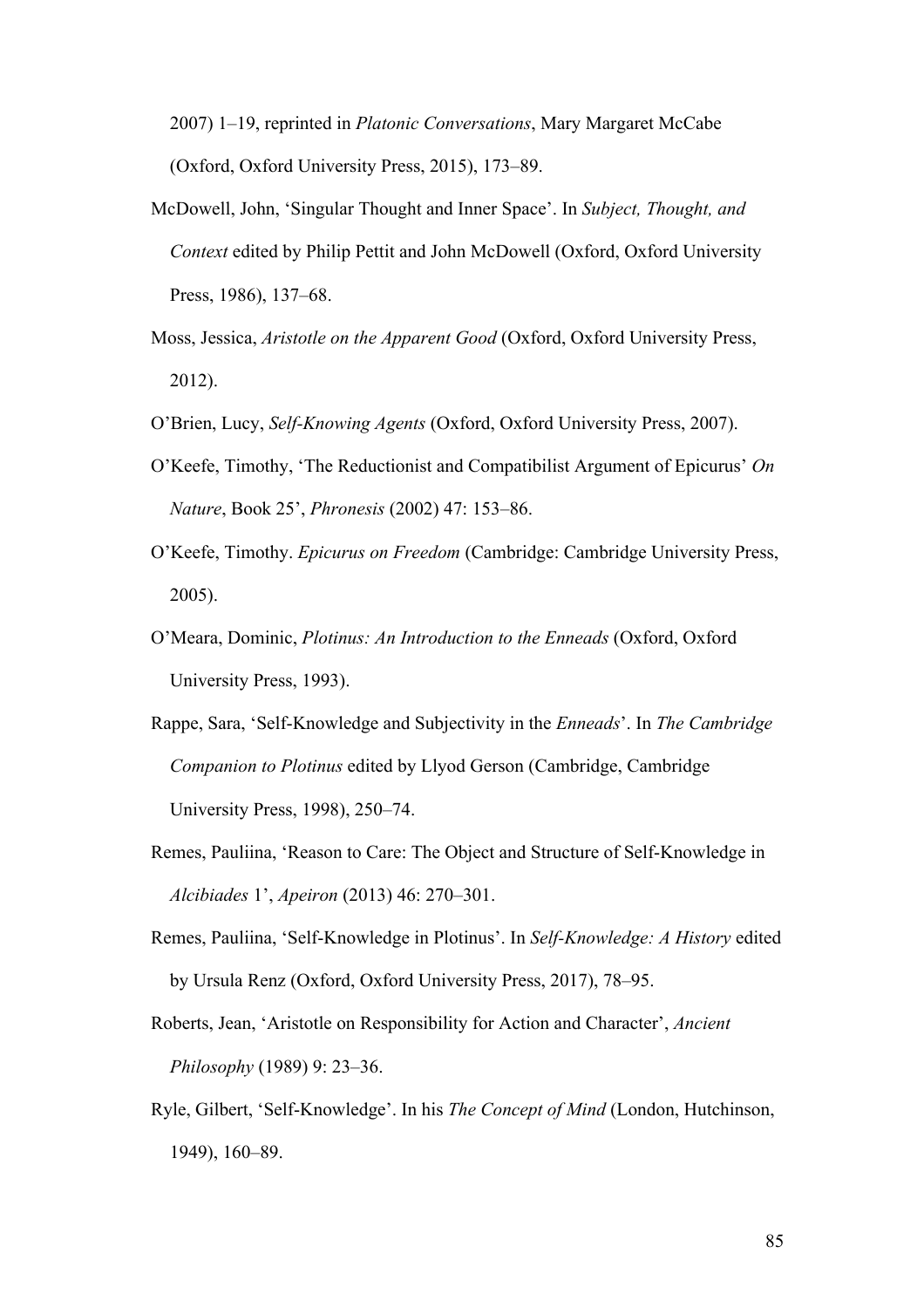2007) 1–19, reprinted in *Platonic Conversations*, Mary Margaret McCabe (Oxford, Oxford University Press, 2015), 173–89.

- McDowell, John, 'Singular Thought and Inner Space'. In *Subject, Thought, and Context* edited by Philip Pettit and John McDowell (Oxford, Oxford University Press, 1986), 137–68.
- Moss, Jessica, *Aristotle on the Apparent Good* (Oxford, Oxford University Press, 2012).
- O'Brien, Lucy, *Self-Knowing Agents* (Oxford, Oxford University Press, 2007).
- O'Keefe, Timothy, 'The Reductionist and Compatibilist Argument of Epicurus' *On Nature*, Book 25', *Phronesis* (2002) 47: 153–86.
- O'Keefe, Timothy. *Epicurus on Freedom* (Cambridge: Cambridge University Press, 2005).
- O'Meara, Dominic, *Plotinus: An Introduction to the Enneads* (Oxford, Oxford University Press, 1993).
- Rappe, Sara, 'Self-Knowledge and Subjectivity in the *Enneads*'. In *The Cambridge Companion to Plotinus* edited by Llyod Gerson (Cambridge, Cambridge University Press, 1998), 250–74.
- Remes, Pauliina, 'Reason to Care: The Object and Structure of Self-Knowledge in *Alcibiades* 1', *Apeiron* (2013) 46: 270–301.
- Remes, Pauliina, 'Self-Knowledge in Plotinus'. In *Self-Knowledge: A History* edited by Ursula Renz (Oxford, Oxford University Press, 2017), 78–95.
- Roberts, Jean, 'Aristotle on Responsibility for Action and Character', *Ancient Philosophy* (1989) 9: 23–36.
- Ryle, Gilbert, 'Self-Knowledge'. In his *The Concept of Mind* (London, Hutchinson, 1949), 160–89.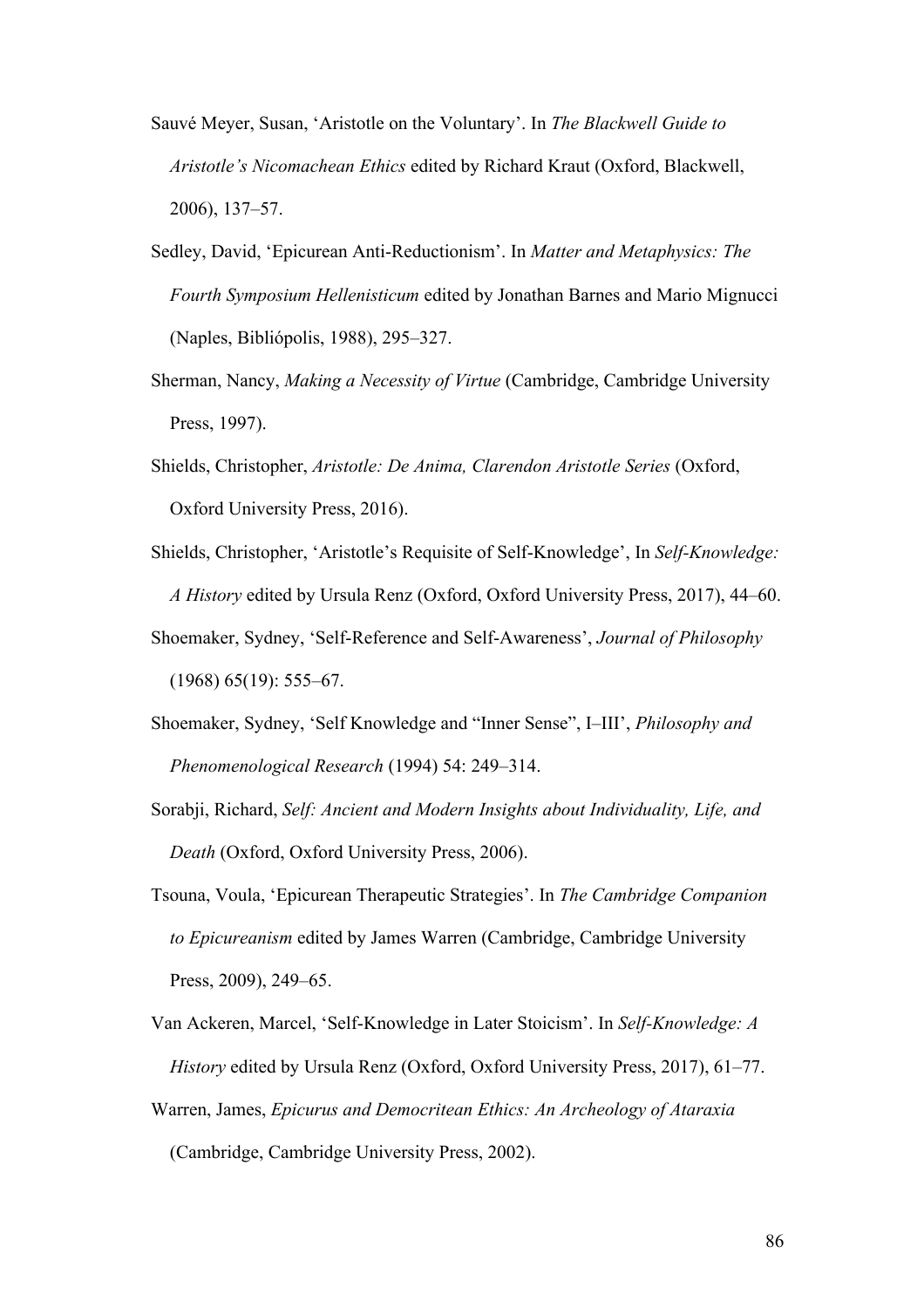- Sauvé Meyer, Susan, 'Aristotle on the Voluntary'. In *The Blackwell Guide to Aristotle's Nicomachean Ethics* edited by Richard Kraut (Oxford, Blackwell, 2006), 137–57.
- Sedley, David, 'Epicurean Anti-Reductionism'. In *Matter and Metaphysics: The Fourth Symposium Hellenisticum* edited by Jonathan Barnes and Mario Mignucci (Naples, Bibliópolis, 1988), 295–327.
- Sherman, Nancy, *Making a Necessity of Virtue* (Cambridge, Cambridge University Press, 1997).
- Shields, Christopher, *Aristotle: De Anima, Clarendon Aristotle Series* (Oxford, Oxford University Press, 2016).
- Shields, Christopher, 'Aristotle's Requisite of Self-Knowledge', In *Self-Knowledge: A History* edited by Ursula Renz (Oxford, Oxford University Press, 2017), 44–60.
- Shoemaker, Sydney, 'Self-Reference and Self-Awareness', *Journal of Philosophy* (1968) 65(19): 555–67.
- Shoemaker, Sydney, 'Self Knowledge and "Inner Sense", I–III', *Philosophy and Phenomenological Research* (1994) 54: 249–314.
- Sorabji, Richard, *Self: Ancient and Modern Insights about Individuality, Life, and Death* (Oxford, Oxford University Press, 2006).
- Tsouna, Voula, 'Epicurean Therapeutic Strategies'. In *The Cambridge Companion to Epicureanism* edited by James Warren (Cambridge, Cambridge University Press, 2009), 249–65.
- Van Ackeren, Marcel, 'Self-Knowledge in Later Stoicism'. In *Self-Knowledge: A History* edited by Ursula Renz (Oxford, Oxford University Press, 2017), 61–77.
- Warren, James, *Epicurus and Democritean Ethics: An Archeology of Ataraxia* (Cambridge, Cambridge University Press, 2002).